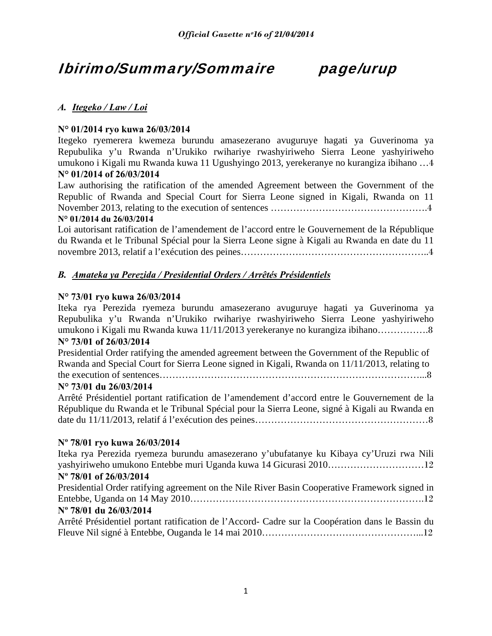## Ibirimo/Summary/Sommaire page/urup

## *A. Itegeko / Law / Loi*

## **N° 01/2014 ryo kuwa 26/03/2014**

Itegeko ryemerera kwemeza burundu amasezerano avuguruye hagati ya Guverinoma ya Repubulika y'u Rwanda n'Urukiko rwihariye rwashyiriweho Sierra Leone yashyiriweho umukono i Kigali mu Rwanda kuwa 11 Ugushyingo 2013, yerekeranye no kurangiza ibihano …4 **N° 01/2014 of 26/03/2014**

Law authorising the ratification of the amended Agreement between the Government of the Republic of Rwanda and Special Court for Sierra Leone signed in Kigali, Rwanda on 11 November 2013, relating to the execution of sentences ………………………………………….4 **N° 01/2014 du 26/03/2014**

## Loi autorisant ratification de l'amendement de l'accord entre le Gouvernement de la République du Rwanda et le Tribunal Spécial pour la Sierra Leone signe à Kigali au Rwanda en date du 11

novembre 2013, relatif a l'exécution des peines…………………………………………………..4

## *B. Amateka ya Perezida / Presidential Orders / Arrêtés Présidentiels*

## **N° 73/01 ryo kuwa 26/03/2014**

Iteka rya Perezida ryemeza burundu amasezerano avuguruye hagati ya Guverinoma ya Repubulika y'u Rwanda n'Urukiko rwihariye rwashyiriweho Sierra Leone yashyiriweho umukono i Kigali mu Rwanda kuwa 11/11/2013 yerekeranye no kurangiza ibihano…………….8 **N° 73/01 of 26/03/2014**

Presidential Order ratifying the amended agreement between the Government of the Republic of Rwanda and Special Court for Sierra Leone signed in Kigali, Rwanda on 11/11/2013, relating to the execution of sentences………………………………………………………………………...8

## **N° 73/01 du 26/03/2014**

Arrêté Présidentiel portant ratification de l'amendement d'accord entre le Gouvernement de la République du Rwanda et le Tribunal Spécial pour la Sierra Leone, signé à Kigali au Rwanda en date du 11/11/2013, relatif á l'exécution des peines………………………………………………8

## **Nº 78/01 ryo kuwa 26/03/2014**

Iteka rya Perezida ryemeza burundu amasezerano y'ubufatanye ku Kibaya cy'Uruzi rwa Nili yashyiriweho umukono Entebbe muri Uganda kuwa 14 Gicurasi 2010…………………………12 **Nº 78/01 of 26/03/2014** Presidential Order ratifying agreement on the Nile River Basin Cooperative Framework signed in Entebbe, Uganda on 14 May 2010……………………………………………………………….12

## **Nº 78/01 du 26/03/2014**

Arrêté Présidentiel portant ratification de l'Accord- Cadre sur la Coopération dans le Bassin du Fleuve Nil signé à Entebbe, Ouganda le 14 mai 2010…………………………………………...12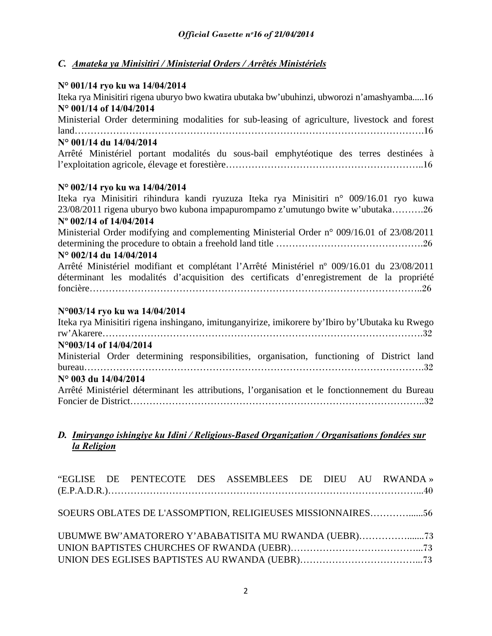## *C. Amateka ya Minisitiri / Ministerial Orders / Arrêtés Ministériels*

## **N° 001/14 ryo ku wa 14/04/2014**

Iteka rya Minisitiri rigena uburyo bwo kwatira ubutaka bw'ubuhinzi, ubworozi n'amashyamba.....16 **N° 001/14 of 14/04/2014** Ministerial Order determining modalities for sub-leasing of agriculture, livestock and forest land……………………………………………………………………………………………….16 **N° 001/14 du 14/04/2014** Arrêté Ministériel portant modalités du sous-bail emphytéotique des terres destinées à l'exploitation agricole, élevage et forestière……………………………………………………..16 **N° 002/14 ryo ku wa 14/04/2014** Iteka rya Minisitiri rihindura kandi ryuzuza Iteka rya Minisitiri n° 009/16.01 ryo kuwa 23/08/2011 rigena uburyo bwo kubona impapurompamo z'umutungo bwite w'ubutaka……….26 **Nº 002/14 of 14/04/2014** Ministerial Order modifying and complementing Ministerial Order n° 009/16.01 of 23/08/2011 determining the procedure to obtain a freehold land title ……………………………………….26 **N° 002/14 du 14/04/2014** Arrêté Ministériel modifiant et complétant l'Arrêté Ministériel nº 009/16.01 du 23/08/2011 déterminant les modalités d'acquisition des certificats d'enregistrement de la propriété foncière…………………………………………………………………………………………..26 **N°003/14 ryo ku wa 14/04/2014** Iteka rya Minisitiri rigena inshingano, imitunganyirize, imikorere by'Ibiro by'Ubutaka ku Rwego rw'Akarere……………………………………………………………………………………….32 **N°003/14 of 14/04/2014**  Ministerial Order determining responsibilities, organisation, functioning of District land bureau…………………………………………………………………………………………….32 **N° 003 du 14/04/2014**

Arrêté Ministériel déterminant les attributions, l'organisation et le fonctionnement du Bureau Foncier de District………………………………………………………………………………..32

## *D. Imiryango ishingiye ku Idini / Religious-Based Organization / Organisations fondées sur la Religion*

|  |  | "EGLISE DE PENTECOTE DES ASSEMBLEES DE DIEU AU RWANDA»      |  |  |
|--|--|-------------------------------------------------------------|--|--|
|  |  |                                                             |  |  |
|  |  |                                                             |  |  |
|  |  | SOEURS OBLATES DE L'ASSOMPTION, RELIGIEUSES MISSIONNAIRES56 |  |  |
|  |  |                                                             |  |  |
|  |  | UBUMWE BW'AMATORERO Y'ABABATISITA MU RWANDA (UEBR)          |  |  |
|  |  |                                                             |  |  |
|  |  |                                                             |  |  |
|  |  |                                                             |  |  |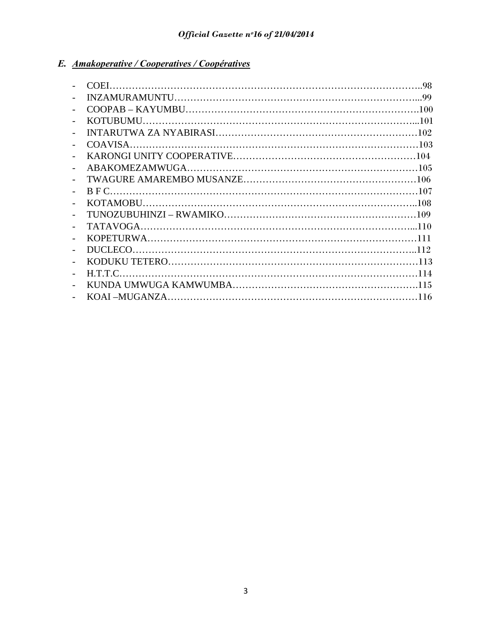## *E. Amakoperative / Cooperatives / Coopératives*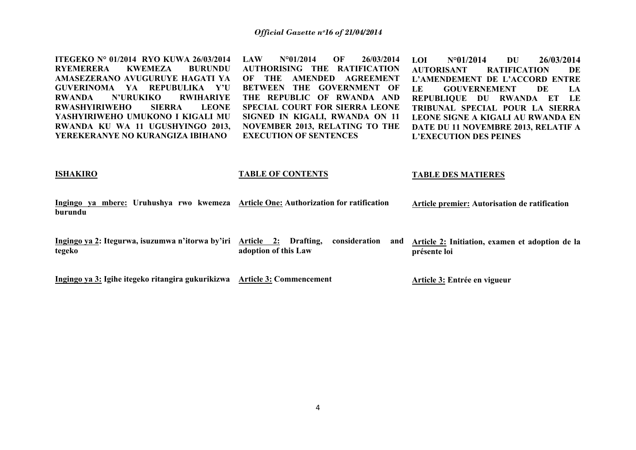**ITEGEKO N° 01/2014 RYO KUWA 26/03/2014 RYEMERERA KWEMEZA BURUNDU AMASEZERANO AVUGURUYE HAGATI YA GUVERINOMA YA REPUBULIKA Y'U RWANDA N'URUKIKO RWIHARIYE RWASHYIRIWEHO SIERRA LEONE YASHYIRIWEHO UMUKONO I KIGALI MU RWANDA KU WA 11 UGUSHYINGO 2013, YEREKERANYE NO KURANGIZA IBIHANO** 

**LAW N°01/2014 OF 26/03/2014 AUTHORISING THE RATIFICATION OF THE AMENDED AGREEMENT BETWEEN THE GOVERNMENT OF THE REPUBLIC OF RWANDA AND SPECIAL COURT FOR SIERRA LEONE SIGNED IN KIGALI, RWANDA ON 11 NOVEMBER 2013, RELATING TO THE EXECUTION OF SENTENCES** 

**LOI N°01/2014 DU 26/03/2014 AUTORISANT RATIFICATION DE L'AMENDEMENT DE L'ACCORD ENTRE LE GOUVERNEMENT DE LA REPUBLIQUE DU RWANDA ET LE TRIBUNAL SPECIAL POUR LA SIERRA LEONE SIGNE A KIGALI AU RWANDA EN DATE DU 11 NOVEMBRE 2013, RELATIF A L'EXECUTION DES PEINES** 

#### **ISHAKIRO**

#### **TABLE OF CONTENTS**

#### **TABLE DES MATIERES**

**Ingingo ya mbere: Uruhushya rwo kwemeza Article One: Authorization for ratification burundu Article premier: Autorisation de ratification** 

**Ingingo ya 2: Itegurwa, isuzumwa n'itorwa by'iri Article 2: Drafting, consideration and tegeko adoption of this Law Article 2: Initiation, examen et adoption de la présente loi** 

**Ingingo ya 3: Igihe itegeko ritangira gukurikizwa Article 3: Commencement Article 3: Entrée en vigueur**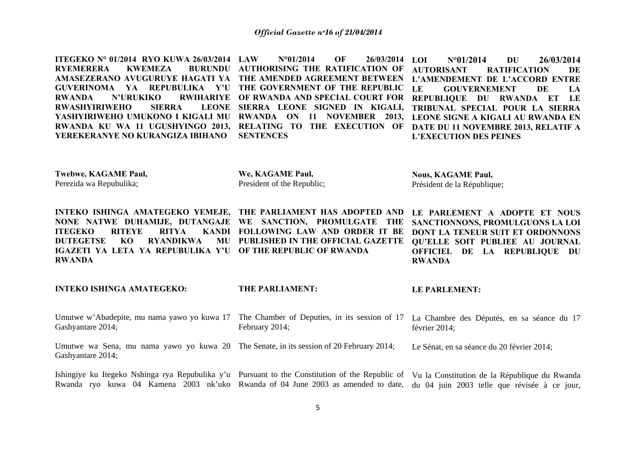**ITEGEKO N° 01/2014 RYO KUWA 26/03/2014 RYEMERERA KWEMEZA AUTHORISING THE RATIFICATION OF AMASEZERANO AVUGURUYE HAGATI YA THE AMENDED AGREEMENT BETWEEN GUVERINOMA YA REPUBULIKA Y'U THE GOVERNMENT OF THE REPUBLIC RWANDA N'URUKIKO RWIHARIYE OF RWANDA AND SPECIAL COURT FOR RWASHYIRIWEHO SIERRA SIERRA LEONE SIGNED IN KIGALI, YASHYIRIWEHO UMUKONO I KIGALI MU RWANDA ON 11 NOVEMBER 2013, LEONE SIGNE A KIGALI AU RWANDA EN**  RWANDA KU WA 11 UGUSHYINGO 2013, RELATING TO THE EXECUTION OF DATE DU 11 NOVEMBRE 2013, RELATIF A **YEREKERANYE NO KURANGIZA IBIHANO LAW N°01/2014 OF 26/03/2014 SENTENCES LOI N°01/2014 DU 26/03/2014 AUTORISANT RATIFICATION DE L'AMENDEMENT DE L'ACCORD ENTRE LE GOUVERNEMENT DE LA REPUBLIQUE DU RWANDA ET LE TRIBUNAL SPECIAL POUR LA SIERRA L'EXECUTION DES PEINES** 

**Twebwe, KAGAME Paul,**  Perezida wa Repubulika;

**We, KAGAME Paul,**  President of the Republic;

**Nous, KAGAME Paul,**  Président de la République;

**INTEKO ISHINGA AMATEGEKO YEMEJE, THE PARLIAMENT HAS ADOPTED AND NONE NATWE DUHAMIJE, DUTANGAJE WE SANCTION, PROMULGATE THE ITEGEKO RITEYE RITYA FOLLOWING LAW AND ORDER IT BE DUTEGETSE KO RYANDIKWA PUBLISHED IN THE OFFICIAL GAZETTE QU'ELLE SOIT PUBLIEE AU JOURNAL IGAZETI YA LETA YA REPUBULIKA Y'U OF THE REPUBLIC OF RWANDARWANDALE PARLEMENT A ADOPTE ET NOUS SANCTIONNONS, PROMULGUONS LA LOI DONT LA TENEUR SUIT ET ORDONNONS OFFICIEL DE LA REPUBLIQUE DU RWANDA** 

**INTEKO ISHINGA AMATEGEKO:**  Umutwe w'Abadepite, mu nama yawo yo kuwa 17 The Chamber of Deputies, in its session of 17 La Chambre des Députés, en sa séance du 17 Gashyantare 2014; Umutwe wa Sena, mu nama yawo yo kuwa 20 The Senate, in its session of 20 February 2014; Gashyantare 2014; Ishingiye ku Itegeko Nshinga rya Repubulika y'u Pursuant to the Constitution of the Republic of Vu la Constitution de la République du Rwanda **THE PARLIAMENT:**  February 2014; **LE PARLEMENT:**  février 2014; Le Sénat, en sa séance du 20 février 2014;

Rwanda ryo kuwa 04 Kamena 2003 nk'uko Rwanda of 04 June 2003 as amended to date, du 04 juin 2003 telle que révisée à ce jour,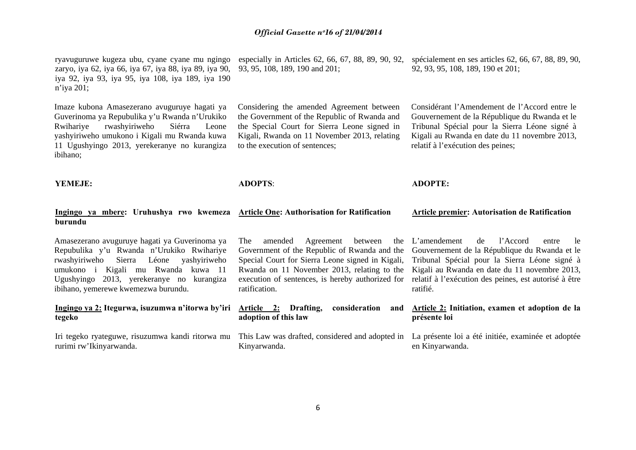ryavuguruwe kugeza ubu, cyane cyane mu ngingo zaryo, iya 62, iya 66, iya 67, iya 88, iya 89, iya 90, iya 92, iya 93, iya 95, iya 108, iya 189, iya 190 <sup>n</sup>'iya 201;

Imaze kubona Amasezerano avuguruye hagati ya Guverinoma ya Repubulika y'u Rwanda n'Urukiko Rwihariye rwashyiriweho Siérra Leone yashyiriweho umukono i Kigali mu Rwanda kuwa 11 Ugushyingo 2013, yerekeranye no kurangiza ibihano;

93, 95, 108, 189, 190 and 201;

Considering the amended Agreement between the Government of the Republic of Rwanda and the Special Court for Sierra Leone signed in Kigali, Rwanda on 11 November 2013, relating to the execution of sentences;

especially in Articles 62, 66, 67, 88, 89, 90, 92, spécialement en ses articles 62, 66, 67, 88, 89, 90, 92, 93, 95, 108, 189, 190 et 201;

> Considérant l'Amendement de l'Accord entre le Gouvernement de la République du Rwanda et le Tribunal Spécial pour la Sierra Léone signé à Kigali au Rwanda en date du 11 novembre 2013, relatif à l'exécution des peines;

**YEMEJE:** 

**ADOPTS**:

**adoption of this law** 

Kinyarwanda.

**ADOPTE:** 

#### **Ingingo ya mbere: Uruhushya rwo kwemeza Article One: Authorisation for Ratification burundu Article premier: Autorisation de Ratification**

Amasezerano avuguruye hagati ya Guverinoma ya Repubulika y'u Rwanda n'Urukiko Rwihariye rwashyiriweho Sierra Léone yashyiriweho umukono i Kigali mu Rwanda kuwa 11 Ugushyingo 2013, yerekeranye no kurangiza ibihano, yemerewe kwemezwa burundu.

## **Ingingo ya 2: Itegurwa, isuzumwa n'itorwa by'iri tegeko**

Iri tegeko ryateguwe, risuzumwa kandi ritorwa mu rurimi rw'Ikinyarwanda.

The amended Agreement between Government of the Republic of Rwanda and the Special Court for Sierra Leone signed in Kigali, Rwanda on 11 November 2013, relating to the execution of sentences, is hereby authorized for ratification.

L'amendement de l'Accord entre le Gouvernement de la République du Rwanda et le Tribunal Spécial pour la Sierra Léone signé à Kigali au Rwanda en date du 11 novembre 2013, relatif à l'exécution des peines, est autorisé à être ratifié.

#### **Article 2: Drafting, consideration and Article 2: Initiation, examen et adoption de la présente loi**

This Law was drafted, considered and adopted in La présente loi a été initiée, examinée et adoptée en Kinyarwanda.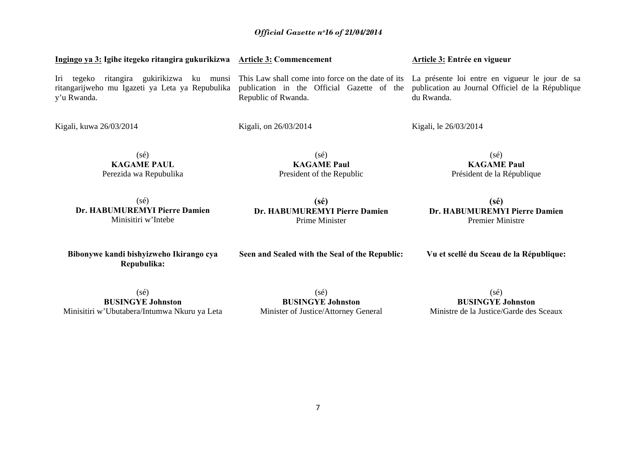| (sé)<br><b>KAGAME PAUL</b>                                                                                                                                                         | (sé)<br><b>KAGAME Paul</b>                                                                                                             | (sé)<br><b>KAGAME Paul</b> |
|------------------------------------------------------------------------------------------------------------------------------------------------------------------------------------|----------------------------------------------------------------------------------------------------------------------------------------|----------------------------|
| Kigali, kuwa 26/03/2014                                                                                                                                                            | Kigali, on 26/03/2014                                                                                                                  | Kigali, le 26/03/2014      |
| Iri<br>ritangira<br>tegeko<br>ritangarijweho mu Igazeti ya Leta ya Repubulika publication in the Official Gazette of the publication au Journal Officiel de la Répu<br>y'u Rwanda. | gukirikizwa ku munsi This Law shall come into force on the date of its La présente loi entre en vigueur le jour<br>Republic of Rwanda. | du Rwanda.                 |

(sé) **Dr. HABUMUREMYI Pierre Damien** Minisitiri w'Intebe

Perezida wa Repubulika

**Dr. HABUMUREMYI Pierre Damien**  Prime Minister

**Seen and Sealed with the Seal of the Republic:** 

President of the Republic

## **(sé) Dr. HABUMUREMYI Pierre Damien**  Premier Ministre

**Vu et scellé du Sceau de la République:** 

Président de la République

**Bibonywe kandi bishyizweho Ikirango cya Repubulika:** 

(sé)

 $(s\acute{e})$ **BUSINGYE Johnston**  Ministre de la Justice/Garde des Sceaux

(sé) **BUSINGYE Johnston**  Minisitiri w'Ubutabera/Intumwa Nkuru ya Leta

**Ingingo ya 3: Igihe itegeko ritangira gukurikizwa Article 3: Commencement** 

**BUSINGYE Johnston**  Minister of Justice/Attorney General **Article 3: Entrée en vigueur** 

de sa blique

**(sé)**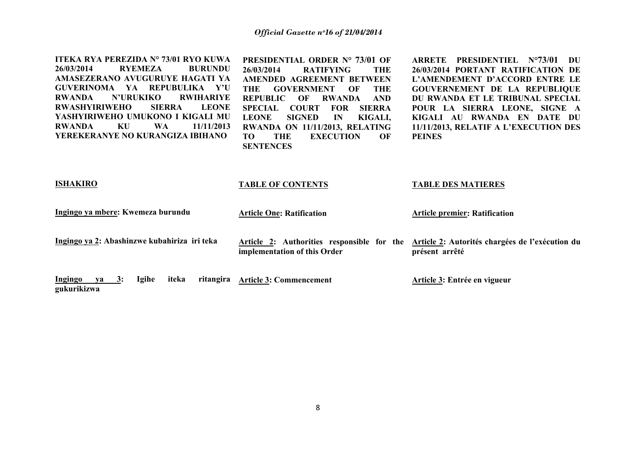**ITEKA RYA PEREZIDA N° 73/01 RYO KUWA 26/03/2014 RYEMEZA BURUNDU AMASEZERANO AVUGURUYE HAGATI YA GUVERINOMA YA REPUBULIKA Y'U RWANDA N'URUKIKO RWIHARIYE RWASHYIRIWEHO SIERRA LEONE YASHYIRIWEHO UMUKONO I KIGALI MU RWANDA KU WA 11/11/2013 YEREKERANYE NO KURANGIZA IBIHANO** 

**PRESIDENTIAL ORDER N° 73/01 OF 26/03/2014 RATIFYING THE AMENDED AGREEMENT BETWEEN THE GOVERNMENT OF THE REPUBLIC OF RWANDA AND SPECIAL COURT FOR SIERRA LEONE SIGNED IN KIGALI, RWANDA ON 11/11/2013, RELATING TO THE EXECUTION OF SENTENCES** 

**ARRETE PRESIDENTIEL N°73/01 DU 26/03/2014 PORTANT RATIFICATION DE L'AMENDEMENT D'ACCORD ENTRE LE GOUVERNEMENT DE LA REPUBLIQUE DU RWANDA ET LE TRIBUNAL SPECIAL POUR LA SIERRA LEONE, SIGNE A KIGALI AU RWANDA EN DATE DU 11/11/2013, RELATIF A L'EXECUTION DES PEINES** 

| <b>ISHAKIRO</b>                                                              | <b>TABLE OF CONTENTS</b>                                                   | <b>TABLE DES MATIERES</b>                                         |
|------------------------------------------------------------------------------|----------------------------------------------------------------------------|-------------------------------------------------------------------|
| Ingingo ya mbere: Kwemeza burundu                                            | <b>Article One: Ratification</b>                                           | <b>Article premier: Ratification</b>                              |
| Ingingo ya 2: Abashinzwe kubahiriza iri teka                                 | Article 2: Authorities responsible for the<br>implementation of this Order | Article 2: Autorités chargées de l'exécution du<br>présent arrêté |
| <b>Igihe</b><br>iteka<br><b>Ingingo</b><br>ritangira<br>ya 3:<br>gukurikizwa | <b>Article 3: Commencement</b>                                             | Article 3: Entrée en vigueur                                      |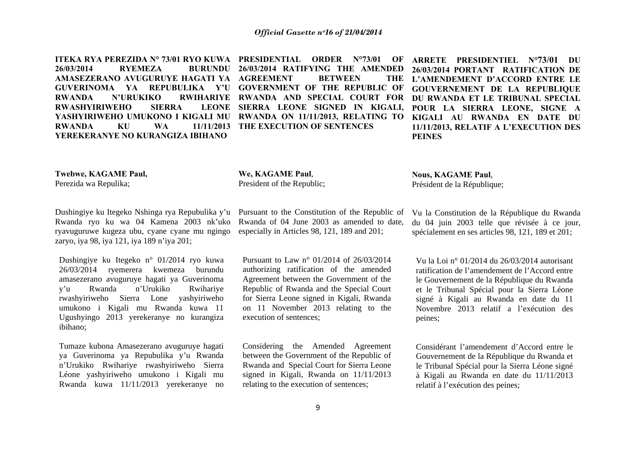**ITEKA RYA PEREZIDA N° 73/01 RYO KUWA PRESIDENTIAL ORDER N°73/01 OF 26/03/2014RYEMEZA AMASEZERANO AVUGURUYE HAGATI YA AGREEMENT BETWEEN THE GUVERINOMA YA REPUBULIKA Y'U GOVERNMENT OF THE REPUBLIC OF RWANDA N'URUKIKO RWIHARIYE RWANDA AND SPECIAL COURT FOR RWASHYIRIWEHO SIERRA YASHYIRIWEHO UMUKONO I KIGALI MU RWANDA ON 11/11/2013, RELATING TO RWANDA KU WA 11/11/2013 THE EXECUTION OF SENTENCES YEREKERANYE NO KURANGIZA IBIHANO** 

 **SIERRA LEONE SIGNED IN KIGALI, 26/03/2014 RATIFYING THE AMENDED**  **ARRETE PRESIDENTIEL N°73/01 DU 26/03/2014 PORTANT RATIFICATION DE L'AMENDEMENT D'ACCORD ENTRE LE GOUVERNEMENT DE LA REPUBLIQUE DU RWANDA ET LE TRIBUNAL SPECIAL POUR LA SIERRA LEONE, SIGNE A KIGALI AU RWANDA EN DATE DU 11/11/2013, RELATIF A L'EXECUTION DES PEINES** 

**Twebwe, KAGAME Paul,** 

Perezida wa Repulika;

## Dushingiye ku Itegeko Nshinga rya Repubulika y'u Rwanda ryo ku wa 04 Kamena 2003 nk'uko ryavuguruwe kugeza ubu, cyane cyane mu ngingo zaryo, iya 98, iya 121, iya 189 n'iya 201;

Dushingiye ku Itegeko n° 01/2014 ryo kuwa 26/03/2014 ryemerera kwemeza burundu amasezerano avuguruye hagati ya Guverinoma y'u Rwanda n'Urukiko Rwihariye rwashyiriweho Sierra Lone yashyiriweho umukono i Kigali mu Rwanda kuwa 11 Ugushyingo 2013 yerekeranye no kurangiza ibihano;

Tumaze kubona Amasezerano avuguruye hagati ya Guverinoma ya Repubulika y'u Rwanda <sup>n</sup>'Urukiko Rwihariye rwashyiriweho Sierra Léone yashyiriweho umukono i Kigali mu Rwanda kuwa 11/11/2013 yerekeranye no Pursuant to the Constitution of the Republic of Rwanda of 04 June 2003 as amended to date, especially in Articles 98, 121, 189 and 201;

**We, KAGAME Paul**, President of the Republic;

Pursuant to Law n° 01/2014 of 26/03/2014 authorizing ratification of the amended Agreement between the Government of the Republic of Rwanda and the Special Court for Sierra Leone signed in Kigali, Rwanda on 11 November 2013 relating to the execution of sentences;

Considering the Amended Agreement between the Government of the Republic of Rwanda and Special Court for Sierra Leone signed in Kigali, Rwanda on 11/11/2013 relating to the execution of sentences;

**Nous, KAGAME Paul**, Président de la République;

Vu la Constitution de la République du Rwanda

du 04 juin 2003 telle que révisée à ce jour, spécialement en ses articles 98, 121, 189 et 201;

Vu la Loi n° 01/2014 du 26/03/2014 autorisant ratification de l'amendement de l'Accord entre le Gouvernement de la République du Rwanda et le Tribunal Spécial pour la Sierra Léone signé à Kigali au Rwanda en date du 11 Novembre 2013 relatif a l'exécution des peines;

Considérant l'amendement d'Accord entre le Gouvernement de la République du Rwanda et le Tribunal Spécial pour la Sierra Léone signé à Kigali au Rwanda en date du 11/11/2013 relatif à l'exécution des peines;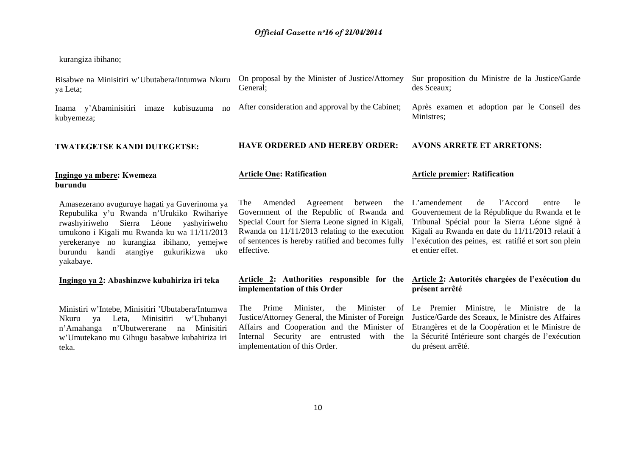kurangiza ibihano;

| Bisabwe na Minisitiri w'Ubutabera/Intumwa Nkuru<br>ya Leta;                                                                                                                                                                                                                                       | On proposal by the Minister of Justice/Attorney<br>General;                                                                                                                                                                                                          | Sur proposition du Ministre de la Justice/Garde<br>des Sceaux;                                                                                                                                                                                                                   |
|---------------------------------------------------------------------------------------------------------------------------------------------------------------------------------------------------------------------------------------------------------------------------------------------------|----------------------------------------------------------------------------------------------------------------------------------------------------------------------------------------------------------------------------------------------------------------------|----------------------------------------------------------------------------------------------------------------------------------------------------------------------------------------------------------------------------------------------------------------------------------|
| kubisuzuma<br>Inama y'Abaminisitiri imaze<br>no<br>kubyemeza;                                                                                                                                                                                                                                     | After consideration and approval by the Cabinet;                                                                                                                                                                                                                     | Après examen et adoption par le Conseil des<br>Ministres;                                                                                                                                                                                                                        |
| <b>TWATEGETSE KANDI DUTEGETSE:</b>                                                                                                                                                                                                                                                                | <b>HAVE ORDERED AND HEREBY ORDER:</b>                                                                                                                                                                                                                                | <b>AVONS ARRETE ET ARRETONS:</b>                                                                                                                                                                                                                                                 |
| Ingingo ya mbere: Kwemeza<br>burundu                                                                                                                                                                                                                                                              | <b>Article One: Ratification</b>                                                                                                                                                                                                                                     | <b>Article premier: Ratification</b>                                                                                                                                                                                                                                             |
| Amasezerano avuguruye hagati ya Guverinoma ya<br>Repubulika y'u Rwanda n'Urukiko Rwihariye<br>rwashyiriweho Sierra Léone<br>yashyiriweho<br>umukono i Kigali mu Rwanda ku wa 11/11/2013<br>yerekeranye no kurangiza ibihano, yemejwe<br>gukurikizwa uko<br>burundu kandi<br>atangiye<br>yakabaye. | Amended<br>Agreement<br>between<br>The<br>the<br>Government of the Republic of Rwanda and<br>Special Court for Sierra Leone signed in Kigali,<br>Rwanda on $11/11/2013$ relating to the execution<br>of sentences is hereby ratified and becomes fully<br>effective. | l'Accord<br>L'amendement<br>de<br>le<br>entre<br>Gouvernement de la République du Rwanda et le<br>Tribunal Spécial pour la Sierra Léone signé à<br>Kigali au Rwanda en date du 11/11/2013 relatif à<br>l'exécution des peines, est ratifié et sort son plein<br>et entier effet. |
| Ingingo ya 2: Abashinzwe kubahiriza iri teka                                                                                                                                                                                                                                                      | implementation of this Order                                                                                                                                                                                                                                         | Article 2: Authorities responsible for the Article 2: Autorités chargées de l'exécution du<br>présent arrêté                                                                                                                                                                     |
| Ministiri w'Intebe, Minisitiri 'Ubutabera/Intumwa<br>Minisitiri<br>w'Ububanyi<br>Nkuru<br>ya<br>Leta,<br>n'Ubutwererane<br>Minisitiri<br>n'Amahanga<br>na<br>w'Umutekano mu Gihugu basabwe kubahiriza iri<br>teka.                                                                                | Minister<br>Prime<br>Minister,<br>The<br>the<br>Justice/Attorney General, the Minister of Foreign<br>Affairs and Cooperation and the Minister of<br>Security are entrusted<br>Internal<br>with the<br>implementation of this Order.                                  | of Le Premier Ministre, le Ministre<br>de la<br>Justice/Garde des Sceaux, le Ministre des Affaires<br>Etrangères et de la Coopération et le Ministre de<br>la Sécurité Intérieure sont chargés de l'exécution<br>du présent arrêté.                                              |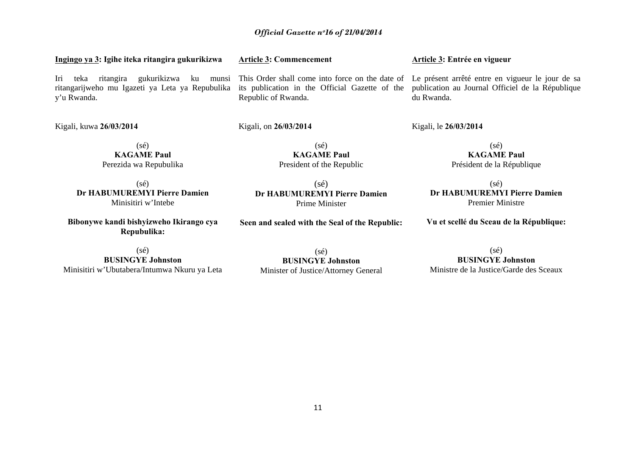#### **Ingingo ya 3: Igihe iteka ritangira gukurikizwa**  Iri teka ritangira gukurikizwa ku munsi This Order shall come into force on the date of Le présent arrêté entre en vigueur le jour de sa ritangarijweho mu Igazeti ya Leta ya Repubulika y'u Rwanda. **Article 3: Commencement**  its publication in the Official Gazette of the Republic of Rwanda.

Kigali, on **26/03/2014**

Kigali, kuwa **26/03/2014**

(sé) **KAGAME Paul** Perezida wa Repubulika

 $(sé)$ **Dr HABUMUREMYI Pierre Damien**  Minisitiri w'Intebe

**Bibonywe kandi bishyizweho Ikirango cya Repubulika:** 

 $(s\acute{e})$ **BUSINGYE Johnston**  Minisitiri w'Ubutabera/Intumwa Nkuru ya Leta

(sé) **BUSINGYE Johnston** Minister of Justice/Attorney General

## **Article 3: Entrée en vigueur**

publication au Journal Officiel de la République du Rwanda.

Kigali, le **26/03/2014** 

(sé) **KAGAME Paul** Président de la République

(sé) **Dr HABUMUREMYI Pierre Damien**  Premier Ministre

**Vu et scellé du Sceau de la République:** 

(sé) **BUSINGYE Johnston**Ministre de la Justice/Garde des Sceaux

(sé) **Dr HABUMUREMYI Pierre Damien** Prime Minister

 $(s\acute{e})$ **KAGAME Paul** President of the Republic

**Seen and sealed with the Seal of the Republic:**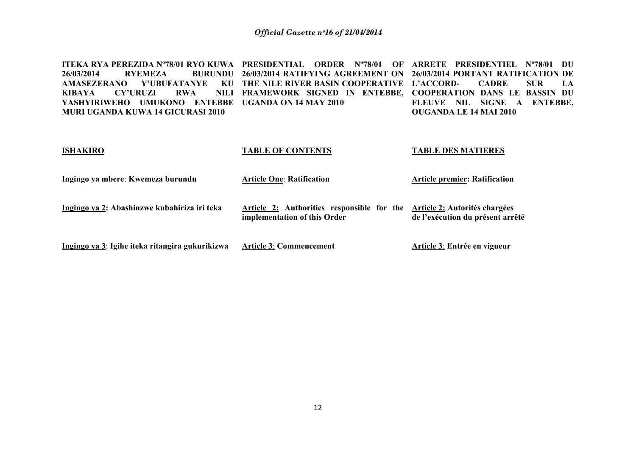**ITEKA RYA PEREZIDA Nº78/01 RYO KUWA PRESIDENTIAL ORDER Nº78/01 OF**  26/03/2014 **RYEMEZA AMASEZERANO Y'UBUFATANYE KIBAYA CY'URUZI RWA FRAMEWORK SIGNED IN ENTEBBE, COOPERATION DANS LE BASSIN DU YASHYIRIWEHO UMUKONO ENTEBBE UGANDA ON 14 MAY 2010 MURI UGANDA KUWA 14 GICURASI 2010 26/03/2014 RATIFYING AGREEMENT ON 26/03/2014 PORTANT RATIFICATION DE THE NILE RIVER BASIN COOPERATIVE L'ACCORD- CADRE SUR LA ARRETE PRESIDENTIEL Nº78/01 DU FLEUVE NIL SIGNE A ENTEBBE, OUGANDA LE 14 MAI 2010** 

#### **ISHAKIRO Ingingo ya mbere**: **Kwemeza burundu Ingingo ya 2: Abashinzwe kubahiriza iri teka Ingingo ya 3**: **Igihe iteka ritangira gukurikizwa TABLE OF CONTENTS Article One**: **Ratification Article 2: Authorities responsible for the Article 2: Autorités chargées implementation of this Order Article 3**: **Commencement TABLE DES MATIERES Article premier: Ratification de l'exécution du présent arrêté Article 3**: **Entrée en vigueur**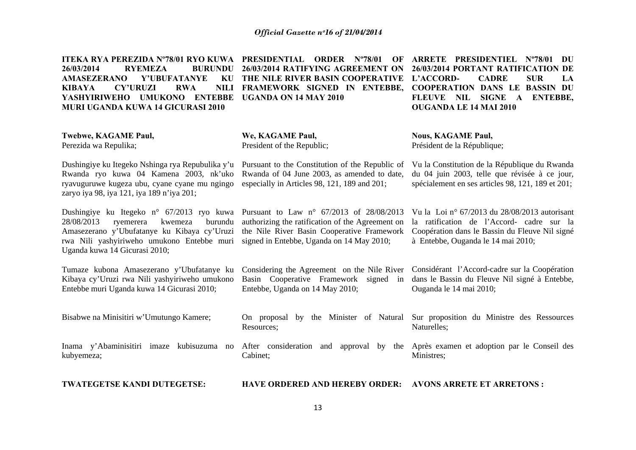| <b>ITEKA RYA PEREZIDA N°78/01 RYO KUWA</b><br>26/03/2014<br><b>RYEMEZA</b><br><b>BURUNDU</b><br><b>AMASEZERANO</b><br>Y'UBUFATANYE<br>KU<br><b>CY'URUZI</b><br><b>RWA</b><br><b>NILI</b><br><b>KIBAYA</b><br><b>ENTEBBE</b><br>YASHYIRIWEHO UMUKONO<br><b>MURI UGANDA KUWA 14 GICURASI 2010</b> | PRESIDENTIAL<br><b>ORDER</b> N°78/01<br>OF<br>26/03/2014 RATIFYING AGREEMENT ON<br>THE NILE RIVER BASIN COOPERATIVE<br>FRAMEWORK SIGNED IN ENTEBBE,<br><b>UGANDA ON 14 MAY 2010</b> | ARRETE PRESIDENTIEL N°78/01<br>DU<br>26/03/2014 PORTANT RATIFICATION DE<br>L'ACCORD-<br><b>CADRE</b><br><b>SUR</b><br>LA<br><b>COOPERATION DANS LE BASSIN DU</b><br><b>FLEUVE NIL</b><br>SIGNE A<br><b>ENTEBBE,</b><br><b>OUGANDA LE 14 MAI 2010</b> |
|-------------------------------------------------------------------------------------------------------------------------------------------------------------------------------------------------------------------------------------------------------------------------------------------------|-------------------------------------------------------------------------------------------------------------------------------------------------------------------------------------|------------------------------------------------------------------------------------------------------------------------------------------------------------------------------------------------------------------------------------------------------|
| Twebwe, KAGAME Paul,<br>Perezida wa Repulika;                                                                                                                                                                                                                                                   | We, KAGAME Paul,<br>President of the Republic;                                                                                                                                      | <b>Nous, KAGAME Paul,</b><br>Président de la République;                                                                                                                                                                                             |
| Dushingiye ku Itegeko Nshinga rya Repubulika y'u<br>Rwanda ryo kuwa 04 Kamena 2003, nk'uko<br>ryavuguruwe kugeza ubu, cyane cyane mu ngingo<br>zaryo iya 98, iya 121, iya 189 n'iya 201;                                                                                                        | Pursuant to the Constitution of the Republic of<br>Rwanda of 04 June 2003, as amended to date,<br>especially in Articles 98, 121, 189 and 201;                                      | Vu la Constitution de la République du Rwanda<br>du 04 juin 2003, telle que révisée à ce jour,<br>spécialement en ses articles 98, 121, 189 et 201;                                                                                                  |
| Dushingiye ku Itegeko n° 67/2013 ryo kuwa Pursuant to Law n° 67/2013 of 28/08/2013<br>kwemeza<br>28/08/2013<br>ryemerera<br>burundu<br>Amasezerano y'Ubufatanye ku Kibaya cy'Uruzi<br>rwa Nili yashyiriweho umukono Entebbe muri<br>Uganda kuwa 14 Gicurasi 2010;                               | authorizing the ratification of the Agreement on<br>the Nile River Basin Cooperative Framework<br>signed in Entebbe, Uganda on 14 May 2010;                                         | Vu la Loi nº 67/2013 du $28/08/2013$ autorisant<br>la ratification de l'Accord- cadre sur la<br>Coopération dans le Bassin du Fleuve Nil signé<br>à Entebbe, Ouganda le 14 mai 2010;                                                                 |
| Tumaze kubona Amasezerano y'Ubufatanye ku<br>Kibaya cy'Uruzi rwa Nili yashyiriweho umukono<br>Entebbe muri Uganda kuwa 14 Gicurasi 2010;                                                                                                                                                        | Considering the Agreement on the Nile River<br>Basin Cooperative Framework signed in<br>Entebbe, Uganda on 14 May 2010;                                                             | Considérant l'Accord-cadre sur la Coopération<br>dans le Bassin du Fleuve Nil signé à Entebbe,<br>Ouganda le 14 mai 2010;                                                                                                                            |
| Bisabwe na Minisitiri w'Umutungo Kamere;                                                                                                                                                                                                                                                        | On proposal by the Minister of Natural<br>Resources;                                                                                                                                | Sur proposition du Ministre des Ressources<br>Naturelles;                                                                                                                                                                                            |
| Inama y'Abaminisitiri imaze kubisuzuma no<br>kubyemeza;                                                                                                                                                                                                                                         | After consideration<br>and approval by the<br>Cabinet;                                                                                                                              | Après examen et adoption par le Conseil des<br>Ministres;                                                                                                                                                                                            |
| TWATEGETSE KANDI DUTEGETSE:                                                                                                                                                                                                                                                                     | <b>HAVE ORDERED AND HEREBY ORDER:</b>                                                                                                                                               | <b>AVONS ARRETE ET ARRETONS:</b>                                                                                                                                                                                                                     |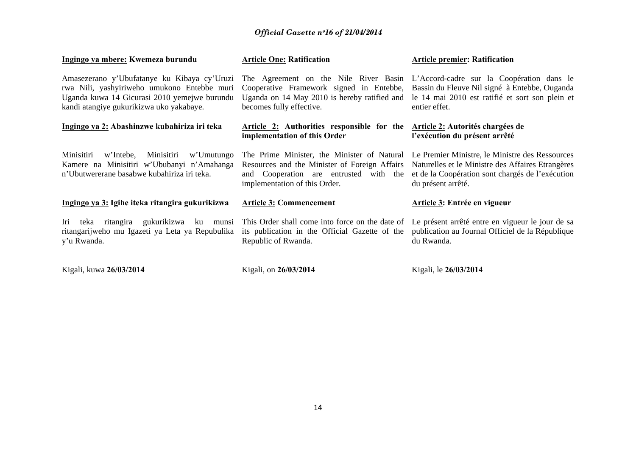| Ingingo ya mbere: Kwemeza burundu                                                                                                                                                      | <b>Article One: Ratification</b>                                                                                                                                        | <b>Article premier: Ratification</b>                                                                                                                                                                 |
|----------------------------------------------------------------------------------------------------------------------------------------------------------------------------------------|-------------------------------------------------------------------------------------------------------------------------------------------------------------------------|------------------------------------------------------------------------------------------------------------------------------------------------------------------------------------------------------|
| Amasezerano y'Ubufatanye ku Kibaya cy'Uruzi<br>rwa Nili, yashyiriweho umukono Entebbe muri<br>Uganda kuwa 14 Gicurasi 2010 yemejwe burundu<br>kandi atangiye gukurikizwa uko yakabaye. | Cooperative Framework signed in Entebbe,<br>Uganda on 14 May 2010 is hereby ratified and<br>becomes fully effective.                                                    | The Agreement on the Nile River Basin L'Accord-cadre sur la Coopération dans le<br>Bassin du Fleuve Nil signé à Entebbe, Ouganda<br>le 14 mai 2010 est ratifié et sort son plein et<br>entier effet. |
| Ingingo ya 2: Abashinzwe kubahiriza iri teka                                                                                                                                           | <b>Article 2:</b> Authorities responsible for the<br>implementation of this Order                                                                                       | <b>Article 2: Autorités chargées de</b><br>l'exécution du présent arrêté                                                                                                                             |
| Minisitiri<br>w'Intebe,<br>Minisitiri<br>w'Umutungo<br>Kamere na Minisitiri w'Ububanyi n'Amahanga<br>n'Ubutwererane basabwe kubahiriza iri teka.                                       | The Prime Minister, the Minister of Natural<br>Resources and the Minister of Foreign Affairs<br>and Cooperation are entrusted with the<br>implementation of this Order. | Le Premier Ministre, le Ministre des Ressources<br>Naturelles et le Ministre des Affaires Etrangères<br>et de la Coopération sont chargés de l'exécution<br>du présent arrêté.                       |
| Ingingo ya 3: Igihe iteka ritangira gukurikizwa                                                                                                                                        | <b>Article 3: Commencement</b>                                                                                                                                          | Article 3: Entrée en vigueur                                                                                                                                                                         |
| ritangira gukurikizwa<br>Iri<br>teka<br>ku<br>munsi<br>ritangarijweho mu Igazeti ya Leta ya Repubulika<br>y'u Rwanda.                                                                  | This Order shall come into force on the date of<br>its publication in the Official Gazette of the<br>Republic of Rwanda.                                                | Le présent arrêté entre en vigueur le jour de sa<br>publication au Journal Officiel de la République<br>du Rwanda.                                                                                   |
| Kigali, kuwa 26/03/2014                                                                                                                                                                | Kigali, on 26/03/2014                                                                                                                                                   | Kigali, le 26/03/2014                                                                                                                                                                                |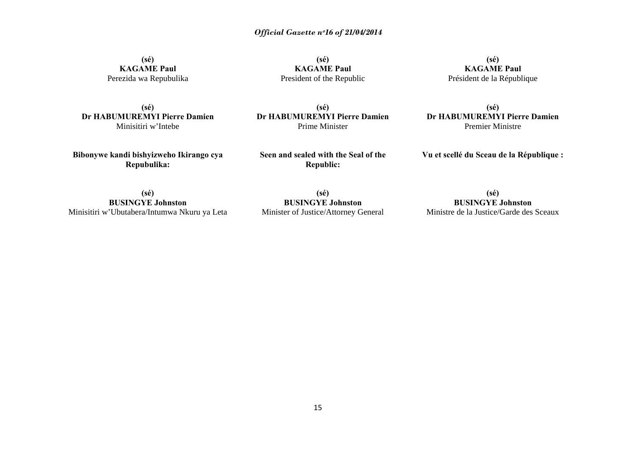**(sé) KAGAME Paul**  Perezida wa Repubulika

**(sé) KAGAME Paul**  President of the Republic

**(sé) KAGAME Paul**  Président de la République

**(sé) Dr HABUMUREMYI Pierre Damien** Minisitiri w'Intebe

**(sé) Dr HABUMUREMYI Pierre Damien**  Prime Minister

**(sé) Dr HABUMUREMYI Pierre Damien** Premier Ministre

**Bibonywe kandi bishyizweho Ikirango cya Repubulika:** 

**Seen and sealed with the Seal of the Republic:** 

**Vu et scellé du Sceau de la République :** 

**(sé) BUSINGYE Johnston**  Minisitiri w'Ubutabera/Intumwa Nkuru ya Leta

**(sé) BUSINGYE Johnston**  Minister of Justice/Attorney General

**(sé) BUSINGYE Johnston**  Ministre de la Justice/Garde des Sceaux

15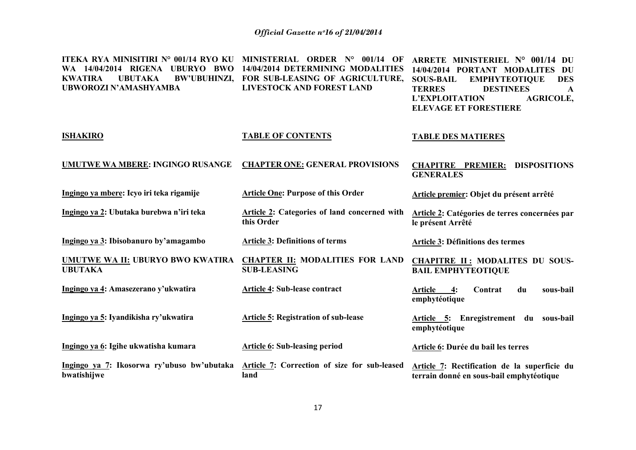| ITEKA RYA MINISITIRI N° 001/14 RYO KU<br>WA 14/04/2014 RIGENA UBURYO BWO<br><b>BW'UBUHINZI,</b><br><b>KWATIRA</b><br><b>UBUTAKA</b><br>UBWOROZI N'AMASHYAMBA | MINISTERIAL ORDER Nº 001/14 OF<br>14/04/2014 DETERMINING MODALITIES<br>FOR SUB-LEASING OF AGRICULTURE,<br><b>LIVESTOCK AND FOREST LAND</b> | ARRETE MINISTERIEL N° 001/14 DU<br>14/04/2014 PORTANT MODALITES<br>DU<br><b>EMPHYTEOTIQUE</b><br><b>SOUS-BAIL</b><br><b>DES</b><br><b>TERRES</b><br><b>DESTINEES</b><br>$\mathbf{A}$<br>L'EXPLOITATION<br><b>AGRICOLE,</b><br><b>ELEVAGE ET FORESTIERE</b> |
|--------------------------------------------------------------------------------------------------------------------------------------------------------------|--------------------------------------------------------------------------------------------------------------------------------------------|------------------------------------------------------------------------------------------------------------------------------------------------------------------------------------------------------------------------------------------------------------|
| <b>ISHAKIRO</b>                                                                                                                                              | <b>TABLE OF CONTENTS</b>                                                                                                                   | <b>TABLE DES MATIERES</b>                                                                                                                                                                                                                                  |
| UMUTWE WA MBERE: INGINGO RUSANGE                                                                                                                             | <b>CHAPTER ONE: GENERAL PROVISIONS</b>                                                                                                     | <b>CHAPITRE PREMIER:</b><br><b>DISPOSITIONS</b><br><b>GENERALES</b>                                                                                                                                                                                        |
| Ingingo ya mbere: Icyo iri teka rigamije                                                                                                                     | <b>Article One: Purpose of this Order</b>                                                                                                  | Article premier: Objet du présent arrêté                                                                                                                                                                                                                   |
| Ingingo ya 2: Ubutaka burebwa n'iri teka                                                                                                                     | Article 2: Categories of land concerned with<br>this Order                                                                                 | Article 2: Catégories de terres concernées par<br>le présent Arrêté                                                                                                                                                                                        |
| Ingingo ya 3: Ibisobanuro by'amagambo                                                                                                                        | <b>Article 3: Definitions of terms</b>                                                                                                     | Article 3: Définitions des termes                                                                                                                                                                                                                          |
| UMUTWE WA II: UBURYO BWO KWATIRA<br><b>UBUTAKA</b>                                                                                                           | <b>CHAPTER II: MODALITIES FOR LAND</b><br><b>SUB-LEASING</b>                                                                               | <b>CHAPITRE II: MODALITES DU SOUS-</b><br><b>BAIL EMPHYTEOTIQUE</b>                                                                                                                                                                                        |
| Ingingo ya 4: Amasezerano y'ukwatira                                                                                                                         | <b>Article 4: Sub-lease contract</b>                                                                                                       | <b>Article</b><br>4:<br>sous-bail<br>Contrat<br>du<br>emphytéotique                                                                                                                                                                                        |
| Ingingo ya 5: Iyandikisha ry'ukwatira                                                                                                                        | <b>Article 5: Registration of sub-lease</b>                                                                                                | Article 5: Enregistrement du sous-bail<br>emphytéotique                                                                                                                                                                                                    |
| Ingingo ya 6: Igihe ukwatisha kumara                                                                                                                         | <b>Article 6: Sub-leasing period</b>                                                                                                       | Article 6: Durée du bail les terres                                                                                                                                                                                                                        |
| Ingingo ya 7: Ikosorwa ry'ubuso bw'ubutaka<br>bwatishijwe                                                                                                    | Article 7: Correction of size for sub-leased<br>land                                                                                       | Article 7: Rectification de la superficie du<br>terrain donné en sous-bail emphytéotique                                                                                                                                                                   |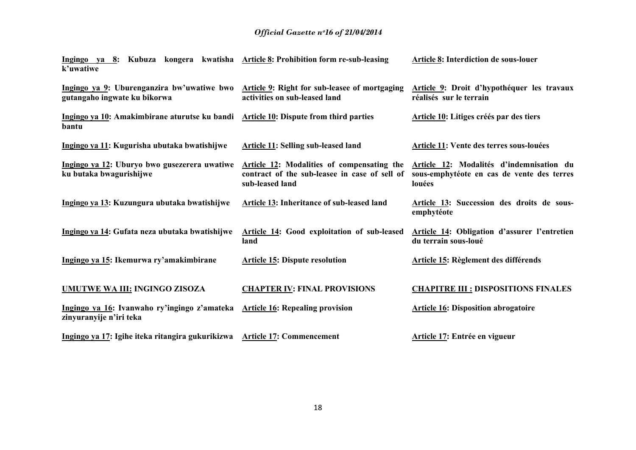| Ingingo ya 8: Kubuza kongera kwatisha Article 8: Prohibition form re-sub-leasing<br>k'uwatiwe                            |                                                                                                                | Article 8: Interdiction de sous-louer                                                            |
|--------------------------------------------------------------------------------------------------------------------------|----------------------------------------------------------------------------------------------------------------|--------------------------------------------------------------------------------------------------|
| Ingingo ya 9: Uburenganzira bw'uwatiwe bwo Article 9: Right for sub-leasee of mortgaging<br>gutangaho ingwate ku bikorwa | activities on sub-leased land                                                                                  | Article 9: Droit d'hypothéquer les travaux<br>réalisés sur le terrain                            |
| Ingingo ya 10: Amakimbirane aturutse ku bandi Article 10: Dispute from third parties<br>bantu                            |                                                                                                                | Article 10: Litiges créés par des tiers                                                          |
| Ingingo ya 11: Kugurisha ubutaka bwatishijwe                                                                             | Article 11: Selling sub-leased land                                                                            | Article 11: Vente des terres sous-louées                                                         |
| Ingingo ya 12: Uburyo bwo gusezerera uwatiwe<br>ku butaka bwagurishijwe                                                  | Article 12: Modalities of compensating the<br>contract of the sub-leasee in case of sell of<br>sub-leased land | Article 12: Modalités d'indemnisation du<br>sous-emphytéote en cas de vente des terres<br>louées |
| Ingingo ya 13: Kuzungura ubutaka bwatishijwe                                                                             | Article 13: Inheritance of sub-leased land                                                                     | Article 13: Succession des droits de sous-<br>emphytéote                                         |
| Ingingo ya 14: Gufata neza ubutaka bwatishijwe                                                                           | Article 14: Good exploitation of sub-leased<br>land                                                            | Article 14: Obligation d'assurer l'entretien<br>du terrain sous-loué                             |
| Ingingo ya 15: Ikemurwa ry'amakimbirane                                                                                  | <b>Article 15: Dispute resolution</b>                                                                          | <b>Article 15: Règlement des différends</b>                                                      |
| <b>UMUTWE WA III: INGINGO ZISOZA</b>                                                                                     | <b>CHAPTER IV: FINAL PROVISIONS</b>                                                                            | <b>CHAPITRE III : DISPOSITIONS FINALES</b>                                                       |
| Ingingo ya 16: Ivanwaho ry'ingingo z'amateka Article 16: Repealing provision<br>zinyuranyije n'iri teka                  |                                                                                                                | <b>Article 16: Disposition abrogatoire</b>                                                       |
| Ingingo ya 17: Igihe iteka ritangira gukurikizwa Article 17: Commencement                                                |                                                                                                                | Article 17: Entrée en vigueur                                                                    |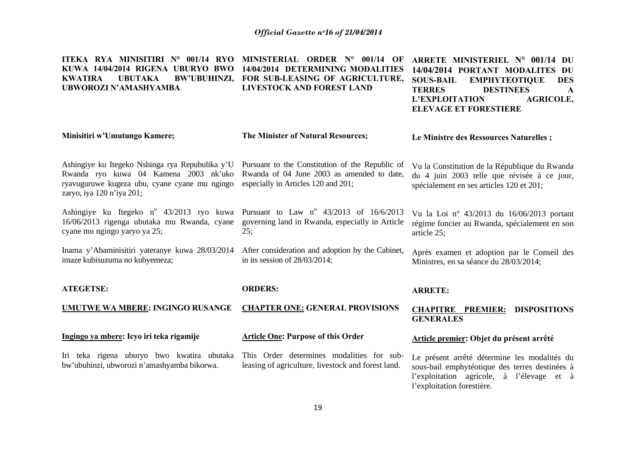| ITEKA RYA MINISITIRI N° 001/14 RYO<br>KUWA 14/04/2014 RIGENA UBURYO BWO<br><b>UBUTAKA</b><br><b>KWATIRA</b><br>UBWOROZI N'AMASHYAMBA                                   | MINISTERIAL ORDER N° 001/14 OF<br>14/04/2014 DETERMINING MODALITIES<br>BW'UBUHINZI, FOR SUB-LEASING OF AGRICULTURE,<br>LIVESTOCK AND FOREST LAND | ARRETE MINISTERIEL N° 001/14 DU<br>14/04/2014 PORTANT MODALITES<br>DU<br><b>EMPHYTEOTIQUE</b><br><b>SOUS-BAIL</b><br><b>DES</b><br><b>TERRES</b><br><b>DESTINEES</b><br>$\mathbf{A}$<br><b>AGRICOLE,</b><br>L'EXPLOITATION<br><b>ELEVAGE ET FORESTIERE</b> |  |
|------------------------------------------------------------------------------------------------------------------------------------------------------------------------|--------------------------------------------------------------------------------------------------------------------------------------------------|------------------------------------------------------------------------------------------------------------------------------------------------------------------------------------------------------------------------------------------------------------|--|
| Minisitiri w'Umutungo Kamere;                                                                                                                                          | The Minister of Natural Resources;                                                                                                               | Le Ministre des Ressources Naturelles;                                                                                                                                                                                                                     |  |
| Ashingiye ku Itegeko Nshinga rya Repubulika y'U<br>Rwanda ryo kuwa 04 Kamena 2003 nk'uko<br>ryavuguruwe kugeza ubu, cyane cyane mu ngingo<br>zaryo, iya 120 n'iya 201; | Pursuant to the Constitution of the Republic of<br>Rwanda of 04 June 2003 as amended to date,<br>especially in Articles 120 and 201;             | Vu la Constitution de la République du Rwanda<br>du 4 juin 2003 telle que révisée à ce jour,<br>spécialement en ses articles 120 et 201;                                                                                                                   |  |
| Ashingiye ku Itegeko n° 43/2013 ryo kuwa Pursuant to Law n° 43/2013 of 16/6/2013<br>16/06/2013 rigenga ubutaka mu Rwanda, cyane<br>cyane mu ngingo yaryo ya 25;        | governing land in Rwanda, especially in Article<br>25:                                                                                           | Vu la Loi nº 43/2013 du 16/06/2013 portant<br>régime foncier au Rwanda, spécialement en son<br>article 25;                                                                                                                                                 |  |
| Inama y'Abaminisitiri yateranye kuwa 28/03/2014<br>imaze kubisuzuma no kubyemeza;                                                                                      | After consideration and adoption by the Cabinet,<br>in its session of $28/03/2014$ ;                                                             | Après examen et adoption par le Conseil des<br>Ministres, en sa séance du 28/03/2014;                                                                                                                                                                      |  |
| <b>ATEGETSE:</b>                                                                                                                                                       | <b>ORDERS:</b>                                                                                                                                   | <b>ARRETE:</b>                                                                                                                                                                                                                                             |  |
| UMUTWE WA MBERE: INGINGO RUSANGE                                                                                                                                       | <b>CHAPTER ONE: GENERAL PROVISIONS</b>                                                                                                           | <b>CHAPITRE PREMIER: DISPOSITIONS</b><br><b>GENERALES</b>                                                                                                                                                                                                  |  |
| Ingingo ya mbere: Icyo iri teka rigamije                                                                                                                               | <b>Article One: Purpose of this Order</b>                                                                                                        | Article premier: Objet du présent arrêté                                                                                                                                                                                                                   |  |
| Iri teka rigena uburyo bwo kwatira ubutaka<br>bw'ubuhinzi, ubworozi n'amashyamba bikorwa.                                                                              | This Order determines modalities for sub-<br>leasing of agriculture, livestock and forest land.                                                  | Le présent arrêté détermine les modalités du<br>sous-bail emphytéotique des terres destinées à<br>l'exploitation agricole, à l'élevage et à<br>l'exploitation forestière.                                                                                  |  |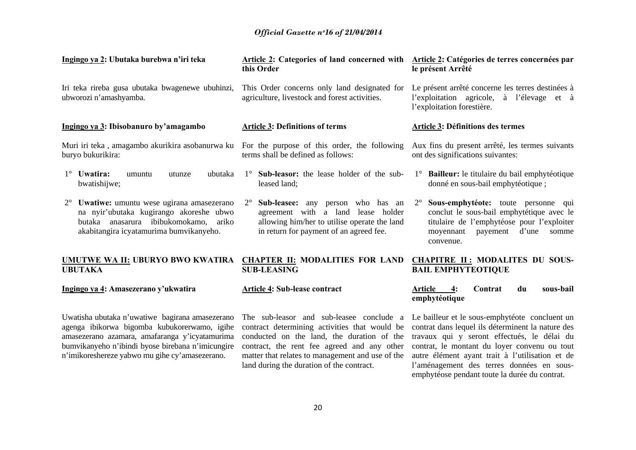| Ingingo ya 2: Ubutaka burebwa n'iri teka                                                                                                                                                  | Article 2: Categories of land concerned with<br>this Order                                                                                                                               | Article 2: Catégories de terres concernées par<br>le présent Arrêté                                                                                                                                   |
|-------------------------------------------------------------------------------------------------------------------------------------------------------------------------------------------|------------------------------------------------------------------------------------------------------------------------------------------------------------------------------------------|-------------------------------------------------------------------------------------------------------------------------------------------------------------------------------------------------------|
| Iri teka rireba gusa ubutaka bwagenewe ubuhinzi,<br>ubworozi n'amashyamba.                                                                                                                | This Order concerns only land designated for<br>agriculture, livestock and forest activities.                                                                                            | Le présent arrêté concerne les terres destinées à<br>l'exploitation agricole, à l'élevage et à<br>l'exploitation forestière.                                                                          |
| Ingingo ya 3: Ibisobanuro by'amagambo                                                                                                                                                     | <b>Article 3: Definitions of terms</b>                                                                                                                                                   | <b>Article 3: Définitions des termes</b>                                                                                                                                                              |
| Muri iri teka, amagambo akurikira asobanurwa ku For the purpose of this order, the following<br>buryo bukurikira:                                                                         | terms shall be defined as follows:                                                                                                                                                       | Aux fins du present arrêté, les termes suivants<br>ont des significations suivantes:                                                                                                                  |
| $1^\circ$ Uwatira:<br>ubutaka<br>utunze<br>umuntu<br>bwatishijwe;                                                                                                                         | $1^\circ$ Sub-leasor: the lease holder of the sub-<br>leased land;                                                                                                                       | 1° Bailleur: le titulaire du bail emphytéotique<br>donné en sous-bail emphytéotique;                                                                                                                  |
| Uwatiwe: umuntu wese ugirana amasezerano<br>$2^{\circ}$<br>na nyir'ubutaka kugirango akoreshe ubwo<br>butaka anasarura ibibukomokamo,<br>ariko<br>akabitangira icyatamurima bumvikanyeho. | $2^{\circ}$<br><b>Sub-leasee:</b> any person who has an<br>agreement with a land lease holder<br>allowing him/her to utilise operate the land<br>in return for payment of an agreed fee. | Sous-emphytéote: toute personne qui<br>$2^{\circ}$<br>conclut le sous-bail emphytétique avec le<br>titulaire de l'emphytéose pour l'exploiter<br>d'une<br>moyennant<br>payement<br>somme<br>convenue. |
| UMUTWE WA II: UBURYO BWO KWATIRA<br><b>UBUTAKA</b>                                                                                                                                        | <b>CHAPTER II: MODALITIES FOR LAND</b><br><b>SUB-LEASING</b>                                                                                                                             | <b>CHAPITRE II: MODALITES DU SOUS-</b><br><b>BAIL EMPHYTEOTIQUE</b>                                                                                                                                   |
| Ingingo ya 4: Amasezerano y'ukwatira                                                                                                                                                      | <b>Article 4: Sub-lease contract</b>                                                                                                                                                     | Article<br>sous-bail<br>4:<br>Contrat<br>du<br>emphytéotique                                                                                                                                          |
| Uwatisha ubutaka n'uwatiwe bagirana amasezerano<br>agenga ibikorwa bigomba kubukorerwamo, igihe<br>amasezerano azamara, amafaranga y'icyatamurima                                         | contract determining activities that would be<br>conducted on the land, the duration of the                                                                                              | The sub-leasor and sub-leasee conclude a Le bailleur et le sous-emphytéote concluent un<br>contrat dans lequel ils déterminent la nature des<br>travaux qui y seront effectués, le délai du           |

land during the duration of the contract.

autre élément ayant trait à l'utilisation et de l'aménagement des terres données en sousemphytéose pendant toute la durée du contrat.

bumvikanyeho n'ibindi byose birebana n'imicungire contract, the rent fee agreed and any other contrat, le montant du loyer convenu ou tout

20

matter that relates to management and use of the

<sup>n</sup>'imikoreshereze yabwo mu gihe cy'amasezerano.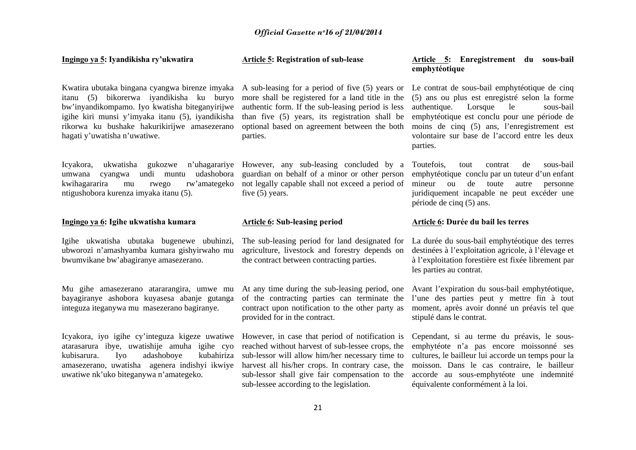| Ingingo ya 5: Iyandikisha ry'ukwatira                                                                                                                                                                                                                                            | <b>Article 5: Registration of sub-lease</b>                                                                                                                                                                                                                                                              | Article 5: Enregistrement du sous-bail<br>emphytéotique                                                                                                                                                                                                                                                   |
|----------------------------------------------------------------------------------------------------------------------------------------------------------------------------------------------------------------------------------------------------------------------------------|----------------------------------------------------------------------------------------------------------------------------------------------------------------------------------------------------------------------------------------------------------------------------------------------------------|-----------------------------------------------------------------------------------------------------------------------------------------------------------------------------------------------------------------------------------------------------------------------------------------------------------|
| Kwatira ubutaka bingana cyangwa birenze imyaka<br>itanu (5) bikorerwa iyandikisha ku buryo<br>bw'inyandikompamo. Iyo kwatisha biteganyirijwe<br>igihe kiri munsi y'imyaka itanu (5), iyandikisha<br>rikorwa ku bushake hakurikirijwe amasezerano<br>hagati y'uwatisha n'uwatiwe. | A sub-leasing for a period of five (5) years or<br>more shall be registered for a land title in the<br>authentic form. If the sub-leasing period is less<br>than five (5) years, its registration shall be<br>optional based on agreement between the both<br>parties.                                   | Le contrat de sous-bail emphytéotique de cinq<br>(5) ans ou plus est enregistré selon la forme<br>Lorsque<br>authentique.<br>le<br>sous-bail<br>emphytéotique est conclu pour une période de<br>moins de cinq (5) ans, l'enregistrement est<br>volontaire sur base de l'accord entre les deux<br>parties. |
| ukwatisha gukozwe<br>n'uhagarariye<br>Icyakora,<br>cyangwa undi muntu udashobora<br>umwana<br>kwihagararira<br>rw'amategeko<br>mu<br>rwego<br>ntigushobora kurenza imyaka itanu (5).                                                                                             | However, any sub-leasing concluded by a<br>guardian on behalf of a minor or other person<br>not legally capable shall not exceed a period of<br>five $(5)$ years.                                                                                                                                        | Toutefois,<br>sous-bail<br>de<br>tout<br>contrat<br>emphytéotique conclu par un tuteur d'un enfant<br>de<br>mineur<br>ou<br>toute<br>autre<br>personne<br>juridiquement incapable ne peut excéder une<br>période de cinq (5) ans.                                                                         |
| Ingingo ya 6: Igihe ukwatisha kumara                                                                                                                                                                                                                                             | <b>Article 6: Sub-leasing period</b>                                                                                                                                                                                                                                                                     | Article 6: Durée du bail les terres                                                                                                                                                                                                                                                                       |
| Igihe ukwatisha ubutaka bugenewe ubuhinzi,<br>ubworozi n'amashyamba kumara gishyirwaho mu<br>bwumvikane bw'abagiranye amasezerano.                                                                                                                                               | The sub-leasing period for land designated for<br>agriculture, livestock and forestry depends on<br>the contract between contracting parties.                                                                                                                                                            | La durée du sous-bail emphytéotique des terres<br>destinées à l'exploitation agricole, à l'élevage et<br>à l'exploitation forestière est fixée librement par<br>les parties au contrat.                                                                                                                   |
| Mu gihe amasezerano atararangira, umwe mu<br>bayagiranye ashobora kuyasesa abanje gutanga<br>integuza iteganywa mu masezerano bagiranye.                                                                                                                                         | At any time during the sub-leasing period, one<br>of the contracting parties can terminate the<br>contract upon notification to the other party as<br>provided for in the contract.                                                                                                                      | Avant l'expiration du sous-bail emphytéotique,<br>l'une des parties peut y mettre fin à tout<br>moment, après avoir donné un préavis tel que<br>stipulé dans le contrat.                                                                                                                                  |
| Icyakora, iyo igihe cy'integuza kigeze uwatiwe<br>atarasarura ibye, uwatishije amuha igihe cyo<br>adashoboye<br>kubahiriza<br>Iyo<br>kubisarura.<br>amasezerano, uwatisha agenera indishyi ikwiye<br>uwatiwe nk'uko biteganywa n'amategeko.                                      | However, in case that period of notification is<br>reached without harvest of sub-lessee crops, the<br>sub-lessor will allow him/her necessary time to<br>harvest all his/her crops. In contrary case, the<br>sub-lessor shall give fair compensation to the<br>sub-lessee according to the legislation. | Cependant, si au terme du préavis, le sous-<br>emphytéote n'a pas encore moissonné ses<br>cultures, le bailleur lui accorde un temps pour la<br>moisson. Dans le cas contraire, le bailleur<br>accorde au sous-emphytéote une indemnité<br>équivalente conformément à la loi.                             |
|                                                                                                                                                                                                                                                                                  | 21                                                                                                                                                                                                                                                                                                       |                                                                                                                                                                                                                                                                                                           |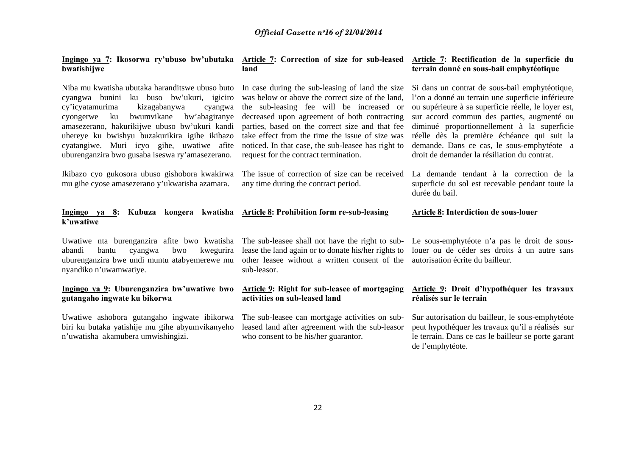| Ingingo ya 7: Ikosorwa ry'ubuso bw'ubutaka |  |  |
|--------------------------------------------|--|--|
| bwatishijwe                                |  |  |

## **land**

## **Article 7: Correction of size for sub-leased Article 7: Rectification de la superficie du terrain donné en sous-bail emphytéotique**

Si dans un contrat de sous-bail emphytéotique,

Niba mu kwatisha ubutaka haranditswe ubuso buto cyangwa bunini ku buso bw'ukuri, igiciro cy'icyatamurima kizagabanywa cyangwa cyongerwe ku bwumvikane bw'abagiranye amasezerano, hakurikijwe ubuso bw'ukuri kandi uhereye ku bwishyu buzakurikira igihe ikibazo cyatangiwe. Muri icyo gihe, uwatiwe afite uburenganzira bwo gusaba iseswa ry'amasezerano.

Ikibazo cyo gukosora ubuso gishobora kwakirwa mu gihe cyose amasezerano y'ukwatisha azamara.

In case during the sub-leasing of land the size was below or above the correct size of the land, the sub-leasing fee will be increased or decreased upon agreement of both contracting parties, based on the correct size and that fee take effect from the time the issue of size was noticed. In that case, the sub-leasee has right to request for the contract termination.

l'on a donné au terrain une superficie inférieure ou supérieure à sa superficie réelle, le loyer est, sur accord commun des parties, augmenté ou diminué proportionnellement à la superficie réelle dès la première échéance qui suit la demande. Dans ce cas, le sous-emphytéote a droit de demander la résiliation du contrat.

The issue of correction of size can be received La demande tendant à la correction de la superficie du sol est recevable pendant toute la durée du bail.

#### **Ingingo ya 8: Kubuza kongera kwatisha Article 8: Prohibition form re-sub-leasing k'uwatiwe Article 8: Interdiction de sous-louer**

any time during the contract period.

abandi bantu cyangwa bwo kwegurira lease the land again or to donate his/her rights to uburenganzira bwe undi muntu atabyemerewe mu other leasee without a written consent of the nyandiko n'uwamwatiye.

## **Ingingo ya 9: Uburenganzira bw'uwatiwe bwo gutangaho ingwate ku bikorwa**

Uwatiwe ashobora gutangaho ingwate ibikorwa The sub-leasee can mortgage activities on subbiri ku butaka yatishije mu gihe abyumvikanyeho <sup>n</sup>'uwatisha akamubera umwishingizi.

Uwatiwe nta burenganzira afite bwo kwatisha The sub-leasee shall not have the right to subsub-leasor.

## **Article 9: Right for sub-leasee of mortgaging activities on sub-leased land**

leased land after agreement with the sub-leasor who consent to be his/her guarantor.

Le sous-emphytéote n'a pas le droit de souslouer ou de céder ses droits à un autre sans autorisation écrite du bailleur.

## **Article 9: Droit d'hypothéquer les travaux réalisés sur le terrain**

Sur autorisation du bailleur, le sous-emphytéote peut hypothéquer les travaux qu'il a réalisés sur le terrain. Dans ce cas le bailleur se porte garant de l'emphytéote.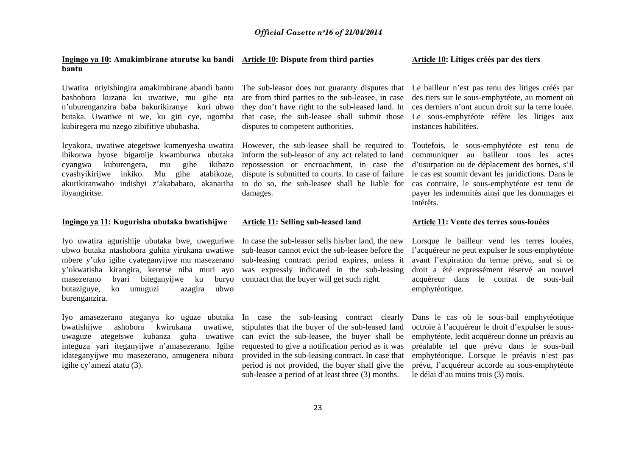#### **Ingingo ya 10: Amakimbirane aturutse ku bandi Article 10: Dispute from third parties bantu**

Uwatira ntiyishingira amakimbirane abandi bantu The sub-leasor does not guaranty disputes that Le bailleur n'est pas tenu des litiges créés par bashobora kuzana ku uwatiwe, mu gihe nta <sup>n</sup>'uburenganzira baba bakurikiranye kuri ubwo butaka. Uwatiwe ni we, ku giti cye, ugomba kubiregera mu nzego zibifitiye ububasha.

Icyakora, uwatiwe ategetswe kumenyesha uwatira However, the sub-leasee shall be required to ibikorwa byose bigamije kwamburwa ubutaka inform the sub-leasor of any act related to land cyangwa kuburengera, mu gihe ikibazo cyashyikirijwe inkiko. Mu gihe atabikoze, dispute is submitted to courts. In case of failure akurikiranwaho indishyi z'akababaro, akanariha to do so, the sub-leasee shall be liable for ibyangiritse.

### **Ingingo ya 11: Kugurisha ubutaka bwatishijwe**

Iyo uwatira agurishije ubutaka bwe, uweguriwe In case the sub-leasor sells his/her land, the new ubwo butaka ntashobora guhita yirukana uwatiwe sub-leasor cannot evict the sub-leasee before the mbere y'uko igihe cyateganyijwe mu masezerano sub-leasing contract period expires, unless it y'ukwatisha kirangira, keretse niba muri ayo was expressly indicated in the sub-leasing masezerano byari biteganyijwe ku buryo contract that the buyer will get such right. butaziguye, ko umuguzi azagira ubwo burenganzira.

Iyo amasezerano ateganya ko uguze ubutaka In case the sub-leasing contract clearly bwatishiiwe ashobora kwirukana uwaguze ategetswe kubanza guha uwatiwe can evict the sub-leasee, the buyer shall be integuza yari iteganyijwe n'amasezerano. Igihe requested to give a notification period as it was idateganyijwe mu masezerano, amugenera nibura provided in the sub-leasing contract. In case that igihe cy'amezi atatu (3).

are from third parties to the sub-leasee, in case they don't have right to the sub-leased land. In that case, the sub-leasee shall submit those disputes to competent authorities.

repossession or encroachment, in case the damages.

### **Article 11: Selling sub-leased land**

uwatiwe, stipulates that the buyer of the sub-leased land period is not provided, the buyer shall give the sub-leasee a period of at least three (3) months.

#### **Article 10: Litiges créés par des tiers**

des tiers sur le sous-emphytéote, au moment où ces derniers n'ont aucun droit sur la terre louée. Le sous-emphytéote réfère les litiges aux instances habilitées.

Toutefois, le sous-emphytéote est tenu de communiquer au bailleur tous les actes d'usurpation ou de déplacement des bornes, s'il le cas est soumit devant les juridictions. Dans le cas contraire, le sous-emphytéote est tenu de payer les indemnités ainsi que les dommages et intérêts.

#### **Article 11: Vente des terres sous-louées**

Lorsque le bailleur vend les terres louées, l'acquéreur ne peut expulser le sous-emphytéote avant l'expiration du terme prévu, sauf si ce droit a été expressément réservé au nouvel acquéreur dans le contrat de sous-bail emphytéotique.

Dans le cas où le sous-bail emphytéotique octroie à l'acquéreur le droit d'expulser le sousemphytéote, ledit acquéreur donne un préavis au préalable tel que prévu dans le sous-bail emphytéotique. Lorsque le préavis n'est pas prévu, l'acquéreur accorde au sous-emphytéote le délai d'au moins trois (3) mois.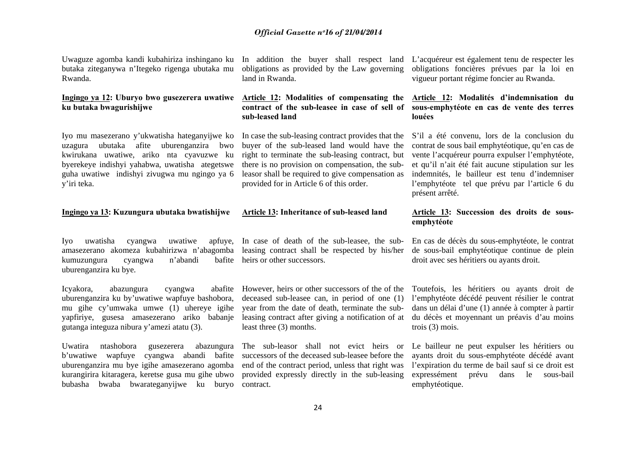Uwaguze agomba kandi kubahiriza inshingano ku In addition the buyer shall respect land L'acquéreur est également tenu de respecter les butaka ziteganywa n'Itegeko rigenga ubutaka mu Rwanda.

## **Ingingo ya 12: Uburyo bwo gusezerera uwatiwe Article 12: Modalities of compensating the ku butaka bwagurishijwe**

Iyo mu masezerano y'ukwatisha hateganyijwe ko uzagura ubutaka afite uburenganzira bwo kwirukana uwatiwe, ariko nta cyavuzwe ku byerekeye indishyi yahabwa, uwatisha ategetswe guha uwatiwe indishyi zivugwa mu ngingo ya 6 y'iri teka.

#### **Ingingo ya 13: Kuzungura ubutaka bwatishijwe**

Iyo uwatisha cyangwa uwatiwe amasezerano akomeza kubahirizwa n'abagomba leasing contract shall be respected by his/her kumuzungura cyangwa n'abandi uburenganzira ku bye.

Icyakora, abazungura cyangwa uburenganzira ku by'uwatiwe wapfuye bashobora, mu gihe cy'umwaka umwe (1) uhereye igihe yapfiriye, gusesa amasezerano ariko babanje leasing contract after giving a notification of at du décès et moyennant un préavis d'au moins gutanga integuza nibura y'amezi atatu (3).

Uwatira ntashobora gusezerera abazungura The sub-leasor shall not evict heirs or b'uwatiwe wapfuye cyangwa abandi bafite successors of the deceased sub-leasee before the uburenganzira mu bye igihe amasezerano agomba end of the contract period, unless that right was kurangirira kitaragera, keretse gusa mu gihe ubwo provided expressly directly in the sub-leasing bubasha bwaba bwarateganyijwe ku buryo contract.

obligations as provided by the Law governing land in Rwanda.

# **sub-leased land**

In case the sub-leasing contract provides that the buyer of the sub-leased land would have the right to terminate the sub-leasing contract, but there is no provision on compensation, the subleasor shall be required to give compensation as provided for in Article 6 of this order.

#### **Article 13: Inheritance of sub-leased land**

In case of death of the sub-leasee, the subheirs or other successors.

abafite However, heirs or other successors of the of the year from the date of death, terminate the subleast three (3) months.

obligations foncières prévues par la loi en vigueur portant régime foncier au Rwanda.

## **contract of the sub-leasee in case of sell of sous-emphytéote en cas de vente des terres Article 12: Modalités d'indemnisation du louées**

S'il a été convenu, lors de la conclusion du contrat de sous bail emphytéotique, qu'en cas de vente l'acquéreur pourra expulser l'emphytéote, et qu'il n'ait été fait aucune stipulation sur les indemnités, le bailleur est tenu d'indemniser l'emphytéote tel que prévu par l'article 6 du présent arrêté.

## **Article 13: Succession des droits de sousemphytéote**

En cas de décès du sous-emphytéote, le contrat de sous-bail emphytéotique continue de plein droit avec ses héritiers ou ayants droit.

deceased sub-leasee can, in period of one (1) l'emphytéote décédé peuvent résilier le contrat Toutefois, les héritiers ou ayants droit de dans un délai d'une (1) année à compter à partir trois (3) mois.

> Le bailleur ne peut expulser les héritiers ou ayants droit du sous-emphytéote décédé avant l'expiration du terme de bail sauf si ce droit est expressément prévu dans le sous-bail emphytéotique.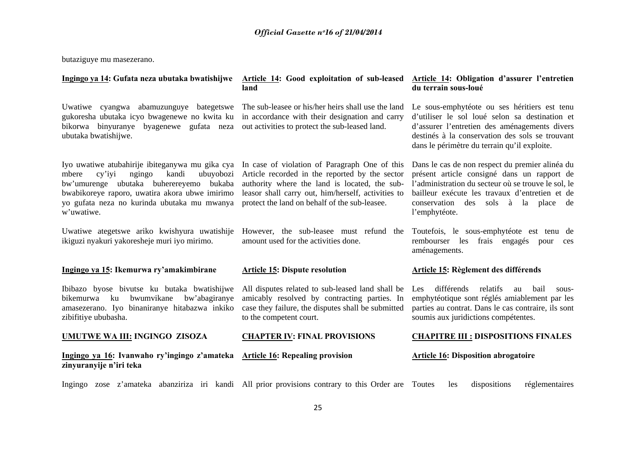butaziguye mu masezerano.

| Ingingo ya 14: Gufata neza ubutaka bwatishijwe                                                                                                                                                                                                                  | <b>Article 14: Good exploitation of sub-leased</b><br>land                                                                                                                                                                                              | Article 14: Obligation d'assurer l'entretien<br>du terrain sous-loué                                                                                                                                                                                            |
|-----------------------------------------------------------------------------------------------------------------------------------------------------------------------------------------------------------------------------------------------------------------|---------------------------------------------------------------------------------------------------------------------------------------------------------------------------------------------------------------------------------------------------------|-----------------------------------------------------------------------------------------------------------------------------------------------------------------------------------------------------------------------------------------------------------------|
| Uwatiwe cyangwa abamuzunguye bategetswe<br>gukoresha ubutaka icyo bwagenewe no kwita ku<br>bikorwa binyuranye byagenewe gufata neza<br>ubutaka bwatishijwe.                                                                                                     | The sub-leasee or his/her heirs shall use the land<br>in accordance with their designation and carry<br>out activities to protect the sub-leased land.                                                                                                  | Le sous-emphytéote ou ses héritiers est tenu<br>d'utiliser le sol loué selon sa destination et<br>d'assurer l'entretien des aménagements divers<br>destinés à la conservation des sols se trouvant<br>dans le périmètre du terrain qu'il exploite.              |
| Iyo uwatiwe atubahirije ibiteganywa mu gika cya<br>ubuyobozi<br>mbere<br>$cy'$ iyi<br>ngingo<br>kandi<br>bw'umurenge ubutaka buherereyemo bukaba<br>bwabikoreye raporo, uwatira akora ubwe imirimo<br>yo gufata neza no kurinda ubutaka mu mwanya<br>w'uwatiwe. | In case of violation of Paragraph One of this<br>Article recorded in the reported by the sector<br>authority where the land is located, the sub-<br>leasor shall carry out, him/herself, activities to<br>protect the land on behalf of the sub-leasee. | Dans le cas de non respect du premier alinéa du<br>présent article consigné dans un rapport de<br>l'administration du secteur où se trouve le sol, le<br>bailleur exécute les travaux d'entretien et de<br>conservation des sols à la place de<br>l'emphytéote. |
| Uwatiwe ategetswe ariko kwishyura uwatishije<br>ikiguzi nyakuri yakoresheje muri iyo mirimo.                                                                                                                                                                    | However, the sub-leasee must refund the<br>amount used for the activities done.                                                                                                                                                                         | Toutefois, le sous-emphytéote est tenu de<br>rembourser les<br>frais engagés<br>pour<br>ces<br>aménagements.                                                                                                                                                    |
| Ingingo ya 15: Ikemurwa ry'amakimbirane                                                                                                                                                                                                                         | <b>Article 15: Dispute resolution</b>                                                                                                                                                                                                                   | <b>Article 15: Règlement des différends</b>                                                                                                                                                                                                                     |
| Ibibazo byose bivutse ku butaka bwatishijwe<br>bwumvikane<br>bw'abagiranye<br>bikemurwa<br>ku<br>amasezerano. Iyo binaniranye hitabazwa inkiko<br>zibifitiye ububasha.                                                                                          | All disputes related to sub-leased land shall be<br>amicably resolved by contracting parties. In<br>case they failure, the disputes shall be submitted<br>to the competent court.                                                                       | différends<br>relatifs<br>bail<br>Les<br>au<br>sous-<br>emphytéotique sont réglés amiablement par les<br>parties au contrat. Dans le cas contraire, ils sont<br>soumis aux juridictions compétentes.                                                            |
| <b>UMUTWE WA III: INGINGO ZISOZA</b>                                                                                                                                                                                                                            | <b>CHAPTER IV: FINAL PROVISIONS</b>                                                                                                                                                                                                                     | <b>CHAPITRE III : DISPOSITIONS FINALES</b>                                                                                                                                                                                                                      |
| Ingingo ya 16: Ivanwaho ry'ingingo z'amateka<br>zinyuranyije n'iri teka                                                                                                                                                                                         | <b>Article 16: Repealing provision</b>                                                                                                                                                                                                                  | <b>Article 16: Disposition abrogatoire</b>                                                                                                                                                                                                                      |
| Ingingo zose z'amateka abanziriza iri kandi All prior provisions contrary to this Order are Toutes                                                                                                                                                              |                                                                                                                                                                                                                                                         | dispositions<br>réglementaires<br>les                                                                                                                                                                                                                           |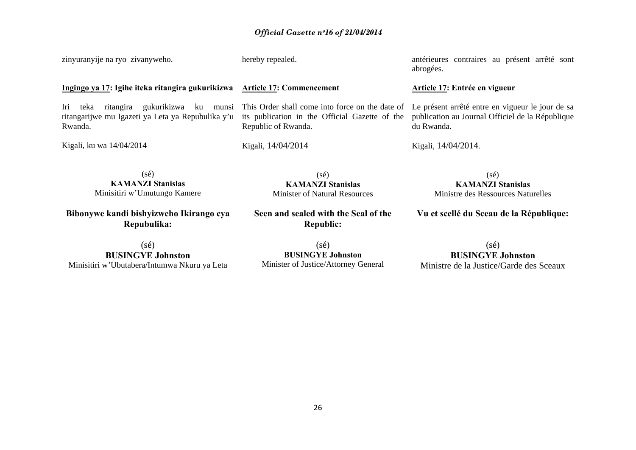zinyuranyije na ryo zivanyweho. **Ingingo ya 17: Igihe iteka ritangira gukurikizwa Article 17: Commencement**  Iri teka ritangira gukurikizwa ku munsi This Order shall come into force on the date of ritangarijwe mu Igazeti ya Leta ya Repubulika y'u Rwanda. Kigali, ku wa 14/04/2014 (sé) **KAMANZI Stanislas** hereby repealed. its publication in the Official Gazette of the Republic of Rwanda. Kigali, 14/04/2014 (sé) antérieures contraires au présent arrêté sont abrogées. **Article 17: Entrée en vigueur**  Le présent arrêté entre en vigueur le jour de sa publication au Journal Officiel de la République du Rwanda. Kigali, 14/04/2014. (sé)

Minisitiri w'Umutungo Kamere

**Bibonywe kandi bishyizweho Ikirango cya Repubulika:**

**KAMANZI Stanislas** Minister of Natural Resources

**Seen and sealed with the Seal of the Republic:** 

**KAMANZI Stanislas**  Ministre des Ressources Naturelles

**Vu et scellé du Sceau de la République:**

(sé) **BUSINGYE Johnston**Minisitiri w'Ubutabera/Intumwa Nkuru ya Leta

 $(sé)$ **BUSINGYE Johnston**  Minister of Justice/Attorney General

(sé) **BUSINGYE Johnston**Ministre de la Justice/Garde des Sceaux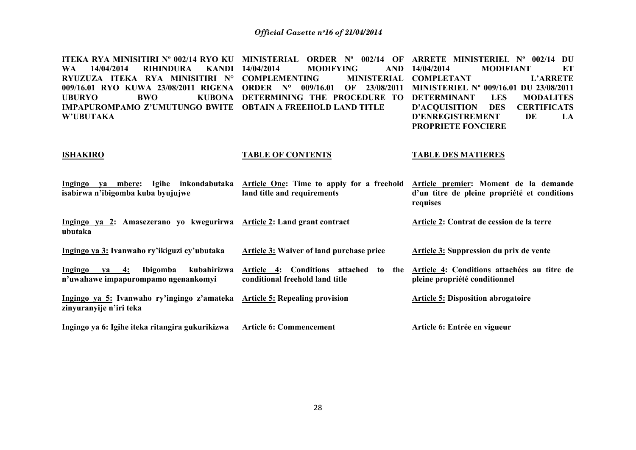**ITEKA RYA MINISITIRI Nº 002/14 RYO KU MINISTERIAL ORDER Nº 002/14 OF ARRETE MINISTERIEL Nº 002/14 DU WA 14/04/2014 RIHINDURA KANDI RYUZUZA ITEKA RYA MINISITIRI N° COMPLEMENTING MINISTERIAL 009/16.01 RYO KUWA 23/08/2011 RIGENA ORDER N° 009/16.01 OF 23/08/2011 MINISTERIEL Nº 009/16.01 DU 23/08/2011 UBURYO BWO KUBONA DETERMINING THE PROCEDURE TO DETERMINANT LES MODALITES IMPAPUROMPAMO Z'UMUTUNGO BWITE OBTAIN A FREEHOLD LAND TITLE W'UBUTAKA MODIFYING** AND 14/04/2014 **14/04/2014 MODIFIANT ET MINISTERIAL COMPLETANT L'ARRETE D'ACQUISITION DES CERTIFICATS D'ENREGISTREMENT DE LA PROPRIETE FONCIERE** 

#### **ISHAKIRO**

#### **TABLE OF CONTENTS**

#### **TABLE DES MATIERES**

| Ingingo ya mbere:<br>Igihe inkondabutaka<br>isabirwa n'ibigomba kuba byujujwe                         | Article One: Time to apply for a freehold<br>land title and requirements                           | Article premier: Moment de la demande<br>d'un titre de pleine propriété et conditions<br>requises |
|-------------------------------------------------------------------------------------------------------|----------------------------------------------------------------------------------------------------|---------------------------------------------------------------------------------------------------|
| Ingingo ya 2: Amasezerano yo kwegurirwa Article 2: Land grant contract<br>ubutaka                     |                                                                                                    | Article 2: Contrat de cession de la terre                                                         |
| Ingingo ya 3: Ivanwaho ry'ikiguzi cy'ubutaka                                                          | Article 3: Waiver of land purchase price                                                           | Article 3: Suppression du prix de vente                                                           |
| Ibigomba<br>kubahirizwa<br>Ingingo<br>$ya = 4$ :<br>n'uwahawe impapurompamo ngenankomyi               | <b>Conditions attached</b><br><b>Article</b><br>4:<br>to<br>the<br>conditional freehold land title | Article 4: Conditions attachées au titre de<br>pleine propriété conditionnel                      |
| Ingingo ya 5: Ivanwaho ry'ingingo z'amateka Article 5: Repealing provision<br>zinyuranyije n'iri teka |                                                                                                    | <b>Article 5: Disposition abrogatoire</b>                                                         |
| Ingingo ya 6: Igihe iteka ritangira gukurikizwa                                                       | <b>Article 6: Commencement</b>                                                                     | Article 6: Entrée en vigueur                                                                      |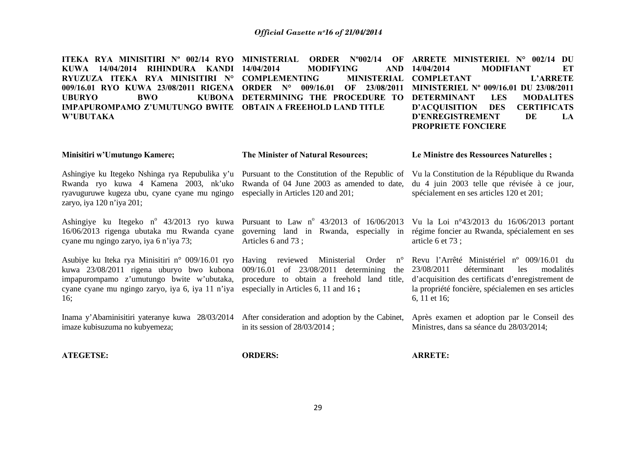**ITEKA RYA MINISITIRI Nº 002/14 RYO MINISTERIAL ORDER Nº002/14 OF ARRETE MINISTERIEL N° 002/14 DU KUWA 14/04/2014 RIHINDURA KANDI RYUZUZA ITEKA RYA MINISITIRI N° COMPLEMENTING MINISTERIAL 009/16.01 RYO KUWA 23/08/2011 RIGENA ORDER N° 009/16.01 OF 23/08/2011 MINISTERIEL Nº 009/16.01 DU 23/08/2011 UBURYO BWO KUBONA DETERMINING THE PROCEDURE TO DETERMINANT LES MODALITES IMPAPUROMPAMO Z'UMUTUNGO BWITE OBTAIN A FREEHOLD LAND TITLE W'UBUTAKA MODIFYING** AND 14/04/2014 **14/04/2014 MODIFIANT ET MINISTERIAL COMPLETANT L'ARRETE D'ACQUISITION DES CERTIFICATS D'ENREGISTREMENT DE LA** 

**PROPRIETE FONCIERE** 

**Le Ministre des Ressources Naturelles ;** 

spécialement en ses articles 120 et 201;

#### **Minisitiri w'Umutungo Kamere;**

**The Minister of Natural Resources;** 

Ashingiye ku Itegeko Nshinga rya Repubulika y'u Pursuant to the Constitution of the Republic of Vu la Constitution de la République du Rwanda Rwanda ryo kuwa 4 Kamena 2003, nk'uko Rwanda of 04 June 2003 as amended to date, ryavuguruwe kugeza ubu, cyane cyane mu ngingo especially in Articles 120 and 201; zaryo, iya 120 n'iya 201;

Ashingiye ku Itegeko n<sup>o</sup> 43/2013 ryo kuwa Pursuant to Law n<sup>o</sup> 43/2013 of 16/06/2013 Vu la Loi n<sup>o</sup>43/2013 du 16/06/2013 portant 16/06/2013 rigenga ubutaka mu Rwanda cyane governing land in Rwanda, especially in régime foncier au Rwanda, spécialement en ses cyane mu ngingo zaryo, iya 6 n'iya 73;

Asubiye ku Iteka rya Minisitiri n° 009/16.01 ryo Having reviewed Ministerial Order n° kuwa 23/08/2011 rigena uburyo bwo kubona 009/16.01 of 23/08/2011 determining the impapurompamo z'umutungo bwite w'ubutaka, procedure to obtain a freehold land title, cyane cyane mu ngingo zaryo, iya 6, iya 11 n'iya especially in Articles 6, 11 and 16 **;**  16;

imaze kubisuzuma no kubyemeza;

Articles 6 and 73 ;

article 6 et 73 ;

du 4 juin 2003 telle que révisée à ce jour,

Revu l'Arrêté Ministériel nº 009/16.01 du 23/08/2011 déterminant les modalités d'acquisition des certificats d'enregistrement de la propriété foncière, spécialemen en ses articles 6, 11 et 16;

Inama y'Abaminisitiri yateranye kuwa 28/03/2014 After consideration and adoption by the Cabinet, Après examen et adoption par le Conseil des in its session of 28/03/2014 ; Ministres, dans sa séance du 28/03/2014;

**ATEGETSE:** 

**ORDERS:** 

**ARRETE:**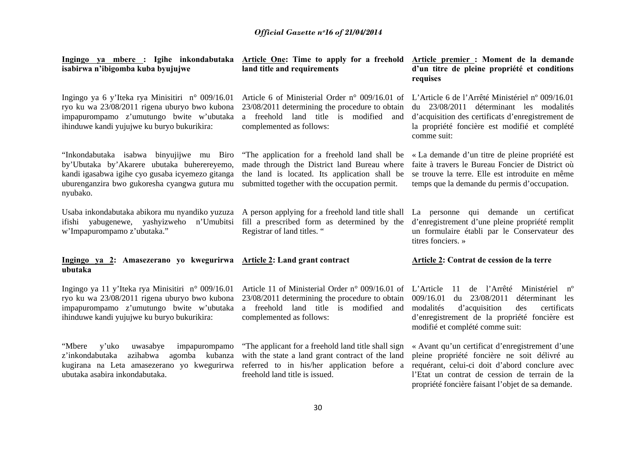| <u> Ingingo ya mbere :</u> Igihe inkondabutaka <u>Article One</u> : Time to apply for a freehold<br>isabirwa n'ibigomba kuba byujujwe                                                                                    | land title and requirements                                                                                                                                                                     | Article premier : Moment de la demande<br>d'un titre de pleine propriété et conditions<br>requises                                                                                                                                                      |
|--------------------------------------------------------------------------------------------------------------------------------------------------------------------------------------------------------------------------|-------------------------------------------------------------------------------------------------------------------------------------------------------------------------------------------------|---------------------------------------------------------------------------------------------------------------------------------------------------------------------------------------------------------------------------------------------------------|
| Ingingo ya 6 y'Iteka rya Minisitiri n° 009/16.01<br>ryo ku wa 23/08/2011 rigena uburyo bwo kubona<br>impapurompamo z'umutungo bwite w'ubutaka<br>ihinduwe kandi yujujwe ku buryo bukurikira:                             | Article 6 of Ministerial Order $n^{\circ}$ 009/16.01 of<br>23/08/2011 determining the procedure to obtain<br>a freehold land title is modified<br>and<br>complemented as follows:               | L'Article 6 de l'Arrêté Ministériel nº 009/16.01<br>du 23/08/2011 déterminant les modalités<br>d'acquisition des certificats d'enregistrement de<br>la propriété foncière est modifié et complété<br>comme suit:                                        |
| "Inkondabutaka isabwa binyujijwe mu Biro<br>by'Ubutaka by'Akarere ubutaka buherereyemo,<br>kandi igasabwa igihe cyo gusaba icyemezo gitanga<br>uburenganzira bwo gukoresha cyangwa gutura mu<br>nyubako.                 | "The application for a freehold land shall be<br>made through the District land Bureau where<br>the land is located. Its application shall be<br>submitted together with the occupation permit. | « La demande d'un titre de pleine propriété est<br>faite à travers le Bureau Foncier de District où<br>se trouve la terre. Elle est introduite en même<br>temps que la demande du permis d'occupation.                                                  |
| Usaba inkondabutaka abikora mu nyandiko yuzuza A person applying for a freehold land title shall<br>ifishi yabugenewe, yashyizweho n'Umubitsi fill a prescribed form as determined by the<br>w'Impapurompamo z'ubutaka." | Registrar of land titles. "                                                                                                                                                                     | La personne qui demande un certificat<br>d'enregistrement d'une pleine propriété remplit<br>un formulaire établi par le Conservateur des<br>titres fonciers. »                                                                                          |
| Ingingo ya 2: Amasezerano yo kwegurirwa Article 2: Land grant contract<br>ubutaka                                                                                                                                        |                                                                                                                                                                                                 | Article 2: Contrat de cession de la terre                                                                                                                                                                                                               |
| Ingingo ya 11 y'Iteka rya Minisitiri n° 009/16.01<br>ryo ku wa 23/08/2011 rigena uburyo bwo kubona<br>impapurompamo z'umutungo bwite w'ubutaka<br>ihinduwe kandi yujujwe ku buryo bukurikira:                            | Article 11 of Ministerial Order $n^{\circ}$ 009/16.01 of<br>23/08/2011 determining the procedure to obtain<br>a freehold land title is modified and<br>complemented as follows:                 | L'Article<br>de l'Arrêté Ministériel n°<br>11<br>009/16.01<br>du 23/08/2011<br>déterminant les<br>modalités<br>certificats<br>d'acquisition<br>des<br>d'enregistrement de la propriété foncière est<br>modifié et complété comme suit:                  |
| "Mbere<br>y'uko<br>uwasabye<br>impapurompamo<br>azihabwa<br>agomba kubanza<br>z'inkondabutaka<br>kugirana na Leta amasezerano yo kwegurirwa<br>ubutaka asabira inkondabutaka.                                            | "The applicant for a freehold land title shall sign<br>with the state a land grant contract of the land<br>referred to in his/her application before a<br>freehold land title is issued.        | « Avant qu'un certificat d'enregistrement d'une<br>pleine propriété foncière ne soit délivré au<br>requérant, celui-ci doit d'abord conclure avec<br>l'Etat un contrat de cession de terrain de la<br>propriété foncière faisant l'objet de sa demande. |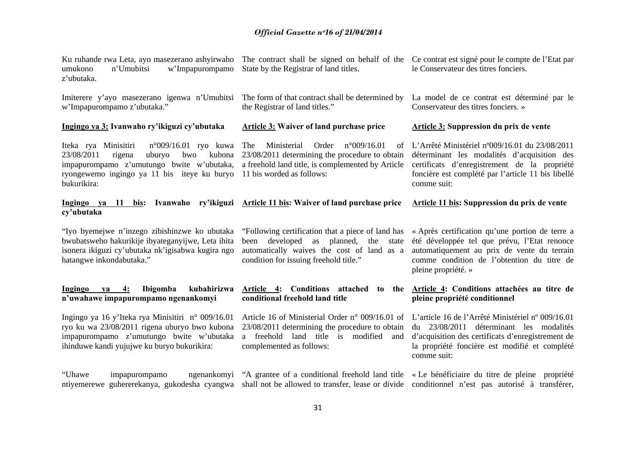| Ku ruhande rwa Leta, ayo masezerano ashyirwaho The contract shall be signed on behalf of the Ce contrat est signé pour le compte de l'Etat par<br>w'Impapurompamo<br>umukono<br>n'Umubitsi<br>z'ubutaka.            | State by the Registrar of land titles.                                                                                                                                               | le Conservateur des titres fonciers.                                                                                                                                                                                |
|---------------------------------------------------------------------------------------------------------------------------------------------------------------------------------------------------------------------|--------------------------------------------------------------------------------------------------------------------------------------------------------------------------------------|---------------------------------------------------------------------------------------------------------------------------------------------------------------------------------------------------------------------|
| Imiterere y'ayo masezerano igenwa n'Umubitsi<br>w'Impapurompamo z'ubutaka."                                                                                                                                         | The form of that contract shall be determined by<br>the Registrar of land titles."                                                                                                   | La model de ce contrat est déterminé par le<br>Conservateur des titres fonciers. »                                                                                                                                  |
| Ingingo ya 3: Ivanwaho ry'ikiguzi cy'ubutaka                                                                                                                                                                        | <b>Article 3: Waiver of land purchase price</b>                                                                                                                                      | <b>Article 3: Suppression du prix de vente</b>                                                                                                                                                                      |
| Iteka rya Minisitiri<br>$n^{\circ}009/16.01$ ryo kuwa<br>23/08/2011<br>rigena<br>uburyo<br>bwo<br>kubona<br>impapurompamo z'umutungo bwite w'ubutaka,<br>ryongewemo ingingo ya 11 bis iteye ku buryo<br>bukurikira: | The<br>Ministerial<br>Order<br>n°009/16.01<br>οf<br>23/08/2011 determining the procedure to obtain<br>a freehold land title, is complemented by Article<br>11 bis worded as follows: | L'Arrêté Ministériel n°009/16.01 du 23/08/2011<br>déterminant les modalités d'acquisition des<br>certificats d'enregistrement de la propriété<br>foncière est complété par l'article 11 bis libellé<br>comme suit:  |
| Ingingo ya<br>- 11<br>bis:<br>cy'ubutaka                                                                                                                                                                            | Ivanwaho ry'ikiguzi Article 11 bis: Waiver of land purchase price                                                                                                                    | Article 11 bis: Suppression du prix de vente                                                                                                                                                                        |
| "Iyo byemejwe n'inzego zibishinzwe ko ubutaka<br>bwubatsweho hakurikije ibyateganyijwe, Leta ihita<br>isonera ikiguzi cy'ubutaka nk'igisabwa kugira ngo<br>hatangwe inkondabutaka."                                 | "Following certification that a piece of land has<br>been developed as planned,<br>the state<br>automatically waives the cost of land as a<br>condition for issuing freehold title." | « Après certification qu'une portion de terre a<br>été développée tel que prévu, l'Etat renonce<br>automatiquement au prix de vente du terrain<br>comme condition de l'obtention du titre de<br>pleine propriété. » |
| Ibigomba<br>kubahirizwa<br>Ingingo<br>4:<br>va<br>n'uwahawe impapurompamo ngenankomyi                                                                                                                               | Article 4: Conditions attached<br>to the<br>conditional freehold land title                                                                                                          | Article 4: Conditions attachées au titre de<br>pleine propriété conditionnel                                                                                                                                        |
| Ingingo ya 16 y'Iteka rya Minisitiri n° 009/16.01<br>ryo ku wa 23/08/2011 rigena uburyo bwo kubona<br>impapurompamo z'umutungo bwite w'ubutaka<br>ihinduwe kandi yujujwe ku buryo bukurikira:                       | Article 16 of Ministerial Order n° 009/16.01 of<br>23/08/2011 determining the procedure to obtain<br>a freehold land title is modified and<br>complemented as follows:               | L'article 16 de l'Arrêté Ministériel nº 009/16.01<br>du 23/08/2011 déterminant les modalités<br>d'acquisition des certificats d'enregistrement de<br>la propriété foncière est modifié et complété<br>comme suit:   |
| "Uhawe"<br>impapurompamo<br>ntiyemerewe guhererekanya, gukodesha cyangwa shall not be allowed to transfer, lease or divide                                                                                          | ngenankomyi "A grantee of a conditional freehold land title                                                                                                                          | « Le bénéficiaire du titre de pleine propriété<br>conditionnel n'est pas autorisé à transférer,                                                                                                                     |
|                                                                                                                                                                                                                     |                                                                                                                                                                                      |                                                                                                                                                                                                                     |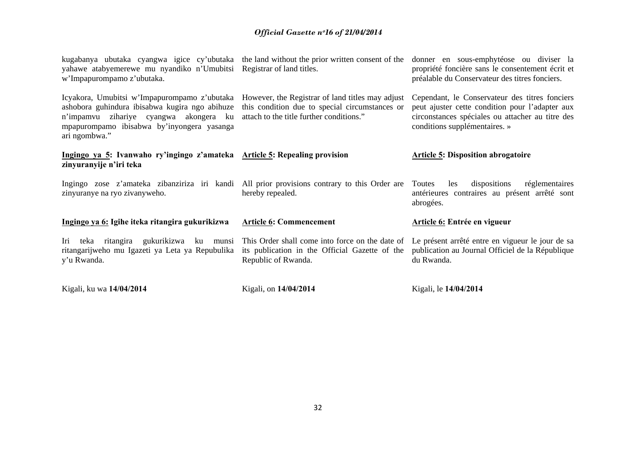| Kigali, ku wa 14/04/2014                                                                                                                                                                                                                                                                                                                         | Kigali, on 14/04/2014                                                                        | Kigali, le 14/04/2014                                                                                                                                                                  |
|--------------------------------------------------------------------------------------------------------------------------------------------------------------------------------------------------------------------------------------------------------------------------------------------------------------------------------------------------|----------------------------------------------------------------------------------------------|----------------------------------------------------------------------------------------------------------------------------------------------------------------------------------------|
| Iri teka ritangira gukurikizwa ku munsi This Order shall come into force on the date of<br>ritangarijweho mu Igazeti ya Leta ya Repubulika<br>y'u Rwanda.                                                                                                                                                                                        | its publication in the Official Gazette of the<br>Republic of Rwanda.                        | Le présent arrêté entre en vigueur le jour de sa<br>publication au Journal Officiel de la République<br>du Rwanda.                                                                     |
| Ingingo ya 6: Igihe iteka ritangira gukurikizwa                                                                                                                                                                                                                                                                                                  | <b>Article 6: Commencement</b>                                                               | Article 6: Entrée en vigueur                                                                                                                                                           |
| Ingingo zose z'amateka zibanziriza iri kandi All prior provisions contrary to this Order are<br>zinyuranye na ryo zivanyweho.                                                                                                                                                                                                                    | hereby repealed.                                                                             | dispositions<br>Toutes<br>réglementaires<br>les<br>antérieures contraires au présent arrêté sont<br>abrogées.                                                                          |
| Ingingo ya 5: Ivanwaho ry'ingingo z'amateka Article 5: Repealing provision<br>zinyuranyije n'iri teka                                                                                                                                                                                                                                            |                                                                                              | <b>Article 5: Disposition abrogatoire</b>                                                                                                                                              |
| Icyakora, Umubitsi w'Impapurompamo z'ubutaka However, the Registrar of land titles may adjust<br>ashobora guhindura ibisabwa kugira ngo abihuze this condition due to special circumstances or<br>n'impamvu zihariye cyangwa akongera ku attach-to-the-title-further-conditions."<br>mpapurompamo ibisabwa by'inyongera yasanga<br>ari ngombwa." |                                                                                              | Cependant, le Conservateur des titres fonciers<br>peut ajuster cette condition pour l'adapter aux<br>circonstances spéciales ou attacher au titre des<br>conditions supplémentaires. » |
| yahawe atabyemerewe mu nyandiko n'Umubitsi Registrar of land titles.<br>w'Impapurompamo z'ubutaka.                                                                                                                                                                                                                                               | kugabanya ubutaka cyangwa igice cy'ubutaka the land without the prior written consent of the | donner en sous-emphytéose ou diviser la<br>propriété foncière sans le consentement écrit et<br>préalable du Conservateur des titres fonciers.                                          |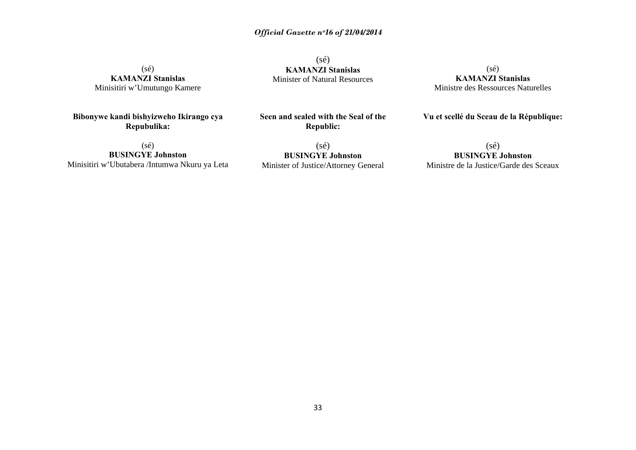(sé) **KAMANZI Stanislas**  Minisitiri w'Umutungo Kamere

**Bibonywe kandi bishyizweho Ikirango cya Repubulika:** 

(sé) **KAMANZI Stanislas** Minister of Natural Resources

(sé) **KAMANZI Stanislas**  Ministre des Ressources Naturelles

**Vu et scellé du Sceau de la République:**

(sé) **BUSINGYE Johnston**  Minisitiri w'Ubutabera /Intumwa Nkuru ya Leta

**Republic:**  (sé) **BUSINGYE Johnston** 

Minister of Justice/Attorney General

**Seen and sealed with the Seal of the** 

(sé) **BUSINGYE Johnston** Ministre de la Justice/Garde des Sceaux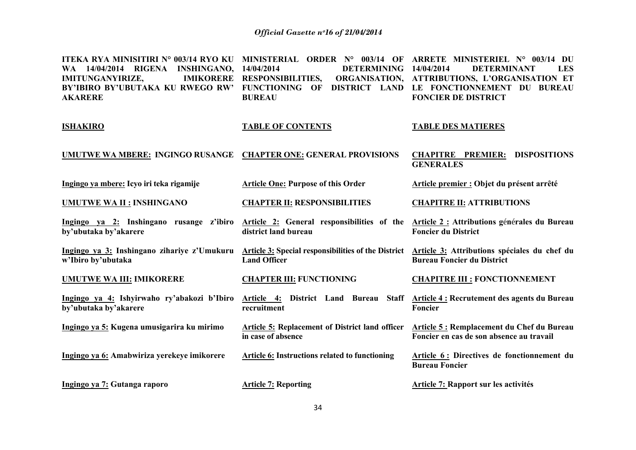| ITEKA RYA MINISITIRI N° 003/14 RYO KU<br>WA 14/04/2014 RIGENA<br><b>INSHINGANO, 14/04/2014</b><br><b>IMITUNGANYIRIZE,</b><br><b>IMIKORERE</b><br>BY'IBIRO BY'UBUTAKA KU RWEGO RW'<br><b>AKARERE</b> | MINISTERIAL ORDER Nº 003/14 OF<br><b>DETERMINING</b><br><b>RESPONSIBILITIES,</b><br>DISTRICT LAND<br><b>FUNCTIONING OF</b><br><b>BUREAU</b> | ARRETE MINISTERIEL N° 003/14 DU<br>14/04/2014<br><b>DETERMINANT</b><br><b>LES</b><br>ORGANISATION, ATTRIBUTIONS, L'ORGANISATION ET<br>LE FONCTIONNEMENT DU BUREAU<br><b>FONCIER DE DISTRICT</b> |
|-----------------------------------------------------------------------------------------------------------------------------------------------------------------------------------------------------|---------------------------------------------------------------------------------------------------------------------------------------------|-------------------------------------------------------------------------------------------------------------------------------------------------------------------------------------------------|
| <b>ISHAKIRO</b>                                                                                                                                                                                     | <b>TABLE OF CONTENTS</b>                                                                                                                    | <b>TABLE DES MATIERES</b>                                                                                                                                                                       |
| UMUTWE WA MBERE: INGINGO RUSANGE CHAPTER ONE: GENERAL PROVISIONS                                                                                                                                    |                                                                                                                                             | <b>CHAPITRE PREMIER:</b><br><b>DISPOSITIONS</b><br><b>GENERALES</b>                                                                                                                             |
| Ingingo ya mbere: Icyo iri teka rigamije                                                                                                                                                            | <b>Article One: Purpose of this Order</b>                                                                                                   | Article premier : Objet du présent arrêté                                                                                                                                                       |
| <b>UMUTWE WA II : INSHINGANO</b>                                                                                                                                                                    | <b>CHAPTER II: RESPONSIBILITIES</b>                                                                                                         | <b>CHAPITRE II: ATTRIBUTIONS</b>                                                                                                                                                                |
| Ingingo ya 2: Inshingano rusange z'ibiro<br>by'ubutaka by'akarere                                                                                                                                   | Article 2: General responsibilities of the<br>district land bureau                                                                          | Article 2 : Attributions générales du Bureau<br><b>Foncier du District</b>                                                                                                                      |
| Ingingo ya 3: Inshingano zihariye z'Umukuru Article 3: Special responsibilities of the District<br>w'Ibiro by'ubutaka                                                                               | <b>Land Officer</b>                                                                                                                         | Article 3: Attributions spéciales du chef du<br><b>Bureau Foncier du District</b>                                                                                                               |
| <b>UMUTWE WA III: IMIKORERE</b>                                                                                                                                                                     | <b>CHAPTER III: FUNCTIONING</b>                                                                                                             | <b>CHAPITRE III : FONCTIONNEMENT</b>                                                                                                                                                            |

**Ingingo ya 4: Ishyirwaho ry'abakozi b'Ibiro Article 4: District Land Bureau Staff Article 4 : Recrutement des agents du Bureau recruitment** 

> **Article 5: Replacement of District land officer in case of absence**

**Article 6: Instructions related to functioning** 

**Ingingo ya 7: Gutanga raporo** 

**Ingingo ya 5: Kugena umusigarira ku mirimo** 

**Ingingo ya 6: Amabwiriza yerekeye imikorere** 

**by'ubutaka by'akarere** 

**Article 7: Reporting** 

**Foncier** 

**Article 5 : Remplacement du Chef du Bureau Foncier en cas de son absence au travail** 

**Article 6 : Directives de fonctionnement du Bureau Foncier** 

**Article 7: Rapport sur les activités**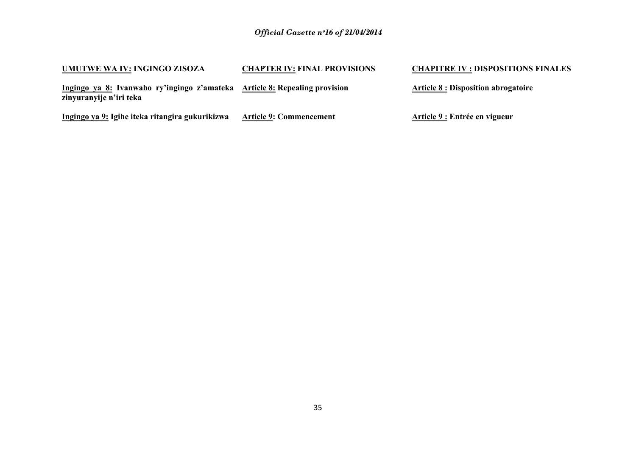| UMUTWE WA IV: INGINGO ZISOZA                                                                          | <b>CHAPTER IV: FINAL PROVISIONS</b> | <b>CHAPITRE IV : DISPOSITIONS FINALES</b>  |
|-------------------------------------------------------------------------------------------------------|-------------------------------------|--------------------------------------------|
| Ingingo ya 8: Ivanwaho ry'ingingo z'amateka Article 8: Repealing provision<br>zinyuranyije n'iri teka |                                     | <b>Article 8 : Disposition abrogatoire</b> |
| Ingingo ya 9: Igihe iteka ritangira gukurikizwa                                                       | <b>Article 9: Commencement</b>      | Article 9 : Entrée en vigueur              |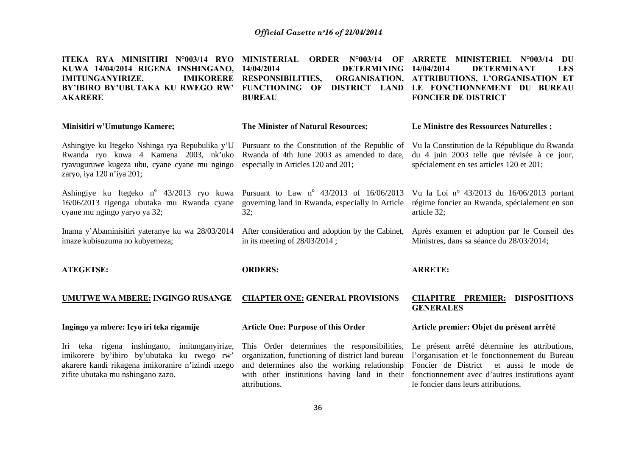| ITEKA RYA MINISITIRI N°003/14 RYO<br>KUWA 14/04/2014 RIGENA INSHINGANO,<br><b>IMITUNGANYIRIZE,</b><br><b>IMIKORERE</b><br>BY'IBIRO BY'UBUTAKA KU RWEGO RW'<br><b>AKARERE</b>         | <b>MINISTERIAL</b><br><b>ORDER</b> N°003/14<br>OF<br>14/04/2014<br><b>DETERMINING</b><br><b>RESPONSIBILITIES,</b><br><b>ORGANISATION,</b><br><b>FUNCTIONING</b><br>DISTRICT LAND<br>OF<br><b>BUREAU</b> | ARRETE MINISTERIEL N°003/14<br>DU<br><b>DETERMINANT</b><br>14/04/2014<br><b>LES</b><br>ATTRIBUTIONS, L'ORGANISATION ET<br>LE FONCTIONNEMENT DU BUREAU<br><b>FONCIER DE DISTRICT</b>          |
|--------------------------------------------------------------------------------------------------------------------------------------------------------------------------------------|---------------------------------------------------------------------------------------------------------------------------------------------------------------------------------------------------------|----------------------------------------------------------------------------------------------------------------------------------------------------------------------------------------------|
| Minisitiri w'Umutungo Kamere;                                                                                                                                                        | The Minister of Natural Resources;                                                                                                                                                                      | Le Ministre des Ressources Naturelles;                                                                                                                                                       |
| Ashingiye ku Itegeko Nshinga rya Repubulika y'U<br>Rwanda ryo kuwa 4 Kamena 2003, nk'uko<br>ryavuguruwe kugeza ubu, cyane cyane mu ngingo<br>zaryo, iya 120 n'iya 201;               | Pursuant to the Constitution of the Republic of<br>Rwanda of 4th June 2003 as amended to date,<br>especially in Articles 120 and 201;                                                                   | Vu la Constitution de la République du Rwanda<br>du 4 juin 2003 telle que révisée à ce jour,<br>spécialement en ses articles 120 et 201;                                                     |
| Ashingiye ku Itegeko n° 43/2013 ryo kuwa Pursuant to Law n° 43/2013 of 16/06/2013<br>16/06/2013 rigenga ubutaka mu Rwanda cyane<br>cyane mu ngingo yaryo ya 32;                      | governing land in Rwanda, especially in Article<br>32;                                                                                                                                                  | Vu la Loi nº 43/2013 du 16/06/2013 portant<br>régime foncier au Rwanda, spécialement en son<br>article 32;                                                                                   |
| Inama y'Abaminisitiri yateranye ku wa 28/03/2014<br>imaze kubisuzuma no kubyemeza;                                                                                                   | After consideration and adoption by the Cabinet,<br>in its meeting of $28/03/2014$ ;                                                                                                                    | Après examen et adoption par le Conseil des<br>Ministres, dans sa séance du 28/03/2014;                                                                                                      |
| <b>ATEGETSE:</b>                                                                                                                                                                     | <b>ORDERS:</b>                                                                                                                                                                                          | <b>ARRETE:</b>                                                                                                                                                                               |
| UMUTWE WA MBERE: INGINGO RUSANGE                                                                                                                                                     | <b>CHAPTER ONE: GENERAL PROVISIONS</b>                                                                                                                                                                  | <b>DISPOSITIONS</b><br><b>CHAPITRE PREMIER:</b><br><b>GENERALES</b>                                                                                                                          |
| Ingingo ya mbere: Icyo iri teka rigamije                                                                                                                                             | <b>Article One: Purpose of this Order</b>                                                                                                                                                               | Article premier: Objet du présent arrêté                                                                                                                                                     |
| Iri teka rigena inshingano, imitunganyirize,<br>imikorere by'ibiro by'ubutaka ku rwego rw'<br>akarere kandi rikagena imikoranire n'izindi nzego<br>zifite ubutaka mu nshingano zazo. | This Order determines the responsibilities,<br>organization, functioning of district land bureau<br>and determines also the working relationship<br>with other institutions having land in their        | Le présent arrêté détermine les attributions,<br>l'organisation et le fonctionnement du Bureau<br>Foncier de District et aussi le mode de<br>fonctionnement avec d'autres institutions ayant |

le foncier dans leurs attributions.

attributions.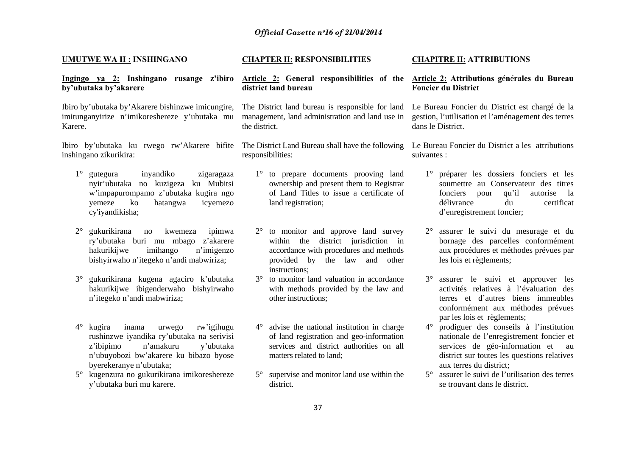#### **UMUTWE WA II : INSHINGANO**

## **Ingingo ya 2: Inshingano rusange z'ibiro Article 2: General responsibilities of the Article 2: Attributions g**é**n**é**rales du Bureau by'ubutaka by'akarere**

Ibiro by'ubutaka by'Akarere bishinzwe imicungire, imitunganyirize n'imikoreshereze y'ubutaka mu Karere.

Ibiro by'ubutaka ku rwego rw'Akarere bifite The District Land Bureau shall have the following Le Bureau Foncier du District a les attributions inshingano zikurikira:

- 1° gutegura inyandiko zigaragaza nyir'ubutaka no kuzigeza ku Mubitsi <sup>w</sup>'impapurompamo z'ubutaka kugira ngo yemeze ko hatangwa icyemezo cy'iyandikisha;
- 2° gukurikirana no kwemeza ipimwa ry'ubutaka buri mu mbago z'akarere hakurikijwe imihango n'imigenzo bishyirwaho n'itegeko n'andi mabwiriza;
- 3° gukurikirana kugena agaciro k'ubutaka hakurikijwe ibigenderwaho bishyirwaho <sup>n</sup>'itegeko n'andi mabwiriza;
- 4° kugira inama urwego rw'igihugu rushinzwe iyandika ry'ubutaka na serivisi <sup>z</sup>'ibipimo n'amakuru y'ubutaka <sup>n</sup>'ubuyobozi bw'akarere ku bibazo byose byerekeranye n'ubutaka;
- 5° kugenzura no gukurikirana imikoreshereze y'ubutaka buri mu karere.

#### **CHAPTER II: RESPONSIBILITIES**

# **district land bureau**

The District land bureau is responsible for land management, land administration and land use in the district.

responsibilities:

- 1° to prepare documents prooving land ownership and present them to Registrar of Land Titles to issue a certificate of land registration;
- 2° to monitor and approve land survey within the district jurisdiction in accordance with procedures and methods provided by the law and other instructions;
- 3° to monitor land valuation in accordance with methods provided by the law and other instructions;
- 4° advise the national institution in charge of land registration and geo-information services and district authorities on all matters related to land;
- 5° supervise and monitor land use within the district.

#### **CHAPITRE II: ATTRIBUTIONS**

# **Foncier du District**

Le Bureau Foncier du District est chargé de la gestion, l'utilisation et l'aménagement des terres dans le District.

suivantes :

- 1° préparer les dossiers fonciers et les soumettre au Conservateur des titres fonciers pour qu'il autorise la délivrance du certificat d'enregistrement foncier;
- $2^{\circ}$  assurer le suivi du mesurage et du bornage des parcelles conformément aux procédures et méthodes prévues par les lois et règlements;
- 3° assurer le suivi et approuver les activités relatives à l'évaluation des terres et d'autres biens immeubles conformément aux méthodes prévues par les lois et règlements;
- 4° prodiguer des conseils à l'institution nationale de l'enregistrement foncier et services de géo-information et au district sur toutes les questions relatives aux terres du district;
- 5° assurer le suivi de l'utilisation des terres se trouvant dans le district.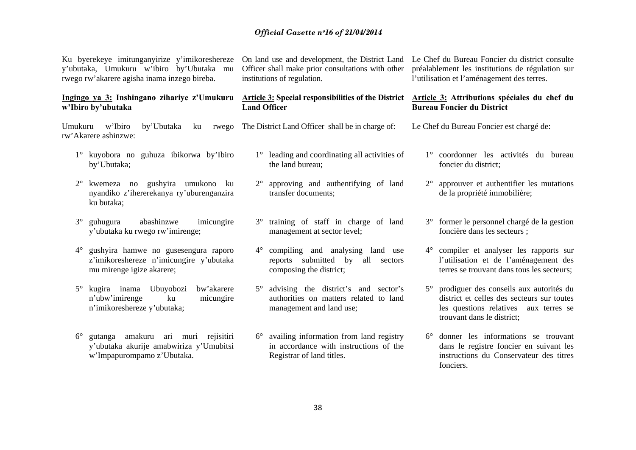Ku byerekeye imitunganyirize y'imikoreshereze y'ubutaka, Umukuru w'ibiro by'Ubutaka mu rwego rw'akarere agisha inama inzego bireba.

## **Ingingo ya 3: Inshingano zihariye z'Umukuru <sup>w</sup>'Ibiro by'ubutaka**

Umukuru w'Ibiro by'Ubutaka ku rwego The District Land Officer shall be in charge of: rw'Akarere ashinzwe:

- 1° kuyobora no guhuza ibikorwa by'Ibiro by'Ubutaka;
- 2° kwemeza no gushyira umukono ku nyandiko z'ihererekanya ry'uburenganzira ku butaka;
- $3^\circ$  guhugura abashinzwe imicungire y'ubutaka ku rwego rw'imirenge;
- 4° gushyira hamwe no gusesengura raporo <sup>z</sup>'imikoreshereze n'imicungire y'ubutaka mu mirenge igize akarere;
- 5° kugira inama Ubuyobozi bw'akarere <sup>n</sup>'ubw'imirenge ku micungire <sup>n</sup>'imikoreshereze y'ubutaka;
- $6^{\circ}$  gutanga amakuru ari muri rejisitiri y'ubutaka akurije amabwiriza y'Umubitsi <sup>w</sup>'Impapurompamo z'Ubutaka.

Officer shall make prior consultations with other institutions of regulation.

## **Article 3: Special responsibilities of the District Article 3: Attributions spéciales du chef du Land Officer**

- - 1° leading and coordinating all activities of the land bureau;
	- 2° approving and authentifying of land transfer documents;
	- 3° training of staff in charge of land management at sector level;
	- $4^\circ$  compiling and analysing land use reports submitted by all sectors composing the district;
	- $5^\circ$  advising the district's and sector's authorities on matters related to land management and land use;
	- 6° availing information from land registry in accordance with instructions of the Registrar of land titles.

On land use and development, the District Land Le Chef du Bureau Foncier du district consulte préalablement les institutions de régulation sur l'utilisation et l'aménagement des terres.

# **Bureau Foncier du District**

Le Chef du Bureau Foncier est chargé de:

- 1° coordonner les activités du bureau foncier du district;
- $2^{\circ}$  approuver et authentifier les mutations de la propriété immobilière;
- 3° former le personnel chargé de la gestion foncière dans les secteurs ;
- 4° compiler et analyser les rapports sur l'utilisation et de l'aménagement des terres se trouvant dans tous les secteurs;
- $5^\circ$  prodiguer des conseils aux autorités du district et celles des secteurs sur toutes les questions relatives aux terres se trouvant dans le district;
- 6° donner les informations se trouvant dans le registre foncier en suivant les instructions du Conservateur des titres fonciers.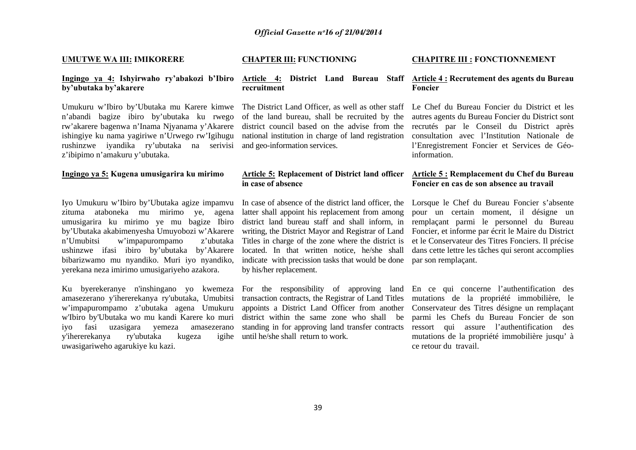#### **UMUTWE WA III: IMIKORERE**

## **Ingingo ya 4: Ishyirwaho ry'abakozi b'Ibiro Article 4: District Land Bureau Staff Article 4 : Recrutement des agents du Bureau by'ubutaka by'akarere**

Umukuru w'Ibiro by'Ubutaka mu Karere kimwe The District Land Officer, as well as other staff <sup>n</sup>'abandi bagize ibiro by'ubutaka ku rwego rw'akarere bagenwa n'Inama Njyanama y'Akarere district council based on the advise from the ishingiye ku nama yagiriwe n'Urwego rw'Igihugu national institution in charge of land registration rushinzwe iyandika ry'ubutaka na serivisi and geo-information services. <sup>z</sup>'ibipimo n'amakuru y'ubutaka.

## **Ingingo ya 5: Kugena umusigarira ku mirimo**

Iyo Umukuru w'Ibiro by'Ubutaka agize impamvu zituma ataboneka mu mirimo ye, agena umusigarira ku mirimo ye mu bagize Ibiro by'Ubutaka akabimenyesha Umuyobozi w'Akarere  $n'U$ mubitsi w'impapurompamo ushinzwe ifasi ibiro by'ubutaka by'Akarere bibarizwamo mu nyandiko. Muri iyo nyandiko, yerekana neza imirimo umusigariyeho azakora.

Ku byerekeranye n'inshingano yo kwemeza For the responsibility of approving land amasezerano y'ihererekanya ry'ubutaka, Umubitsi <sup>w</sup>'impapurompamo z'ubutaka agena Umukuru <sup>w</sup>'Ibiro by'Ubutaka wo mu kandi Karere ko muri district within the same zone who shall be iyo fasi uzasigara yemeza amasezerano y'ihererekanya ry'ubutaka kugeza uwasigariweho agarukiye ku kazi.

### **CHAPTER III: FUNCTIONING**

# **recruitment**

of the land bureau, shall be recruited by the

## **Article 5: Replacement of District land officer in case of absence**

In case of absence of the district land officer, the latter shall appoint his replacement from among district land bureau staff and shall inform, in writing, the District Mayor and Registrar of Land z'ubutaka Titles in charge of the zone where the district is located. In that written notice, he/she shall indicate with precission tasks that would be done par son remplaçant. by his/her replacement.

> transaction contracts, the Registrar of Land Titles appoints a District Land Officer from another standing in for approving land transfer contracts until he/she shall return to work.

#### **CHAPITRE III : FONCTIONNEMENT**

# **Foncier**

Le Chef du Bureau Foncier du District et les autres agents du Bureau Foncier du District sont recrutés par le Conseil du District après consultation avec l'Institution Nationale de l'Enregistrement Foncier et Services de Géoinformation.

## **Article 5 : Remplacement du Chef du Bureau Foncier en cas de son absence au travail**

Lorsque le Chef du Bureau Foncier s'absente pour un certain moment, il désigne un remplaçant parmi le personnel du Bureau Foncier, et informe par écrit le Maire du District et le Conservateur des Titres Fonciers. Il précise dans cette lettre les tâches qui seront accomplies

En ce qui concerne l'authentification des mutations de la propriété immobilière, le Conservateur des Titres désigne un remplaçant parmi les Chefs du Bureau Foncier de son ressort qui assure l'authentification des mutations de la propriété immobilière jusqu' à ce retour du travail.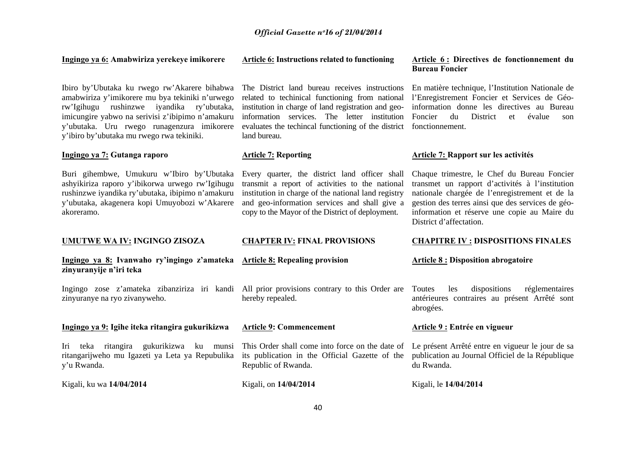## **Ingingo ya 6: Amabwiriza yerekeye imikorere**

Ibiro by'Ubutaka ku rwego rw'Akarere bihabwa The District land bureau receives instructions amabwiriza y'imikorere mu bya tekiniki n'urwego rw'Igihugu rushinzwe iyandika ry'ubutaka, imicungire yabwo na serivisi z'ibipimo n'amakuru y'ubutaka. Uru rwego runagenzura imikorere evaluates the techincal functioning of the district fonctionnement. y'ibiro by'ubutaka mu rwego rwa tekiniki.

## **Ingingo ya 7: Gutanga raporo**

Buri gihembwe, Umukuru w'Ibiro by'Ubutaka Every quarter, the district land officer shall ashyikiriza raporo y'ibikorwa urwego rw'Igihugu rushinzwe iyandika ry'ubutaka, ibipimo n'amakuru y'ubutaka, akagenera kopi Umuyobozi w'Akarere akoreramo.

#### **UMUTWE WA IV: INGINGO ZISOZA**

## **Ingingo ya 8: Ivanwaho ry'ingingo z'amateka zinyuranyije n'iri teka**

zinyuranye na ryo zivanyweho.

## **Ingingo ya 9: Igihe iteka ritangira gukurikizwa**

Iri teka ritangira gukurikizwa ku munsi This Order shall come into force on the date of ritangarijweho mu Igazeti ya Leta ya Repubulika y'u Rwanda.

Kigali, ku wa **14/04/2014**

# related to techinical functioning from national institution in charge of land registration and geoinformation services. The letter institution land bureau.

## **Article 7: Reporting**

transmit a report of activities to the national institution in charge of the national land registry and geo-information services and shall give a copy to the Mayor of the District of deployment.

## **Article 6 : Directives de fonctionnement du Bureau Foncier**

En matière technique, l'Institution Nationale de l'Enregistrement Foncier et Services de Géoinformation donne les directives au Bureau Foncier du District et évalue son

## **Article 7: Rapport sur les activités**

Chaque trimestre, le Chef du Bureau Foncier transmet un rapport d'activités à l'institution nationale chargée de l'enregistrement et de la gestion des terres ainsi que des services de géoinformation et réserve une copie au Maire du District d'affectation.

#### **CHAPTER IV: FINAL PROVISIONS**

# **Article 8: Repealing provision**

Ingingo zose z'amateka zibanziriza iri kandi All prior provisions contrary to this Order are hereby repealed.

#### **Article 9: Commencement**

Kigali, on **14/04/2014**

its publication in the Official Gazette of the Republic of Rwanda.

## **CHAPITRE IV : DISPOSITIONS FINALES**

### **Article 8 : Disposition abrogatoire**

Toutes les dispositions réglementaires antérieures contraires au présent Arrêté sont abrogées.

#### **Article 9 : Entrée en vigueur**

Le présent Arrêté entre en vigueur le jour de sa publication au Journal Officiel de la République du Rwanda.

Kigali, le **14/04/2014**

#### **Article 6: Instructions related to functioning**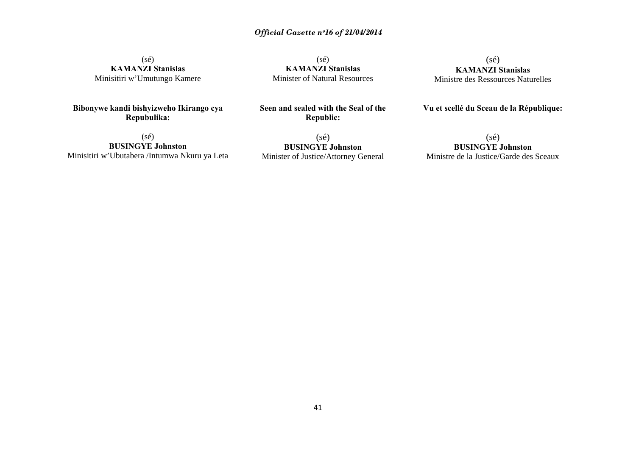(sé) **KAMANZI Stanislas**  Minisitiri w'Umutungo Kamere

**Bibonywe kandi bishyizweho Ikirango cya Repubulika:** 

(sé) **BUSINGYE Johnston**  Minisitiri w'Ubutabera /Intumwa Nkuru ya Leta

(sé) **KAMANZI Stanislas** Minister of Natural Resources

(sé) **KAMANZI Stanislas**  Ministre des Ressources Naturelles

## **Vu et scellé du Sceau de la République:**

(sé) **BUSINGYE Johnston**  Minister of Justice/Attorney General

**Seen and sealed with the Seal of the Republic:** 

> (sé) **BUSINGYE Johnston** Ministre de la Justice/Garde des Sceaux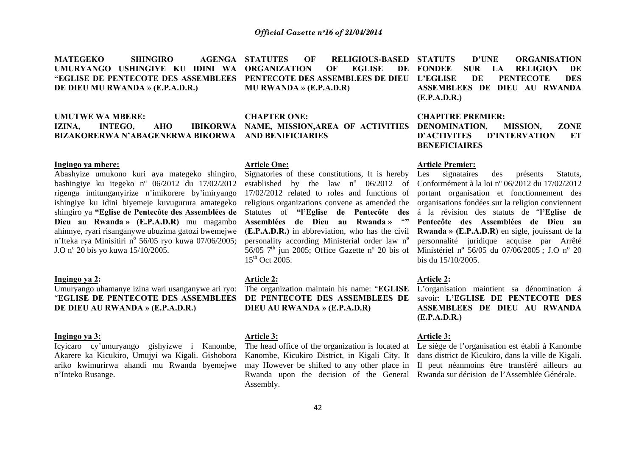**MATEGEKO** SHINGIRO **AGENGA STATUTES UMURYANGO USHINGIYE KU IDINI WA ORGANIZATION OF EGLISE DE "EGLISE DE PENTECOTE DES ASSEMBLEES PENTECOTE DES ASSEMBLEES DE DIEU DE DIEU MU RWANDA » (E.P.A.D.R.)** 

### **UMUTWE WA MBERE:**

## IZINA, INTEGO, AHO IBIKORWA NAME, MISSION,AREA OF ACTIVITIES DENOMINATION, MISSION, ZONE **BIZAKORERWA N'ABAGENERWA BIKORWA AND BENIFICIARIES**

## **Ingingo ya mbere:**

Abashyize umukono kuri aya mategeko shingiro, bashingiye ku itegeko nº 06/2012 du 17/02/2012 rigenga imitunganyirize n'imikorere by'imiryango ishingiye ku idini biyemeje kuvugurura amategeko shingiro ya **"Eglise de Pentecôte des Assemblées de Dieu au Rwanda »** (**E.P.A.D.R)** mu magambo ahinnye, ryari risanganywe ubuzima gatozi bwemejwe n'Iteka rya Minisitiri n° 56/05 ryo kuwa 07/06/2005:  $J.O$  n<sup>o</sup> 20 bis yo kuwa 15/10/2005.

## **Ingingo ya 2:**

Umuryango uhamanye izina wari usanganywe ari ryo: "**EGLISE DE PENTECOTE DES ASSEMBLEES DE DIEU AU RWANDA » (E.P.A.D.R.)** 

## **Ingingo ya 3:**

Icyicaro cy'umuryango gishyizwe i Kanombe, Akarere ka Kicukiro, Umujyi wa Kigali. Gishobora ariko kwimurirwa ahandi mu Rwanda byemejwe <sup>n</sup>'Inteko Rusange.

**STATUTES OF RELIGIOUS-BASED MU RWANDA » (E.P.A.D.R)** 

## **CHAPTER ONE:**

## **Article One:**

Signatories of these constitutions, It is hereby established by the law  $n^{\circ}$  06/2012 of 17/02/2012 related to roles and functions of religious organizations convene as amended the Statutes of **"l'Eglise de Pentecôte des Assemblées de Dieu au Rwanda »** "**" (E.P.A.D.R.)** in abbreviation, who has the civil personality according Ministerial order law n**<sup>o</sup>** 56/05  $7<sup>th</sup>$  jun 2005; Office Gazette n<sup>o</sup> 20 bis of  $15^{th}$  Oct 2005.

#### **Article 2:**

The organization maintain his name: "**EGLISE DE PENTECOTE DES ASSEMBLEES DE DIEU AU RWANDA » (E.P.A.D.R)** 

#### **Article 3:**

The head office of the organization is located at Le siège de l'organisation est établi à Kanombe Kanombe, Kicukiro District, in Kigali City. It dans district de Kicukiro, dans la ville de Kigali. may However be shifted to any other place in Il peut néanmoins être transféré ailleurs au Rwanda upon the decision of the General Rwanda sur décision de l'Assemblée Générale. Assembly.

DE FONDEE **STATUTS D'UNE ORGANISATION FOUR LA RELIGION DE DE PENTECOTE DES ASSEMBLEES DE DIEU AU RWANDA (E.P.A.D.R.)** 

#### **CHAPITRE PREMIER:**

**D'ACTIVITES D'INTERVATION ET BENEFICIAIRES** 

## **Article Premier:**

Les signataires des présents Statuts, Conformément à la loi nº 06/2012 du 17/02/2012 portant organisation et fonctionnement des organisations fondées sur la religion conviennent á la révision des statuts de "**l'Eglise de Pentecôte des Assemblées de Dieu au Rwanda » (E.P.A.D.R**) en sigle, jouissant de la personnalité juridique acquise par Arrêté Ministériel n<sup>o</sup> 56/05 du 07/06/2005 : J.O n<sup>o</sup> 20 bis du 15/10/2005.

## **Article 2:**

L'organisation maintient sa dénomination á savoir: **L'EGLISE DE PENTECOTE DES ASSEMBLEES DE DIEU AU RWANDA (E.P.A.D.R.)** 

## **Article 3:**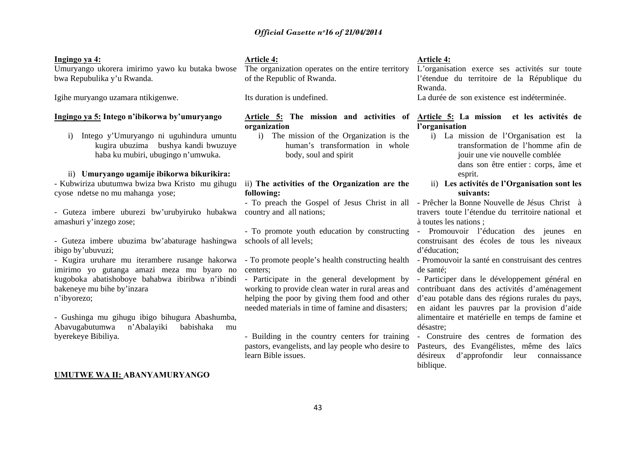## **Ingingo ya 4:**

Umuryango ukorera imirimo yawo ku butaka bwose bwa Repubulika y'u Rwanda.

Igihe muryango uzamara ntikigenwe.

## **Ingingo ya 5: Intego n'ibikorwa by'umuryango**

i) Intego y'Umuryango ni uguhindura umuntu kugira ubuzima bushya kandi bwuzuye haba ku mubiri, ubugingo n'umwuka.

## ii) **Umuryango ugamije ibikorwa bikurikira:**

- Kubwiriza ubutumwa bwiza bwa Kristo mu gihugu cyose ndetse no mu mahanga yose;

- Guteza imbere uburezi bw'urubyiruko hubakwa amashuri y'inzego zose;

- Guteza imbere ubuzima bw'abaturage hashingwa ibigo by'ubuvuzi;

- Kugira uruhare mu iterambere rusange hakorwa imirimo yo gutanga amazi meza mu byaro no kugoboka abatishoboye bahabwa ibiribwa n'ibindi bakeneye mu bihe by'inzara <sup>n</sup>'ibyorezo;

- Gushinga mu gihugu ibigo bihugura Abashumba, Abavugabutumwa n'Abalayiki babishaka mu byerekeye Bibiliya.

### **UMUTWE WA II: ABANYAMURYANGO**

## **Article 4:**

The organization operates on the entire territory of the Republic of Rwanda.

Its duration is undefined.

# **organization**

i) The mission of the Organization is the human's transformation in whole body, soul and spirit

## ii) **The activities of the Organization are the following:**

country and all nations;

schools of all levels;

- centers;
- Participate in the general development by working to provide clean water in rural areas and helping the poor by giving them food and other needed materials in time of famine and disasters;
- Building in the country centers for training pastors, evangelists, and lay people who desire to learn Bible issues.

## **Article 4:**

L'organisation exerce ses activités sur toute l'étendue du territoire de la République du Rwanda.

La durée de son existence est indéterminée.

## Article 5: The mission and activities of Article 5: La mission et les activités de **l'organisation**

- i) La mission de l'Organisation est la transformation de l'homme afin de jouir une vie nouvelle comblée dans son être entier : corps, âme et esprit.
- ii) **Les activités de l'Organisation sont les suivants:**

- To preach the Gospel of Jesus Christ in all - Prêcher la Bonne Nouvelle de Jésus Christ à travers toute l'étendue du territoire national et à toutes les nations ;

- To promote youth education by constructing - Promouvoir l'éducation des jeunes en construisant des écoles de tous les niveaux d'éducation;

- To promote people's health constructing health - Promouvoir la santé en construisant des centres de santé;

> - Participer dans le développement général en contribuant dans des activités d'aménagement d'eau potable dans des régions rurales du pays, en aidant les pauvres par la provision d'aide alimentaire et matérielle en temps de famine et désastre;

> - Construire des centres de formation des Pasteurs, des Evangélistes, même des laïcs désireux d'approfondir leur connaissance biblique.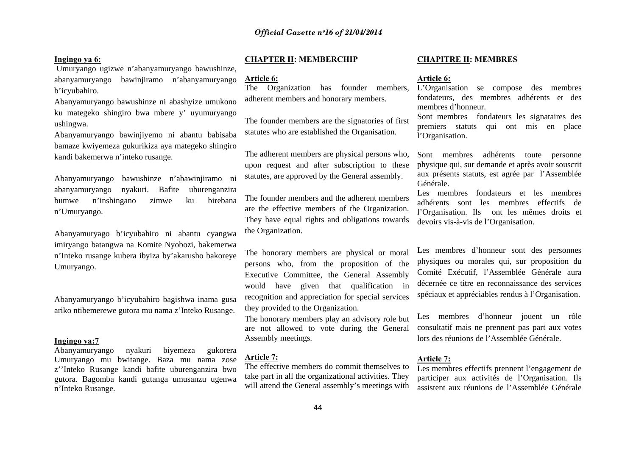## **Ingingo ya 6:**

 Umuryango ugizwe n'abanyamuryango bawushinze, abanyamuryango bawinjiramo n'abanyamuryango b'icyubahiro.

Abanyamuryango bawushinze ni abashyize umukono ku mategeko shingiro bwa mbere y' uyumuryango ushingwa.

Abanyamuryango bawinjiyemo ni abantu babisaba bamaze kwiyemeza gukurikiza aya mategeko shingiro kandi bakemerwa n'inteko rusange.

Abanyamuryango bawushinze n'abawinjiramo ni abanyamuryango nyakuri. Bafite uburenganzira bumwe n'inshingano zimwe ku birebana <sup>n</sup>'Umuryango.

Abanyamuryago b'icyubahiro ni abantu cyangwa imiryango batangwa na Komite Nyobozi, bakemerwa <sup>n</sup>'Inteko rusange kubera ibyiza by'akarusho bakoreye Umuryango.

Abanyamuryango b'icyubahiro bagishwa inama gusa ariko ntibemerewe gutora mu nama z'Inteko Rusange.

## **Ingingo ya:7**

Abanyamuryango nyakuri biyemeza gukorera Umuryango mu bwitange. Baza mu nama zose <sup>z</sup>''Inteko Rusange kandi bafite uburenganzira bwo gutora. Bagomba kandi gutanga umusanzu ugenwa <sup>n</sup>'Inteko Rusange.

### **CHAPTER II: MEMBERCHIP**

#### **Article 6:**

The Organization has founder members, adherent members and honorary members.

The founder members are the signatories of first statutes who are established the Organisation.

The adherent members are physical persons who, upon request and after subscription to these statutes, are approved by the General assembly.

The founder members and the adherent members are the effective members of the Organization. They have equal rights and obligations towards the Organization.

The honorary members are physical or moral persons who, from the proposition of the Executive Committee, the General Assembly would have given that qualification in recognition and appreciation for special services they provided to the Organization.

The honorary members play an advisory role but are not allowed to vote during the General Assembly meetings.

#### **Article 7:**

The effective members do commit themselves to take part in all the organizational activities. They will attend the General assembly's meetings with

#### **CHAPITRE II: MEMBRES**

## **Article 6:**

L'Organisation se compose des membres fondateurs, des membres adhérents et des membres d'honneur.

Sont membres fondateurs les signataires des premiers statuts qui ont mis en place l'Organisation.

Sont membres adhérents toute personne physique qui, sur demande et après avoir souscrit aux présents statuts, est agrée par l'Assemblée Générale.

Les membres fondateurs et les membres adhérents sont les membres effectifs de l'Organisation. Ils ont les mêmes droits et devoirs vis-à-vis de l'Organisation.

Les membres d'honneur sont des personnes physiques ou morales qui, sur proposition du Comité Exécutif, l'Assemblée Générale aura décernée ce titre en reconnaissance des services spéciaux et appréciables rendus à l'Organisation.

Les membres d'honneur jouent un rôle consultatif mais ne prennent pas part aux votes lors des réunions de l'Assemblée Générale.

## **Article 7:**

Les membres effectifs prennent l'engagement de participer aux activités de l'Organisation. Ils assistent aux réunions de l'Assemblée Générale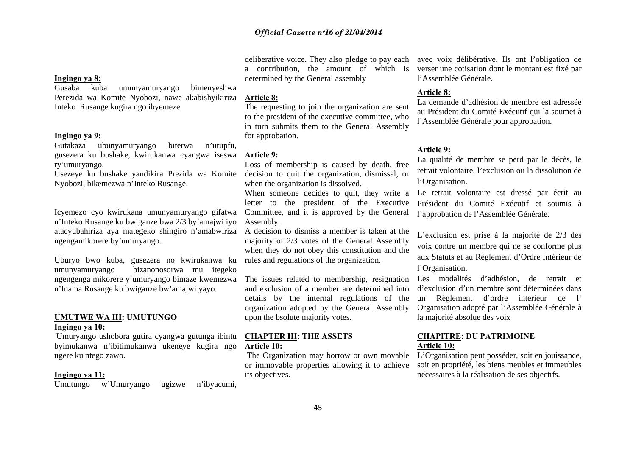determined by the General assembly

## **Article 8:**

The requesting to join the organization are sent to the president of the executive committee, who in turn submits them to the General Assembly for approbation.

## **Article 9:**

Loss of membership is caused by death, free decision to quit the organization, dismissal, or when the organization is dissolved.

When someone decides to quit, they write a letter to the president of the Executive Committee, and it is approved by the General Assembly.

A decision to dismiss a member is taken at the majority of 2/3 votes of the General Assembly when they do not obey this constitution and the rules and regulations of the organization.

The issues related to membership, resignation and exclusion of a member are determined into details by the internal regulations of the organization adopted by the General Assembly upon the bsolute majority votes.

## **CHAPTER III: THE ASSETS Article 10:**

 The Organization may borrow or own movable its objectives.

deliberative voice. They also pledge to pay each avec voix délibérative. Ils ont l'obligation de a contribution, the amount of which is verser une cotisation dont le montant est fixé par l'Assemblée Générale.

## **Article 8:**

La demande d'adhésion de membre est adressée au Président du Comité Exécutif qui la soumet à l'Assemblée Générale pour approbation.

## **Article 9:**

La qualité de membre se perd par le décès, le retrait volontaire, l'exclusion ou la dissolution de l'Organisation.

Le retrait volontaire est dressé par écrit au Président du Comité Exécutif et soumis à l'approbation de l'Assemblée Générale.

L'exclusion est prise à la majorité de 2/3 des voix contre un membre qui ne se conforme plus aux Statuts et au Règlement d'Ordre Intérieur de l'Organisation.

Les modalités d'adhésion, de retrait et d'exclusion d'un membre sont déterminées dans un Règlement d'ordre interieur de l' Organisation adopté par l'Assemblée Générale à la majorité absolue des voix

## **CHAPITRE: DU PATRIMOINE Article 10:**

or immovable properties allowing it to achieve soit en propriété, les biens meubles et immeubles L'Organisation peut posséder, soit en jouissance, nécessaires à la réalisation de ses objectifs.

## **Ingingo ya 8:**

Gusaba kuba umunyamuryango bimenyeshwa Perezida wa Komite Nyobozi, nawe akabishyikiriza Inteko Rusange kugira ngo ibyemeze.

## **Ingingo ya 9:**

Gutakaza ubunyamuryango biterwa n'urupfu, gusezera ku bushake, kwirukanwa cyangwa iseswa ry'umuryango.

Usezeye ku bushake yandikira Prezida wa Komite Nyobozi, bikemezwa n'Inteko Rusange.

Icyemezo cyo kwirukana umunyamuryango gifatwa <sup>n</sup>'Inteko Rusange ku bwiganze bwa 2/3 by'amajwi iyo atacyubahiriza aya mategeko shingiro n'amabwiriza ngengamikorere by'umuryango.

Uburyo bwo kuba, gusezera no kwirukanwa ku umunyamuryango bizanonosorwa mu itegeko ngengenga mikorere y'umuryango bimaze kwemezwa <sup>n</sup>'Inama Rusange ku bwiganze bw'amajwi yayo.

## **UMUTWE WA III: UMUTUNGO Ingingo ya 10:**

 Umuryango ushobora gutira cyangwa gutunga ibintu byimukanwa n'ibitimukanwa ukeneye kugira ngo ugere ku ntego zawo.

## **Ingingo ya 11:**

Umutungo w'Umuryango ugizwe n'ibyacumi,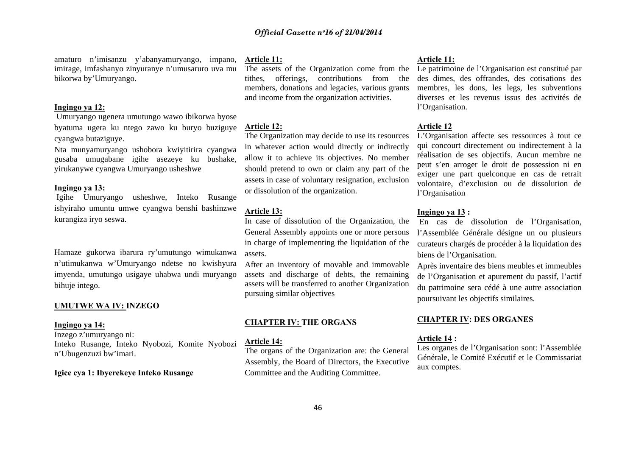amaturo n'imisanzu y'abanyamuryango, impano, imirage, imfashanyo zinyuranye n'umusaruro uva mu bikorwa by'Umuryango.

## **Ingingo ya 12:**

 Umuryango ugenera umutungo wawo ibikorwa byose byatuma ugera ku ntego zawo ku buryo buziguye cyangwa butaziguye.

Nta munyamuryango ushobora kwiyitirira cyangwa gusaba umugabane igihe asezeye ku bushake, yirukanywe cyangwa Umuryango usheshwe

## **Ingingo ya 13:**

 Igihe Umuryango usheshwe, Inteko Rusange ishyiraho umuntu umwe cyangwa benshi bashinzwe kurangiza iryo seswa.

Hamaze gukorwa ibarura ry'umutungo wimukanwa <sup>n</sup>'utimukanwa w'Umuryango ndetse no kwishyura imyenda, umutungo usigaye uhabwa undi muryango bihuje intego.

### **UMUTWE WA IV: INZEGO**

#### **Ingingo ya 14:**

Inzego z'umuryango ni: Inteko Rusange, Inteko Nyobozi, Komite Nyobozi <sup>n</sup>'Ubugenzuzi bw'imari.

#### **Igice cya 1: Ibyerekeye Inteko Rusange**

#### **Article 11:**

The assets of the Organization come from the tithes, offerings, contributions from the members, donations and legacies, various grants and income from the organization activities.

## **Article 12:**

The Organization may decide to use its resources in whatever action would directly or indirectly allow it to achieve its objectives. No member should pretend to own or claim any part of the assets in case of voluntary resignation, exclusion or dissolution of the organization.

#### **Article 13:**

In case of dissolution of the Organization, the General Assembly appoints one or more persons in charge of implementing the liquidation of the assets.

After an inventory of movable and immovable assets and discharge of debts, the remaining assets will be transferred to another Organization pursuing similar objectives

## **CHAPTER IV: THE ORGANS**

### **Article 14:**

The organs of the Organization are: the General Assembly, the Board of Directors, the Executive Committee and the Auditing Committee.

## **Article 11:**

Le patrimoine de l'Organisation est constitué par des dimes, des offrandes, des cotisations des membres, les dons, les legs, les subventions diverses et les revenus issus des activités de l'Organisation.

## **Article 12**

L'Organisation affecte ses ressources à tout ce qui concourt directement ou indirectement à la réalisation de ses objectifs. Aucun membre ne peut s'en arroger le droit de possession ni en exiger une part quelconque en cas de retrait volontaire, d'exclusion ou de dissolution de l'Organisation

### **Ingingo ya 13 :**

 En cas de dissolution de l'Organisation, l'Assemblée Générale désigne un ou plusieurs curateurs chargés de procéder à la liquidation des biens de l'Organisation.

Après inventaire des biens meubles et immeubles de l'Organisation et apurement du passif, l'actif du patrimoine sera cédé à une autre association poursuivant les objectifs similaires.

## **CHAPTER IV: DES ORGANES**

## **Article 14 :**

Les organes de l'Organisation sont: l'Assemblée Générale, le Comité Exécutif et le Commissariat aux comptes.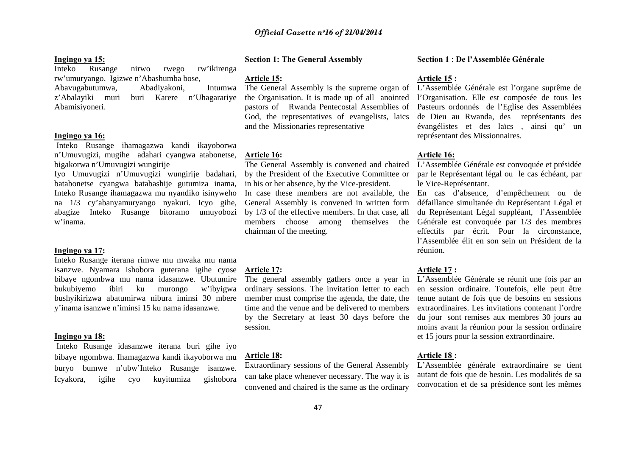## **Ingingo ya 15:**

Inteko Rusange nirwo rwego rw'ikirenga rw'umuryango. Igizwe n'Abashumba bose, Abavugabutumwa, Abadiyakoni, Intumwa <sup>z</sup>'Abalayiki muri buri Karere n'Uhagarariye Abamisiyoneri.

## **Ingingo ya 16:**

 Inteko Rusange ihamagazwa kandi ikayoborwa <sup>n</sup>'Umuvugizi, mugihe adahari cyangwa atabonetse, bigakorwa n'Umuvugizi wungirije

Iyo Umuvugizi n'Umuvugizi wungirije badahari, batabonetse cyangwa batabashije gutumiza inama, Inteko Rusange ihamagazwa mu nyandiko isinyweho na 1/3 cy'abanyamuryango nyakuri. Icyo gihe, abagize Inteko Rusange bitoramo umuyobozi w'inama.

## **Ingingo ya 17:**

Inteko Rusange iterana rimwe mu mwaka mu nama isanzwe. Nyamara ishobora guterana igihe cyose bibaye ngombwa mu nama idasanzwe. Ubutumire bukubiyemo ibiri ku murongo w'ibyigwa bushyikirizwa abatumirwa nibura iminsi 30 mbere y'inama isanzwe n'iminsi 15 ku nama idasanzwe.

## **Ingingo ya 18:**

 Inteko Rusange idasanzwe iterana buri gihe iyo bibaye ngombwa. Ihamagazwa kandi ikayoborwa mu buryo bumwe n'ubw'Inteko Rusange isanzwe. Icyakora, igihe cyo kuyitumiza gishobora

## **Section 1: The General Assembly**

**Article 15:** 

The General Assembly is the supreme organ of the Organisation. It is made up of all anointed pastors of Rwanda Pentecostal Assemblies of God, the representatives of evangelists, laics and the Missionaries representative

### **Article 16:**

The General Assembly is convened and chaired by the President of the Executive Committee or in his or her absence, by the Vice-president. In case these members are not available, the General Assembly is convened in written form by 1/3 of the effective members. In that case, all members choose among themselves the chairman of the meeting.

#### **Article 17:**

The general assembly gathers once a year in L'Assemblée Générale se réunit une fois par an ordinary sessions. The invitation letter to each member must comprise the agenda, the date, the time and the venue and be delivered to members session.

#### **Article 18:**

Extraordinary sessions of the General Assembly can take place whenever necessary. The way it is convened and chaired is the same as the ordinary

#### **Section 1** : **De l'Assemblée Générale**

## **Article 15 :**

L'Assemblée Générale est l'organe suprême de l'Organisation. Elle est composée de tous les Pasteurs ordonnés de l'Eglise des Assemblées de Dieu au Rwanda, des représentants des évangélistes et des laïcs , ainsi qu' un représentant des Missionnaires.

#### **Article 16:**

L'Assemblée Générale est convoquée et présidée par le Représentant légal ou le cas échéant, par le Vice-Représentant.

En cas d'absence, d'empêchement ou de défaillance simultanée du Représentant Légal et du Représentant Légal suppléant, l'Assemblée Générale est convoquée par 1/3 des membres effectifs par écrit. Pour la circonstance, l'Assemblée élit en son sein un Président de la réunion.

## **Article 17 :**

by the Secretary at least 30 days before the du jour sont remises aux membres 30 jours au en session ordinaire. Toutefois, elle peut être tenue autant de fois que de besoins en sessions extraordinaires. Les invitations contenant l'ordre moins avant la réunion pour la session ordinaire et 15 jours pour la session extraordinaire.

## **Article 18 :**

L'Assemblée générale extraordinaire se tient autant de fois que de besoin. Les modalités de sa convocation et de sa présidence sont les mêmes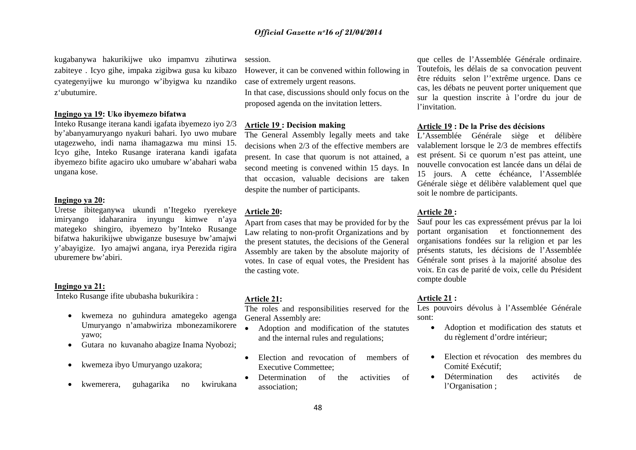kugabanywa hakurikijwe uko impamvu zihutirwa zabiteye . Icyo gihe, impaka zigibwa gusa ku kibazo cyategenyijwe ku murongo w'ibyigwa ku nzandiko z'ubutumire.

## **Ingingo ya 19: Uko ibyemezo bifatwa**

Inteko Rusange iterana kandi igafata ibyemezo iyo 2/3 by'abanyamuryango nyakuri bahari. Iyo uwo mubare utagezweho, indi nama ihamagazwa mu minsi 15. Icyo gihe, Inteko Rusange iraterana kandi igafata ibyemezo bifite agaciro uko umubare w'abahari waba ungana kose.

## **Ingingo ya 20:**

Uretse ibiteganywa ukundi n'Itegeko ryerekeye imiryango idaharanira inyungu kimwe n'aya mategeko shingiro, ibyemezo by'Inteko Rusange bifatwa hakurikijwe ubwiganze busesuye bw'amajwi y'abayigize. Iyo amajwi angana, irya Perezida rigira uburemere bw'abiri.

#### **Ingingo ya 21:**

Inteko Rusange ifite ububasha bukurikira :

- • kwemeza no guhindura amategeko agenga Umuryango n'amabwiriza mbonezamikorere yawo;
- •Gutara no kuvanaho abagize Inama Nyobozi;
- $\bullet$ kwemeza ibyo Umuryango uzakora;
- •kwemerera, guhagarika no kwirukana

session.

However, it can be convened within following in case of extremely urgent reasons.

In that case, discussions should only focus on the proposed agenda on the invitation letters.

## **Article 19 : Decision making**

The General Assembly legally meets and take decisions when 2/3 of the effective members are present. In case that quorum is not attained, a second meeting is convened within 15 days. In that occasion, valuable decisions are taken despite the number of participants.

#### **Article 20:**

Apart from cases that may be provided for by the Law relating to non-profit Organizations and by the present statutes, the decisions of the General Assembly are taken by the absolute majority of votes. In case of equal votes, the President has the casting vote.

#### **Article 21:**

The roles and responsibilities reserved for the General Assembly are:

- Adoption and modification of the statutes and the internal rules and regulations;
- • Election and revocation of members of Executive Commettee;
- Determination of the activities of association;

que celles de l'Assemblée Générale ordinaire. Toutefois, les délais de sa convocation peuvent être réduits selon l''extrême urgence. Dans ce cas, les débats ne peuvent porter uniquement que sur la question inscrite à l'ordre du jour de l'invitation.

#### **Article 19 : De la Prise des décisions**

L'Assemblée Générale siège et délibère valablement lorsque le 2/3 de membres effectifs est présent. Si ce quorum n'est pas atteint, une nouvelle convocation est lancée dans un délai de 15 jours. A cette échéance, l'Assemblée Générale siège et délibère valablement quel que soit le nombre de participants.

## **Article 20 :**

Sauf pour les cas expressément prévus par la loi portant organisation et fonctionnement des organisations fondées sur la religion et par les présents statuts, les décisions de l'Assemblée Générale sont prises à la majorité absolue des voix. En cas de parité de voix, celle du Président compte double

## **Article 21 :**

Les pouvoirs dévolus à l'Assemblée Générale sont:

- Adoption et modification des statuts et du règlement d'ordre intérieur;
- Election et révocation des membres du Comité Exécutif;
- Détermination des activités de l'Organisation ;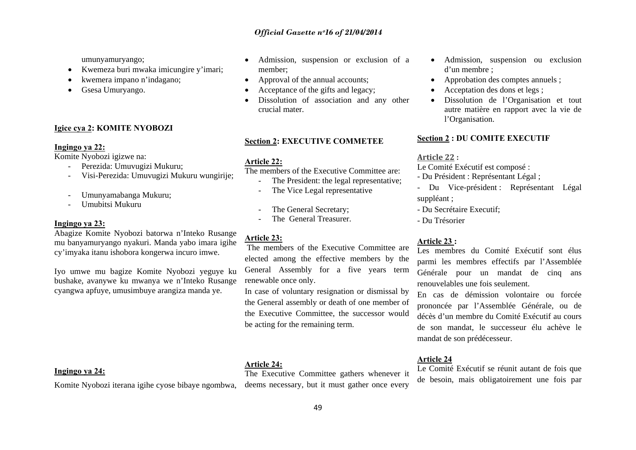umunyamuryango;

- Kwemeza buri mwaka imicungire y'imari;
- •kwemera impano n'indagano;
- Gsesa Umuryango.

## **Igice cya 2: KOMITE NYOBOZI**

### **Ingingo ya 22:**

Komite Nyobozi igizwe na:

- Perezida: Umuvugizi Mukuru;
- Visi-Perezida: Umuvugizi Mukuru wungirije;
- -Umunyamabanga Mukuru;
- Umubitsi Mukuru

## **Ingingo ya 23:**

Abagize Komite Nyobozi batorwa n'Inteko Rusange mu banyamuryango nyakuri. Manda yabo imara igihe cy'imyaka itanu ishobora kongerwa incuro imwe.

Iyo umwe mu bagize Komite Nyobozi yeguye ku bushake, avanywe ku mwanya we n'Inteko Rusange cyangwa apfuye, umusimbuye arangiza manda ye.

## • Admission, suspension or exclusion of a member;

- •Approval of the annual accounts;
- •Acceptance of the gifts and legacy;
- • Dissolution of association and any other crucial mater.

#### **Section 2: EXECUTIVE COMMETEE**

#### **Article 22:**

The members of the Executive Committee are:

- The President: the legal representative; The Vice Legal representative
- The General Secretary;
- -The General Treasurer.

## **Article 23:**

 The members of the Executive Committee are elected among the effective members by the General Assembly for a five years term renewable once only.

In case of voluntary resignation or dismissal by the General assembly or death of one member of the Executive Committee, the successor would be acting for the remaining term.

### **Article 24:**

The Executive Committee gathers whenever it

- Admission, suspension ou exclusion d'un membre ;
- •Approbation des comptes annuels ;
- •Acceptation des dons et legs ;
- • Dissolution de l'Organisation et tout autre matière en rapport avec la vie de l'Organisation.

#### **Section 2 : DU COMITE EXECUTIF**

#### **Article 22 :**

Le Comité Exécutif est composé :

- Du Président : Représentant Légal ;
- Du Vice-président : Représentant Légal suppléant ;
- Du Secrétaire Executif;
- Du Trésorier

## **Article 23 :**

Les membres du Comité Exécutif sont élus parmi les membres effectifs par l'Assemblée Générale pour un mandat de cinq ans renouvelables une fois seulement.

En cas de démission volontaire ou forcée prononcée par l'Assemblée Générale, ou de décès d'un membre du Comité Exécutif au cours de son mandat, le successeur élu achève le mandat de son prédécesseur.

## **Article 24**

Le Comité Exécutif se réunit autant de fois que de besoin, mais obligatoirement une fois par

## **Ingingo ya 24:**

Komite Nyobozi iterana igihe cyose bibaye ngombwa, deems necessary, but it must gather once every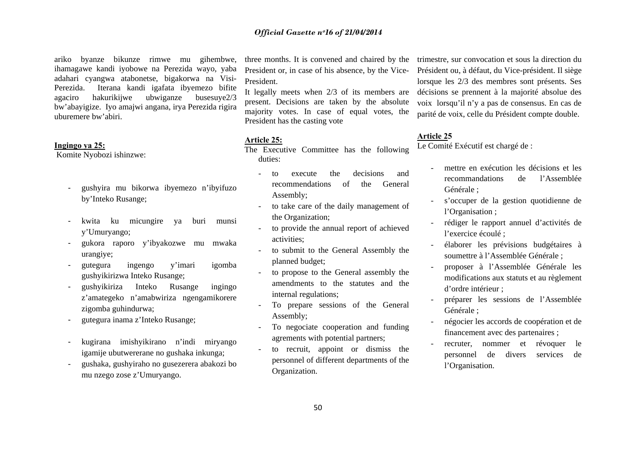ariko byanze bikunze rimwe mu gihembwe, ihamagawe kandi iyobowe na Perezida wayo, yaba adahari cyangwa atabonetse, bigakorwa na Visi-Perezida. Iterana kandi igafata ibyemezo bifite agaciro hakurikijwe ubwiganze busesuye2/3 bw'abayigize. Iyo amajwi angana, irya Perezida rigira uburemere bw'abiri.

#### **Ingingo ya 25:**

Komite Nyobozi ishinzwe:

- gushyira mu bikorwa ibyemezo n'ibyifuzo by'Inteko Rusange;
- kwita ku micungire ya buri munsi y'Umuryango;
- gukora raporo y'ibyakozwe mu mwaka urangiye;
- gutegura ingengo y'imari igomba gushyikirizwa Inteko Rusange;
- gushyikiriza Inteko Rusange ingingo <sup>z</sup>'amategeko n'amabwiriza ngengamikorere zigomba guhindurwa;
- gutegura inama z'Inteko Rusange;
- kugirana imishyikirano n'indi miryango igamije ubutwererane no gushaka inkunga;
- gushaka, gushyiraho no gusezerera abakozi bo mu nzego zose z'Umuryango.

three months. It is convened and chaired by the President or, in case of his absence, by the Vice-President.

It legally meets when 2/3 of its members are present. Decisions are taken by the absolute majority votes. In case of equal votes, the President has the casting vote

#### **Article 25:**

The Executive Committee has the following duties:

- to execute the decisions and recommendations of the General Assembly;
- to take care of the daily management of the Organization;
- to provide the annual report of achieved activities;
- to submit to the General Assembly the planned budget;
- to propose to the General assembly the amendments to the statutes and the internal regulations;
- To prepare sessions of the General Assembly;
- - To negociate cooperation and funding agrements with potential partners;
- to recruit, appoint or dismiss the personnel of different departments of the Organization.

trimestre, sur convocation et sous la direction du Président ou, à défaut, du Vice-président. Il siège lorsque les 2/3 des membres sont présents. Ses décisions se prennent à la majorité absolue des voix lorsqu'il n'y a pas de consensus. En cas de parité de voix, celle du Président compte double.

## **Article 25**

Le Comité Exécutif est chargé de :

- mettre en exécution les décisions et les recommandations de l'Assemblée Générale ;
- <sup>s</sup>'occuper de la gestion quotidienne de l'Organisation ;
- rédiger le rapport annuel d'activités de l'exercice écoulé ;
- élaborer les prévisions budgétaires à soumettre à l'Assemblée Générale ;
- proposer à l'Assemblée Générale les modifications aux statuts et au règlement d'ordre intérieur ;
- préparer les sessions de l'Assemblée Générale ;
- négocier les accords de coopération et de financement avec des partenaires ;
- recruter, nommer et révoquer le personnel de divers services de l'Organisation.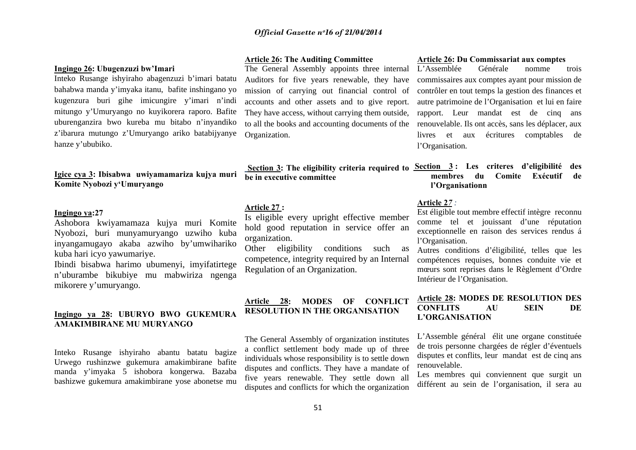## **Ingingo 26: Ubugenzuzi bw'Imari**

Inteko Rusange ishyiraho abagenzuzi b'imari batatu bahabwa manda y'imyaka itanu, bafite inshingano yo kugenzura buri gihe imicungire y'imari n'indi mitungo y'Umuryango no kuyikorera raporo. Bafite uburenganzira bwo kureba mu bitabo n'inyandiko <sup>z</sup>'ibarura mutungo z'Umuryango ariko batabijyanye hanze y'ububiko.

## **Igice cya 3: Ibisabwa uwiyamamariza kujya muri Komite Nyobozi y'Umuryango**

## **Ingingo ya:27**

Ashobora kwiyamamaza kujya muri Komite Nyobozi, buri munyamuryango uzwiho kuba inyangamugayo akaba azwiho by'umwihariko kuba hari icyo yawumariye.

Ibindi bisabwa harimo ubumenyi, imyifatirtege <sup>n</sup>'uburambe bikubiye mu mabwiriza ngenga mikorere y'umuryango.

## **Ingingo ya 28: UBURYO BWO GUKEMURA AMAKIMBIRANE MU MURYANGO**

Inteko Rusange ishyiraho abantu batatu bagize Urwego rushinzwe gukemura amakimbirane bafite manda y'imyaka 5 ishobora kongerwa. Bazaba bashizwe gukemura amakimbirane yose abonetse mu

## **Article 26: The Auditing Committee**

The General Assembly appoints three internal Auditors for five years renewable, they have mission of carrying out financial control of accounts and other assets and to give report. They have access, without carrying them outside, to all the books and accounting documents of the Organization.

# **be in executive committee**

## **Article 27 :**

Is eligible every upright effective member hold good reputation in service offer an organization.

Other eligibility conditions such as competence, integrity required by an Internal Regulation of an Organization.

## **Article 28: MODES OF CONFLICT RESOLUTION IN THE ORGANISATION**

The General Assembly of organization institutes a conflict settlement body made up of three individuals whose responsibility is to settle down disputes and conflicts. They have a mandate of five years renewable. They settle down all disputes and conflicts for which the organization

## **Article 26: Du Commissariat aux comptes**

L'Assemblée Générale nomme trois commissaires aux comptes ayant pour mission de contrôler en tout temps la gestion des finances et autre patrimoine de l'Organisation et lui en faire rapport. Leur mandat est de cinq ans renouvelable. Ils ont accès, sans les déplacer, aux livres et aux écritures comptables de l'Organisation*.* 

## Section 3: The eligibility criteria required to Section 3: Les criteres d'eligibilité des **membres du Comite Exécutif de l'Organisationn**

#### **Article 2***7 :*

Est éligible tout membre effectif intègre reconnu comme tel et jouissant d'une réputation exceptionnelle en raison des services rendus á l'Organisation.

Autres conditions d'éligibilité, telles que les compétences requises, bonnes conduite vie et mœurs sont reprises dans le Règlement d'Ordre Intérieur de l'Organisation.

## **Article 28: MODES DE RESOLUTION DES CONFLITS AU SEIN DE L'ORGANISATION**

L'Assemble général élit une organe constituée de trois personne chargées de régler d'éventuels disputes et conflits, leur mandat est de cinq ans renouvelable.

Les membres qui conviennent que surgit un différent au sein de l'organisation, il sera au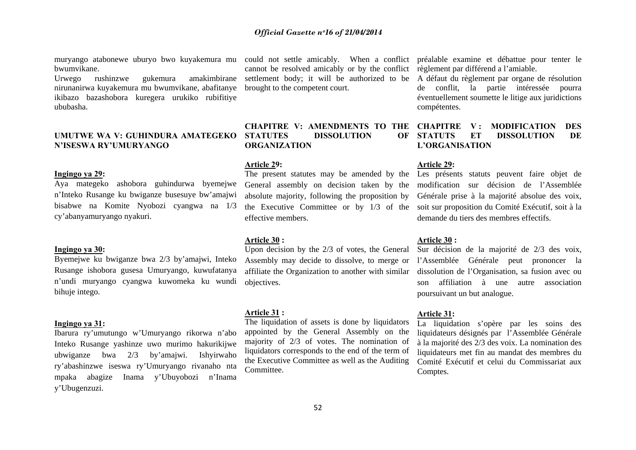muryango atabonewe uburyo bwo kuyakemura mu could not settle amicably. When a conflict préalable examine et débattue pour tenter le bwumvikane.

Urwego rushinzwe gukemura amakimbirane nirunanirwa kuyakemura mu bwumvikane, abafitanye ikibazo bazashobora kuregera urukiko rubifitiye ububasha.

## **UMUTWE WA V: GUHINDURA AMATEGEKO N'ISESWA RY'UMURYANGO**

## **Ingingo ya 29:**

Aya mategeko ashobora guhindurwa byemejwe <sup>n</sup>'Inteko Rusange ku bwiganze busesuye bw'amajwi bisabwe na Komite Nyobozi cyangwa na 1/3 cy'abanyamuryango nyakuri.

### **Ingingo ya 30:**

Byemejwe ku bwiganze bwa 2/3 by'amajwi, Inteko Rusange ishobora gusesa Umuryango, kuwufatanya <sup>n</sup>'undi muryango cyangwa kuwomeka ku wundi bihuje intego.

## **Ingingo ya 31:**

Ibarura ry'umutungo w'Umuryango rikorwa n'abo Inteko Rusange yashinze uwo murimo hakurikijwe ubwiganze bwa 2/3 by'amajwi. Ishyirwaho ry'abashinzwe iseswa ry'Umuryango rivanaho nta mpaka abagize Inama y'Ubuyobozi n'Inama y'Ubugenzuzi.

cannot be resolved amicably or by the conflict règlement par différend a l'amiable. settlement body; it will be authorized to be A défaut du règlement par organe de résolution brought to the competent court.

## **CHAPITRE V: AMENDMENTS TO THE CHAPITRE V : MODIFICATION DES STATUTES DISSOLUTION OF STATUTS ORGANIZATION**

## **Article 29:**

The present statutes may be amended by the Les présents statuts peuvent faire objet de effective members.

## **Article 30 :**

Upon decision by the 2/3 of votes, the General Sur décision de la majorité de 2/3 des voix, objectives.

## **Article 31 :**

The liquidation of assets is done by liquidators appointed by the General Assembly on the majority of 2/3 of votes. The nomination of liquidators corresponds to the end of the term of the Executive Committee as well as the Auditing **Committee** 

de conflit, la partie intéressée pourra éventuellement soumette le litige aux juridictions compétentes.

## **ET DISSOLUTION DE L'ORGANISATION**

## **Article 29:**

General assembly on decision taken by the modification sur décision de l'Assemblée absolute majority, following the proposition by Générale prise à la majorité absolue des voix, the Executive Committee or by 1/3 of the soit sur proposition du Comité Exécutif, soit à la demande du tiers des membres effectifs.

#### **Article 30 :**

Assembly may decide to dissolve, to merge or l'Assemblée Générale peut prononcer la affiliate the Organization to another with similar dissolution de l'Organisation, sa fusion avec ou son affiliation à une autre association poursuivant un but analogue.

## **Article 31:**

La liquidation s'opère par les soins des liquidateurs désignés par l'Assemblée Générale à la majorité des 2/3 des voix. La nomination des liquidateurs met fin au mandat des membres du Comité Exécutif et celui du Commissariat aux Comptes.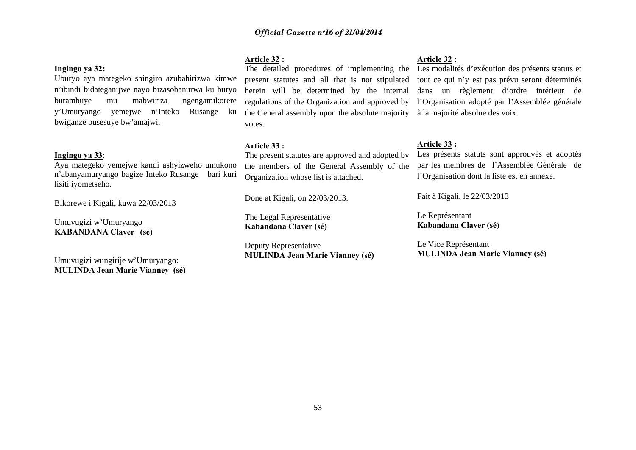## **Ingingo ya 32:**

Uburyo aya mategeko shingiro azubahirizwa kimwe <sup>n</sup>'ibindi bidateganijwe nayo bizasobanurwa ku buryo burambuye mu mabwiriza ngengamikorere y'Umuryango yemejwe n'Inteko Rusange ku bwiganze busesuye bw'amajwi.

## **Ingingo ya 33**:

Aya mategeko yemejwe kandi ashyizweho umukono <sup>n</sup>'abanyamuryango bagize Inteko Rusange bari kuri lisiti iyometseho.

Bikorewe i Kigali, kuwa 22/03/2013

Umuvugizi w'Umuryango **KABANDANA Claver (sé)** 

Umuvugizi wungirije w'Umuryango: **MULINDA Jean Marie Vianney (sé)**  **Article 32 :** 

the General assembly upon the absolute majority à la majorité absolue des voix. votes.

## **Article 33 :**

The present statutes are approved and adopted by the members of the General Assembly of the Organization whose list is attached.

Done at Kigali, on 22/03/2013.

The Legal Representative **Kabandana Claver (sé)** 

Deputy Representative **MULINDA Jean Marie Vianney (sé)** 

## **Article 32 :**

The detailed procedures of implementing the Les modalités d'exécution des présents statuts et present statutes and all that is not stipulated tout ce qui n'y est pas prévu seront déterminés herein will be determined by the internal dans un règlement d'ordre intérieur de regulations of the Organization and approved by l'Organisation adopté par l'Assemblée générale

## **Article 33 :**

Les présents statuts sont approuvés et adoptés par les membres de l'Assemblée Générale de l'Organisation dont la liste est en annexe.

Fait à Kigali, le 22/03/2013

Le Représentant **Kabandana Claver (sé)** 

Le Vice Représentant **MULINDA Jean Marie Vianney (sé)**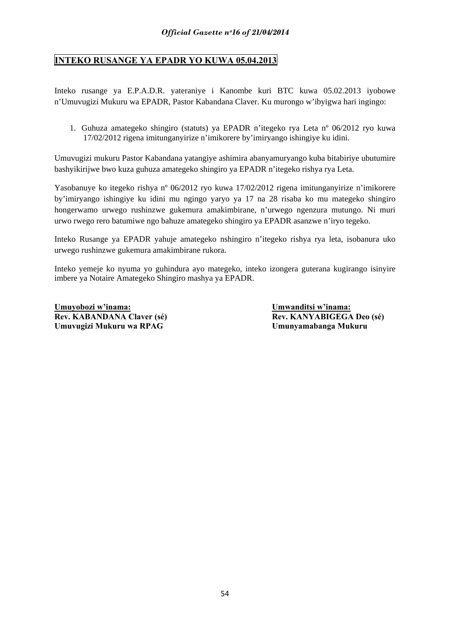## **INTEKO RUSANGE YA EPADR YO KUWA 05.04.2013**

Inteko rusange ya E.P.A.D.R. yateraniye i Kanombe kuri BTC kuwa 05.02.2013 iyobowe n'Umuvugizi Mukuru wa EPADR, Pastor Kabandana Claver. Ku murongo w'ibyigwa hari ingingo:

1. Guhuza amategeko shingiro (statuts) ya EPADR n'itegeko rya Leta nº 06/2012 ryo kuwa 17/02/2012 rigena imitunganyirize n'imikorere by'imiryango ishingiye ku idini.

Umuvugizi mukuru Pastor Kabandana yatangiye ashimira abanyamuryango kuba bitabiriye ubutumire bashyikirijwe bwo kuza guhuza amategeko shingiro ya EPADR n'itegeko rishya rya Leta.

Yasobanuye ko itegeko rishya nº 06/2012 ryo kuwa 17/02/2012 rigena imitunganyirize n'imikorere by'imiryango ishingiye ku idini mu ngingo yaryo ya 17 na 28 risaba ko mu mategeko shingiro hongerwamo urwego rushinzwe gukemura amakimbirane, n'urwego ngenzura mutungo. Ni muri urwo rwego rero batumiwe ngo bahuze amategeko shingiro ya EPADR asanzwe n'iryo tegeko.

Inteko Rusange ya EPADR yahuje amategeko nshingiro n'itegeko rishya rya leta, isobanura uko urwego rushinzwe gukemura amakimbirane rukora.

Inteko yemeje ko nyuma yo guhindura ayo mategeko, inteko izongera guterana kugirango isinyire imbere ya Notaire Amategeko Shingiro mashya ya EPADR.

**Umuyobozi w'inama: Umwanditsi w'inama:** Rev. KABANDANA Claver (sé) **Rev. KANYABIGEGA Deo** (sé) **Umuvugizi Mukuru wa RPAG Umunyamabanga Mukuru**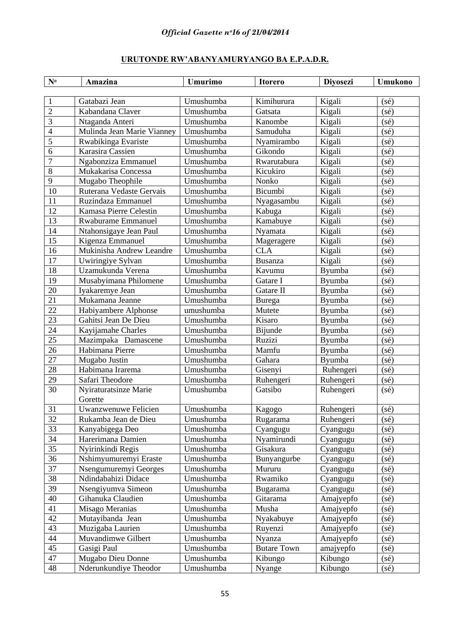## **URUTONDE RW'ABANYAMURYANGO BA E.P.A.D.R.**

| $N^{\mathrm{o}}$ | Amazina                    | <b>Umurimo</b> | <b>Itorero</b>     | <b>Divosezi</b> | Umukono        |
|------------------|----------------------------|----------------|--------------------|-----------------|----------------|
|                  |                            |                |                    |                 |                |
| 1                | Gatabazi Jean              | Umushumba      | Kimihurura         | Kigali          | $(s\acute{e})$ |
| $\overline{2}$   | Kabandana Claver           | Umushumba      | Gatsata            | Kigali          | (sé)           |
| 3                | Ntaganda Anteri            | Umushumba      | Kanombe            | Kigali          | (sé)           |
| $\overline{4}$   | Mulinda Jean Marie Vianney | Umushumba      | Samuduha           | Kigali          | (sé)           |
| $\overline{5}$   | Rwabikinga Evariste        | Umushumba      | Nyamirambo         | Kigali          | (sé)           |
| 6                | Karasira Cassien           | Umushumba      | Gikondo            | Kigali          | (sé)           |
| 7                | Ngabonziza Emmanuel        | Umushumba      | Rwarutabura        | Kigali          | (sé)           |
| 8                | Mukakarisa Concessa        | Umushumba      | Kicukiro           | Kigali          | (sé)           |
| 9                | Mugabo Theophile           | Umushumba      | Nonko              | Kigali          | (sé)           |
| 10               | Ruterana Vedaste Gervais   | Umushumba      | Bicumbi            | Kigali          | (sé)           |
| 11               | Ruzindaza Emmanuel         | Umushumba      | Nyagasambu         | Kigali          | (sé)           |
| 12               | Kamasa Pierre Celestin     | Umushumba      | Kabuga             | Kigali          | (sé)           |
| 13               | <b>Rwaburame Emmanuel</b>  | Umushumba      | Kamabuye           | Kigali          | (sé)           |
| 14               | Ntahonsigaye Jean Paul     | Umushumba      | Nyamata            | Kigali          | (sé)           |
| 15               | Kigenza Emmanuel           | Umushumba      | Mageragere         | Kigali          | (sé)           |
| 16               | Mukinisha Andrew Leandre   | Umushumba      | <b>CLA</b>         | Kigali          | (sé)           |
| 17               | Uwiringiye Sylvan          | Umushumba      | <b>Busanza</b>     | Kigali          | (sé)           |
| 18               | Uzamukunda Verena          | Umushumba      | Kavumu             | Byumba          | (sé)           |
| 19               | Musabyimana Philomene      | Umushumba      | Gatare I           | Byumba          | (sé)           |
| 20               | Iyakaremye Jean            | Umushumba      | Gatare II          | Byumba          | (sé)           |
| 21               | Mukamana Jeanne            | Umushumba      | Burega             | Byumba          | (sé)           |
| 22               | Habiyambere Alphonse       | umushumba      | Mutete             | Byumba          | (sé)           |
| 23               | Gahitsi Jean De Dieu       | Umushumba      | Kisaro             | Byumba          | (sé)           |
| 24               | Kayijamahe Charles         | Umushumba      | Bijunde            | Byumba          | (sé)           |
| 25               | Mazimpaka Damascene        | Umushumba      | Ruzizi             | Byumba          | (sé)           |
| 26               | Habimana Pierre            | Umushumba      | Mamfu              | Byumba          | (sé)           |
| 27               | Mugabo Justin              | Umushumba      | Gahara             | Byumba          | (sé)           |
| 28               | Habimana Irarema           | Umushumba      | Gisenyi            | Ruhengeri       | (sé)           |
| 29               | Safari Theodore            | Umushumba      | Ruhengeri          | Ruhengeri       | (sé)           |
| 30               | Nyiraturatsinze Marie      | Umushumba      | Gatsibo            | Ruhengeri       | $(s\acute{e})$ |
|                  | Gorette                    |                |                    |                 |                |
| 31               | Uwanzwenuwe Felicien       | Umushumba      | Kagogo             | Ruhengeri       | $(s\acute{e})$ |
| 32               | Rukamba Jean de Dieu       | Umushumba      | Rugarama           | Ruhengeri       | $(s\acute{e})$ |
| 33               | Kanyabigega Deo            | Umushumba      | Cyangugu           | Cyangugu        | (sé)           |
| 34               | Harerimana Damien          | Umushumba      | Nyamirundi         | Cyangugu        | $(s\acute{e})$ |
| 35               | Nyirinkindi Regis          | Umushumba      | Gisakura           | Cyangugu        | (sé)           |
| 36               | Nshimyumuremyi Eraste      | Umushumba      | Bunyangurbe        | Cyangugu        | $(s\acute{e})$ |
| 37               | Nsengumuremyi Georges      | Umushumba      | Mururu             | Cyangugu        | $(s\acute{e})$ |
| 38               | Ndindabahizi Didace        | Umushumba      | Rwamiko            | Cyangugu        | $(s\acute{e})$ |
| 39               | Nsengiyumva Simeon         | Umushumba      | Bugarama           | Cyangugu        | (sé)           |
| 40               | Gihanuka Claudien          | Umushumba      | Gitarama           | Amajyepfo       | (sé)           |
| 41               | Misago Meranias            | Umushumba      | Musha              | Amajyepfo       | (sé)           |
| 42               | Mutayibanda Jean           | Umushumba      | Nyakabuye          | Amajyepfo       | $(s\acute{e})$ |
| 43               | Muzigaba Laurien           | Umushumba      | Ruyenzi            | Amajyepfo       | $(s\acute{e})$ |
| 44               | Muvandimwe Gilbert         | Umushumba      | Nyanza             | Amajyepfo       | $(s\acute{e})$ |
| 45               | Gasigi Paul                | Umushumba      | <b>Butare Town</b> | amajyepfo       | $(s\acute{e})$ |
| 47               | Mugabo Dieu Donne          | Umushumba      | Kibungo            | Kibungo         | (sé)           |
| 48               | Nderunkundiye Theodor      | Umushumba      | Nyange             | Kibungo         | $(s\acute{e})$ |
|                  |                            |                |                    |                 |                |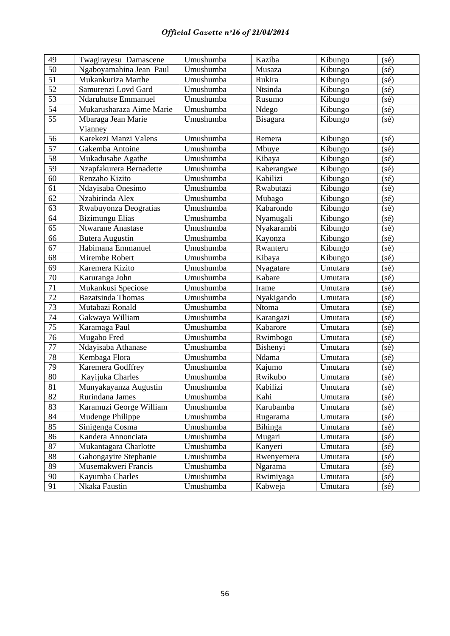| 49              | Twagirayesu Damascene    | Umushumba | Kaziba     | Kibungo | (sé)           |
|-----------------|--------------------------|-----------|------------|---------|----------------|
| 50              | Ngaboyamahina Jean Paul  | Umushumba | Musaza     | Kibungo | (sé)           |
| 51              | Mukankuriza Marthe       | Umushumba | Rukira     | Kibungo | (sé)           |
| 52              | Samurenzi Lovd Gard      | Umushumba | Ntsinda    | Kibungo | (sé)           |
| 53              | Ndaruhutse Emmanuel      | Umushumba | Rusumo     | Kibungo | $(s\acute{e})$ |
| 54              | Mukarusharaza Aime Marie | Umushumba | Ndego      | Kibungo | $(s\acute{e})$ |
| 55              | Mbaraga Jean Marie       | Umushumba | Bisagara   | Kibungo | $(s\acute{e})$ |
|                 | Vianney                  |           |            |         |                |
| 56              | Karekezi Manzi Valens    | Umushumba | Remera     | Kibungo | (sé)           |
| $\overline{57}$ | Gakemba Antoine          | Umushumba | Mbuye      | Kibungo | (sé)           |
| 58              | Mukadusabe Agathe        | Umushumba | Kibaya     | Kibungo | (sé)           |
| 59              | Nzapfakurera Bernadette  | Umushumba | Kaberangwe | Kibungo | $(s\acute{e})$ |
| 60              | Renzaho Kizito           | Umushumba | Kabilizi   | Kibungo | $(s\acute{e})$ |
| 61              | Ndayisaba Onesimo        | Umushumba | Rwabutazi  | Kibungo | (sé)           |
| 62              | Nzabirinda Alex          | Umushumba | Mubago     | Kibungo | $(s\acute{e})$ |
| 63              | Rwabuyonza Deogratias    | Umushumba | Kabarondo  | Kibungo | $(s\acute{e})$ |
| 64              | <b>Bizimungu Elias</b>   | Umushumba | Nyamugali  | Kibungo | (sé)           |
| 65              | Ntwarane Anastase        | Umushumba | Nyakarambi | Kibungo | $(s\acute{e})$ |
| 66              | <b>Butera Augustin</b>   | Umushumba | Kayonza    | Kibungo | (sé)           |
| 67              | Habimana Emmanuel        | Umushumba | Rwanteru   | Kibungo | (sé)           |
| 68              | Mirembe Robert           | Umushumba | Kibaya     | Kibungo | (sé)           |
| 69              | Karemera Kizito          | Umushumba | Nyagatare  | Umutara | $(s\acute{e})$ |
| 70              | Karuranga John           | Umushumba | Kabare     | Umutara | $(s\acute{e})$ |
| 71              | Mukankusi Speciose       | Umushumba | Irame      | Umutara | (sé)           |
| 72              | <b>Bazatsinda Thomas</b> | Umushumba | Nyakigando | Umutara | (sé)           |
| 73              | Mutabazi Ronald          | Umushumba | Ntoma      | Umutara | $(s\acute{e})$ |
| 74              | Gakwaya William          | Umushumba | Karangazi  | Umutara | $(s\acute{e})$ |
| 75              | Karamaga Paul            | Umushumba | Kabarore   | Umutara | (sé)           |
| 76              | Mugabo Fred              | Umushumba | Rwimbogo   | Umutara | (sé)           |
| 77              | Ndayisaba Athanase       | Umushumba | Bishenyi   | Umutara | (sé)           |
| 78              | Kembaga Flora            | Umushumba | Ndama      | Umutara | $(s\acute{e})$ |
| 79              | Karemera Godffrey        | Umushumba | Kajumo     | Umutara | $(s\acute{e})$ |
| 80              | Kayijuka Charles         | Umushumba | Rwikubo    | Umutara | (sé)           |
| 81              | Munyakayanza Augustin    | Umushumba | Kabilizi   | Umutara | $(s\acute{e})$ |
| 82              | Rurindana James          | Umushumba | Kahi       | Umutara | $(s\acute{e})$ |
| 83              | Karamuzi George William  | Umushumba | Karubamba  | Umutara | $(s\acute{e})$ |
| 84              | Mudenge Philippe         | Umushumba | Rugarama   | Umutara | $(s\acute{e})$ |
| 85              | Sinigenga Cosma          | Umushumba | Bihinga    | Umutara | $(s\acute{e})$ |
| 86              | Kandera Annonciata       | Umushumba | Mugari     | Umutara | $(s\acute{e})$ |
| 87              | Mukantagara Charlotte    | Umushumba | Kanyeri    | Umutara | $(s\acute{e})$ |
| 88              | Gahongayire Stephanie    | Umushumba | Rwenyemera | Umutara | $(s\acute{e})$ |
| 89              | Musemakweri Francis      | Umushumba | Ngarama    | Umutara | $(s\acute{e})$ |
| 90              | Kayumba Charles          | Umushumba | Rwimiyaga  | Umutara | $(s\acute{e})$ |
| 91              | Nkaka Faustin            | Umushumba | Kabweja    | Umutara | $(s\acute{e})$ |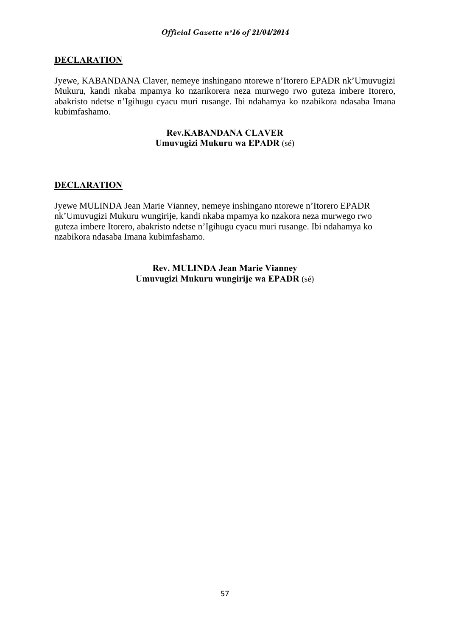## **DECLARATION**

Jyewe, KABANDANA Claver, nemeye inshingano ntorewe n'Itorero EPADR nk'Umuvugizi Mukuru, kandi nkaba mpamya ko nzarikorera neza murwego rwo guteza imbere Itorero, abakristo ndetse n'Igihugu cyacu muri rusange. Ibi ndahamya ko nzabikora ndasaba Imana kubimfashamo.

## **Rev.KABANDANA CLAVER Umuvugizi Mukuru wa EPADR** (sé)

## **DECLARATION**

Jyewe MULINDA Jean Marie Vianney, nemeye inshingano ntorewe n'Itorero EPADR nk'Umuvugizi Mukuru wungirije, kandi nkaba mpamya ko nzakora neza murwego rwo guteza imbere Itorero, abakristo ndetse n'Igihugu cyacu muri rusange. Ibi ndahamya ko nzabikora ndasaba Imana kubimfashamo.

> **Rev. MULINDA Jean Marie Vianney Umuvugizi Mukuru wungirije wa EPADR** (sé)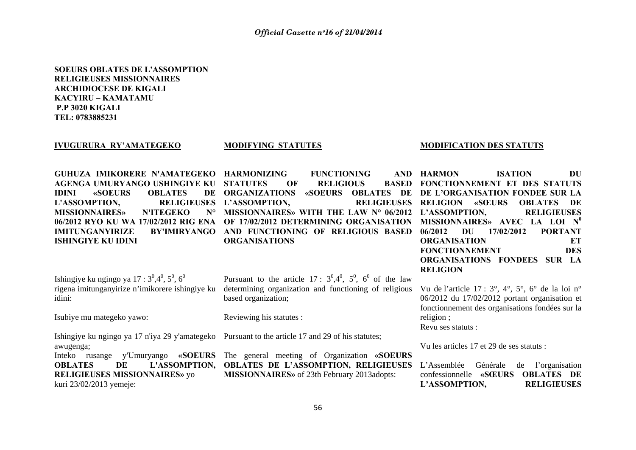## **SOEURS OBLATES DE L'ASSOMPTION RELIGIEUSES MISSIONNAIRESARCHIDIOCESE DE KIGALI KACYIRU – KAMATAMU P.P 3020 KIGALI TEL: 0783885231**

#### **IVUGURURA RY'AMATEGEKO**

#### **MODIFYING STATUTES**

#### **MODIFICATION DES STATUTS**

| GUHUZA IMIKORERE N'AMATEGEKO HARMONIZING         | <b>FUNCTIONING</b>                                                                                                                                                                                        | <b>DU</b><br>AND HARMON<br><b>ISATION</b>     |
|--------------------------------------------------|-----------------------------------------------------------------------------------------------------------------------------------------------------------------------------------------------------------|-----------------------------------------------|
| AGENGA UMURYANGO USHINGIYE KU STATUTES OF        |                                                                                                                                                                                                           | RELIGIOUS BASED FONCTIONNEMENT ET DES STATUTS |
| <b>OBLATES</b><br><b>IDINI</b><br><b>«SOEURS</b> | DE ORGANIZATIONS «SOEURS OBLATES DE DE L'ORGANISATION FONDEE SUR LA                                                                                                                                       |                                               |
|                                                  | L'ASSOMPTION, RELIGIEUSES L'ASSOMPTION, RELIGIEUSES RELIGION «SŒURS OBLATES DE                                                                                                                            |                                               |
|                                                  | MISSIONNAIRES» N'ITEGEKO N° MISSIONNAIRES» WITH THE LAW N° 06/2012 L'ASSOMPTION, RELIGIEUSES                                                                                                              |                                               |
|                                                  | 06/2012 RYO KU WA 17/02/2012 RIG ENA OF 17/02/2012 DETERMINING ORGANISATION MISSIONNAIRES» AVEC LA LOI N <sup>0</sup>                                                                                     |                                               |
| IMITUNGANYIRIZE                                  | BY'IMIRYANGO AND FUNCTIONING OF RELIGIOUS BASED                                                                                                                                                           | 06/2012<br>DU<br>17/02/2012<br><b>PORTANT</b> |
| ISHINGIYE KU IDINI                               | <b>ORGANISATIONS</b>                                                                                                                                                                                      | <b>ORGANISATION</b><br>ET                     |
|                                                  |                                                                                                                                                                                                           | <b>FONCTIONNEMENT</b><br><b>DES</b>           |
|                                                  |                                                                                                                                                                                                           | ORGANISATIONS FONDEES SUR LA                  |
|                                                  |                                                                                                                                                                                                           | <b>RELIGION</b>                               |
|                                                  | Ishingiye ku ngingo ya 17 : $3^0,4^0,5^0,6^0$ Pursuant to the article 17 : $3^0,4^0,5^0,6^0$ of the law                                                                                                   |                                               |
|                                                  | rigena imitunganyirize n'imikorere ishingiye ku determining organization and functioning of religious Vu de l'article 17 : $3^{\circ}$ , $4^{\circ}$ , $5^{\circ}$ , $6^{\circ}$ de la loi n <sup>o</sup> |                                               |

idini:

Isubiye mu mategeko yawo:

Ishingiye ku ngingo ya 17 n'iya 29 y'amategeko Pursuant to the article 17 and 29 of his statutes; awugenga;

**RELIGIEUSES MISSIONNAIRES»** yo kuri 23/02/2013 yemeje:

based organization;

Reviewing his statutes :

Inteko rusange y'Umuryango **«SOEURS**  The general meeting of Organization **«SOEURS OBLATES DE L'ASSOMPTION, OBLATES DE L'ASSOMPTION, RELIGIEUSES**  L'Assemblée Générale de l'organisation **MISSIONNAIRES»** of 23th February 2013adopts:

06/2012 du 17/02/2012 portant organisation et fonctionnement des organisations fondées sur la religion ;

Revu ses statuts :

Vu les articles 17 et 29 de ses statuts :

confessionnelle **«SŒURS OBLATES DE L'ASSOMPTION, RELIGIEUSES**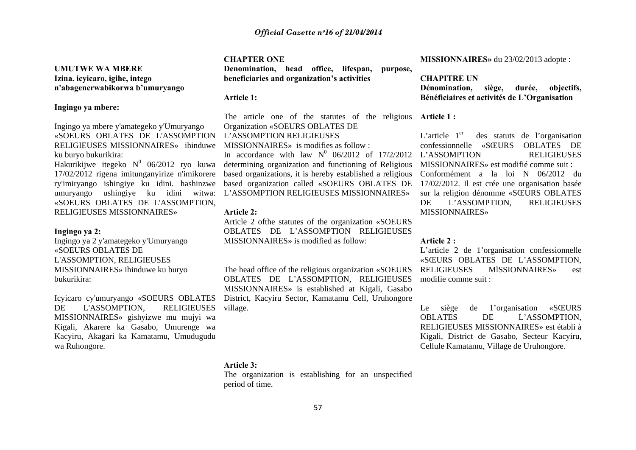## **UMUTWE WA MBERE Izina. icyicaro, igihe, intego <sup>n</sup>'abagenerwabikorwa b'umuryango**

## **Ingingo ya mbere:**

Ingingo ya mbere y'amategeko y'Umuryango «SOEURS OBLATES DE L'ASSOMPTION RELIGIEUSES MISSIONNAIRES» ihinduwe ku buryo bukurikira:

Hakurikijwe itegeko  $N^0$  06/2012 ryo kuwa 17/02/2012 rigena imitunganyirize n'imikorere ry'imiryango ishingiye ku idini. hashinzwe umuryango ushingiye ku idini witwa: «SOEURS OBLATES DE L'ASSOMPTION, RELIGIEUSES MISSIONNAIRES»

## **Ingingo ya 2:**

Ingingo ya 2 y'amategeko y'Umuryango «SOEURS OBLATES DE L'ASSOMPTION, RELIGIEUSES MISSIONNAIRES» ihinduwe ku buryo bukurikira:

Icyicaro cy'umuryango «SOEURS OBLATES DE L'ASSOMPTION, RELIGIEUSES MISSIONNAIRES» gishyizwe mu mujyi wa Kigali, Akarere ka Gasabo, Umurenge wa Kacyiru, Akagari ka Kamatamu, Umudugudu wa Ruhongore.

### **CHAPTER ONE**

**Denomination, head office, lifespan, purpose, beneficiaries and organization's activities** 

#### **Article 1:**

The article one of the statutes of the religious **Article 1 :**  Organization «SOEURS OBLATES DE L'ASSOMPTION RELIGIEUSES

MISSIONNAIRES» is modifies as follow :

In accordance with law  $N^0$  06/2012 of 17/2/2012 L'ASSOMPTION RELIGIEUSES determining organization and functioning of Religious based organizations, it is hereby established a religious based organization called «SOEURS OBLATES DE L'ASSOMPTION RELIGIEUSES MISSIONNAIRES»

## **Article 2:**

Article 2 ofthe statutes of the organization «SOEURS OBLATES DE L'ASSOMPTION RELIGIEUSES MISSIONNAIRES» is modified as follow:

The head office of the religious organization «SOEURS OBLATES DE L'ASSOMPTION, RELIGIEUSES MISSIONNAIRES» is established at Kigali, Gasabo District, Kacyiru Sector, Kamatamu Cell, Uruhongore village.

## **MISSIONNAIRES»** du 23/02/2013 adopte :

## **CHAPITRE UN Dénomination, siège, durée, objectifs, Bénéficiaires et activités de L'Organisation**

L'article  $1<sup>er</sup>$  des statuts de l'organisation confessionnelle «SŒURS OBLATES DE MISSIONNAIRES» est modifié comme suit : Conformément a la loi N 06/2012 du 17/02/2012. Il est crée une organisation basée sur la religion dénomme «SŒURS OBLATES DE L'ASSOMPTION, RELIGIEUSES MISSIONNAIRES»

## **Article 2 :**

L'article 2 de 1'organisation confessionnelle «SŒURS OBLATES DE L'ASSOMPTION, RELIGIEUSES MISSIONNAIRES» est modifie comme suit :

Le siège de 1'organisation «SŒURS OBLATES DE L'ASSOMPTION, RELIGIEUSES MISSIONNAIRES» est établi à Kigali, District de Gasabo, Secteur Kacyiru, Cellule Kamatamu, Village de Uruhongore.

## **Article 3:**

The organization is establishing for an unspecified period of time.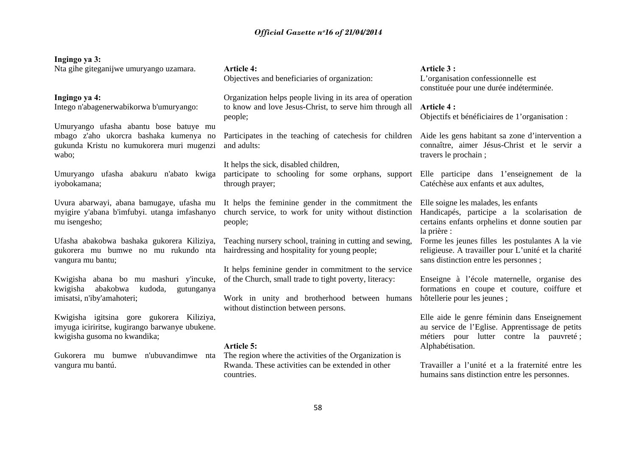## **Ingingo ya 3:**

Nta gihe giteganijwe umuryango uzamara.

## **Ingingo ya 4:**

Intego n'abagenerwabikorwa b'umuryango:

Umuryango ufasha abantu bose batuye mu mbago z'aho ukorcra bashaka kumenya no gukunda Kristu no kumukorera muri mugenzi wabo;

Umuryango ufasha abakuru n'abato kwiga iyobokamana;

Uvura abarwayi, abana bamugaye, ufasha mu myigire y'abana b'imfubyi. utanga imfashanyo mu isengesho;

Ufasha abakobwa bashaka gukorera Kiliziya, gukorera mu bumwe no mu rukundo nta hairdressing and hospitality for young people; vangura mu bantu;

Kwigisha abana bo mu mashuri y'incuke, kwigisha abakobwa kudoda, gutunganya imisatsi, n'iby'amahoteri;

Kwigisha igitsina gore gukorera Kiliziya, imyuga iciriritse, kugirango barwanye ubukene. kwigisha gusoma no kwandika;

vangura mu bantú.

## **Article 4:** Objectives and beneficiaries of organization:

Organization helps people living in its area of operation to know and love Jesus-Christ, to serve him through all people;

Participates in the teaching of catechesis for children and adults:

## It helps the sick, disabled children,

participate to schooling for some orphans, support Elle participe dans 1'enseignement de la through prayer;

It helps the feminine gender in the commitment the church service, to work for unity without distinction people;

Teaching nursery school, training in cutting and sewing,

It helps feminine gender in commitment to the service of the Church, small trade to tight poverty, literacy:

Work in unity and brotherhood between humans hôtellerie pour les jeunes ; without distinction between persons.

#### **Article 5:**

Gukorera mu bumwe n'ubuvandimwe nta The region where the activities of the Organization is Rwanda. These activities can be extended in other countries.

### **Article 3 :**

L'organisation confessionnelle est constituée pour une durée indéterminée.

## **Article 4 :**

Objectifs et bénéficiaires de 1'organisation :

Aide les gens habitant sa zone d'intervention a connaître, aimer Jésus-Christ et le servir a travers le prochain ;

Catéchèse aux enfants et aux adultes,

Elle soigne les malades, les enfants Handicapés, participe a la scolarisation de certains enfants orphelins et donne soutien par la prière :

Forme les jeunes filles les postulantes A la vie religieuse. A travailler pour L'unité et la charité sans distinction entre les personnes ;

Enseigne à l'école maternelle, organise des formations en coupe et couture, coiffure et

Elle aide le genre féminin dans Enseignement au service de l'Eglise. Apprentissage de petits métiers pour lutter contre la pauvreté ; Alphabétisation.

Travailler a l'unité et a la fraternité entre les humains sans distinction entre les personnes.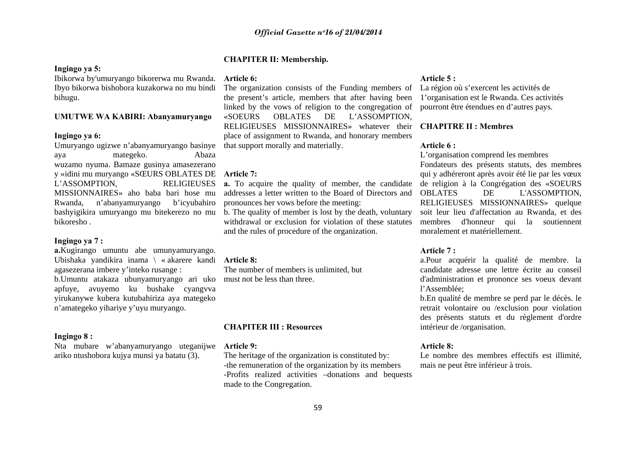## **CHAPITER II: Membership.**

## **Ingingo ya 5:**

Ibikorwa by'umuryango bikorerwa mu Rwanda. **Article 6:**  bihugu.

## **UMUTWE WA KABIRI: Abanyamuryango**

## **Ingingo ya 6:**

Umuryango ugizwe n'abanyamuryango basinye aya mategeko. Abaza wuzamo nyuma. Bamaze gusinya amasezerano y »idini mu muryango «SŒURS OBLATES DE **Article 7:**  L'ASSOMPTION, RELIGIEUSES MISSIONNAIRES» aho baba bari hose mu Rwanda, n'abanyamuryango b'icyubahiro bashyigikira umuryango mu bitekerezo no mu bikoresho .

## **Ingingo ya 7 :**

**a.**Kugirango umuntu abe umunyamuryango. Ubishaka yandikira inama \ « akarere kandi **Article 8:**  agasezerana imbere y'inteko rusange : b.Umuntu atakaza ubunyamuryango ari uko must not be less than three. apfuye, avuyemo ku bushake cyangvva yirukanywe kubera kutubahiriza aya mategeko <sup>n</sup>'amategeko yihariye y'uyu muryango.

## **Ingingo 8 :**

Nta mubare w'abanyamuryango uteganijwe ariko ntushobora kujya munsi ya batatu (3).

Ibyo bikorwa bishobora kuzakorwa no mu bindi The organization consists of the Funding members of La région où s'exercent les activités de the present's article, members that after having been linked by the vows of religion to the congregation of «SOEURS OBLATES DE L'ASSOMPTION, RELIGIEUSES MISSIONNAIRES» whatever their **CHAPITRE II : Membres**  place of assignment to Rwanda, and honorary members that support morally and materially.

**a.** To acquire the quality of member, the candidate addresses a letter written to the Board of Directors and pronounces her vows before the meeting:

b. The quality of member is lost by the death, voluntary withdrawal or exclusion for violation of these statutes and the rules of procedure of the organization.

The number of members is unlimited, but

#### **CHAPITER III : Resources**

#### **Article 9:**

The heritage of the organization is constituted by: -the remuneration of the organization by its members -Profits realized activities –donations and bequests made to the Congregation.

## **Article 5 :**

1'organisation est le Rwanda. Ces activités pourront être étendues en d'autres pays.

## **Article 6 :**

L'organisation comprend les membres Fondateurs des présents statuts, des membres qui y adhéreront après avoir été lie par les vœux de religion à la Congrégation des «SOEURS OBLATES DE L'ASSOMPTION, RELIGIEUSES MISSIONNAIRES» quelque soit leur lieu d'affectation au Rwanda, et des membres d'honneur qui la soutiennent moralement et matériellement.

## **Article 7 :**

a.Pour acquérir la qualité de membre. la candidate adresse une lettre écrite au conseil d'administration et prononce ses voeux devant l'Assemblée;

b.En qualité de membre se perd par le décès. le retrait volontaire ou /exclusion pour violation des présents statuts et du règlement d'ordre intérieur de /organisation.

## **Article 8:**

Le nombre des membres effectifs est illimité, mais ne peut être inférieur à trois.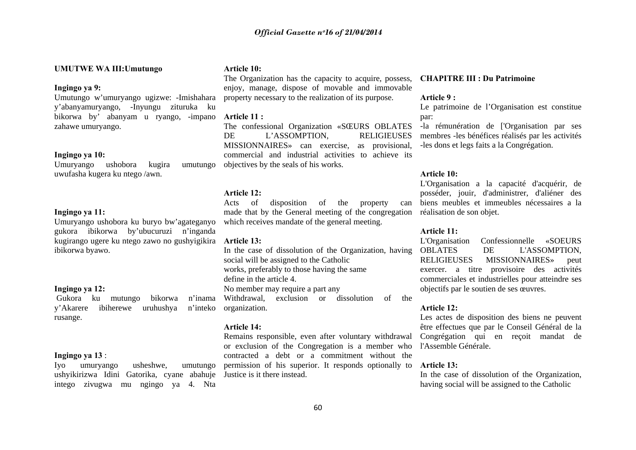## **UMUTWE WA III:Umutungo**

#### **Ingingo ya 9:**

Umutungo w'umuryango ugizwe: -Imishahara y'abanyamuryango, -Inyungu zituruka ku bikorwa by' abanyam u ryango, -impano zahawe umuryango.

## **Ingingo ya 10:**

Umuryango ushobora kugira umutungo uwufasha kugera ku ntego /awn.

## **Ingingo ya 11:**

Umuryango ushobora ku buryo bw'agateganyo gukora ibikorwa by'ubucuruzi n'inganda kugirango ugere ku ntego zawo no gushyigikira **Article 13:**  ibikorwa byawo.

#### **Ingingo ya 12:**

 Gukora ku mutungo bikorwa n'inama y'Akarere ibiherewe uruhushya rusange.

## **Ingingo ya 13** :

Iyo umuryango usheshwe, umutungo ushyikirizwa Idini Gatorika, cyane abahuje Justice is it there instead. intego zivugwa mu ngingo ya 4. Nta

## **Article 10:**

The Organization has the capacity to acquire, possess, **CHAPITRE III : Du Patrimoine**  enjoy, manage, dispose of movable and immovable property necessary to the realization of its purpose.

#### **Article 11 :**

The confessional Organization «SŒURS OBLATES DE L'ASSOMPTION, RELIGIEUSES MISSIONNAIRES» can exercise, as provisional, commercial and industrial activities to achieve its objectives by the seals of his works.

## **Article 12:**

Acts of disposition of the property made that by the General meeting of the congregation which receives mandate of the general meeting.

In the case of dissolution of the Organization, having social will be assigned to the Catholic works, preferably to those having the same

define in the article 4.

No member may require a part any

Withdrawal, exclusion or dissolution of the n'inteko organization.

## **Article 14:**

Remains responsible, even after voluntary withdrawal or exclusion of the Congregation is a member who l'Assemble Générale. contracted a debt or a commitment without the permission of his superior. It responds optionally to **Article 13:** 

## **Article 9 :**

Le patrimoine de l'Organisation est constitue par:

-la rémunération de ['Organisation par ses membres -les bénéfices réalisés par les activités -les dons et legs faits a la Congrégation.

## **Article 10:**

L'Organisation a la capacité d'acquérir, de posséder, jouir, d'administrer, d'aliéner des biens meubles et immeubles nécessaires a la réalisation de son objet.

## **Article 11:**

L'Organisation Confessionnelle «SOEURS OBLATES DE L'ASSOMPTION, RELIGIEUSES MISSIONNAIRES» peut exercer. a titre provisoire des activités commerciales et industrielles pour atteindre ses objectifs par le soutien de ses œuvres.

## **Article 12:**

Les actes de disposition des biens ne peuvent être effectues que par le Conseil Général de la Congrégation qui en reçoit mandat de

In the case of dissolution of the Organization, having social will be assigned to the Catholic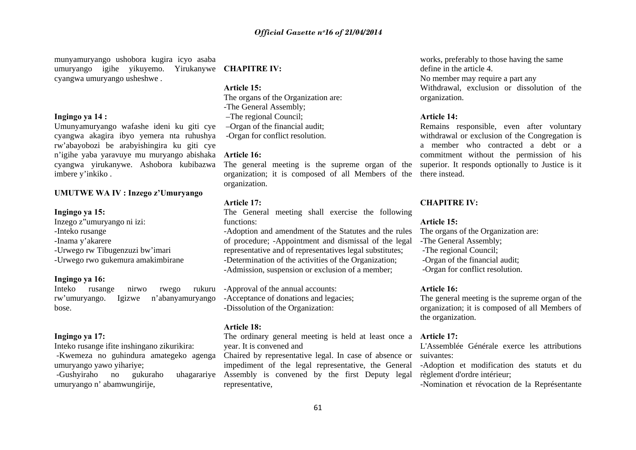munyamuryango ushobora kugira icyo asaba umuryango igihe yikuyemo. Yirukanywe **CHAPITRE IV:**  cyangwa umuryango usheshwe .

## **Ingingo ya 14 :**

Umunyamuryango wafashe ideni ku giti cye cyangwa akagira ibyo yemera nta ruhushya rw'abayobozi be arabyishingira ku giti cye <sup>n</sup>'igihe yaba yaravuye mu muryango abishaka **Article 16:**  cyangwa yirukanywe. Ashobora kubibazwa imbere y'inkiko .

## **UMUTWE WA IV : Inzego z'Umuryango**

## **Ingingo ya 15:**

Inzego z"umuryango ni izi: -Inteko rusange -Inama y'akarere -Urwego rw Tibugenzuzi bw'imari -Urwego rwo gukemura amakimbirane

## **Ingingo ya 16:**

Inteko rusange nirwo rwego rukuru rw'umuryango. Igizwe n'abanyamuryango bose.

## **Ingingo ya 17:**

Inteko rusange ifite inshingano zikurikira:

 -Kwemeza no guhindura amategeko agenga umuryango yawo yihariye;

-Gushviraho no gukuraho umuryango n' abamwungirije,

## **Article 15:**

The organs of the Organization are: -The General Assembly; –The regional Council; –Organ of the financial audit; -Organ for conflict resolution.

The general meeting is the supreme organ of the superior. It responds optionally to Justice is it organization; it is composed of all Members of the there instead. organization.

#### **Article 17:**

The General meeting shall exercise the following functions:

-Adoption and amendment of the Statutes and the rules of procedure; -Appointment and dismissal of the legal representative and of representatives legal substitutes; -Determination of the activities of the Organization; -Admission, suspension or exclusion of a member;

-Approval of the annual accounts: -Acceptance of donations and legacies; -Dissolution of the Organization:

## **Article 18:**

The ordinary general meeting is held at least once a **Article 17:**  year. It is convened and

Chaired by representative legal. In case of absence or impediment of the legal representative, the General Assembly is convened by the first Deputy legal representative,

works, preferably to those having the same define in the article 4. No member may require a part any Withdrawal, exclusion or dissolution of the organization.

## **Article 14:**

Remains responsible, even after voluntary withdrawal or exclusion of the Congregation is a member who contracted a debt or a commitment without the permission of his

#### **CHAPITRE IV:**

## **Article 15:**

The organs of the Organization are:

- -The General Assembly;
- -The regional Council;
- -Organ of the financial audit;
- -Organ for conflict resolution.

## **Article 16:**

The general meeting is the supreme organ of the organization; it is composed of all Members of the organization.

L'Assemblée Générale exerce les attributions suivantes:

-Adoption et modification des statuts et du règlement d'ordre intérieur;

-Nomination et révocation de la Représentante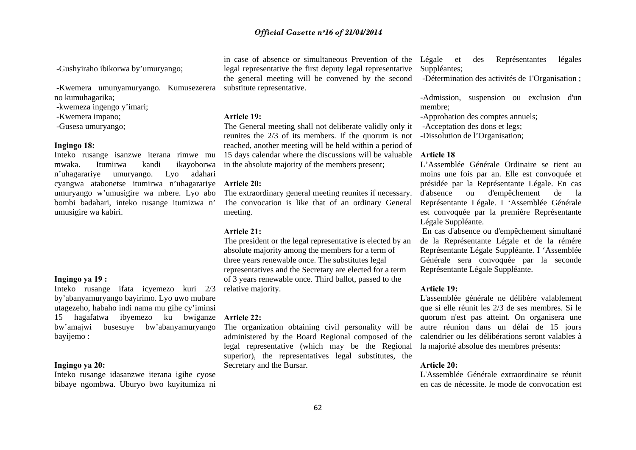-Gushyiraho ibikorwa by'umuryango;

 -Kwemera umunyamuryango. Kumusezerera substitute representative. no kumuhagarika;

-kwemeza ingengo y'imari;

-Kwemera impano;

-Gusesa umuryango;

## **Ingingo 18:**

Inteko rusange isanzwe iterana rimwe mu <sup>n</sup>'uhagarariye umuryango. Lyo adahari cyangwa atabonetse itumirwa n'uhagarariye **Article 20:**  umuryango w'umusigire wa mbere. Lyo abo bombi badahari, inteko rusange itumizwa n' umusigire wa kabiri.

## **Ingingo ya 19 :**

Inteko rusange ifata icyemezo kuri 2/3 by'abanyamuryango bayirimo. Lyo uwo mubare utagezeho, habaho indi nama mu gihe cy'iminsi 15 hagafatwa ibyemezo ku bwiganze **Article 22:**  bw'amajwi busesuye bw'abanyamuryango bayijemo :

## **Ingingo ya 20:**

Inteko rusange idasanzwe iterana igihe cyose bibaye ngombwa. Uburyo bwo kuyitumiza ni

in case of absence or simultaneous Prevention of the legal representative the first deputy legal representative the general meeting will be convened by the second

## **Article 19:**

mwaka. Itumirwa kandi ikayoborwa in the absolute majority of the members present; The General meeting shall not deliberate validly only it reunites the 2/3 of its members. If the quorum is not reached, another meeting will be held within a period of 15 days calendar where the discussions will be valuable

The extraordinary general meeting reunites if necessary. The convocation is like that of an ordinary General meeting.

## **Article 21:**

The president or the legal representative is elected by an absolute majority among the members for a term of three years renewable once. The substitutes legal representatives and the Secretary are elected for a term of 3 years renewable once. Third ballot, passed to the relative majority.

The organization obtaining civil personality will be administered by the Board Regional composed of the legal representative (which may be the Regional superior), the representatives legal substitutes, the Secretary and the Bursar.

des Représentantes légales Suppléantes;

-Détermination des activités de 1'Organisation ;

-Admission, suspension ou exclusion d'un membre;

-Approbation des comptes annuels;

-Acceptation des dons et legs;

-Dissolution de l'Organisation;

## **Article 18**

L'Assemblée Générale Ordinaire se tient au moins une fois par an. Elle est convoquée et présidée par la Représentante Légale. En cas d'absence ou d'empêchement de la Représentante Légale. I 'Assemblée Générale est convoquée par la première Représentante Légale Suppléante.

 En cas d'absence ou d'empêchement simultané de la Représentante Légale et de la rémére Représentante Légale Suppléante. I 'Assemblée Générale sera convoquée par la seconde Représentante Légale Suppléante.

## **Article 19:**

L'assemblée générale ne délibère valablement que si elle réunit les 2/3 de ses membres. Si le quorum n'est pas atteint. On organisera une autre réunion dans un délai de 15 jours calendrier ou les délibérations seront valables à la majorité absolue des membres présents:

## **Article 20:**

L'Assemblée Générale extraordinaire se réunit en cas de nécessite. le mode de convocation est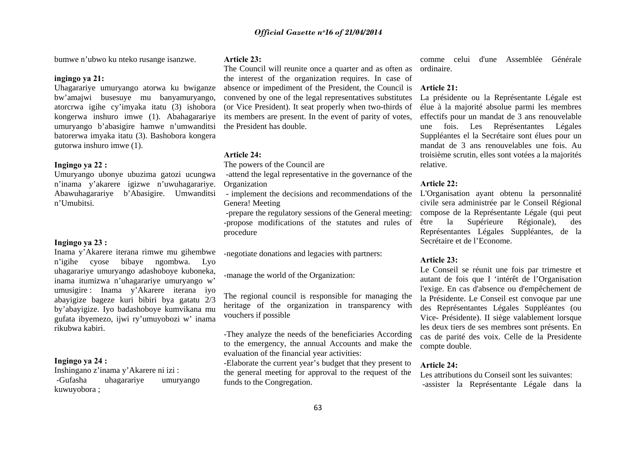bumwe n'ubwo ku nteko rusange isanzwe.

## **ingingo ya 21:**

Uhagarariye umuryango atorwa ku bwiganze bw'amajwi busesuye mu banyamuryango, atorcrwa igihe cy'imyaka itatu (3) ishobora kongerwa inshuro imwe (1). Abahagarariye umuryango b'abasigire hamwe n'umwanditsi batorerwa imyaka itatu (3). Bashobora kongera gutorwa inshuro imwe (1).

## **Ingingo ya 22 :**

Umuryango ubonye ubuzima gatozi ucungwa <sup>n</sup>'inama y'akarere igizwe n'uwuhagarariye. Abawuhagarariye b'Abasigire. Umwanditsi n'Umubitsi.

## **Ingingo ya 23 :**

Inama y'Akarere iterana rimwe mu gihembwe <sup>n</sup>'igihe cyose bibaye ngombwa. Lyo uhagarariye umuryango adashoboye kuboneka, inama itumizwa n'uhagarariye umuryango w' umusigire : Inama y'Akarere iterana iyo abayigize bageze kuri bibiri bya gatatu 2/3 by'abayigize. Iyo badashoboye kumvikana mu gufata ibyemezo, ijwi ry'umuyobozi w' inama rikubwa kabiri.

## **Ingingo ya 24 :**

Inshingano z'inama y'Akarere ni izi : -Gufasha uhagarariye umuryango kuwuyobora ;

## **Article 23:**

The Council will reunite once a quarter and as often as the interest of the organization requires. In case of absence or impediment of the President, the Council is **Article 21:**  convened by one of the legal representatives substitutes (or Vice President). It seat properly when two-thirds of its members are present. In the event of parity of votes, the President has double.

## **Article 24:**

The powers of the Council are

-attend the legal representative in the governance of the

Organization

 - implement the decisions and recommendations of the L'Organisation ayant obtenu la personnalité Genera! Meeting

 -prepare the regulatory sessions of the General meeting: -propose modifications of the statutes and rules of procedure

-negotiate donations and legacies with partners:

-manage the world of the Organization:

The regional council is responsible for managing the heritage of the organization in transparency with vouchers if possible

-They analyze the needs of the beneficiaries According to the emergency, the annual Accounts and make the evaluation of the financial year activities:

-Elaborate the current year's budget that they present to the general meeting for approval to the request of the funds to the Congregation.

comme celui d'une Assemblée Générale ordinaire.

La présidente ou la Représentante Légale est élue à la majorité absolue parmi les membres effectifs pour un mandat de 3 ans renouvelable une fois. Les Représentantes Légales Suppléantes el la Secrétaire sont élues pour un mandat de 3 ans renouvelables une fois. Au troisième scrutin, elles sont votées a la majorités relative.

## **Article 22:**

civile sera administrée par le Conseil Régional compose de la Représentante Légale (qui peut Supérieure Régionale), des Représentantes Légales Suppléantes, de la Secrétaire et de l'Econome.

## **Article 23:**

Le Conseil se réunit une fois par trimestre et autant de fois que I 'intérêt de l'Organisation l'exige. En cas d'absence ou d'empêchement de la Présidente. Le Conseil est convoque par une des Représentantes Légales Suppléantes (ou Vice- Présidente). II siège valablement lorsque les deux tiers de ses membres sont présents. En cas de parité des voix. Celle de la Presidente compte double.

## **Article 24:**

Les attributions du Conseil sont les suivantes: -assister la Représentante Légale dans la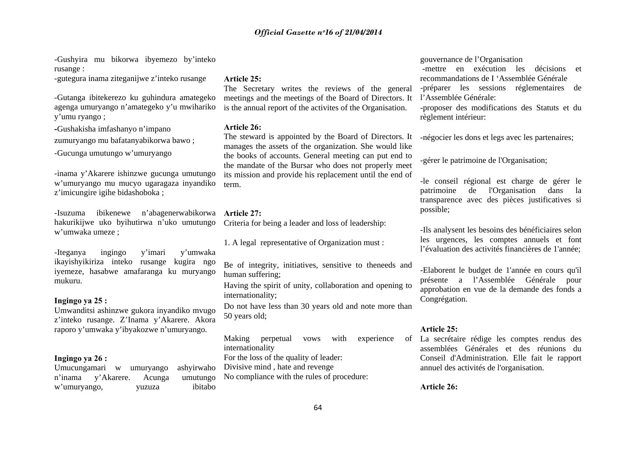-Gushyira mu bikorwa ibyemezo by'inteko rusange :

-gutegura inama ziteganijwe z'inteko rusange

-Gutanga ibitekerezo ku guhindura amategeko agenga umuryango n'amategeko y'u mwihariko y'umu ryango ;

**-**Gushakisha imfashanyo n'impano zumuryango mu bafatanyabikorwa bawo ;

-Gucunga umutungo w'umuryango

-inama y'Akarere ishinzwe gucunga umutungo <sup>w</sup>'umuryango mu mucyo ugaragaza inyandiko <sup>z</sup>'imicungire igihe bidashoboka ;

-Isuzuma ibikenewe n'abagenerwabikorwa **Article 27:** hakurikijwe uko byihutirwa n'uko umutungo <sup>w</sup>'umwaka umeze ;

-Iteganya ingingo y'imari y'umwaka ikayishyikiriza inteko rusange kugira ngo iyemeze, hasabwe amafaranga ku muryango mukuru.

## **Ingingo ya 25 :**

Umwanditsi ashinzwe gukora inyandiko mvugo <sup>z</sup>'inteko rusange. Z'Inama y'Akarere. Akora raporo y'umwaka y'ibyakozwe n'umuryango.

## **Ingingo ya 26 :**

Umucungamari w umuryango ashyirwaho n'inama y'Akarere. Acunga <sup>w</sup>'umuryango, yuzuza ibitabo

## **Article 25:**

The Secretary writes the reviews of the general meetings and the meetings of the Board of Directors. It is the annual report of the activites of the Organisation.

## **Article 26:**

The steward is appointed by the Board of Directors. It manages the assets of the organization. She would like the books of accounts. General meeting can put end to the mandate of the Bursar who does not properly meet its mission and provide his replacement until the end of term.

Criteria for being a leader and loss of leadership:

1. A legal representative of Organization must :

Be of integrity, initiatives, sensitive to theneeds and human suffering;

Having the spirit of unity, collaboration and opening to internationality;

Do not have less than 30 years old and note more than 50 years old;

Making perpetual vows with experience internationality For the loss of the quality of leader: Divisive mind , hate and revenge umutungo No compliance with the rules of procedure:

## gouvernance de l'Organisation

 -mettre en exécution les décisions et recommandations de I 'Assemblée Générale -préparer les sessions réglementaires de l'Assemblée Générale:

-proposer des modifications des Statuts et du règlement intérieur:

-négocier les dons et legs avec les partenaires;

-gérer le patrimoine de l'Organisation;

-le conseil régional est charge de gérer le patrimoine de l'Organisation dans la transparence avec des pièces justificatives si possible;

-Ils analysent les besoins des bénéficiaires selon les urgences, les comptes annuels et font l'évaluation des activités financières de 1'année;

-Elaborent le budget de 1'année en cours qu'il présente a l'Assemblée Générale pour approbation en vue de la demande des fonds a Congrégation.

### **Article 25:**

La secrétaire rédige les comptes rendus des assemblées Générales et des réunions du Conseil d'Administration. Elle fait le rapport annuel des activités de l'organisation.

## **Article 26:**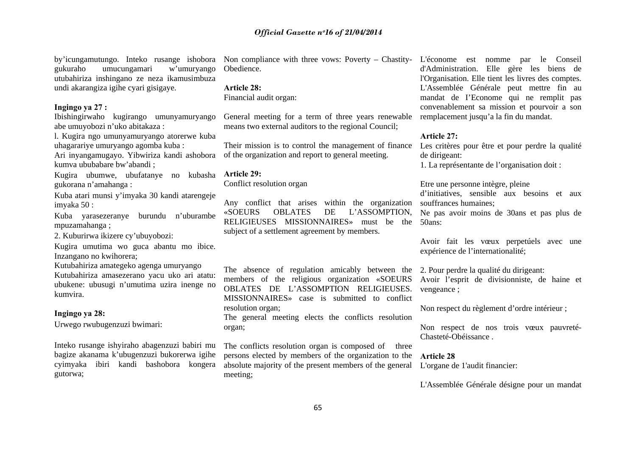gukuraho umucungamari w'umuryango utubahiriza inshingano ze neza ikamusimbuza undi akarangiza igihe cyari gisigaye.

## **Ingingo ya 27 :**

Ibishingirwaho kugirango umunyamuryango abe umuyobozi n'uko abitakaza :

l. Kugira ngo umunyamuryango atorerwe kuba uhagarariye umuryango agomba kuba :

Ari inyangamugayo. Yibwiriza kandi ashobora kumva ububabare bw'abandi ;

Kugira ubumwe, ubufatanye no kubasha **Article 29:**  gukorana n'amahanga :

Kuba atari munsi y'imyaka 30 kandi atarengeje imyaka 50 :

Kuba yarasezeranye burundu n'uburambe mpuzamahanga ;

2. Kuburirwa ikizere cy'ubuyobozi:

Kugira umutima wo guca abantu mo ibice. Inzangano no kwihorera;

Kutubahiriza amategeko agenga umuryango Kutubahiriza amasezerano yacu uko ari atatu: ubukene: ubusugi n'umutima uzira inenge no kumvira.

## **Ingingo ya 28:**

Urwego rwubugenzuzi bwimari:

Inteko rusange ishyiraho abagenzuzi babiri mu bagize akanama k'ubugenzuzi bukorerwa igihe cyimyaka ibiri kandi bashobora kongera gutorwa;

Obedience.

#### **Article 28:**

Financial audit organ:

General meeting for a term of three years renewable means two external auditors to the regional Council;

Their mission is to control the management of finance of the organization and report to general meeting.

Conflict resolution organ

Any conflict that arises within the organization «SOEURS OBLATES DE L'ASSOMPTION, RELIGIEUSES MISSIONNAIRES» must be the 50ans: subject of a settlement agreement by members.

The absence of regulation amicably between the 2. Pour perdre la qualité du dirigeant: members of the religious organization «SOEURS OBLATES DE L'ASSOMPTION RELIGIEUSES. MISSIONNAIRES» case is submitted to conflict resolution organ;

The general meeting elects the conflicts resolution organ;

The conflicts resolution organ is composed of three persons elected by members of the organization to the absolute majority of the present members of the general meeting;

by'icungamutungo. Inteko rusange ishobora Non compliance with three vows: Poverty – Chastity-L'économe est nomme par le Conseil d'Administration. Elle gère les biens de l'Organisation. Elle tient les livres des comptes. L'Assemblée Générale peut mettre fin au mandat de I'Econome qui ne remplit pas convenablement sa mission et pourvoir a son remplacement jusqu'a la fin du mandat.

## **Article 27:**

Les critères pour être et pour perdre la qualité de dirigeant:

1. La représentante de l'organisation doit :

Etre une personne intègre, pleine d'initiatives, sensible aux besoins et aux souffrances humaines;

Ne pas avoir moins de 30ans et pas plus de

Avoir fait les vœux perpetúels avec une expérience de l'internationalité;

Avoir l'esprit de divisionniste, de haine et vengeance ;

Non respect du règlement d'ordre intérieur ;

Non respect de nos trois vœux pauvreté-Chasteté-Obéissance .

**Article 28** L'organe de 1'audit financier:

L'Assemblée Générale désigne pour un mandat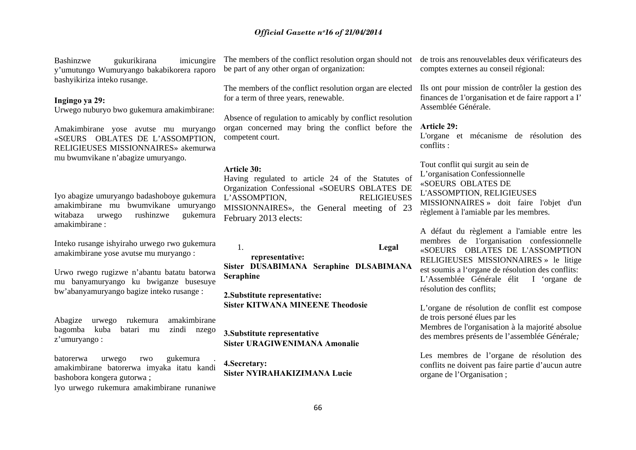Bashinzwe gukurikirana imicungire y'umutungo Wumuryango bakabikorera raporo bashyikiriza inteko rusange.

## **Ingingo ya 29:**

Urwego nuburyo bwo gukemura amakimbirane:

Amakimbirane yose avutse mu muryango «SŒURS OBLATES DE L'ASSOMPTION, RELIGIEUSES MISSIONNAIRES» akemurwa mu bwumvikane n'abagize umuryango.

Iyo abagize umuryango badashoboye gukemura amakimbirane mu bwumvikane umuryango witabaza urwego rushinzwe gukemura amakimbirane :

Inteko rusange ishyiraho urwego rwo gukemura amakimbirane yose avutse mu muryango :

Urwo rwego rugizwe n'abantu batatu batorwa mu banyamuryango ku bwiganze busesuye bw'abanyamuryango bagize inteko rusange :

Abagize urwego rukemura amakimbirane bagomba kuba batari mu zindi nzego <sup>z</sup>'umuryango :

batorerwa urwego rwo gukemura . amakimbirane batorerwa imyaka itatu kandi bashobora kongera gutorwa ;

lyo urwego rukemura amakimbirane runaniwe

The members of the conflict resolution organ should not de trois ans renouvelables deux vérificateurs des be part of any other organ of organization:

The members of the conflict resolution organ are elected for a term of three years, renewable.

Absence of regulation to amicably by conflict resolution organ concerned may bring the conflict before the competent court.

#### **Article 30:**

Having regulated to article 24 of the Statutes of Organization Confessional «SOEURS OBLATES DE L'ASSOMPTION, RELIGIEUSES MISSIONNAIRES», the General meeting of 23 February 2013 elects:

1.

**representative: Sister DUSABIMANA Seraphine DLSABIMANA Seraphine**

**Legal** 

**2.Substitute representative: Sister KITWANA MINEENE Theodosie**

**3.Substitute representative Sister URAGIWENIMANA Amonalie**

**4.Secretary: Sister NYIRAHAKIZIMANA Lucie**  comptes externes au conseil régional:

Ils ont pour mission de contrôler la gestion des finances de 1'organisation et de faire rapport a I' Assemblée Générale.

## **Article 29:**

L'organe et mécanisme de résolution des conflits :

Tout conflit qui surgit au sein de L'organisation Confessionnelle «SOEURS OBLATES DE L'ASSOMPTION, RELIGIEUSES MISSIONNAIRES » doit faire l'objet d'un règlement à l'amiable par les membres.

A défaut du règlement a l'amiable entre les membres de 1'organisation confessionnelle «SOEURS OBLATES DE L'ASSOMPTION RELIGIEUSES MISSIONNAIRES » le litige est soumis a l'organe de résolution des conflits: L'Assemblée Générale élit I 'organe de résolution des conflits;

L'organe de résolution de conflit est compose de trois personé élues par les

Membres de l'organisation à la majorité absolue des membres présents de l'assemblée Générale*;*

Les membres de l'organe de résolution des conflits ne doivent pas faire partie d'aucun autre organe de l'Organisation ;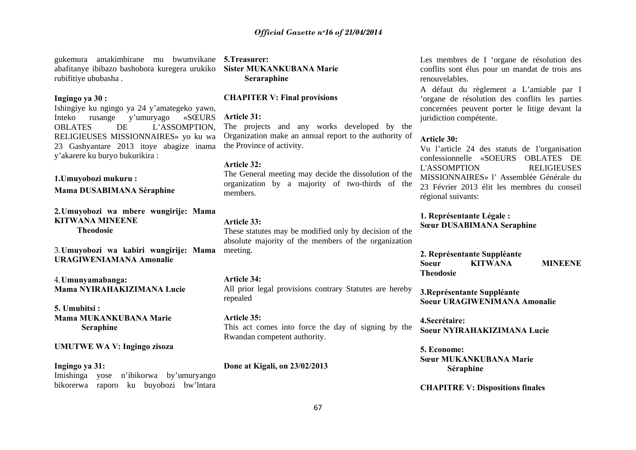gukemura amakimbirane mu bwumvikane **5.Treasurer:** abafitanye ibibazo bashobora kuregera urukiko **Sister MUKANKUBANA Marie**  rubifitiye ububasha .

## **Ingingo ya 30 :**

Ishingiye ku ngingo ya 24 y'amategeko yawo, Inteko rusange y'umuryago «SŒURS OBLATES DE L'ASSOMPTION, RELIGIEUSES MISSIONNAIRES» yo ku wa 23 Gashyantare 2013 itoye abagize inama y'akarere ku buryo bukurikira :

**1.Umuyobozi mukuru :**

**Mama DUSABIMANA Séraphine**

**2.Umuyobozi wa mbere wungirije: Mama KITWANA MINEENETheodosie** 

3.**Umuyobozi wa kabiri wungirije: Mama**  meeting. **URAGIWENIAMANA Amonalie**

4.**Umunyamabanga: Mama NYIRAHAKIZIMANA Lucie**

**5. Umubitsi : Mama MUKANKUBANA Marie Seraphine**

#### **UMUTWE WA V: Ingingo zisoza**

**Ingingo ya 31:** Imishinga yose n'ibikorwa by'umuryango bikorerwa raporo ku buyobozi bw'lntara

# **Seraraphine**

## **CHAPITER V: Final provisions**

#### **Article 31:**

The projects and any works developed by the Organization make an annual report to the authority of the Province of activity.

## **Article 32:**

The General meeting may decide the dissolution of the organization by a majority of two-thirds of the members.

## **Article 33:**

These statutes may be modified only by decision of the absolute majority of the members of the organization

**Article 34:** All prior legal provisions contrary Statutes are hereby repealed

**Article 35:**This act comes into force the day of signing by the Rwandan competent authority.

**Done at Kigali, on 23/02/2013**

Les membres de I 'organe de résolution des conflits sont élus pour un mandat de trois ans renouvelables.

A défaut du règlement a L'amiable par I 'organe de résolution des conflits les parties concernées peuvent porter le litige devant la juridiction compétente.

## **Article 30:**

Vu l'article 24 des statuts de 1'organisation confessionnelle «SOEURS OBLATES DE L'ASSOMPTION RELIGIEUSES MISSIONNAIRES» l' Assemblée Générale du 23 Février 2013 élit les membres du conseil régional suivants:

**1. Représentante Légale : Sœur DUSABIMANA Seraphine**

**2. Représentante Suppléante Soeur KITWANA MINEENE Theodosie**

**3.Représentante Suppléante Soeur URAGIWENIMANA Amonalie**

**4.Secrétaire:Soeur NYIRAHAKIZIMANA Lucie**

**5. Econome: Sœur MUKANKUBANA Marie Séraphine**

**CHAPITRE V: Dispositions finales**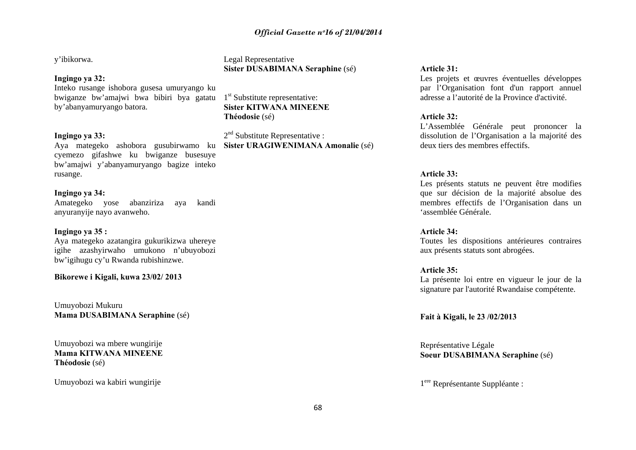y'ibikorwa.

## **Ingingo ya 32:**

Inteko rusange ishobora gusesa umuryango ku bwiganze bw'amajwi bwa bibiri bya gatatu by'abanyamuryango batora.

## **Ingingo ya 33:**

Aya mategeko ashobora gusubirwamo ku **Sister URAGIWENIMANA Amonalie** (sé) cyemezo gifashwe ku bwiganze busesuye bw'amajwi y'abanyamuryango bagize inteko rusange.

## **Ingingo ya 34:**

Amategeko yose abanziriza aya kandi anyuranyije nayo avanweho.

## **Ingingo ya 35 :**

Aya mategeko azatangira gukurikizwa uhereye igihe azashyirwaho umukono n'ubuyobozi bw'igihugu cy'u Rwanda rubishinzwe.

## **Bikorewe i Kigali, kuwa 23/02/ 2013**

Umuyobozi Mukuru **Mama DUSABIMANA Seraphine** (sé)

Umuyobozi wa mbere wungirije **Mama KITWANA MINEENE Théodosie** (sé)

Umuyobozi wa kabiri wungirije

Legal Representative **Sister DUSABIMANA Seraphine** (sé)

 $1<sup>st</sup>$  Substitute representative: **Sister KITWANA MINEENEThéodosie** (sé)

2<sup>nd</sup> Substitute Representative :

## **Article 31:**

Les projets et œuvres éventuelles développes par l'Organisation font d'un rapport annuel adresse a l'autorité de la Province d'activité.

## **Article 32:**

L'Assemblée Générale peut prononcer la dissolution de l'Organisation a la majorité des deux tiers des membres effectifs.

## **Article 33:**

Les présents statuts ne peuvent être modifies que sur décision de la majorité absolue des membres effectifs de l'Organisation dans un 'assemblée Générale.

### **Article 34:**

Toutes les dispositions antérieures contraires aux présents statuts sont abrogées.

## **Article 35:**

La présente loi entre en vigueur le jour de la signature par l'autorité Rwandaise compétente.

**Fait à Kigali, le 23 /02/2013**

Représentative Légale **Soeur DUSABIMANA Seraphine** (sé)

1ere Représentante Suppléante :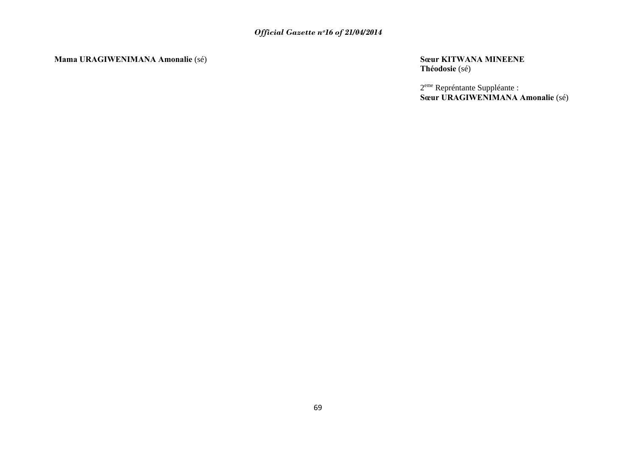**Mama URAGIWENIMANA Amonalie** (sé) **Sœur KITWANA MINEENE**

**Théodosie** (sé)

2<sup>eme</sup> Repréntante Suppléante : **Sœur URAGIWENIMANA Amonalie** (sé)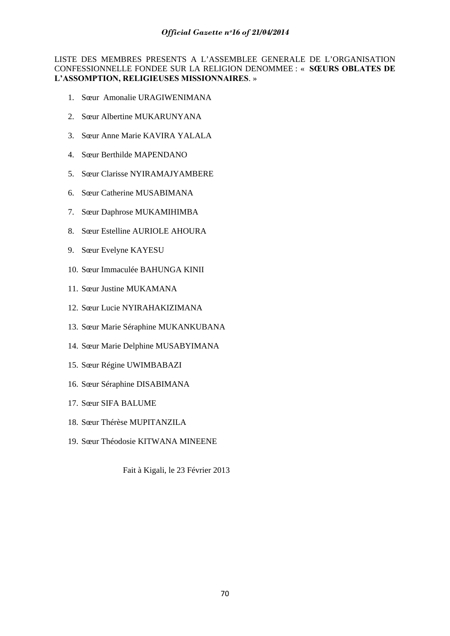LISTE DES MEMBRES PRESENTS A L'ASSEMBLEE GENERALE DE L'ORGANISATION CONFESSIONNELLE FONDEE SUR LA RELIGION DENOMMEE : « **SŒURS OBLATES DE L'ASSOMPTION, RELIGIEUSES MISSIONNAIRES**. »

- 1. Sœur Amonalie URAGIWENIMANA
- 2. Sœur Albertine MUKARUNYANA
- 3. Sœur Anne Marie KAVIRA YALALA
- 4. Sœur Berthilde MAPENDANO
- 5. Sœur Clarisse NYIRAMAJYAMBERE
- 6. Sœur Catherine MUSABIMANA
- 7. Sœur Daphrose MUKAMIHIMBA
- 8. Sœur Estelline AURIOLE AHOURA
- 9. Sœur Evelyne KAYESU
- 10. Sœur Immaculée BAHUNGA KINII
- 11. Sœur Justine MUKAMANA
- 12. Sœur Lucie NYIRAHAKIZIMANA
- 13. Sœur Marie Séraphine MUKANKUBANA
- 14. Sœur Marie Delphine MUSABYIMANA
- 15. Sœur Régine UWIMBABAZI
- 16. Sœur Séraphine DISABIMANA
- 17. Sœur SIFA BALUME
- 18. Sœur Thérèse MUPITANZILA
- 19. Sœur Théodosie KITWANA MINEENE

Fait à Kigali, le 23 Février 2013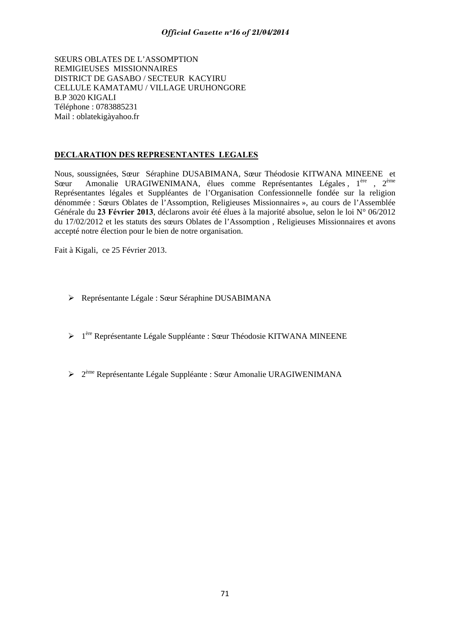SŒURS OBLATES DE L'ASSOMPTION REMIGIEUSES MISSIONNAIRES DISTRICT DE GASABO / SECTEUR KACYIRU CELLULE KAMATAMU / VILLAGE URUHONGORE B.P 3020 KIGALI Téléphone : 0783885231 Mail : oblatekigàyahoo.fr

# **DECLARATION DES REPRESENTANTES LEGALES**

Nous, soussignées, Sœur Séraphine DUSABIMANA, Sœur Théodosie KITWANA MINEENE et Sœur Amonalie URAGIWENIMANA, élues comme Représentantes Légales, 1<sup>ère</sup> , 2<sup>ème</sup> Représentantes légales et Suppléantes de l'Organisation Confessionnelle fondée sur la religion dénommée : Sœurs Oblates de l'Assomption, Religieuses Missionnaires », au cours de l'Assemblée Générale du **23 Février 2013**, déclarons avoir été élues à la majorité absolue, selon le loi N° 06/2012 du 17/02/2012 et les statuts des sœurs Oblates de l'Assomption , Religieuses Missionnaires et avons accepté notre élection pour le bien de notre organisation.

Fait à Kigali, ce 25 Février 2013.

- ¾ Représentante Légale : Sœur Séraphine DUSABIMANA
- $\geq 1^{\text{ère}}$  Représentante Légale Suppléante : Sœur Théodosie KITWANA MINEENE
- $\geq 2^{\text{eme}}$  Représentante Légale Suppléante : Sœur Amonalie URAGIWENIMANA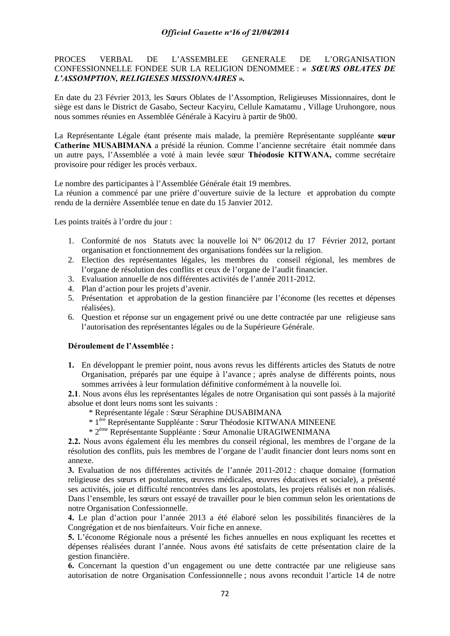PROCES VERBAL DE L'ASSEMBLEE GENERALE DE L'ORGANISATION CONFESSIONNELLE FONDEE SUR LA RELIGION DENOMMEE : *« SŒURS OBLATES DE L'ASSOMPTION, RELIGIESES MISSIONNAIRES ».* 

En date du 23 Février 2013, les Sœurs Oblates de l'Assomption, Religieuses Missionnaires, dont le siège est dans le District de Gasabo, Secteur Kacyiru, Cellule Kamatamu , Village Uruhongore, nous nous sommes réunies en Assemblée Générale à Kacyiru à partir de 9h00.

La Représentante Légale étant présente mais malade, la première Représentante suppléante **sœur Catherine MUSABIMANA** a présidé la réunion. Comme l'ancienne secrétaire était nommée dans un autre pays, l'Assemblée a voté à main levée sœur **Théodosie KITWANA,** comme secrétaire provisoire pour rédiger les procès verbaux.

Le nombre des participantes à l'Assemblée Générale était 19 membres.

La réunion a commencé par une prière d'ouverture suivie de la lecture et approbation du compte rendu de la dernière Assemblée tenue en date du 15 Janvier 2012.

Les points traités à l'ordre du jour :

- 1. Conformité de nos Statuts avec la nouvelle loi N° 06/2012 du 17 Février 2012, portant organisation et fonctionnement des organisations fondées sur la religion.
- 2. Election des représentantes légales, les membres du conseil régional, les membres de l'organe de résolution des conflits et ceux de l'organe de l'audit financier.
- 3. Evaluation annuelle de nos différentes activités de l'année 2011-2012.
- 4. Plan d'action pour les projets d'avenir.
- 5. Présentation et approbation de la gestion financière par l'économe (les recettes et dépenses réalisées).
- 6. Question et réponse sur un engagement privé ou une dette contractée par une religieuse sans l'autorisation des représentantes légales ou de la Supérieure Générale.

#### **Déroulement de l'Assemblée :**

**1.** En développant le premier point, nous avons revus les différents articles des Statuts de notre Organisation, préparés par une équipe à l'avance ; après analyse de différents points, nous sommes arrivées à leur formulation définitive conformément à la nouvelle loi.

**2.1**. Nous avons élus les représentantes légales de notre Organisation qui sont passés à la majorité absolue et dont leurs noms sont les suivants :

- \* Représentante légale : Sœur Séraphine DUSABIMANA
- \* 1ère Représentante Suppléante : Sœur Théodosie KITWANA MINEENE
- \* 2ème Représentante Suppléante : Sœur Amonalie URAGIWENIMANA

**2.2.** Nous avons également élu les membres du conseil régional, les membres de l'organe de la résolution des conflits, puis les membres de l'organe de l'audit financier dont leurs noms sont en annexe.

**3.** Evaluation de nos différentes activités de l'année 2011-2012 : chaque domaine (formation religieuse des sœurs et postulantes, œuvres médicales, œuvres éducatives et sociale), a présenté ses activités, joie et difficulté rencontrées dans les apostolats, les projets réalisés et non réalisés. Dans l'ensemble, les sœurs ont essayé de travailler pour le bien commun selon les orientations de notre Organisation Confessionnelle.

**4.** Le plan d'action pour l'année 2013 a été élaboré selon les possibilités financières de la Congrégation et de nos bienfaiteurs. Voir fiche en annexe.

**5.** L'économe Régionale nous a présenté les fiches annuelles en nous expliquant les recettes et dépenses réalisées durant l'année. Nous avons été satisfaits de cette présentation claire de la gestion financière.

**6.** Concernant la question d'un engagement ou une dette contractée par une religieuse sans autorisation de notre Organisation Confessionnelle ; nous avons reconduit l'article 14 de notre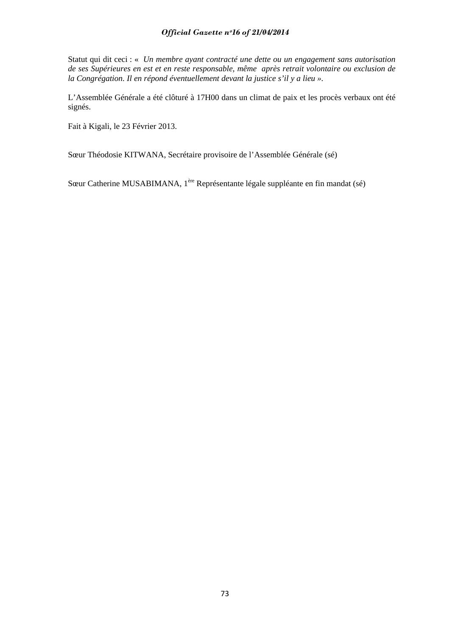Statut qui dit ceci : « *Un membre ayant contracté une dette ou un engagement sans autorisation de ses Supérieures en est et en reste responsable, même après retrait volontaire ou exclusion de la Congrégation. Il en répond éventuellement devant la justice s'il y a lieu ».* 

L'Assemblée Générale a été clôturé à 17H00 dans un climat de paix et les procès verbaux ont été signés.

Fait à Kigali, le 23 Février 2013.

Sœur Théodosie KITWANA, Secrétaire provisoire de l'Assemblée Générale (sé)

Sœur Catherine MUSABIMANA, 1ère Représentante légale suppléante en fin mandat (sé)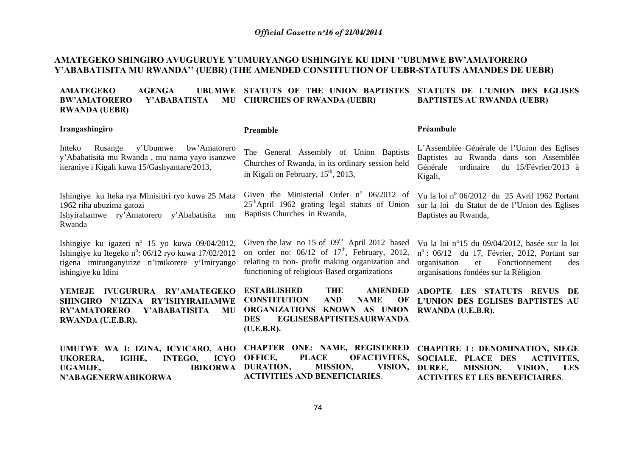# **AMATEGEKO SHINGIRO AVUGURUYE Y'UMURYANGO USHINGIYE KU IDINI ''UBUMWE BW'AMATORERO Y'ABABATISITA MU RWANDA'' (UEBR) (THE AMENDED CONSTITUTION OF UEBR-STATUTS AMANDES DE UEBR)**

in Kigali on February,  $15<sup>th</sup>$ , 2013,

Baptists Churches in Rwanda,

**ESTABLISHED THE** 

**(U.E.B.R).** 

#### AMATEGEKO AGENGA **STATUTS OF THE UNION BAPTISTES STATUTS DE L'UNION DES EGLISES BW'AMATORERO Y'ABABATISTA CHURCHES OF RWANDA (UEBR) RWANDA (UEBR) BAPTISTES AU RWANDA (UEBR)**

The General Assembly of Union Baptists Churches of Rwanda, in its ordinary session held

#### **Irangashingiro**

#### **Preamble**

Inteko Rusange y'Ubumwe bw'Amatorero y'Ababatisita mu Rwanda , mu nama yayo isanzwe iteraniye i Kigali kuwa 15/Gashyantare/2013,

Ishingiye ku Iteka rya Minisitiri ryo kuwa 25 Mata 1962 riha ubuzima gatozi Ishyirahamwe ry'Amatorero y'Ababatisita mu Rwanda

Ishingiye ku igazeti n° 15 yo kuwa 09/04/2012, Ishingiye ku Itegeko n°: 06/12 ryo kuwa 17/02/2012 rigena imitunganyirize n'imikorere y'Imiryango ishingiye ku Idini

**YEMEJE IVUGURURA RY'AMATEGEKO SHINGIRO N'IZINA RY'ISHYIRAHAMWE RY'AMATORERO Y'ABABATISITA MU RWANDA (U.E.B.R).** 

Given the law no 15 of  $09<sup>th</sup>$  April 2012 based on order no:  $06/12$  of  $17<sup>th</sup>$ , February, 2012, relating to non- profit making organization and functioning of religious-Based organizations

**CONSTITUTION AND NAME OF ORGANIZATIONS KNOWN AS UNION DES EGLISESBAPTISTESAURWANDA** 

**AMENDED** 

L'Assemblée Générale de l'Union des Eglises Baptistes au Rwanda dans son Assemblée Générale ordinaire du 15/Février/2013 à Kigali,

**Préambule** 

Given the Ministerial Order n<sup>o</sup>  $06/2012$  of Vu la loi n<sup>o</sup>  $06/2012$  du 25 Avril 1962 Portant 25<sup>th</sup>April 1962 grating legal statuts of Union sur la loi du Statut de de l'Union des Eglises Baptistes au Rwanda,

> Vu la loi n°15 du 09/04/2012, basée sur la loi  $n^{\circ}$ : 06/12 du 17, Février, 2012, Portant sur organisation et Fonctionnement des organisations fondées sur la Réligion

> **ADOPTE LES STATUTS REVUS DE L'UNION DES EGLISES BAPTISTES AU RWANDA (U.E.B.R).**

| UMUTWE WA I: IZINA, ICYICARO, AHO CHAPTER ONE: NAME, REGISTERED CHAPITRE I: DENOMINATION, SIEGE |                                                                              |                                      |                                              |                                        |  |
|-------------------------------------------------------------------------------------------------|------------------------------------------------------------------------------|--------------------------------------|----------------------------------------------|----------------------------------------|--|
| UKORERA.                                                                                        | IGIHE, INTEGO, ICYO OFFICE, PLACE OFACTIVITES, SOCIALE, PLACE DES ACTIVITES, |                                      |                                              |                                        |  |
| UGAMIJE.                                                                                        | IBIKORWA DURATION,                                                           |                                      | MISSION, VISION, DUREE, MISSION, VISION, LES |                                        |  |
| N'ABAGENERWABIKORWA                                                                             |                                                                              | <b>ACTIVITIES AND BENEFICIARIES.</b> |                                              | <b>ACTIVITES ET LES BENEFICIAIRES.</b> |  |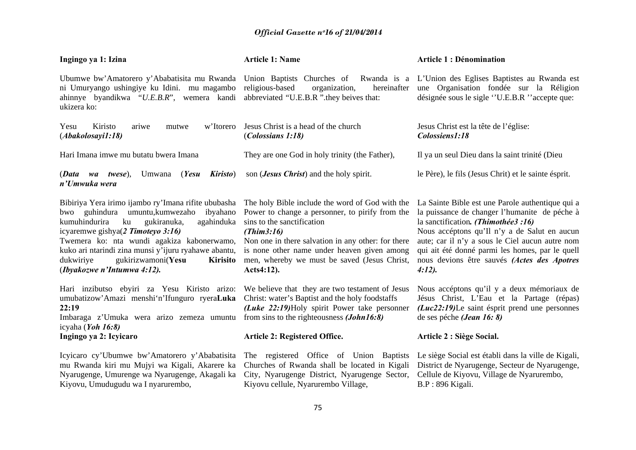| Ingingo ya 1: Izina                                                                                                                                                                                                                                                                                                                                                                | <b>Article 1: Name</b>                                                                                                                                                                                                                                                                                            | <b>Article 1 : Dénomination</b>                                                                                                                                                                                                                                                                                                                        |
|------------------------------------------------------------------------------------------------------------------------------------------------------------------------------------------------------------------------------------------------------------------------------------------------------------------------------------------------------------------------------------|-------------------------------------------------------------------------------------------------------------------------------------------------------------------------------------------------------------------------------------------------------------------------------------------------------------------|--------------------------------------------------------------------------------------------------------------------------------------------------------------------------------------------------------------------------------------------------------------------------------------------------------------------------------------------------------|
| Ubumwe bw'Amatorero y'Ababatisita mu Rwanda<br>ni Umuryango ushingiye ku Idini. mu magambo<br>ahinnye byandikwa "U.E.B.R", wemera kandi<br>ukizera ko:                                                                                                                                                                                                                             | Union Baptists Churches of<br>religious-based<br>hereinafter<br>organization,<br>abbreviated "U.E.B.R" they beives that:                                                                                                                                                                                          | Rwanda is a L'Union des Eglises Baptistes au Rwanda est<br>une Organisation fondée sur la Réligion<br>désignée sous le sigle "U.E.B.R "accepte que:                                                                                                                                                                                                    |
| Kiristo<br>w'Itorero<br>Yesu<br>ariwe<br>mutwe<br>(Abakolosayil:18)                                                                                                                                                                                                                                                                                                                | Jesus Christ is a head of the church<br>(Colossians 1:18)                                                                                                                                                                                                                                                         | Jesus Christ est la tête de l'église:<br>Colossiens1:18                                                                                                                                                                                                                                                                                                |
| Hari Imana imwe mu butatu bwera Imana                                                                                                                                                                                                                                                                                                                                              | They are one God in holy trinity (the Father),                                                                                                                                                                                                                                                                    | Il ya un seul Dieu dans la saint trinité (Dieu                                                                                                                                                                                                                                                                                                         |
| (Data wa twese),<br>Umwana<br>(Yesu<br>Kiristo)<br>n'Umwuka wera                                                                                                                                                                                                                                                                                                                   | son ( <i>Jesus Christ</i> ) and the holy spirit.                                                                                                                                                                                                                                                                  | le Père), le fils (Jesus Chrit) et le sainte ésprit.                                                                                                                                                                                                                                                                                                   |
| Bibiriya Yera irimo ijambo ry'Imana rifite ububasha<br>umuntu, kumwezaho<br>bwo guhindura<br>ibyahano<br>gukiranuka,<br>kumuhindurira<br>ku<br>agahinduka<br>icyaremwe gishya(2 Timoteyo 3:16)<br>Twemera ko: nta wundi agakiza kabonerwamo,<br>kuko ari ntarindi zina munsi y'ijuru ryahawe abantu,<br>gukirizwamoni(Yesu<br>dukwiriye<br>Kirisito<br>(Ibyakozwe n'Intumwa 4:12). | The holy Bible include the word of God with the<br>Power to change a personner, to pirify from the<br>sins to the sanctification<br>(Thim3:16)<br>Non one in there salvation in any other: for there<br>is none other name under heaven given among<br>men, whereby we must be saved (Jesus Christ,<br>Acts4:12). | La Sainte Bible est une Parole authentique qui a<br>la puissance de changer l'humanite de péche à<br>la sanctification. (Thimothée3 :16)<br>Nous accéptons qu'Il n'y a de Salut en aucun<br>aute; car il n'y a sous le Ciel aucun autre nom<br>qui ait été donné parmi les homes, par le quell<br>nous devions être sauvés (Actes des Apotres<br>4:12. |
| Hari inzibutso ebyiri za Yesu Kiristo arizo: We believe that they are two testament of Jesus<br>umubatizow'Amazi menshi'n'Ifunguro ryeraLuka<br>22:19<br>Imbaraga z'Umuka wera arizo zemeza umuntu from sins to the righteousness (John16:8)<br>icyaha (Yoh 16:8)                                                                                                                  | Christ: water's Baptist and the holy foodstaffs<br>(Luke 22:19)Holy spirit Power take personner                                                                                                                                                                                                                   | Nous accéptons qu'il y a deux mémoriaux de<br>Jésus Christ, L'Eau et la Partage (répas)<br>$(Luc22:19)$ Le saint ésprit prend une personnes<br>de ses péche <i>(Jean 16: 8)</i>                                                                                                                                                                        |
| Ingingo ya 2: Icyicaro                                                                                                                                                                                                                                                                                                                                                             | Article 2: Registered Office.                                                                                                                                                                                                                                                                                     | Article 2 : Siège Social.                                                                                                                                                                                                                                                                                                                              |
| Icyicaro cy'Ubumwe bw'Amatorero y'Ababatisita<br>mu Rwanda kiri mu Mujyi wa Kigali, Akarere ka<br>Nyarugenge, Umurenge wa Nyarugenge, Akagali ka<br>Kiyovu, Umudugudu wa I nyarurembo,                                                                                                                                                                                             | The registered Office of Union Baptists<br>Churches of Rwanda shall be located in Kigali<br>City, Nyarugenge District, Nyarugenge Sector,<br>Kiyovu cellule, Nyarurembo Village,                                                                                                                                  | Le siège Social est établi dans la ville de Kigali,<br>District de Nyarugenge, Secteur de Nyarugenge,<br>Cellule de Kiyovu, Village de Nyarurembo,<br>B.P: 896 Kigali.                                                                                                                                                                                 |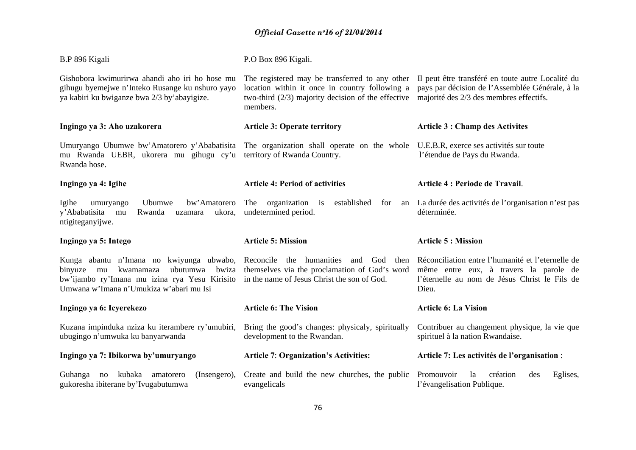| B.P 896 Kigali                                                                                                                                                                       | P.O Box 896 Kigali.                                                                                                                                                                                                    |                                                                                                                                                       |  |
|--------------------------------------------------------------------------------------------------------------------------------------------------------------------------------------|------------------------------------------------------------------------------------------------------------------------------------------------------------------------------------------------------------------------|-------------------------------------------------------------------------------------------------------------------------------------------------------|--|
| Gishobora kwimurirwa ahandi aho iri ho hose mu<br>gihugu byemejwe n'Inteko Rusange ku nshuro yayo<br>ya kabiri ku bwiganze bwa 2/3 by'abayigize.                                     | The registered may be transferred to any other II peut être transféré en toute autre Localité du<br>location within it once in country following a<br>two-third $(2/3)$ majority decision of the effective<br>members. | pays par décision de l'Assemblée Générale, à la<br>majorité des 2/3 des membres effectifs.                                                            |  |
| Ingingo ya 3: Aho uzakorera                                                                                                                                                          | <b>Article 3: Operate territory</b>                                                                                                                                                                                    | <b>Article 3 : Champ des Activites</b>                                                                                                                |  |
| Umuryango Ubumwe bw'Amatorero y'Ababatisita<br>mu Rwanda UEBR, ukorera mu gihugu cy'u<br>Rwanda hose.                                                                                | The organization shall operate on the whole<br>territory of Rwanda Country.                                                                                                                                            | U.E.B.R, exerce ses activités sur toute<br>l'étendue de Pays du Rwanda.                                                                               |  |
| Ingingo ya 4: Igihe                                                                                                                                                                  | <b>Article 4: Period of activities</b>                                                                                                                                                                                 | Article 4 : Periode de Travail.                                                                                                                       |  |
| bw'Amatorero<br>Igihe<br>Ubumwe<br>umuryango<br>y'Ababatisita<br>mu<br>Rwanda<br>ukora,<br>uzamara<br>ntigiteganyijwe.                                                               | The<br>organization<br>established<br>is<br>for<br>undetermined period.                                                                                                                                                | an La durée des activités de l'organisation n'est pas<br>déterminée.                                                                                  |  |
| Ingingo ya 5: Intego                                                                                                                                                                 | <b>Article 5: Mission</b>                                                                                                                                                                                              | <b>Article 5 : Mission</b>                                                                                                                            |  |
| Kunga abantu n'Imana no kwiyunga ubwabo,<br>ubutumwa<br>bwiza<br>binyuze mu<br>kwamamaza<br>bw'ijambo ry'Imana mu izina rya Yesu Kirisito<br>Umwana w'Imana n'Umukiza w'abari mu Isi | Reconcile the humanities<br>and God<br>then<br>themselves via the proclamation of God's word<br>in the name of Jesus Christ the son of God.                                                                            | Réconciliation entre l'humanité et l'eternelle de<br>même entre eux, à travers la parole de<br>l'éternelle au nom de Jésus Christ le Fils de<br>Dieu. |  |
| Ingingo ya 6: Icyerekezo                                                                                                                                                             | <b>Article 6: The Vision</b>                                                                                                                                                                                           | <b>Article 6: La Vision</b>                                                                                                                           |  |
| Kuzana impinduka nziza ku iterambere ry'umubiri,<br>ubugingo n'umwuka ku banyarwanda                                                                                                 | Bring the good's changes: physicaly, spiritually<br>development to the Rwandan.                                                                                                                                        | Contribuer au changement physique, la vie que<br>spirituel à la nation Rwandaise.                                                                     |  |
|                                                                                                                                                                                      |                                                                                                                                                                                                                        |                                                                                                                                                       |  |
| Ingingo ya 7: Ibikorwa by'umuryango                                                                                                                                                  | <b>Article 7: Organization's Activities:</b>                                                                                                                                                                           | Article 7: Les activités de l'organisation :                                                                                                          |  |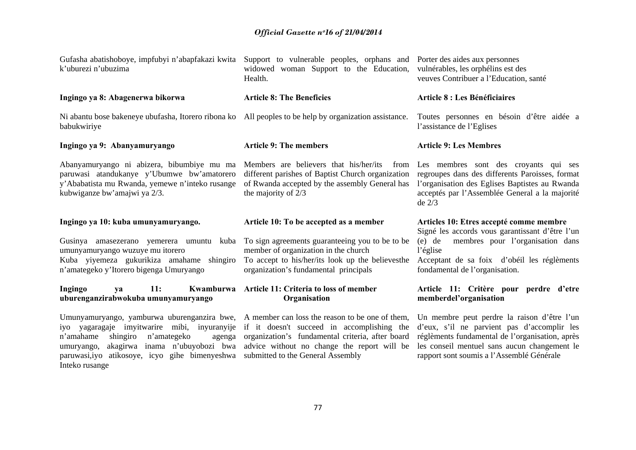| Gufasha abatishoboye, impfubyi n'abapfakazi kwita<br>k'uburezi n'ubuzima                                                                                                                                                                        | Support to vulnerable peoples, orphans and Porter des aides aux personnes<br>widowed woman Support to the Education,<br>Health.                                                                                                       | vulnérables, les orphélins est des<br>veuves Contribuer a l'Education, santé                                                                                                                                                               |
|-------------------------------------------------------------------------------------------------------------------------------------------------------------------------------------------------------------------------------------------------|---------------------------------------------------------------------------------------------------------------------------------------------------------------------------------------------------------------------------------------|--------------------------------------------------------------------------------------------------------------------------------------------------------------------------------------------------------------------------------------------|
| Ingingo ya 8: Abagenerwa bikorwa                                                                                                                                                                                                                | <b>Article 8: The Beneficies</b>                                                                                                                                                                                                      | <b>Article 8 : Les Bénéficiaires</b>                                                                                                                                                                                                       |
| Ni abantu bose bakeneye ubufasha, Itorero ribona ko All peoples to be help by organization assistance.<br>babukwiriye                                                                                                                           |                                                                                                                                                                                                                                       | Toutes personnes en bésoin d'être aidée a<br>l'assistance de l'Eglises                                                                                                                                                                     |
| Ingingo ya 9: Abanyamuryango                                                                                                                                                                                                                    | <b>Article 9: The members</b>                                                                                                                                                                                                         | <b>Article 9: Les Membres</b>                                                                                                                                                                                                              |
| Abanyamuryango ni abizera, bibumbiye mu ma<br>paruwasi atandukanye y'Ubumwe bw'amatorero<br>y'Ababatista mu Rwanda, yemewe n'inteko rusange<br>kubwiganze bw'amajwi ya 2/3.                                                                     | Members are believers that his/her/its<br>from<br>different parishes of Baptist Church organization<br>of Rwanda accepted by the assembly General has<br>the majority of 2/3                                                          | Les membres sont des croyants qui ses<br>regroupes dans des differents Paroisses, format<br>l'organisation des Eglises Baptistes au Rwanda<br>acceptés par l'Assemblée General a la majorité<br>$de\ 2/3$                                  |
| Ingingo ya 10: kuba umunyamuryango.<br>Gusinya amasezerano yemerera umuntu kuba<br>umunyamuryango wuzuye mu itorero<br>Kuba yiyemeza gukurikiza amahame shingiro<br>n'amategeko y'Itorero bigenga Umuryango                                     | Article 10: To be accepted as a member<br>To sign agreements guaranteeing you to be to be<br>member of organization in the church<br>To accept to his/her/its look up the believes the<br>organization's fundamental principals       | Articles 10: Etres accepté comme membre<br>Signé les accords vous garantissant d'être l'un<br>membres pour l'organisation dans<br>$(e)$ de<br>l'église<br>Acceptant de sa foix d'obéil les réglèments<br>fondamental de l'organisation.    |
| Ingingo<br>11:<br>Kwamburwa<br>ya<br>uburenganzirabwokuba umunyamuryango                                                                                                                                                                        | Article 11: Criteria to loss of member<br>Organisation                                                                                                                                                                                | Article 11: Critère pour perdre d'etre<br>memberdel'organisation                                                                                                                                                                           |
| Umunyamuryango, yamburwa uburenganzira bwe,<br>iyo yagaragaje imyitwarire mibi, inyuranyije<br>n'amahame<br>shingiro<br>n'amategeko<br>agenga<br>akagirwa inama n'ubuyobozi bwa<br>umuryango,<br>paruwasi, iyo atikosoye, icyo gihe bimenyeshwa | A member can loss the reason to be one of them,<br>if it doesn't succeed in accomplishing the<br>organization's fundamental criteria, after board<br>advice without no change the report will be<br>submitted to the General Assembly | Un membre peut perdre la raison d'être l'un<br>d'eux, s'il ne parvient pas d'accomplir les<br>réglèments fundamental de l'organisation, après<br>les conseil mentuel sans aucun changement le<br>rapport sont soumis a l'Assemblé Générale |

Inteko rusange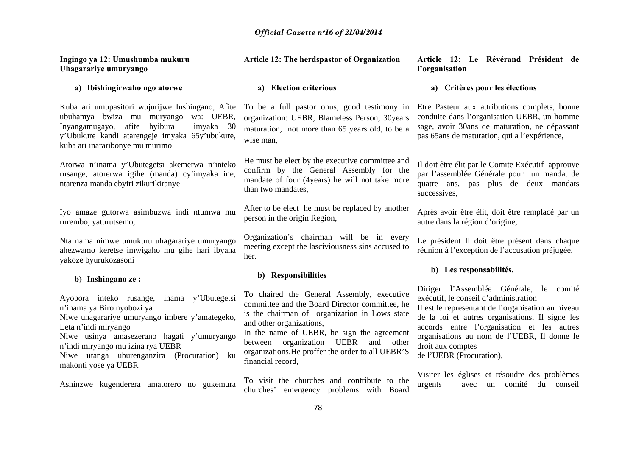| Ingingo ya 12: Umushumba mukuru<br>Uhagarariye umuryango                                                                                                                                                                                                                                                       | <b>Article 12: The herdspastor of Organization</b>                                                                                                                                                                                                                                                                                          | Article 12: Le Révérand Président de<br>l'organisation                                                                                                                                                                                                                                                                                  |
|----------------------------------------------------------------------------------------------------------------------------------------------------------------------------------------------------------------------------------------------------------------------------------------------------------------|---------------------------------------------------------------------------------------------------------------------------------------------------------------------------------------------------------------------------------------------------------------------------------------------------------------------------------------------|-----------------------------------------------------------------------------------------------------------------------------------------------------------------------------------------------------------------------------------------------------------------------------------------------------------------------------------------|
| a) Ibishingirwaho ngo atorwe                                                                                                                                                                                                                                                                                   | <b>Election criterious</b><br>a)                                                                                                                                                                                                                                                                                                            | a) Critères pour les élections                                                                                                                                                                                                                                                                                                          |
| Kuba ari umupasitori wujurijwe Inshingano, Afite<br>ubuhamya bwiza mu muryango<br>wa: UEBR,<br>Inyangamugayo, afite byibura<br>imyaka 30<br>y'Ubukure kandi atarengeje imyaka 65y'ubukure,<br>kuba ari inararibonye mu murimo                                                                                  | To be a full pastor onus, good testimony in<br>organization: UEBR, Blameless Person, 30years<br>maturation, not more than 65 years old, to be a<br>wise man,                                                                                                                                                                                | Etre Pasteur aux attributions complets, bonne<br>conduite dans l'organisation UEBR, un homme<br>sage, avoir 30ans de maturation, ne dépassant<br>pas 65ans de maturation, qui a l'expérience,                                                                                                                                           |
| Atorwa n'inama y'Ubutegetsi akemerwa n'inteko<br>rusange, atorerwa igihe (manda) cy'imyaka ine,<br>ntarenza manda ebyiri zikurikiranye                                                                                                                                                                         | He must be elect by the executive committee and<br>confirm by the General Assembly for the<br>mandate of four (4years) he will not take more<br>than two mandates,                                                                                                                                                                          | Il doit être élit par le Comite Exécutif approuve<br>par l'assemblée Générale pour un mandat de<br>quatre ans, pas plus de deux mandats<br>successives,                                                                                                                                                                                 |
| Iyo amaze gutorwa asimbuzwa indi ntumwa mu<br>rurembo, yaturutsemo,                                                                                                                                                                                                                                            | After to be elect he must be replaced by another<br>person in the origin Region,                                                                                                                                                                                                                                                            | Après avoir être élit, doit être remplacé par un<br>autre dans la région d'origine,                                                                                                                                                                                                                                                     |
| Nta nama nimwe umukuru uhagarariye umuryango<br>ahezwamo keretse imwigaho mu gihe hari ibyaha<br>yakoze byurukozasoni                                                                                                                                                                                          | Organization's chairman will be in every<br>meeting except the lasciviousness sins accused to<br>her.                                                                                                                                                                                                                                       | Le président Il doit être présent dans chaque<br>réunion à l'exception de l'accusation préjugée.                                                                                                                                                                                                                                        |
| b) Inshingano ze:                                                                                                                                                                                                                                                                                              | b) Responsibilities                                                                                                                                                                                                                                                                                                                         | b) Les responsabilités.                                                                                                                                                                                                                                                                                                                 |
| Ayobora inteko rusange,<br>inama y'Ubutegetsi<br>n'inama ya Biro nyobozi ya<br>Niwe uhagarariye umuryango imbere y'amategeko,<br>Leta n'indi miryango<br>Niwe usinya amasezerano hagati y'umuryango<br>n'indi miryango mu izina rya UEBR<br>Niwe utanga uburenganzira (Procuration) ku<br>makonti yose ya UEBR | To chaired the General Assembly, executive<br>committee and the Board Director committee, he<br>is the chairman of organization in Lows state<br>and other organizations,<br>In the name of UEBR, he sign the agreement<br>between organization UEBR<br>and other<br>organizations, He proffer the order to all UEBR'S<br>financial record, | Diriger l'Assemblée Générale, le comité<br>exécutif, le conseil d'administration<br>Il est le representant de l'organisation au niveau<br>de la loi et autres organisations, Il signe les<br>accords entre l'organisation et les autres<br>organisations au nom de l'UEBR, Il donne le<br>droit aux comptes<br>de l'UEBR (Procuration), |
| Ashinzwe kugenderera amatorero no gukemura                                                                                                                                                                                                                                                                     | To visit the churches and contribute to the<br>emergency problems with Board<br>churches'                                                                                                                                                                                                                                                   | Visiter les églises et résoudre des problèmes<br>urgents<br>comité<br>du<br>conseil<br>avec<br>un                                                                                                                                                                                                                                       |
|                                                                                                                                                                                                                                                                                                                | $\sim$ $\sim$                                                                                                                                                                                                                                                                                                                               |                                                                                                                                                                                                                                                                                                                                         |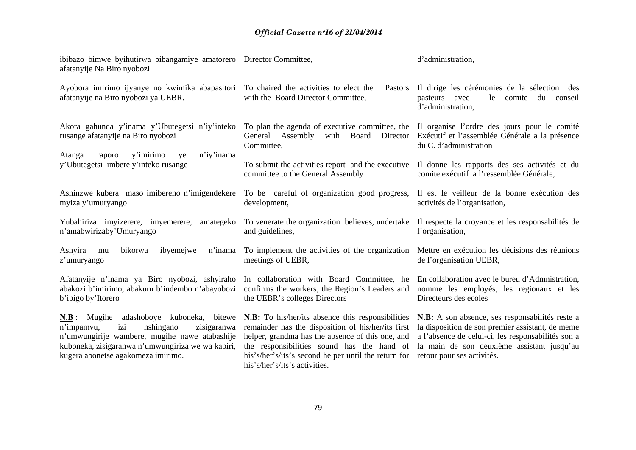| ibibazo bimwe byihutirwa bibangamiye amatorero Director Committee,<br>afatanyije Na Biro nyobozi                                                                                                                                             |                                                                                                                                                                                                                                                                                                    | d'administration,                                                                                                                                                                                                                     |
|----------------------------------------------------------------------------------------------------------------------------------------------------------------------------------------------------------------------------------------------|----------------------------------------------------------------------------------------------------------------------------------------------------------------------------------------------------------------------------------------------------------------------------------------------------|---------------------------------------------------------------------------------------------------------------------------------------------------------------------------------------------------------------------------------------|
| Ayobora imirimo ijyanye no kwimika abapasitori To chaired the activities to elect the<br>afatanyije na Biro nyobozi ya UEBR.                                                                                                                 | Pastors<br>with the Board Director Committee,                                                                                                                                                                                                                                                      | Il dirige les cérémonies de la sélection des<br>le<br>comite<br>du<br>conseil<br>pasteurs<br>avec<br>d'administration,                                                                                                                |
| Akora gahunda y'inama y'Ubutegetsi n'iy'inteko<br>rusange afatanyije na Biro nyobozi                                                                                                                                                         | To plan the agenda of executive committee, the Il organise l'ordre des jours pour le comité<br>Director<br>General Assembly<br>with Board<br>Committee,                                                                                                                                            | Exécutif et l'assemblée Générale a la présence<br>du C. d'administration                                                                                                                                                              |
| y'imirimo<br>n'iy'inama<br>Atanga<br>raporo<br>ye<br>y'Ubutegetsi imbere y'inteko rusange                                                                                                                                                    | To submit the activities report and the executive Il donne les rapports des ses activités et du<br>committee to the General Assembly                                                                                                                                                               | comite exécutif a l'ressemblée Générale,                                                                                                                                                                                              |
| Ashinzwe kubera maso imibereho n'imigendekere To be careful of organization good progress,<br>myiza y'umuryango                                                                                                                              | development,                                                                                                                                                                                                                                                                                       | Il est le veilleur de la bonne exécution des<br>activités de l'organisation,                                                                                                                                                          |
| Yubahiriza imyizerere, imyemerere,<br>amategeko<br>n'amabwirizaby'Umuryango                                                                                                                                                                  | To venerate the organization believes, undertake<br>and guidelines,                                                                                                                                                                                                                                | Il respecte la croyance et les responsabilités de<br>l'organisation,                                                                                                                                                                  |
| bikorwa<br>ibyemejwe<br>Ashyira<br>n'inama<br>mu<br>z'umuryango                                                                                                                                                                              | To implement the activities of the organization Mettre en exécution les décisions des réunions<br>meetings of UEBR,                                                                                                                                                                                | de l'organisation UEBR,                                                                                                                                                                                                               |
| Afatanyije n'inama ya Biro nyobozi, ashyiraho<br>abakozi b'imirimo, abakuru b'indembo n'abayobozi<br>b'ibigo by'Itorero                                                                                                                      | In collaboration with Board Committee, he<br>confirms the workers, the Region's Leaders and<br>the UEBR's colleges Directors                                                                                                                                                                       | En collaboration avec le bureu d'Admnistration,<br>nomme les employés, les regionaux et les<br>Directeurs des ecoles                                                                                                                  |
| <b>N.B</b> : Mugihe adashoboye kuboneka, bitewe<br>nshingano<br>izi<br>zisigaranwa<br>n'impamvu,<br>n'umwungirije wambere, mugihe nawe atabashije<br>kuboneka, zisigaranwa n'umwungiriza we wa kabiri,<br>kugera abonetse agakomeza imirimo. | N.B: To his/her/its absence this responsibilities<br>remainder has the disposition of his/her/its first<br>helper, grandma has the absence of this one, and<br>the responsibilities sound has the hand of<br>his's/her's/its's second helper until the return for<br>his's/her's/its's activities. | N.B: A son absence, ses responsabilités reste a<br>la disposition de son premier assistant, de meme<br>a l'absence de celui-ci, les responsabilités son a<br>la main de son deuxième assistant jusqu'au<br>retour pour ses activités. |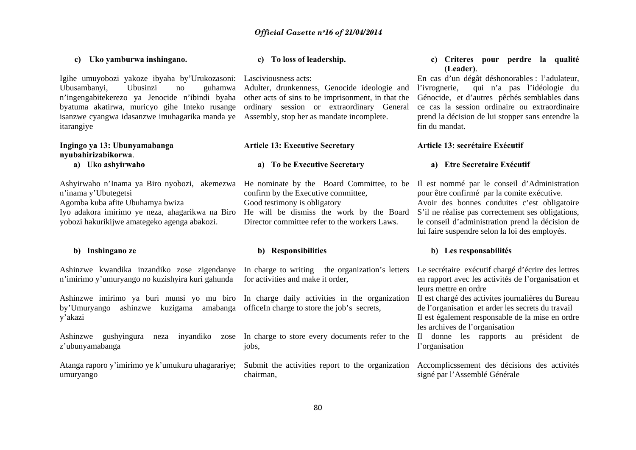**c) To loss of leadership.** 

#### byatuma akatirwa, muricyo gihe Inteko rusange ordinary session or extraordinary General isanzwe cyangwa idasanzwe imuhagarika manda ye Assembly, stop her as mandate incomplete. itarangiye **Ingingo ya 13: Ubunyamabanga nyubahirizabikorwa**. **a) Uko ashyirwaho**  Ashyirwaho n'Inama ya Biro nyobozi, akemezwa He nominate by the Board Committee, to be Il est nommé par le conseil d'Administration <sup>n</sup>'inama y'Ubutegetsi Agomba kuba afite Ubuhamya bwiza Iyo adakora imirimo ye neza, ahagarikwa na Biro yobozi hakurikijwe amategeko agenga abakozi. **b) Inshingano ze**  Ashinzwe kwandika inzandiko zose zigendanye In charge to writing the organization's letters Le secrétaire exécutif chargé d'écrire des lettres <sup>n</sup>'imirimo y'umuryango no kuzishyira kuri gahunda **Article 13: Executive Secretary a) To be Executive Secretary**  confirm by the Executive committee, Good testimony is obligatory He will be dismiss the work by the Board S'il ne réalise pas correctement ses obligations, Director committee refer to the workers Laws. **b) Responsibilities**  for activities and make it order, prend la décision de lui stopper sans entendre la fin du mandat. **Article 13: secrétaire Exécutif a) Etre Secretaire Exécutif**  pour être confirmé par la comite exécutive. le conseil d'administration prend la décision de lui faire suspendre selon la loi des employés. **b) Les responsabilités**  en rapport avec les activités de l'organisation et

by'Umuryango ashinzwe kuzigama amabanga officeIn charge to store the job's secrets, y'akazi

**c) Uko yamburwa inshingano.** 

<sup>n</sup>'ingengabitekerezo ya Jenocide n'ibindi byaha

Ubusambanyi. Ubusinzi no

Ashinzwe gushyingura neza inyandiko zose <sup>z</sup>'ubunyamabanga

Atanga raporo y'imirimo ye k'umukuru uhagarariye; umuryango

Igihe umuyobozi yakoze ibyaha by'Urukozasoni: Lasciviousness acts:

Adulter, drunkenness, Genocide ideologie and other acts of sins to be imprisonment, in that the

jobs,

chairman,

#### **c) Criteres pour perdre la qualité (Leader)**.

En cas d'un dégât déshonorables : l'adulateur, qui n'a pas l'idéologie du Génocide, et d'autres pêchés semblables dans ce cas la session ordinaire ou extraordinaire

Avoir des bonnes conduites c'est obligatoire

Ashinzwe imirimo ya buri munsi yo mu biro In charge daily activities in the organization Il est chargé des activites journalières du Bureau leurs mettre en ordre

de l'organisation et arder les secrets du travail Il est également responsable de la mise en ordre les archives de l'organisation

In charge to store every documents refer to the Il donne les rapports au président de l'organisation

Submit the activities report to the organization Accomplicssement des décisions des activités signé par l'Assemblé Générale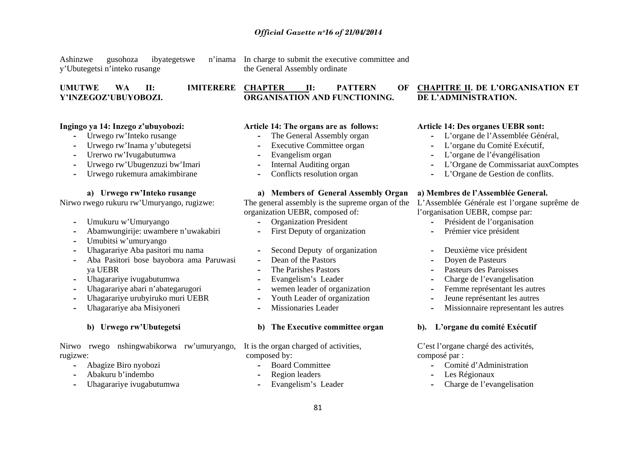Ashinzwe gusohoza ibyategetswe n'inama y'Ubutegetsi n'inteko rusange

In charge to submit the executive committee and the General Assembly ordinate

**ORGANISATION AND FUNCTIONING.** 

**UMUTWE WA II: IMITERERE Y'INZEGOZ'UBUYOBOZI.** 

#### **Ingingo ya 14: Inzego z'ubuyobozi:**

- **-** Urwego rw'Inteko rusange
- Urwego rw'Inama y'ubutegetsi
- Urerwo rw'Ivugabutumwa
- Urwego rw'Ubugenzuzi bw'Imari
- Urwego rukemura amakimbirane

#### **a) Urwego rw'Inteko rusange**

Nirwo rwego rukuru rw'Umuryango, rugizwe:

- Umukuru w'Umuryango
- Abamwungirije: uwambere n'uwakabiri
- Umubitsi w'umuryango
- Uhagarariye Aba pasitori mu nama
- Aba Pasitori bose bayobora ama Paruwasi ya UEBR
- Uhagarariye ivugabutumwa
- Uhagarariye abari n'abategarugori
- Uhagarariye urubyiruko muri UEBR
- Uhagarariye aba Misiyoneri

# **b) Urwego rw'Ubutegetsi**

Nirwo rwego nshingwabikorwa rw'umuryango, rugizwe:

- Abagize Biro nyobozi
- Abakuru b'indembo
- Uhagarariye ivugabutumwa

### **Article 14: The organs are as follows:**

- **-**The General Assembly organ
- Executive Committee organ
- Evangelism organ
- Internal Auditing organ
- Conflicts resolution organ

# **a) Members of General Assembly Organ**

The general assembly is the supreme organ of the L'Assemblée Générale est l'organe suprême de organization UEBR, composed of:

- **-**Organization President
- First Deputy of organization
- Second Deputy of organization
- Dean of the Pastors
- The Parishes Pastors
- Evangelism's Leader
- wemen leader of organization
- Youth Leader of organization
- Missionaries Leader

#### **b) The Executive committee organ**

It is the organ charged of activities, composed by:

- **-**Board Committee
- Region leaders
- Evangelism's Leader

#### **CHAPTER II: PATTERN OF CHAPITRE II. DE L'ORGANISATION ET DE L'ADMINISTRATION.**

#### **Article 14: Des organes UEBR sont:**

- L'organe de l'Assemblée Général,
- L'organe du Comité Exécutif,
- L'organe de l'évangélisation
- L'Organe de Commissariat auxComptes
- L'Organe de Gestion de conflits.

#### **a) Membres de l'Assemblée General.**

l'organisation UEBR, compse par:

- Président de l'organisation
- Prémier vice président
- Deuxième vice président
- Doyen de Pasteurs
- Pasteurs des Paroisses
- Charge de l'evangelisation
- Femme représentant les autres
- Jeune représentant les autres
- Missionnaire representant les autres

#### **b). L'organe du comité Exécutif**

C'est l'organe chargé des activités, composé par :

- **-**Comité d'Administration
- Les Régionaux
- Charge de l'evangelisation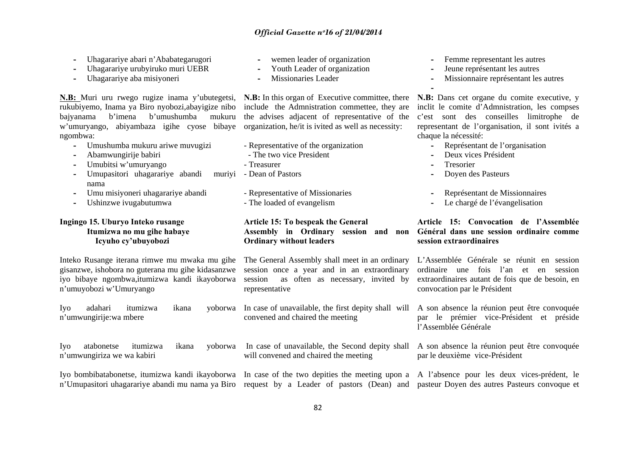- Uhagarariye abari n'Ababategarugori
- Uhagarariye urubyiruko muri UEBR
- Uhagarariye aba misiyoneri

**N.B:** Muri uru rwego rugize inama y'ubutegetsi, **N.B:** In this organ of Executive committee, there rukubiyemo, Inama ya Biro nyobozi,abayigize nibo bajyanama b'imena b'umushumba mukuru <sup>w</sup>'umuryango, abiyambaza igihe cyose bibaye ngombwa:

- **-** Umushumba mukuru ariwe muvugizi
- Abamwungirije babiri
- Umubitsi w'umuryango
- **-** Umupasitori uhagarariye abandi muriyi nama
- Umu misiyoneri uhagarariye abandi
- Ushinzwe ivugabutumwa

### **Ingingo 15. Uburyo Inteko rusange Itumizwa no mu gihe habaye Icyuho cy'ubuyobozi**

Inteko Rusange iterana rimwe mu mwaka mu gihe gisanzwe, ishobora no guterana mu gihe kidasanzwe iyo bibaye ngombwa,itumizwa kandi ikayoborwa <sup>n</sup>'umuyobozi w'Umuryango

<sup>n</sup>'umwungirije:wa mbere

Iyo atabonetse itumizwa ikana yoborwa <sup>n</sup>'umwungiriza we wa kabiri

- wemen leader of organization
- Youth Leader of organization
- Missionaries Leader

include the Admnistration commettee, they are the advises adjacent of representative of the organization, he/it is ivited as well as necessity:

- Representative of the organization
- The two vice President
- Treasurer
- murivi Dean of Pastors
	- Representative of Missionaries
	- The loaded of evangelism

# **Article 15: To bespeak the General Ordinary without leaders**

The General Assembly shall meet in an ordinary L'Assemblée Générale se réunit en session session once a year and in an extraordinary session as often as necessary, invited by representative

Iyo adahari itumizwa ikana yoborwa In case of unavailable, the first depity shall will A son absence la réunion peut être convoquée convened and chaired the meeting

- Femme representant les autres
- Jeune représentant les autres
- Missionnaire représentant les autres

**N.B:** Dans cet organe du comite executive, y inclit le comite d'Admnistration, les compses <sup>c</sup>'est sont des conseilles limitrophe de representant de l'organisation, il sont ivités a chaque la nécessité:

- Représentant de l'organisation
- **-** Deux vices Président
- Tresorier
- Doyen des Pasteurs
- Représentant de Missionnaires
- Le chargé de l'évangelisation

#### **Assembly in Ordinary session and non Général dans une session ordinaire comme Article 15: Convocation de l'Assemblée session extraordinaires**

ordinaire une fois l'an et en session extraordinaires autant de fois que de besoin, en convocation par le Président

par le prémier vice-Président et préside l'Assemblée Générale

 In case of unavailable, the Second depity shall A son absence la réunion peut être convoquée will convened and chaired the meeting par le deuxième vice-Président

Iyo bombibatabonetse, itumizwa kandi ikayoborwa In case of the two depities the meeting upon a A l'absence pour les deux vices-prédent, le <sup>n</sup>'Umupasitori uhagarariye abandi mu nama ya Biro request by a Leader of pastors (Dean) and pasteur Doyen des autres Pasteurs convoque et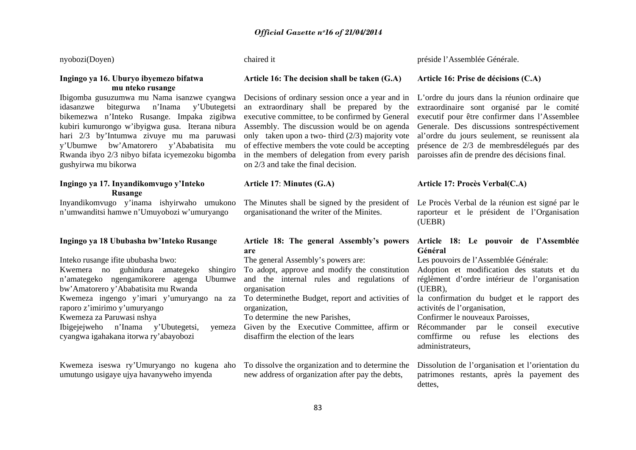nyobozi(Doyen)

#### **Ingingo ya 16. Uburyo ibyemezo bifatwa mu nteko rusange**

Ibigomba gusuzumwa mu Nama isanzwe cyangwa idasanzwe bitegurwa n'Inama y'Ubutegetsi bikemezwa n'Inteko Rusange. Impaka zigibwa kubiri kumurongo w'ibyigwa gusa. Iterana nibura hari 2/3 by'Intumwa zivuye mu ma paruwasi y'Ubumwe bw'Amatorero y'Ababatisita mu Rwanda ibyo 2/3 nibyo bifata icyemezoku bigomba gushyirwa mu bikorwa

# **Ingingo ya 17. Inyandikomvugo y'Inteko Rusange**

Inyandikomvugo y'inama ishyirwaho umukono <sup>n</sup>'umwanditsi hamwe n'Umuyobozi w'umuryango

#### **Ingingo ya 18 Ububasha bw'Inteko Rusange**

Inteko rusange ifite ububasha bwo: Kwemera no guhindura amategeko shingiro <sup>n</sup>'amategeko ngengamikorere agenga Ubumwe bw'Amatorero y'Ababatisita mu Rwanda Kwemeza ingengo y'imari y'umuryango na za raporo z'imirimo y'umuryango Kwemeza za Paruwasi nshya Ibigejejweho n'Inama y'Ubutegetsi. cyangwa igahakana itorwa ry'abayobozi

Kwemeza iseswa ry'Umuryango no kugena aho umutungo usigaye ujya havanyweho imyenda

chaired it

#### **Article 16: The decision shall be taken (G.A)**

Decisions of ordinary session once a year and in an extraordinary shall be prepared by the executive committee, to be confirmed by General Assembly. The discussion would be on agenda only taken upon a two- third (2/3) majority vote of effective members the vote could be accepting in the members of delegation from every parish paroisses afin de prendre des décisions final. on 2/3 and take the final decision.

# **Article 17**: **Minutes (G.A)**

The Minutes shall be signed by the president of organisationand the writer of the Minites.

#### **Article 18: The general Assembly's powers Article 18: Le pouvoir de l'Assemblée are**

The general Assembly's powers are:

To adopt, approve and modify the constitution and the internal rules and regulations of organisation

To determinethe Budget, report and activities of organization,

To determine the new Parishes,

Given by the Executive Committee, affirm or disaffirm the election of the lears

> To dissolve the organization and to determine the new address of organization after pay the debts,

préside l'Assemblée Générale.

#### **Article 16: Prise de décisions (C.A)**

L'ordre du jours dans la réunion ordinaire que extraordinaire sont organisé par le comité executif pour être confirmer dans l'Assemblee Generale. Des discussions sontrespéctivement al'ordre du jours seulement, se reunissent ala présence de 2/3 de membresdélegués par des

### **Article 17: Procès Verbal(C.A)**

Le Procès Verbal de la réunion est signé par le raporteur et le président de l'Organisation (UEBR)

# **Général**

Les pouvoirs de l'Assemblée Générale:

Adoption et modification des statuts et du réglèment d'ordre intérieur de l'organisation (UEBR),

la confirmation du budget et le rapport des activités de l'organisation,

Confirmer le nouveaux Paroisses,

Récommander par le conseil executive comffirme ou refuse les elections des administrateurs,

Dissolution de l'organisation et l'orientation du patrimones restants, après la payement des dettes,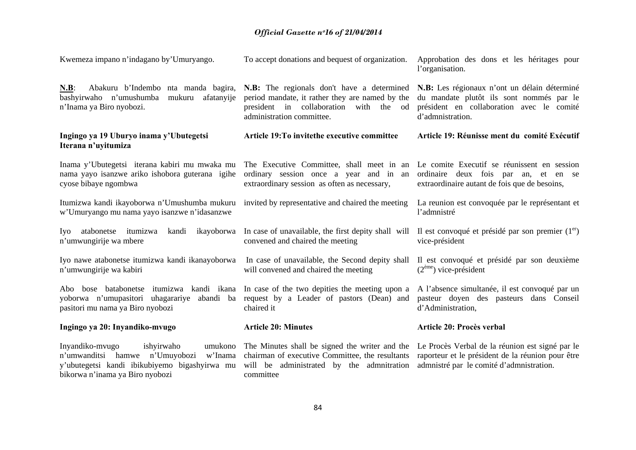| Kwemeza impano n'indagano by Umuryango.                                                                                                                                   | To accept donations and bequest of organization.                                                                                                                        | Approbation des dons et les héritages pour<br>l'organisation.                                                                                             |
|---------------------------------------------------------------------------------------------------------------------------------------------------------------------------|-------------------------------------------------------------------------------------------------------------------------------------------------------------------------|-----------------------------------------------------------------------------------------------------------------------------------------------------------|
| Abakuru b'Indembo nta manda bagira,<br>$N.B$ :<br>bashyirwaho n'umushumba<br>mukuru<br>afatanyije<br>n'Inama ya Biro nyobozi.                                             | N.B: The regionals don't have a determined<br>period mandate, it rather they are named by the<br>president in collaboration<br>with the od<br>administration committee. | N.B: Les régionaux n'ont un délain déterminé<br>du mandate plutôt ils sont nommés par le<br>président en collaboration avec le comité<br>d'admnistration. |
| Ingingo ya 19 Uburyo inama y'Ubutegetsi<br>Iterana n'uyitumiza                                                                                                            | Article 19: To invite the executive committee                                                                                                                           | Article 19: Réunisse ment du comité Exécutif                                                                                                              |
| Inama y'Ubutegetsi iterana kabiri mu mwaka mu<br>nama yayo isanzwe ariko ishobora guterana igihe<br>cyose bibaye ngombwa                                                  | The Executive Committee, shall meet in an<br>ordinary session once a year and in<br>an<br>extraordinary session as often as necessary,                                  | Le comite Executif se réunissent en session<br>ordinaire deux fois par an, et en se<br>extraordinaire autant de fois que de besoins,                      |
| Itumizwa kandi ikayoborwa n'Umushumba mukuru<br>w'Umuryango mu nama yayo isanzwe n'idasanzwe                                                                              | invited by representative and chaired the meeting                                                                                                                       | La reunion est convoquée par le représentant et<br>l'admnistré                                                                                            |
| atabonetse<br>itumizwa<br>ikayoborwa<br>kandi<br>Iyo<br>n'umwungirije wa mbere                                                                                            | In case of unavailable, the first depity shall will Il est convoqué et présidé par son premier $(1er)$<br>convened and chaired the meeting                              | vice-président                                                                                                                                            |
| Iyo nawe atabonetse itumizwa kandi ikanayoborwa<br>n'umwungirije wa kabiri                                                                                                | In case of unavailable, the Second depity shall<br>will convened and chaired the meeting                                                                                | Il est convoqué et présidé par son deuxième<br>$(2eme)$ vice-président                                                                                    |
| Abo bose batabonetse itumizwa kandi ikana<br>yoborwa n'umupasitori uhagarariye<br>abandi ba<br>pasitori mu nama ya Biro nyobozi                                           | In case of the two depities the meeting upon a<br>request by a Leader of pastors (Dean) and<br>chaired it                                                               | A l'absence simultanée, il est convoqué par un<br>pasteur doyen des pasteurs dans Conseil<br>d'Administration,                                            |
| Ingingo ya 20: Inyandiko-mvugo                                                                                                                                            | <b>Article 20: Minutes</b>                                                                                                                                              | Article 20: Procès verbal                                                                                                                                 |
| Inyandiko-mvugo<br>ishyirwaho<br>umukono<br>n'umwanditsi hamwe n'Umuyobozi<br>w'Inama<br>y'ubutegetsi kandi ibikubiyemo bigashyirwa mu<br>bikorwa n'inama ya Biro nyobozi | The Minutes shall be signed the writer and the<br>chairman of executive Committee, the resultants<br>will be administrated by the admnitration<br>committee             | Le Procès Verbal de la réunion est signé par le<br>raporteur et le président de la réunion pour être<br>admnistré par le comité d'admnistration.          |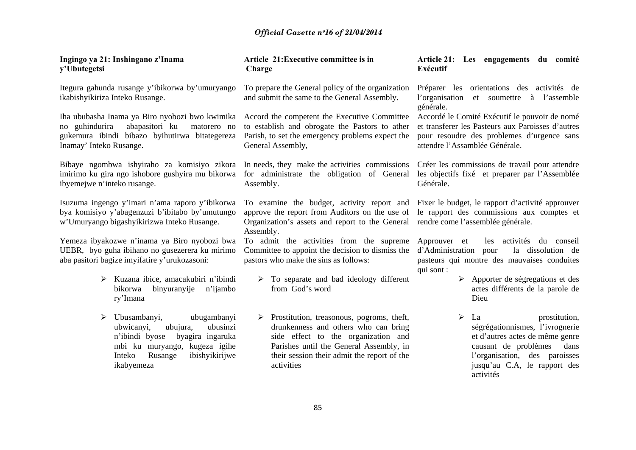| Ingingo ya 21: Inshingano z'Inama<br>y'Ubutegetsi                                                                                                                                                  | Article 21: Executive committee is in<br>Charge                                                                                                                                                                                                   | Article 21: Les engagements du comité<br>Exécutif                                                                                                                                                            |
|----------------------------------------------------------------------------------------------------------------------------------------------------------------------------------------------------|---------------------------------------------------------------------------------------------------------------------------------------------------------------------------------------------------------------------------------------------------|--------------------------------------------------------------------------------------------------------------------------------------------------------------------------------------------------------------|
| Itegura gahunda rusange y'ibikorwa by'umuryango<br>ikabishyikiriza Inteko Rusange.                                                                                                                 | To prepare the General policy of the organization<br>and submit the same to the General Assembly.                                                                                                                                                 | Préparer les orientations des activités de<br>l'organisation<br>à l'assemble<br>et soumettre<br>générale.                                                                                                    |
| Iha ububasha Inama ya Biro nyobozi bwo kwimika<br>abapasitori ku<br>no guhindurira<br>matorero no<br>gukemura ibindi bibazo byihutirwa bitategereza<br>Inamay' Inteko Rusange.                     | Accord the competent the Executive Committee<br>to establish and obrogate the Pastors to ather<br>Parish, to set the emergency problems expect the<br>General Assembly,                                                                           | Accordé le Comité Exécutif le pouvoir de nomé<br>et transferer les Pasteurs aux Paroisses d'autres<br>pour resoudre des problemes d'urgence sans<br>attendre l'Assamblée Générale.                           |
| Bibaye ngombwa ishyiraho za komisiyo zikora In needs, they make the activities commissions<br>imirimo ku gira ngo ishobore gushyira mu bikorwa<br>ibyemejwe n'inteko rusange.                      | for administrate the obligation of General<br>Assembly.                                                                                                                                                                                           | Créer les commissions de travail pour attendre<br>les objectifs fixé et preparer par l'Assemblée<br>Générale.                                                                                                |
| Isuzuma ingengo y'imari n'ama raporo y'ibikorwa<br>bya komisiyo y'abagenzuzi b'ibitabo by'umutungo<br>w'Umuryango bigashyikirizwa Inteko Rusange.                                                  | To examine the budget, activity report and Fixer le budget, le rapport d'activité approuver<br>approve the report from Auditors on the use of<br>Organization's assets and report to the General rendre come l'assemblée générale.<br>Assembly.   | le rapport des commissions aux comptes et                                                                                                                                                                    |
| Yemeza ibyakozwe n'inama ya Biro nyobozi bwa<br>UEBR, byo guha ibihano no gusezerera ku mirimo<br>aba pasitori bagize imyifatire y'urukozasoni:                                                    | To admit the activities from the supreme<br>Committee to appoint the decision to dismiss the<br>pastors who make the sins as follows:                                                                                                             | Approuver et<br>les activités du conseil<br>d'Administration pour<br>la dissolution de<br>pasteurs qui montre des mauvaises conduites<br>qui sont :                                                          |
| $\triangleright$ Kuzana ibice, amacakubiri n'ibindi<br>binyuranyije<br>n'ijambo<br>bikorwa<br>ry'Imana                                                                                             | $\triangleright$ To separate and bad ideology different<br>from God's word                                                                                                                                                                        | $\triangleright$ Apporter de ségregations et des<br>actes différents de la parole de<br>Dieu                                                                                                                 |
| Ubusambanyi,<br>ubugambanyi<br>➤<br>ubusinzi<br>ubwicanyi,<br>ubujura,<br>n'ibindi byose<br>byagira ingaruka<br>mbi ku muryango, kugeza igihe<br>Rusange<br>ibishyikirijwe<br>Inteko<br>ikabyemeza | $\triangleright$ Prostitution, treasonous, pogroms, theft,<br>drunkenness and others who can bring<br>side effect to the organization and<br>Parishes until the General Assembly, in<br>their session their admit the report of the<br>activities | ➤<br>La<br>prostitution,<br>ségrégationnismes, l'ivrognerie<br>et d'autres actes de même genre<br>causant de problèmes<br>dans<br>l'organisation, des paroisses<br>jusqu'au C.A, le rapport des<br>activités |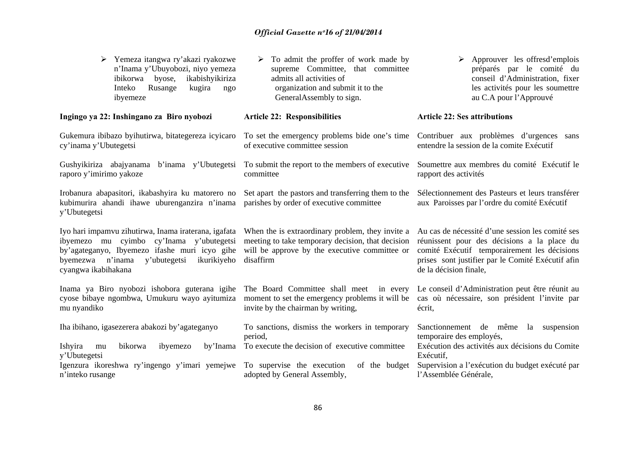| Yemeza itangwa ry'akazi ryakozwe<br>n'Inama y'Ubuyobozi, niyo yemeza<br>ikabishyikiriza<br>ibikorwa<br>byose,<br>Rusange<br>Inteko<br>kugira<br>ngo<br>ibyemeze                                                             | To admit the proffer of work made by<br>supreme Committee, that committee<br>admits all activities of<br>organization and submit it to the<br>General Assembly to sign. | Approuver les offresd'emplois<br>préparés par le comité du<br>conseil d'Administration, fixer<br>les activités pour les soumettre<br>au C.A pour l'Approuvé                                                                    |
|-----------------------------------------------------------------------------------------------------------------------------------------------------------------------------------------------------------------------------|-------------------------------------------------------------------------------------------------------------------------------------------------------------------------|--------------------------------------------------------------------------------------------------------------------------------------------------------------------------------------------------------------------------------|
| Ingingo ya 22: Inshingano za Biro nyobozi                                                                                                                                                                                   | <b>Article 22: Responsibilities</b>                                                                                                                                     | <b>Article 22: Ses attributions</b>                                                                                                                                                                                            |
| Gukemura ibibazo byihutirwa, bitategereza icyicaro<br>cy'inama y'Ubutegetsi                                                                                                                                                 | To set the emergency problems bide one's time Contribuer aux problèmes d'urgences sans<br>of executive committee session                                                | entendre la session de la comite Exécutif                                                                                                                                                                                      |
| Gushyikiriza abajyanama b'inama y'Ubutegetsi<br>raporo y'imirimo yakoze                                                                                                                                                     | To submit the report to the members of executive<br>committee                                                                                                           | Soumettre aux membres du comité Exécutif le<br>rapport des activités                                                                                                                                                           |
| Irobanura abapasitori, ikabashyira ku matorero no<br>kubimurira ahandi ihawe uburenganzira n'inama<br>y'Ubutegetsi                                                                                                          | Set apart the pastors and transferring them to the<br>parishes by order of executive committee                                                                          | Sélectionnement des Pasteurs et leurs transférer<br>aux Paroisses par l'ordre du comité Exécutif                                                                                                                               |
| Iyo hari impamvu zihutirwa, Inama iraterana, igafata<br>ibyemezo mu cyimbo cy'Inama y'ubutegetsi<br>by'agateganyo, Ibyemezo ifashe muri icyo gihe<br>byemezwa n'inama<br>y'ubutegetsi<br>ikurikiyeho<br>cyangwa ikabihakana | When the is extraordinary problem, they invite a<br>meeting to take temporary decision, that decision<br>will be approve by the executive committee or<br>disaffirm     | Au cas de nécessité d'une session les comité ses<br>réunissent pour des décisions a la place du<br>comité Exécutif temporairement les décisions<br>prises sont justifier par le Comité Exécutif afin<br>de la décision finale, |
| Inama ya Biro nyobozi ishobora guterana igihe<br>cyose bibaye ngombwa, Umukuru wayo ayitumiza<br>mu nyandiko                                                                                                                | The Board Committee shall meet in every<br>moment to set the emergency problems it will be<br>invite by the chairman by writing,                                        | Le conseil d'Administration peut être réunit au<br>cas où nécessaire, son président l'invite par<br>écrit,                                                                                                                     |
| Iha ibihano, igasezerera abakozi by'agateganyo<br>Ishyira<br>bikorwa<br>by'Inama<br>ibyemezo<br>mu<br>y'Ubutegetsi                                                                                                          | To sanctions, dismiss the workers in temporary<br>period,<br>To execute the decision of executive committee                                                             | Sanctionnement de même<br>la suspension<br>temporaire des employés,<br>Exécution des activités aux décisions du Comite<br>Exécutif,                                                                                            |
| Igenzura ikoreshwa ry'ingengo y'imari yemejwe<br>n'inteko rusange                                                                                                                                                           | To supervise the execution<br>of the budget<br>adopted by General Assembly,                                                                                             | Supervision a l'exécution du budget exécuté par<br>l'Assemblée Générale,                                                                                                                                                       |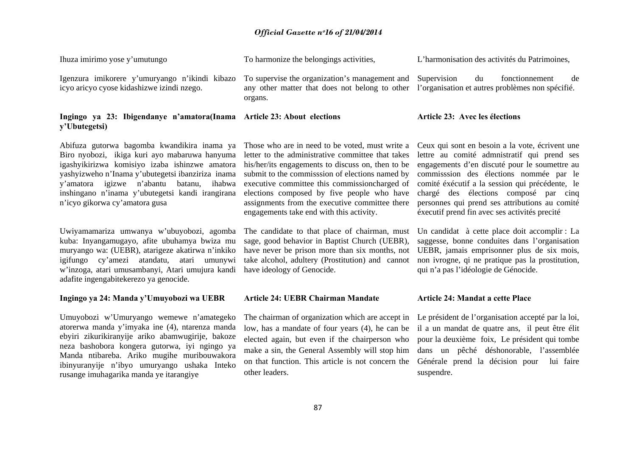| Ihuza imirimo yose y'umutungo                                                                                                                                                                                                                                                                                                                  | To harmonize the belongings activities,                                                                                                                                                                                                                                                                                                                                                                   | L'harmonisation des activités du Patrimoines,                                                                                                                                                                                                                                                                                                                                             |  |
|------------------------------------------------------------------------------------------------------------------------------------------------------------------------------------------------------------------------------------------------------------------------------------------------------------------------------------------------|-----------------------------------------------------------------------------------------------------------------------------------------------------------------------------------------------------------------------------------------------------------------------------------------------------------------------------------------------------------------------------------------------------------|-------------------------------------------------------------------------------------------------------------------------------------------------------------------------------------------------------------------------------------------------------------------------------------------------------------------------------------------------------------------------------------------|--|
| Igenzura imikorere y'umuryango n'ikindi kibazo<br>icyo aricyo cyose kidashizwe izindi nzego.                                                                                                                                                                                                                                                   | To supervise the organization's management and<br>any other matter that does not belong to other<br>organs.                                                                                                                                                                                                                                                                                               | fonctionnement<br>Supervision<br>du<br>de<br>l'organisation et autres problèmes non spécifié.                                                                                                                                                                                                                                                                                             |  |
| Ingingo ya 23: Ibigendanye n'amatora (Inama Article 23: About elections<br>y'Ubutegetsi)                                                                                                                                                                                                                                                       |                                                                                                                                                                                                                                                                                                                                                                                                           | Article 23: Avec les élections                                                                                                                                                                                                                                                                                                                                                            |  |
| Abifuza gutorwa bagomba kwandikira inama ya<br>Biro nyobozi, ikiga kuri ayo mabaruwa hanyuma<br>igashyikirizwa komisiyo izaba ishinzwe amatora<br>yashyizweho n'Inama y'ubutegetsi ibanziriza inama<br>igizwe n'abantu<br>batanu,<br>ihabwa<br>y'amatora<br>inshingano n'inama y'ubutegetsi kandi irangirana<br>n'icyo gikorwa cy'amatora gusa | Those who are in need to be voted, must write a<br>letter to the administrative committee that takes<br>his/her/its engagements to discuss on, then to be<br>submit to the commisssion of elections named by<br>executive committee this commissioncharged of<br>elections composed by five people who have<br>assignments from the executive committee there<br>engagements take end with this activity. | Ceux qui sont en besoin a la vote, écrivent une<br>lettre au comité admnistratif qui prend ses<br>engagements d'en discuté pour le soumettre au<br>commisssion des élections nommée par le<br>comité éxécutif a la session qui précédente, le<br>chargé des élections composé par cinq<br>personnes qui prend ses attributions au comité<br>éxecutif prend fin avec ses activités precité |  |
| Uwiyamamariza umwanya w'ubuyobozi, agomba<br>kuba: Inyangamugayo, afite ubuhamya bwiza mu<br>muryango wa: (UEBR), atarigeze akatirwa n'inkiko<br>cy'amezi<br>atandatu,<br>atari<br>umunywi<br>igifungo<br>w'inzoga, atari umusambanyi, Atari umujura kandi<br>adafite ingengabitekerezo ya genocide.                                           | The candidate to that place of chairman, must<br>sage, good behavior in Baptist Church (UEBR),<br>have never be prison more than six months, not<br>take alcohol, adultery (Prostitution) and cannot<br>have ideology of Genocide.                                                                                                                                                                        | Un candidat à cette place doit accomplir : La<br>saggesse, bonne conduites dans l'organisation<br>UEBR, jamais emprisonner plus de six mois,<br>non ivrogne, qi ne pratique pas la prostitution,<br>qui n'a pas l'idéologie de Génocide.                                                                                                                                                  |  |
| Ingingo ya 24: Manda y'Umuyobozi wa UEBR                                                                                                                                                                                                                                                                                                       | <b>Article 24: UEBR Chairman Mandate</b>                                                                                                                                                                                                                                                                                                                                                                  | <b>Article 24: Mandat a cette Place</b>                                                                                                                                                                                                                                                                                                                                                   |  |
| Umuyobozi w'Umuryango wemewe n'amategeko<br>atorerwa manda y'imyaka ine (4), ntarenza manda<br>ebyiri zikurikiranyije ariko abamwugirije, bakoze<br>neza bashobora kongera gutorwa, iyi ngingo ya<br>Manda ntibareba. Ariko mugihe muribouwakora<br>ibinyuranyije n'ibyo umuryango ushaka Inteko<br>rusange imuhagarika manda ye itarangiye    | The chairman of organization which are accept in<br>low, has a mandate of four years (4), he can be<br>elected again, but even if the chairperson who<br>make a sin, the General Assembly will stop him<br>on that function. This article is not concern the<br>other leaders.                                                                                                                            | Le président de l'organisation accepté par la loi,<br>il a un mandat de quatre ans, il peut être élit<br>pour la deuxième foix, Le président qui tombe<br>dans un pêché déshonorable, l'assemblée<br>lui faire<br>Générale prend la décision pour<br>suspendre.                                                                                                                           |  |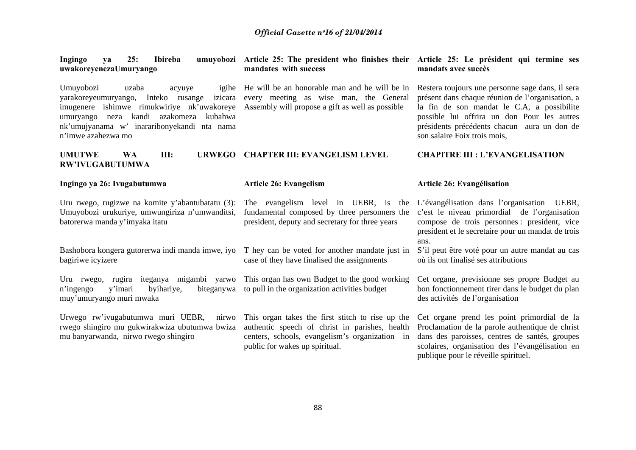| Ingingo<br>25:<br>Ibireba<br>ya<br>uwakoreyenezaUmuryango                                                                                                                                                                                                     | umuyobozi Article 25: The president who finishes their Article 25: Le président qui termine ses<br>mandates with success                                                               | mandats avec succès                                                                                                                                                                                                                                                              |
|---------------------------------------------------------------------------------------------------------------------------------------------------------------------------------------------------------------------------------------------------------------|----------------------------------------------------------------------------------------------------------------------------------------------------------------------------------------|----------------------------------------------------------------------------------------------------------------------------------------------------------------------------------------------------------------------------------------------------------------------------------|
| Umuyobozi<br>uzaba<br>igihe<br>acyuye<br>izicara<br>varakoreyeumuryango,<br>Inteko rusange<br>imugenere ishimwe rimukwiriye nk'uwakoreye<br>kandi azakomeza<br>kubahwa<br>umuryango neza<br>nk'umujyanama w' inararibonyekandi nta nama<br>n'imwe azahezwa mo | He will be an honorable man and he will be in<br>every meeting as wise man, the General<br>Assembly will propose a gift as well as possible                                            | Restera toujours une personne sage dans, il sera<br>présent dans chaque réunion de l'organisation, a<br>la fin de son mandat le C.A, a possibilite<br>possible lui offrira un don Pour les autres<br>présidents précédents chacun aura un don de<br>son salaire Foix trois mois, |
| <b>UMUTWE</b><br><b>WA</b><br>III:<br><b>URWEGO</b><br><b>RW'IVUGABUTUMWA</b>                                                                                                                                                                                 | <b>CHAPTER III: EVANGELISM LEVEL</b>                                                                                                                                                   | <b>CHAPITRE III : L'EVANGELISATION</b>                                                                                                                                                                                                                                           |
| Ingingo ya 26: Ivugabutumwa                                                                                                                                                                                                                                   | <b>Article 26: Evangelism</b>                                                                                                                                                          | Article 26: Evangélisation                                                                                                                                                                                                                                                       |
| Uru rwego, rugizwe na komite y'abantubatatu (3):<br>Umuyobozi urukuriye, umwungiriza n'umwanditsi,<br>batorerwa manda y'imyaka itatu                                                                                                                          | The evangelism level in UEBR, is the L'évangélisation dans l'organisation UEBR,<br>fundamental composed by three personners the<br>president, deputy and secretary for three years     | c'est le niveau primordial de l'organisation<br>compose de trois personnes : president, vice<br>president et le secretaire pour un mandat de trois<br>ans.                                                                                                                       |
| Bashobora kongera gutorerwa indi manda imwe, iyo<br>bagiriwe icyizere                                                                                                                                                                                         | T hey can be voted for another mandate just in<br>case of they have finalised the assignments                                                                                          | S'il peut être voté pour un autre mandat au cas<br>où ils ont finalisé ses attributions                                                                                                                                                                                          |
| Uru rwego, rugira iteganya migambi yarwo<br>y'imari<br>byihariye,<br>n'ingengo<br>biteganywa<br>muy'umuryango muri mwaka                                                                                                                                      | This organ has own Budget to the good working<br>to pull in the organization activities budget                                                                                         | Cet organe, previsionne ses propre Budget au<br>bon fonctionnement tirer dans le budget du plan<br>des activités de l'organisation                                                                                                                                               |
| Urwego rw'ivugabutumwa muri UEBR,<br>nirwo<br>rwego shingiro mu gukwirakwiza ubutumwa bwiza<br>mu banyarwanda, nirwo rwego shingiro                                                                                                                           | This organ takes the first stitch to rise up the<br>authentic speech of christ in parishes, health<br>centers, schools, evangelism's organization in<br>public for wakes up spiritual. | Cet organe prend les point primordial de la<br>Proclamation de la parole authentique de christ<br>dans des paroisses, centres de santés, groupes<br>scolaires, organisation des l'évangélisation en<br>publique pour le réveille spirituel.                                      |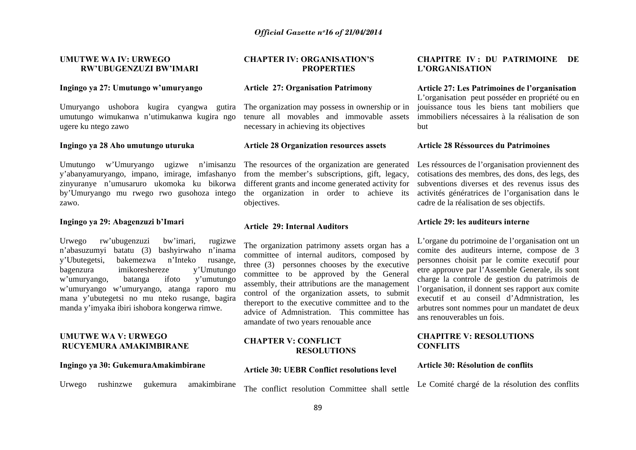#### **UMUTWE WA IV: URWEGO RW'UBUGENZUZI BW'IMARI**

#### **Ingingo ya 27: Umutungo w'umuryango**

Umuryango ushobora kugira cyangwa gutira umutungo wimukanwa n'utimukanwa kugira ngo ugere ku ntego zawo

#### **Ingingo ya 28 Aho umutungo uturuka**

Umutungo w'Umuryango ugizwe n'imisanzu y'abanyamuryango, impano, imirage, imfashanyo zinyuranye n'umusaruro ukomoka ku bikorwa by'Umuryango mu rwego rwo gusohoza intego zawo.

#### **Ingingo ya 29: Abagenzuzi b'Imari**

Urwego rw'ubugenzuzi bw'imari, rugizwe <sup>n</sup>'abasuzumyi batatu (3) bashyirwaho n'inama y'Ubutegetsi, bakemezwa n'Inteko rusange, bagenzura imikoreshereze y'Umutungo <sup>w</sup>'umuryango, batanga ifoto y'umutungo <sup>w</sup>'umuryango w'umuryango, atanga raporo mu mana y'ubutegetsi no mu nteko rusange, bagira manda y'imyaka ibiri ishobora kongerwa rimwe.

#### **UMUTWE WA V: URWEGO RUCYEMURA AMAKIMBIRANE**

#### **Ingingo ya 30: GukemuraAmakimbirane**

Urwego rushinzwe gukemura amakimbirane

#### **CHAPTER IV: ORGANISATION'S PROPERTIES**

#### **Article 27: Organisation Patrimony**

The organization may possess in ownership or in tenure all movables and immovable assets necessary in achieving its objectives

#### **Article 28 Organization resources assets**

The resources of the organization are generated from the member's subscriptions, gift, legacy, different grants and income generated activity for the organization in order to achieve its objectives.

#### **Article 29: Internal Auditors**

The organization patrimony assets organ has a committee of internal auditors, composed by three (3) personnes chooses by the executive committee to be approved by the General assembly, their attributions are the management control of the organization assets, to submit thereport to the executive committee and to the advice of Admnistration. This committee has amandate of two years renouable ance

#### **CHAPTER V: CONFLICT RESOLUTIONS**

#### **Article 30: UEBR Conflict resolutions level**

The conflict resolution Committee shall settle

#### **CHAPITRE IV : DU PATRIMOINE DE L'ORGANISATION**

#### **Article 27: Les Patrimoines de l'organisation**

L'organisation peut posséder en propriété ou en jouissance tous les biens tant mobiliers que immobiliers nécessaires à la réalisation de son but

#### **Article 28 Réssources du Patrimoines**

Les réssources de l'organisation proviennent des cotisations des membres, des dons, des legs, des subventions diverses et des revenus issus des activités génératrices de l'organisation dans le cadre de la réalisation de ses objectifs.

#### **Article 29: les auditeurs interne**

L'organe du potrimoine de l'organisation ont un comite des auditeurs interne, compose de 3 personnes choisit par le comite executif pour etre approuve par l'Assemble Generale, ils sont charge la controle de gestion du patrimois de l'organisation, il donnent ses rapport aux comite executif et au conseil d'Admnistration, les arbutres sont nommes pour un mandatet de deux ans renouverables un fois.

#### **CHAPITRE V: RESOLUTIONS CONFLITS**

#### **Article 30: Résolution de conflits**

Le Comité chargé de la résolution des conflits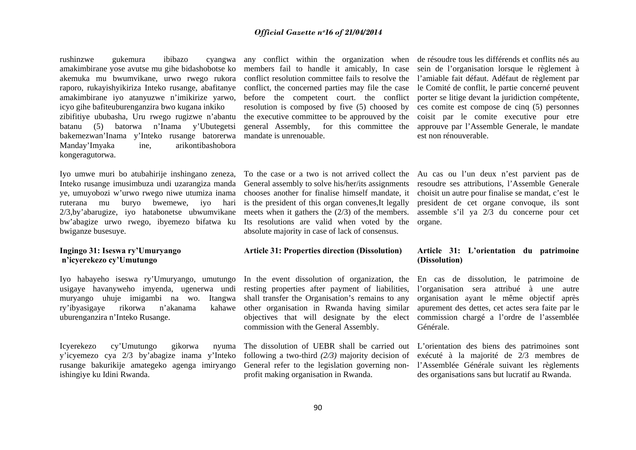rushinzwe gukemura ibibazo cyangwa amakimbirane yose avutse mu gihe bidashobotse ko akemuka mu bwumvikane, urwo rwego rukora raporo, rukayishyikiriza Inteko rusange, abafitanye amakimbirane iyo atanyuzwe n'imikirize yarwo, icyo gihe bafiteuburenganzira bwo kugana inkiko zibifitiye ububasha, Uru rwego rugizwe n'abantu batanu (5) batorwa n'Inama y'Ubutegetsi bakemezwan'Inama y'Inteko rusange batorerwa Manday'Imyaka ine, arikontibashobora kongeragutorwa.

Iyo umwe muri bo atubahirije inshingano zeneza, Inteko rusange imusimbuza undi uzarangiza manda ye, umuyobozi w'urwo rwego niwe utumiza inama ruterana mu buryo bwemewe, iyo hari 2/3,by'abarugize, iyo hatabonetse ubwumvikane bw'abagize urwo rwego, ibyemezo bifatwa ku bwiganze busesuye.

#### **Ingingo 31: Iseswa ry'Umuryango <sup>n</sup>'icyerekezo cy'Umutungo**

Iyo habayeho iseswa ry'Umuryango, umutungo usigaye havanyweho imyenda, ugenerwa undi muryango uhuje imigambi na wo. Itangwa ry'ibyasigaye rikorwa n'akanama kahawe uburenganzira n'Inteko Rusange.

Icyerekezo cy'Umutungo gikorwa nyuma y'icyemezo cya 2/3 by'abagize inama y'Inteko rusange bakurikije amategeko agenga imiryango ishingiye ku Idini Rwanda.

any conflict within the organization when de résoudre tous les différends et conflits nés au members fail to handle it amicably, In case conflict resolution committee fails to resolve the conflict, the concerned parties may file the case before the competent court. the conflict resolution is composed by five (5) choosed by the executive committee to be approuved by the general Assembly, for this committee the mandate is unrenouable.

General assembly to solve his/her/its assignments chooses another for finalise himself mandate, it is the president of this organ convenes,It legally meets when it gathers the (2/3) of the members. Its resolutions are valid when voted by the organe. absolute majority in case of lack of consensus.

#### **Article 31: Properties direction (Dissolution)**

In the event dissolution of organization, the resting properties after payment of liabilities, shall transfer the Organisation's remains to any other organisation in Rwanda having similar objectives that will designate by the elect commission chargé a l'ordre de l'assemblée commission with the General Assembly.

following a two-third *(2/3)* majority decision of General refer to the legislation governing nonprofit making organisation in Rwanda.

sein de l'organisation lorsque le règlement à l'amiable fait défaut. Adéfaut de règlement par le Comité de conflit, le partie concerné peuvent porter se litige devant la juridiction compétente, ces comite est compose de cinq (5) personnes coisit par le comite executive pour etre approuve par l'Assemble Generale, le mandate est non rénouverable.

To the case or a two is not arrived collect the Au cas ou l'un deux n'est parvient pas de resoudre ses attributions, l'Assemble Generale choisit un autre pour finalise se mandat, c'est le president de cet organe convoque, ils sont assemble s'il ya 2/3 du concerne pour cet

### **Article 31: L'orientation du patrimoine (Dissolution)**

En cas de dissolution, le patrimoine de l'organisation sera attribué à une autre organisation ayant le même objectif après apurement des dettes, cet actes sera faite par le Générale.

The dissolution of UEBR shall be carried out L'orientation des biens des patrimoines sont exécuté à la majorité de 2/3 membres de l'Assemblée Générale suivant les règlements des organisations sans but lucratif au Rwanda.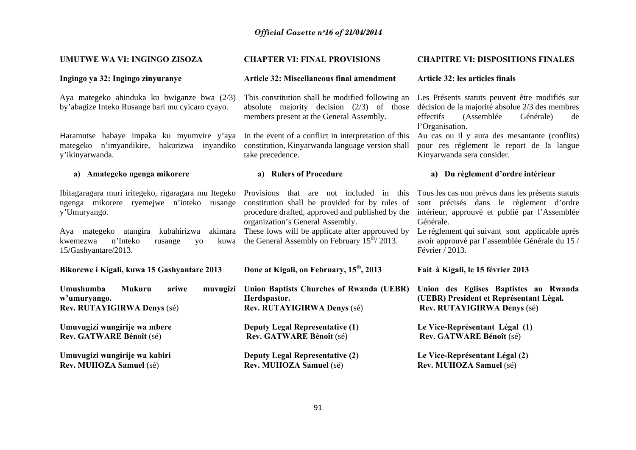| UMUTWE WA VI: INGINGO ZISOZA                                                                                                                                                                                                                                                              | <b>CHAPTER VI: FINAL PROVISIONS</b>                                                                                                                                                                                                          | <b>CHAPITRE VI: DISPOSITIONS FINALES</b>                                                                                                                                                                                                                                           |
|-------------------------------------------------------------------------------------------------------------------------------------------------------------------------------------------------------------------------------------------------------------------------------------------|----------------------------------------------------------------------------------------------------------------------------------------------------------------------------------------------------------------------------------------------|------------------------------------------------------------------------------------------------------------------------------------------------------------------------------------------------------------------------------------------------------------------------------------|
| Ingingo ya 32: Ingingo zinyuranye                                                                                                                                                                                                                                                         | <b>Article 32: Miscellaneous final amendment</b>                                                                                                                                                                                             | Article 32: les articles finals                                                                                                                                                                                                                                                    |
| Aya mategeko ahinduka ku bwiganze bwa (2/3)<br>by'abagize Inteko Rusange bari mu cyicaro cyayo.                                                                                                                                                                                           | This constitution shall be modified following an<br>absolute majority decision $(2/3)$ of those<br>members present at the General Assembly.                                                                                                  | Les Présents statuts peuvent être modifiés sur<br>décision de la majorité absolue 2/3 des membres<br>(Assemblée<br>effectifs<br>Générale)<br>de<br>l'Organisation.                                                                                                                 |
| Haramutse habaye impaka ku myumvire y'aya<br>mategeko n'imyandikire, hakurizwa inyandiko<br>y'ikinyarwanda.                                                                                                                                                                               | In the event of a conflict in interpretation of this<br>constitution, Kinyarwanda language version shall<br>take precedence.                                                                                                                 | Au cas ou il y aura des mesantante (conflits)<br>pour ces réglement le report de la langue<br>Kinyarwanda sera consider.                                                                                                                                                           |
| a) Amategeko ngenga mikorere                                                                                                                                                                                                                                                              | a) Rulers of Procedure                                                                                                                                                                                                                       | a) Du règlement d'ordre intérieur                                                                                                                                                                                                                                                  |
| Ibitagaragara muri iritegeko, rigaragara mu Itegeko Provisions that are not included in this<br>ngenga mikorere ryemejwe n'inteko rusange<br>y'Umuryango.<br>Aya mategeko atangira kubahirizwa<br>akimara<br>n'Inteko<br>kwemezwa<br>kuwa<br>rusange<br><b>VO</b><br>15/Gashyantare/2013. | constitution shall be provided for by rules of<br>procedure drafted, approved and published by the<br>organization's General Assembly.<br>These lows will be applicate after approuved by<br>the General Assembly on February $15th/ 2013$ . | Tous les cas non prévus dans les présents statuts<br>sont précisés dans le règlement d'ordre<br>intérieur, approuvé et publié par l'Assemblée<br>Générale.<br>Le réglement qui suivant sont applicable après<br>avoir approuvé par l'assemblée Générale du 15 /<br>Février / 2013. |
| Bikorewe i Kigali, kuwa 15 Gashyantare 2013                                                                                                                                                                                                                                               | Done at Kigali, on February, 15 <sup>th</sup> , 2013                                                                                                                                                                                         | Fait à Kigali, le 15 février 2013                                                                                                                                                                                                                                                  |
| Umushumba<br><b>Mukuru</b><br>ariwe<br>muvugizi<br>w'umuryango.<br>Rev. RUTAYIGIRWA Denys (sé)                                                                                                                                                                                            | Union Baptists Churches of Rwanda (UEBR)<br>Herdspastor.<br>Rev. RUTAYIGIRWA Denys (sé)                                                                                                                                                      | Union des Eglises Baptistes au Rwanda<br>(UEBR) President et Représentant Légal.<br>Rev. RUTAYIGIRWA Denys (sé)                                                                                                                                                                    |
| Umuvugizi wungirije wa mbere<br>Rev. GATWARE Bénoît (sé)                                                                                                                                                                                                                                  | <b>Deputy Legal Representative (1)</b><br>Rev. GATWARE Bénoît (sé)                                                                                                                                                                           | Le Vice-Représentant Légal (1)<br>Rev. GATWARE Bénoît (sé)                                                                                                                                                                                                                         |
| Umuvugizi wungirije wa kabiri<br>Rev. MUHOZA Samuel (sé)                                                                                                                                                                                                                                  | <b>Deputy Legal Representative (2)</b><br>Rev. MUHOZA Samuel (sé)                                                                                                                                                                            | Le Vice-Représentant Légal (2)<br>Rev. MUHOZA Samuel (sé)                                                                                                                                                                                                                          |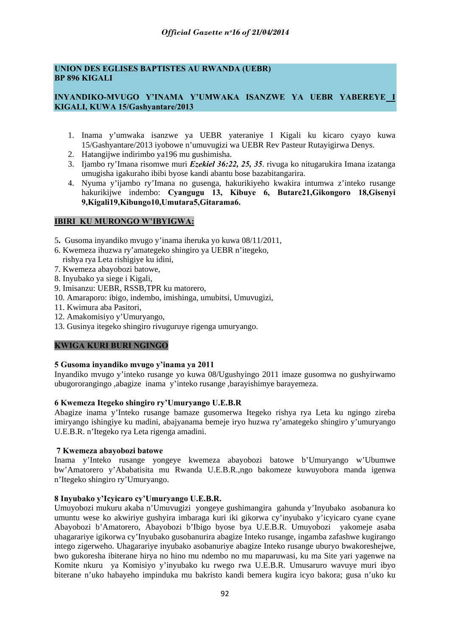# **UNION DES EGLISES BAPTISTES AU RWANDA (UEBR) BP 896 KIGALI**

# **INYANDIKO-MVUGO Y'INAMA Y'UMWAKA ISANZWE YA UEBR YABEREYE I KIGALI, KUWA 15/Gashyantare/2013**

- 1. Inama y'umwaka isanzwe ya UEBR yateraniye I Kigali ku kicaro cyayo kuwa 15/Gashyantare/2013 iyobowe n'umuvugizi wa UEBR Rev Pasteur Rutayigirwa Denys.
- 2. Hatangijwe indirimbo ya196 mu gushimisha.
- 3. Ijambo ry'Imana risomwe muri *Ezekiel 36:22, 25, 35*. rivuga ko nitugarukira Imana izatanga umugisha igakuraho ibibi byose kandi abantu bose bazabitangarira.
- 4. Nyuma y'ijambo ry'Imana no gusenga, hakurikiyeho kwakira intumwa z'inteko rusange hakurikijwe indembo: **Cyangugu 13, Kibuye 6, Butare21,Gikongoro 18,Gisenyi 9,Kigali19,Kibungo10,Umutara5,Gitarama6.**

# **IBIRI KU MURONGO W'IBYIGWA:**

- 5**.** Gusoma inyandiko mvugo y'inama iheruka yo kuwa 08/11/2011,
- 6. Kwemeza ihuzwa ry'amategeko shingiro ya UEBR n'itegeko, rishya rya Leta rishigiye ku idini,
- 7. Kwemeza abayobozi batowe,
- 8. Inyubako ya siege i Kigali,
- 9. Imisanzu: UEBR, RSSB,TPR ku matorero,
- 10. Amaraporo: ibigo, indembo, imishinga, umubitsi, Umuvugizi,
- 11. Kwimura aba Pasitori,
- 12. Amakomisiyo y'Umuryango,
- 13. Gusinya itegeko shingiro rivuguruye rigenga umuryango.

#### **KWIGA KURI BURI NGINGO**

#### **5 Gusoma inyandiko mvugo y'inama ya 2011**

Inyandiko mvugo y'inteko rusange yo kuwa 08/Ugushyingo 2011 imaze gusomwa no gushyirwamo ubugororangingo ,abagize inama y'inteko rusange ,barayishimye barayemeza.

#### **6 Kwemeza Itegeko shingiro ry'Umuryango U.E.B.R**

Abagize inama y'Inteko rusange bamaze gusomerwa Itegeko rishya rya Leta ku ngingo zireba imiryango ishingiye ku madini, abajyanama bemeje iryo huzwa ry'amategeko shingiro y'umuryango U.E.B.R. n'Itegeko rya Leta rigenga amadini.

#### **7 Kwemeza abayobozi batowe**

Inama y'Inteko rusange yongeye kwemeza abayobozi batowe b'Umuryango w'Ubumwe bw'Amatorero y'Ababatisita mu Rwanda U.E.B.R.,ngo bakomeze kuwuyobora manda igenwa n'Itegeko shingiro ry'Umuryango.

#### **8 Inyubako y'Icyicaro cy'Umuryango U.E.B.R.**

Umuyobozi mukuru akaba n'Umuvugizi yongeye gushimangira gahunda y'Inyubako asobanura ko umuntu wese ko akwiriye gushyira imbaraga kuri iki gikorwa cy'inyubako y'icyicaro cyane cyane Abayobozi b'Amatorero, Abayobozi b'Ibigo byose bya U.E.B.R. Umuyobozi yakomeje asaba uhagarariye igikorwa cy'Inyubako gusobanurira abagize Inteko rusange, ingamba zafashwe kugirango intego zigerweho. Uhagarariye inyubako asobanuriye abagize Inteko rusange uburyo bwakoreshejwe, bwo gukoresha ibiterane hirya no hino mu ndembo no mu maparuwasi, ku ma Site yari yagenwe na Komite nkuru ya Komisiyo y'inyubako ku rwego rwa U.E.B.R. Umusaruro wavuye muri ibyo biterane n'uko habayeho impinduka mu bakristo kandi bemera kugira icyo bakora; gusa n'uko ku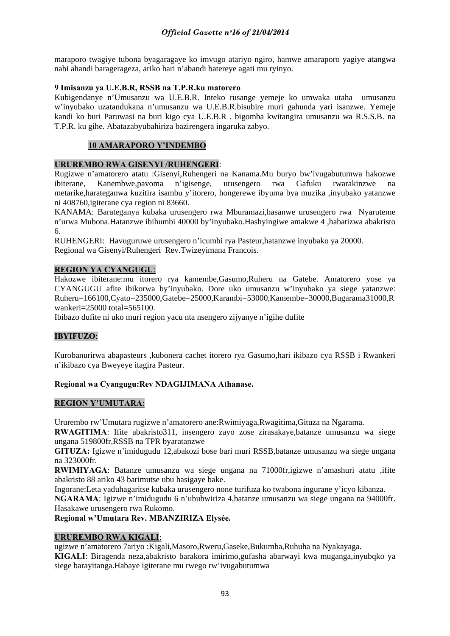maraporo twagiye tubona byagaragaye ko imvugo atariyo ngiro, hamwe amaraporo yagiye atangwa nabi ahandi baragerageza, ariko hari n'abandi batereye agati mu ryinyo.

# **9 Imisanzu ya U.E.B.R, RSSB na T.P.R.ku matorero**

Kubigendanye n'Umusanzu wa U.E.B.R. Inteko rusange yemeje ko umwaka utaha umusanzu w'inyubako uzatandukana n'umusanzu wa U.E.B.R.bisubire muri gahunda yari isanzwe. Yemeje kandi ko buri Paruwasi na buri kigo cya U.E.B.R . bigomba kwitangira umusanzu wa R.S.S.B. na T.P.R. ku gihe. Abatazabyubahiriza bazirengera ingaruka zabyo.

# **10 AMARAPORO Y'INDEMBO**

# **URUREMBO RWA GISENYI /RUHENGERI**:

Rugizwe n'amatorero atatu :Gisenyi,Ruhengeri na Kanama.Mu buryo bw'ivugabutumwa hakozwe ibiterane, Kanembwe,pavoma n'igisenge, urusengero rwa Gafuku rwarakinzwe na metarike,harateganwa kuzitira isambu y'itorero, hongerewe ibyuma bya muzika ,inyubako yatanzwe ni 408760,igiterane cya region ni 83660.

KANAMA: Barateganya kubaka urusengero rwa Mburamazi,hasanwe urusengero rwa Nyaruteme n'urwa Mubona.Hatanzwe ibihumbi 40000 by'inyubako.Hashyingiwe amakwe 4 ,habatizwa abakristo 6.

RUHENGERI: Havuguruwe urusengero n'icumbi rya Pasteur,hatanzwe inyubako ya 20000. Regional wa Gisenyi/Ruhengeri Rev.Twizeyimana Francois.

# **REGION YA CYANGUGU**:

Hakozwe ibiterane:mu itorero rya kamembe,Gasumo,Ruheru na Gatebe. Amatorero yose ya CYANGUGU afite ibikorwa by'inyubako. Dore uko umusanzu w'inyubako ya siege yatanzwe: Ruheru=166100,Cyato=235000,Gatebe=25000,Karambi=53000,Kamembe=30000,Bugarama31000,R wankeri=25000 total=565100.

Ibibazo dufite ni uko muri region yacu nta nsengero zijyanye n'igihe dufite

# **IBYIFUZO**:

Kurobanurirwa abapasteurs ,kubonera cachet itorero rya Gasumo,hari ikibazo cya RSSB i Rwankeri n'ikibazo cya Bweyeye itagira Pasteur.

#### **Regional wa Cyangugu:Rev NDAGIJIMANA Athanase.**

#### **REGION Y'UMUTARA**:

Ururembo rw'Umutara rugizwe n'amatorero ane:Rwimiyaga,Rwagitima,Gituza na Ngarama.

**RWAGITIMA**: Ifite abakristo311, insengero zayo zose zirasakaye,batanze umusanzu wa siege ungana 519800fr,RSSB na TPR byaratanzwe

**GITUZA:** Igizwe n'imidugudu 12,abakozi bose bari muri RSSB,batanze umusanzu wa siege ungana na 323000fr.

**RWIMIYAGA**: Batanze umusanzu wa siege ungana na 71000fr,igizwe n'amashuri atatu ,ifite abakristo 88 ariko 43 barimutse ubu hasigaye bake.

Ingorane:Leta yaduhagaritse kubaka urusengero none turifuza ko twabona ingurane y'icyo kibanza.

**NGARAMA**: Igizwe n'imidugudu 6 n'ububwiriza 4,batanze umusanzu wa siege ungana na 94000fr. Hasakawe urusengero rwa Rukomo.

**Regional w'Umutara Rev. MBANZIRIZA Elysée.** 

# **URUREMBO RWA KIGALI**:

ugizwe n'amatorero 7ariyo :Kigali,Masoro,Rweru,Gaseke,Bukumba,Ruhuha na Nyakayaga. **KIGALI**: Biragenda neza,abakristo barakora imirimo,gufasha abarwayi kwa muganga,inyubqko ya siege barayitanga.Habaye igiterane mu rwego rw'ivugabutumwa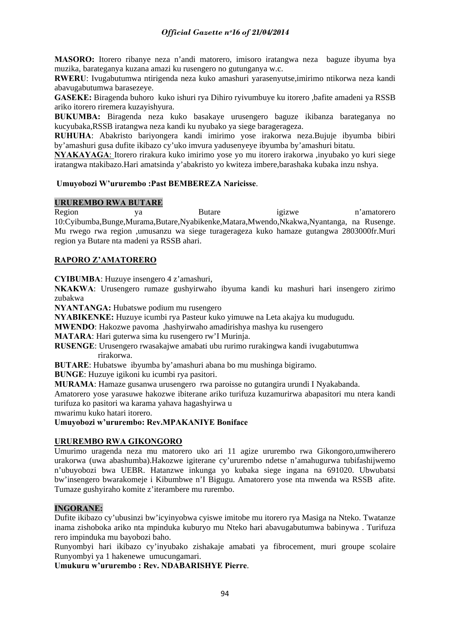**MASORO:** Itorero ribanye neza n'andi matorero, imisoro iratangwa neza baguze ibyuma bya muzika, barateganya kuzana amazi ku rusengero no gutunganya w.c.

**RWERU**: Ivugabutumwa ntirigenda neza kuko amashuri yarasenyutse,imirimo ntikorwa neza kandi abavugabutumwa barasezeye.

**GASEKE:** Biragenda buhoro kuko ishuri rya Dihiro ryivumbuye ku itorero ,bafite amadeni ya RSSB ariko itorero riremera kuzayishyura.

**BUKUMBA:** Biragenda neza kuko basakaye urusengero baguze ikibanza barateganya no kucyubaka,RSSB iratangwa neza kandi ku nyubako ya siege baragerageza.

**RUHUHA**: Abakristo bariyongera kandi imirimo yose irakorwa neza.Bujuje ibyumba bibiri by'amashuri gusa dufite ikibazo cy'uko imvura yadusenyeye ibyumba by'amashuri bitatu.

**NYAKAYAGA**: Itorero rirakura kuko imirimo yose yo mu itorero irakorwa ,inyubako yo kuri siege iratangwa ntakibazo.Hari amatsinda y'abakristo yo kwiteza imbere,barashaka kubaka inzu nshya.

# **Umuyobozi W'ururembo :Past BEMBEREZA Naricisse**.

# **URUREMBO RWA BUTARE**

Region ya Butare igizwe n'amatorero 10:Cyibumba,Bunge,Murama,Butare,Nyabikenke,Matara,Mwendo,Nkakwa,Nyantanga, na Rusenge. Mu rwego rwa region ,umusanzu wa siege turagerageza kuko hamaze gutangwa 2803000fr.Muri region ya Butare nta madeni ya RSSB ahari.

# **RAPORO Z'AMATORERO**

**CYIBUMBA**: Huzuye insengero 4 z'amashuri,

**NKAKWA**: Urusengero rumaze gushyirwaho ibyuma kandi ku mashuri hari insengero zirimo zubakwa

**NYANTANGA:** Hubatswe podium mu rusengero

**NYABIKENKE:** Huzuye icumbi rya Pasteur kuko yimuwe na Leta akajya ku mudugudu.

**MWENDO**: Hakozwe pavoma ,hashyirwaho amadirishya mashya ku rusengero

**MATARA**: Hari guterwa sima ku rusengero rw'I Murinja.

**RUSENGE**: Urusengero rwasakajwe amabati ubu rurimo rurakingwa kandi ivugabutumwa rirakorwa.

**BUTARE**: Hubatswe ibyumba by'amashuri abana bo mu mushinga bigiramo.

**BUNGE**: Huzuye igikoni ku icumbi rya pasitori.

**MURAMA**: Hamaze gusanwa urusengero rwa paroisse no gutangira urundi I Nyakabanda.

Amatorero yose yarasuwe hakozwe ibiterane ariko turifuza kuzamurirwa abapasitori mu ntera kandi turifuza ko pasitori wa karama yahava hagashyirwa u

mwarimu kuko hatari itorero.

**Umuyobozi w'ururembo: Rev.MPAKANIYE Boniface** 

#### **URUREMBO RWA GIKONGORO**

Umurimo uragenda neza mu matorero uko ari 11 agize ururembo rwa Gikongoro,umwiherero urakorwa (uwa abashumba).Hakozwe igiterane cy'ururembo ndetse n'amahugurwa tubifashijwemo n'ubuyobozi bwa UEBR. Hatanzwe inkunga yo kubaka siege ingana na 691020. Ubwubatsi bw'insengero bwarakomeje i Kibumbwe n'I Bigugu. Amatorero yose nta mwenda wa RSSB afite. Tumaze gushyiraho komite z'iterambere mu rurembo.

#### **INGORANE:**

Dufite ikibazo cy'ubusinzi bw'icyinyobwa cyiswe imitobe mu itorero rya Masiga na Nteko. Twatanze inama zishoboka ariko nta mpinduka kuburyo mu Nteko hari abavugabutumwa babinywa . Turifuza rero impinduka mu bayobozi baho.

Runyombyi hari ikibazo cy'inyubako zishakaje amabati ya fibrocement, muri groupe scolaire Runyombyi ya 1 hakenewe umucungamari.

**Umukuru w'ururembo : Rev. NDABARISHYE Pierre**.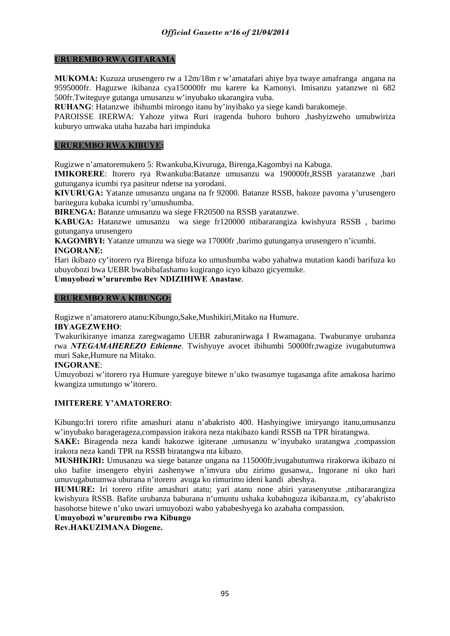#### **URUREMBO RWA GITARAMA**

**MUKOMA:** Kuzuza urusengero rw a 12m/18m r w'amatafari ahiye bya twaye amafranga angana na 9595000fr. Haguzwe ikibanza cya150000fr mu karere ka Kamonyi. Imisanzu yatanzwe ni 682 500fr.Twiteguye gutanga umusanzu w'inyubako ukarangira vuba.

**RUHANG**: Hatanzwe ibihumbi mirongo itanu by'inyibako ya siege kandi barakomeje.

PAROISSE IRERWA: Yahoze yitwa Ruri iragenda buhoro buhoro ,hashyizweho umubwiriza kuburyo umwaka utaha hazaba hari impinduka

#### **URUREMBO RWA KIBUYE:**

Rugizwe n'amatoremukero 5: Rwankuba,Kivuruga, Birenga,Kagombyi na Kabuga.

**IMIKORERE**: Itorero rya Rwankuba:Batanze umusanzu wa 190000fr,RSSB yaratanzwe ,bari gutunganya icumbi rya pasiteur ndetse na yorodani.

**KIVURUGA:** Yatanze umusanzu ungana na fr 92000. Batanze RSSB, bakoze pavoma y'urusengero baritegura kubaka icumbi ry'umushumba.

**BIRENGA:** Batanze umusanzu wa siege FR20500 na RSSB yaratanzwe.

**KABUGA:** Hatanzwe umusanzu wa siege fr120000 ntibararangiza kwishyura RSSB , barimo gutunganya urusengero

**KAGOMBYI:** Yatanze umunzu wa siege wa 17000fr ,barimo gutunganya urusengero n'icumbi. **INGORANE:** 

Hari ikibazo cy'itorero rya Birenga bifuza ko umushumba wabo yahabwa mutation kandi barifuza ko ubuyobozi bwa UEBR bwabibafashamo kugirango icyo kibazo gicyemuke.

**Umuyobozi w'ururembo Rev NDIZIHIWE Anastase**.

#### **URUREMBO RWA KIBUNGO:**

Rugizwe n'amatorero atanu:Kibungo,Sake,Mushikiri,Mitako na Humure.

#### **IBYAGEZWEHO**:

Twakurikiranye imanza zaregwagamo UEBR zaburanirwaga I Rwamagana. Twaburanye urubanza rwa *NTEGAMAHEREZO Ethienne*. Twishyuye avocet ibihumbi 50000fr,twagize ivugabutumwa muri Sake,Humure na Mitako.

#### **INGORANE**:

Umuyobozi w'itorero rya Humure yareguye bitewe n'uko twasumye tugasanga afite amakosa harimo kwangiza umutungo w'itorero.

#### **IMITERERE Y'AMATORERO**:

Kibungo:Iri torero rifite amashuri atanu n'abakristo 400. Hashyingiwe imiryango itanu,umusanzu w'inyubako baragerageza,compassion irakora neza ntakibazo kandi RSSB na TPR biratangwa.

**SAKE:** Biragenda neza kandi hakozwe igiterane ,umusanzu w'inyubako uratangwa ,compassion irakora neza kandi TPR na RSSB biratangwa nta kibazo.

**MUSHIKIRI:** Umusanzu wa siege batanze ungana na 115000fr,ivugabutumwa rirakorwa ikibazo ni uko bafite insengero ebyiri zashenywe n'imvura ubu zirimo gusanwa,. Ingorane ni uko hari umuvugabutumwa uburana n'itorero avuga ko rimurimo ideni kandi abeshya.

**HUMURE:** Iri torero rifite amashuri atatu; yari atanu none abiri yarasenyutse ,ntibararangiza kwishyura RSSB. Bafite urubanza baburana n'umuntu ushaka kubahuguza ikibanza.m, cy'abakristo basohotse bitewe n'uko uwari umuyobozi wabo yababeshyega ko azabaha compassion.

# **Umuyobozi w'ururembo rwa Kibungo**

**Rev.HAKUZIMANA Diogene.**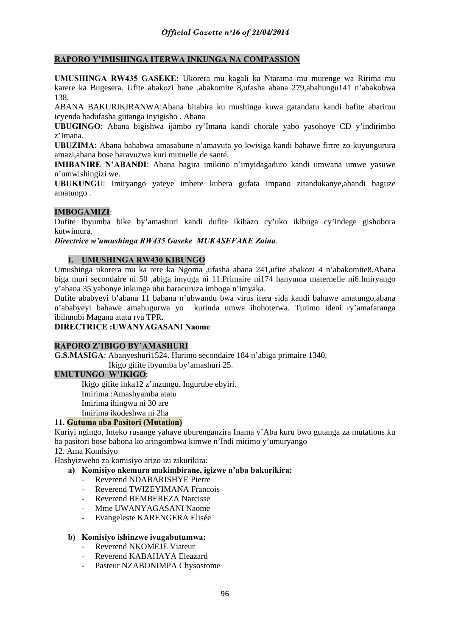# **RAPORO Y'IMISHINGA ITERWA INKUNGA NA COMPASSION**

**UMUSHINGA RW435 GASEKE:** Ukorera mu kagali ka Ntarama mu murenge wa Ririma mu karere ka Bugesera. Ufite abakozi bane ,abakomite 8,ufasha abana 279,abahungu141 n'abakobwa 138.

ABANA BAKURIKIRANWA:Abana bitabira ku mushinga kuwa gatandatu kandi bafite abarimu icyenda badufasha gutanga inyigisho . Abana

**UBUGINGO**: Abana bigishwa ijambo ry'Imana kandi chorale yabo yasohoye CD y'indirimbo z'Imana.

**UBUZIMA**: Abana bahabwa amasabune n'amavuta yo kwisiga kandi bahawe firtre zo kuyungurura amazi,abana bose baravuzwa kuri mutuelle de santé.

**IMIBANIRE N'ABANDI**: Abana bagira imikino n'imyidagaduro kandi umwana umwe yasuwe n'umwishingizi we.

**UBUKUNGU**: Imiryango yateye imbere kubera gufata impano zitandukanye,abandi baguze amatungo .

# **IMBOGAMIZI**:

Dufite ibyumba bike by'amashuri kandi dufite ikibazo cy'uko ikibuga cy'indege gishobora kutwimura.

*Directrice w'umushinga RW435 Gaseke MUKASEFAKE Zaina*.

# **I. UMUSHINGA RW430 KIBUNGO**

Umushinga ukorera mu ka rere ka Ngoma ,ufasha abana 241,ufite abakozi 4 n'abakomite8.Abana biga muri secondaire ni 50 ,abiga imyuga ni 11.Primaire ni174 hanyuma maternelle ni6.Imiryango y'abana 35 yabonye inkunga ubu baracuruza imboga n'imyaka.

Dufite ababyeyi b'abana 11 babana n'ubwandu bwa virus itera sida kandi bahawe amatungo,abana n'ababyeyi bahawe amahugurwa yo kurinda umwa ihohoterwa. Turimo ideni ry'amafaranga ibihumbi Magana atatu rya TPR.

# **DIRECTRICE :UWANYAGASANI Naome**

#### **RAPORO Z'IBIGO BY'AMASHURI**

**G.S.MASIGA**: Abanyeshuri1524. Harimo secondaire 184 n'abiga primaire 1340.

Ikigo gifite ibyumba by'amashuri 25.

### **UMUTUNGO W'IKIGO**:

Ikigo gifite inka12 z'inzungu. Ingurube ebyiri. Imirima :Amashyamba atatu Imirima ihingwa ni 30 are Imirima ikodeshwa ni 2ha

# **11. Gutuma aba Pasitori (Mutation)**

Kuriyi ngingo, Inteko rusange yahaye uburenganzira Inama y'Aba kuru bwo gutanga za mutations ku ba pasitori bose babona ko aringombwa kimwe n'Indi mirimo y'umuryango

# 12. Ama Komisiyo

Hashyizweho za komisiyo arizo izi zikurikira:

- **a) Komisiyo nkemura makimbirane, igizwe n'aba bakurikira:** 
	- Reverend NDABARISHYE Pierre
	- Reverend TWIZEYIMANA Francois
	- Reverend BEMBEREZA Narcisse
	- Mme UWANYAGASANI Naome
	- Evangeleste KARENGERA Elisée

#### **b) Komisiyo ishinzwe ivugabutumwa:**

- Reverend NKOMEJE Viateur
- Reverend KABAHAYA Eleazard
- Pasteur NZABONIMPA Chysostome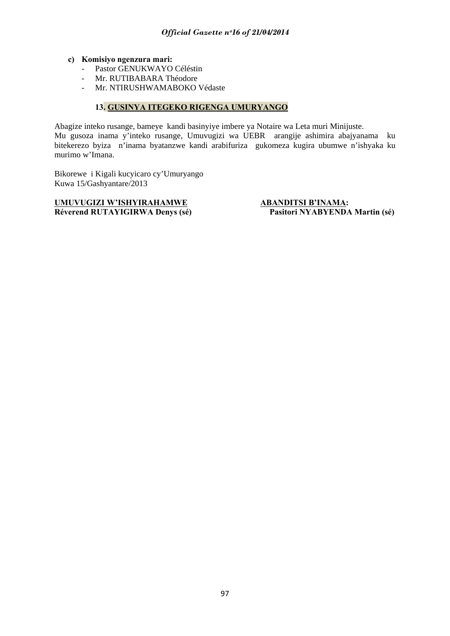#### **c) Komisiyo ngenzura mari:**

- Pastor GENUKWAYO Céléstin
- Mr. RUTIBABARA Théodore
- Mr. NTIRUSHWAMABOKO Védaste

# **13. GUSINYA ITEGEKO RIGENGA UMURYANGO**

Abagize inteko rusange, bameye kandi basinyiye imbere ya Notaire wa Leta muri Minijuste. Mu gusoza inama y'inteko rusange, Umuvugizi wa UEBR arangije ashimira abajyanama ku bitekerezo byiza n'inama byatanzwe kandi arabifuriza gukomeza kugira ubumwe n'ishyaka ku murimo w'Imana.

Bikorewe i Kigali kucyicaro cy'Umuryango Kuwa 15/Gashyantare/2013

# **UMUVUGIZI W'ISHYIRAHAMWE ABANDITSI B'INAMA: Réverend RUTAYIGIRWA Denys (sé) Pasitori NYABYENDA Martin (sé)**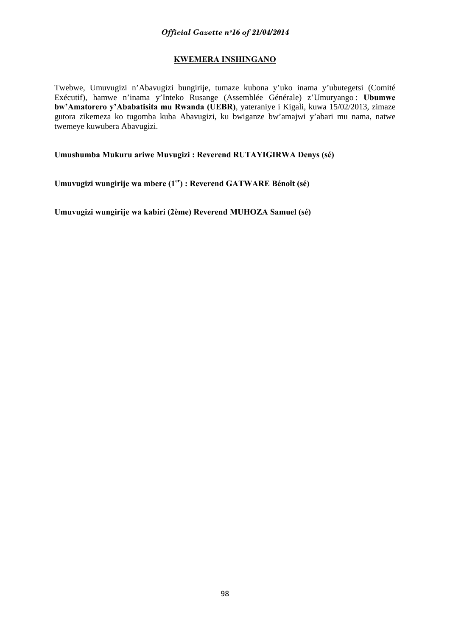# **KWEMERA INSHINGANO**

Twebwe, Umuvugizi n'Abavugizi bungirije, tumaze kubona y'uko inama y'ubutegetsi (Comité Exécutif), hamwe n'inama y'Inteko Rusange (Assemblée Générale) z'Umuryango : **Ubumwe bw'Amatorero y'Ababatisita mu Rwanda (UEBR)**, yateraniye i Kigali, kuwa 15/02/2013, zimaze gutora zikemeza ko tugomba kuba Abavugizi, ku bwiganze bw'amajwi y'abari mu nama, natwe twemeye kuwubera Abavugizi.

**Umushumba Mukuru ariwe Muvugizi : Reverend RUTAYIGIRWA Denys (sé)** 

**Umuvugizi wungirije wa mbere (1er) : Reverend GATWARE Bénoît (sé)** 

**Umuvugizi wungirije wa kabiri (2ème) Reverend MUHOZA Samuel (sé)**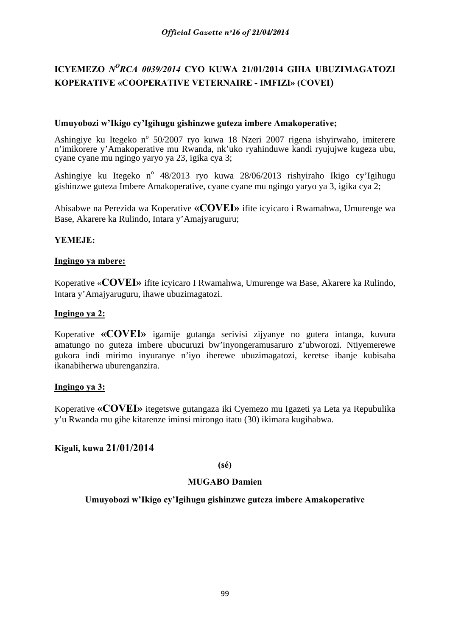# **ICYEMEZO** *NORCA 0039/2014* **CYO KUWA 21/01/2014 GIHA UBUZIMAGATOZI KOPERATIVE «COOPERATIVE VETERNAIRE - IMFIZI» (COVEI)**

# **Umuyobozi w'Ikigo cy'Igihugu gishinzwe guteza imbere Amakoperative;**

Ashingiye ku Itegeko nº 50/2007 ryo kuwa 18 Nzeri 2007 rigena ishyirwaho, imiterere n'imikorere y'Amakoperative mu Rwanda, nk'uko ryahinduwe kandi ryujujwe kugeza ubu, cyane cyane mu ngingo yaryo ya 23, igika cya 3;

Ashingiye ku Itegeko nº 48/2013 ryo kuwa 28/06/2013 rishyiraho Ikigo cy'Igihugu gishinzwe guteza Imbere Amakoperative, cyane cyane mu ngingo yaryo ya 3, igika cya 2;

Abisabwe na Perezida wa Koperative **«COVEI»** ifite icyicaro i Rwamahwa, Umurenge wa Base, Akarere ka Rulindo, Intara y'Amajyaruguru;

# **YEMEJE:**

# **Ingingo ya mbere:**

Koperative «**COVEI»** ifite icyicaro I Rwamahwa, Umurenge wa Base, Akarere ka Rulindo, Intara y'Amajyaruguru, ihawe ubuzimagatozi.

# **Ingingo ya 2:**

Koperative **«COVEI»** igamije gutanga serivisi zijyanye no gutera intanga, kuvura amatungo no guteza imbere ubucuruzi bw'inyongeramusaruro z'ubworozi. Ntiyemerewe gukora indi mirimo inyuranye n'iyo iherewe ubuzimagatozi, keretse ibanje kubisaba ikanabiherwa uburenganzira.

# **Ingingo ya 3:**

Koperative **«COVEI»** itegetswe gutangaza iki Cyemezo mu Igazeti ya Leta ya Repubulika y'u Rwanda mu gihe kitarenze iminsi mirongo itatu (30) ikimara kugihabwa.

# **Kigali, kuwa 21/01/2014**

# **(sé)**

# **MUGABO Damien**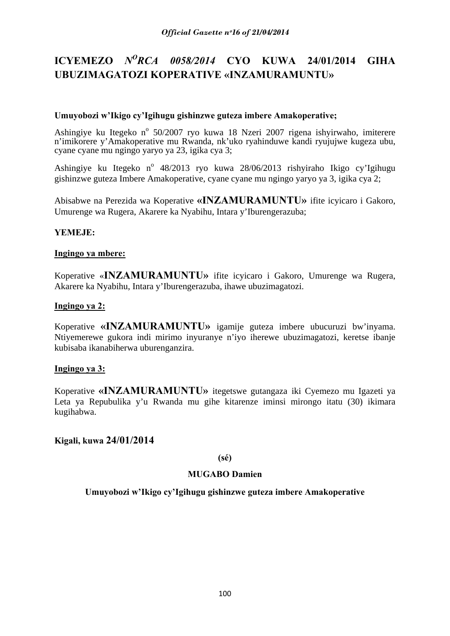# **ICYEMEZO** *NORCA 0058/2014* **CYO KUWA 24/01/2014 GIHA UBUZIMAGATOZI KOPERATIVE «INZAMURAMUNTU»**

# **Umuyobozi w'Ikigo cy'Igihugu gishinzwe guteza imbere Amakoperative;**

Ashingiye ku Itegeko nº 50/2007 ryo kuwa 18 Nzeri 2007 rigena ishyirwaho, imiterere n'imikorere y'Amakoperative mu Rwanda, nk'uko ryahinduwe kandi ryujujwe kugeza ubu, cyane cyane mu ngingo yaryo ya 23, igika cya 3;

Ashingiye ku Itegeko nº 48/2013 ryo kuwa 28/06/2013 rishyiraho Ikigo cy'Igihugu gishinzwe guteza Imbere Amakoperative, cyane cyane mu ngingo yaryo ya 3, igika cya 2;

Abisabwe na Perezida wa Koperative **«INZAMURAMUNTU»** ifite icyicaro i Gakoro, Umurenge wa Rugera, Akarere ka Nyabihu, Intara y'Iburengerazuba;

# **YEMEJE:**

# **Ingingo ya mbere:**

Koperative «**INZAMURAMUNTU»** ifite icyicaro i Gakoro, Umurenge wa Rugera, Akarere ka Nyabihu, Intara y'Iburengerazuba, ihawe ubuzimagatozi.

# **Ingingo ya 2:**

Koperative **«INZAMURAMUNTU»** igamije guteza imbere ubucuruzi bw'inyama. Ntiyemerewe gukora indi mirimo inyuranye n'iyo iherewe ubuzimagatozi, keretse ibanje kubisaba ikanabiherwa uburenganzira.

# **Ingingo ya 3:**

Koperative **«INZAMURAMUNTU»** itegetswe gutangaza iki Cyemezo mu Igazeti ya Leta ya Repubulika y'u Rwanda mu gihe kitarenze iminsi mirongo itatu (30) ikimara kugihabwa.

# **Kigali, kuwa 24/01/2014**

# **(sé)**

# **MUGABO Damien**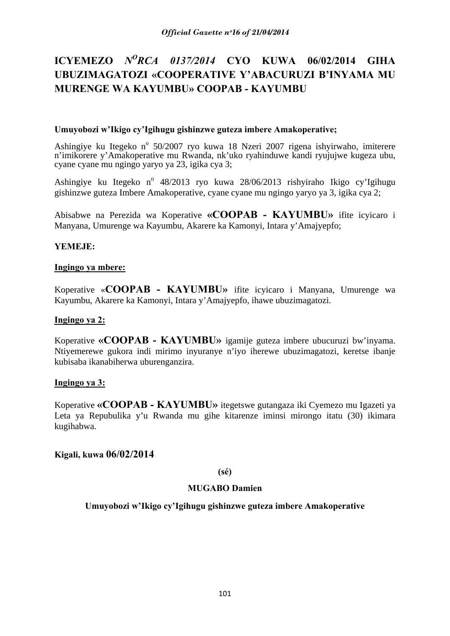# **ICYEMEZO** *NORCA 0137/2014* **CYO KUWA 06/02/2014 GIHA UBUZIMAGATOZI «COOPERATIVE Y'ABACURUZI B'INYAMA MU MURENGE WA KAYUMBU» COOPAB - KAYUMBU**

# **Umuyobozi w'Ikigo cy'Igihugu gishinzwe guteza imbere Amakoperative;**

Ashingiye ku Itegeko nº 50/2007 ryo kuwa 18 Nzeri 2007 rigena ishyirwaho, imiterere n'imikorere y'Amakoperative mu Rwanda, nk'uko ryahinduwe kandi ryujujwe kugeza ubu, cyane cyane mu ngingo yaryo ya 23, igika cya 3;

Ashingiye ku Itegeko nº 48/2013 ryo kuwa 28/06/2013 rishyiraho Ikigo cy'Igihugu gishinzwe guteza Imbere Amakoperative, cyane cyane mu ngingo yaryo ya 3, igika cya 2;

Abisabwe na Perezida wa Koperative **«COOPAB - KAYUMBU»** ifite icyicaro i Manyana, Umurenge wa Kayumbu, Akarere ka Kamonyi, Intara y'Amajyepfo;

# **YEMEJE:**

# **Ingingo ya mbere:**

Koperative «**COOPAB - KAYUMBU»** ifite icyicaro i Manyana, Umurenge wa Kayumbu, Akarere ka Kamonyi, Intara y'Amajyepfo, ihawe ubuzimagatozi.

# **Ingingo ya 2:**

Koperative **«COOPAB - KAYUMBU»** igamije guteza imbere ubucuruzi bw'inyama. Ntiyemerewe gukora indi mirimo inyuranye n'iyo iherewe ubuzimagatozi, keretse ibanje kubisaba ikanabiherwa uburenganzira.

# **Ingingo ya 3:**

Koperative **«COOPAB - KAYUMBU»** itegetswe gutangaza iki Cyemezo mu Igazeti ya Leta ya Repubulika y'u Rwanda mu gihe kitarenze iminsi mirongo itatu (30) ikimara kugihabwa.

# **Kigali, kuwa 06/02/2014**

# **(sé)**

# **MUGABO Damien**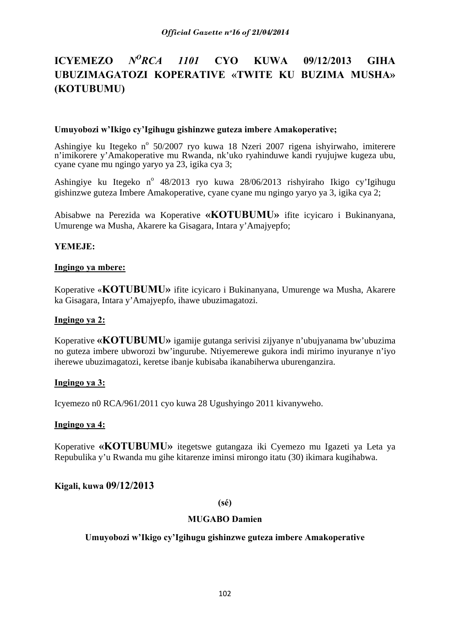# **ICYEMEZO** *NORCA 1101* **CYO KUWA 09/12/2013 GIHA UBUZIMAGATOZI KOPERATIVE «TWITE KU BUZIMA MUSHA» (KOTUBUMU)**

# **Umuyobozi w'Ikigo cy'Igihugu gishinzwe guteza imbere Amakoperative;**

Ashingiye ku Itegeko nº 50/2007 ryo kuwa 18 Nzeri 2007 rigena ishyirwaho, imiterere n'imikorere y'Amakoperative mu Rwanda, nk'uko ryahinduwe kandi ryujujwe kugeza ubu, cyane cyane mu ngingo yaryo ya 23, igika cya 3;

Ashingiye ku Itegeko nº 48/2013 ryo kuwa 28/06/2013 rishyiraho Ikigo cy'Igihugu gishinzwe guteza Imbere Amakoperative, cyane cyane mu ngingo yaryo ya 3, igika cya 2;

Abisabwe na Perezida wa Koperative **«KOTUBUMU»** ifite icyicaro i Bukinanyana, Umurenge wa Musha, Akarere ka Gisagara, Intara y'Amajyepfo;

# **YEMEJE:**

# **Ingingo ya mbere:**

Koperative «**KOTUBUMU»** ifite icyicaro i Bukinanyana, Umurenge wa Musha, Akarere ka Gisagara, Intara y'Amajyepfo, ihawe ubuzimagatozi.

# **Ingingo ya 2:**

Koperative **«KOTUBUMU»** igamije gutanga serivisi zijyanye n'ubujyanama bw'ubuzima no guteza imbere ubworozi bw'ingurube. Ntiyemerewe gukora indi mirimo inyuranye n'iyo iherewe ubuzimagatozi, keretse ibanje kubisaba ikanabiherwa uburenganzira.

# **Ingingo ya 3:**

Icyemezo n0 RCA/961/2011 cyo kuwa 28 Ugushyingo 2011 kivanyweho.

# **Ingingo ya 4:**

Koperative **«KOTUBUMU»** itegetswe gutangaza iki Cyemezo mu Igazeti ya Leta ya Repubulika y'u Rwanda mu gihe kitarenze iminsi mirongo itatu (30) ikimara kugihabwa.

# **Kigali, kuwa 09/12/2013**

# **(sé)**

# **MUGABO Damien**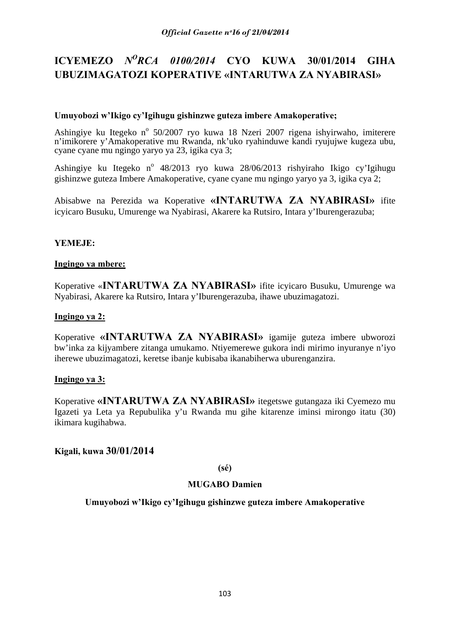# **ICYEMEZO** *NORCA 0100/2014* **CYO KUWA 30/01/2014 GIHA UBUZIMAGATOZI KOPERATIVE «INTARUTWA ZA NYABIRASI»**

# **Umuyobozi w'Ikigo cy'Igihugu gishinzwe guteza imbere Amakoperative;**

Ashingiye ku Itegeko nº 50/2007 ryo kuwa 18 Nzeri 2007 rigena ishyirwaho, imiterere n'imikorere y'Amakoperative mu Rwanda, nk'uko ryahinduwe kandi ryujujwe kugeza ubu, cyane cyane mu ngingo yaryo ya 23, igika cya 3;

Ashingiye ku Itegeko nº 48/2013 ryo kuwa 28/06/2013 rishyiraho Ikigo cy'Igihugu gishinzwe guteza Imbere Amakoperative, cyane cyane mu ngingo yaryo ya 3, igika cya 2;

Abisabwe na Perezida wa Koperative **«INTARUTWA ZA NYABIRASI»** ifite icyicaro Busuku, Umurenge wa Nyabirasi, Akarere ka Rutsiro, Intara y'Iburengerazuba;

# **YEMEJE:**

# **Ingingo ya mbere:**

Koperative «**INTARUTWA ZA NYABIRASI»** ifite icyicaro Busuku, Umurenge wa Nyabirasi, Akarere ka Rutsiro, Intara y'Iburengerazuba, ihawe ubuzimagatozi.

# **Ingingo ya 2:**

Koperative **«INTARUTWA ZA NYABIRASI»** igamije guteza imbere ubworozi bw'inka za kijyambere zitanga umukamo. Ntiyemerewe gukora indi mirimo inyuranye n'iyo iherewe ubuzimagatozi, keretse ibanje kubisaba ikanabiherwa uburenganzira.

# **Ingingo ya 3:**

Koperative **«INTARUTWA ZA NYABIRASI»** itegetswe gutangaza iki Cyemezo mu Igazeti ya Leta ya Repubulika y'u Rwanda mu gihe kitarenze iminsi mirongo itatu (30) ikimara kugihabwa.

# **Kigali, kuwa 30/01/2014**

# **(sé)**

# **MUGABO Damien**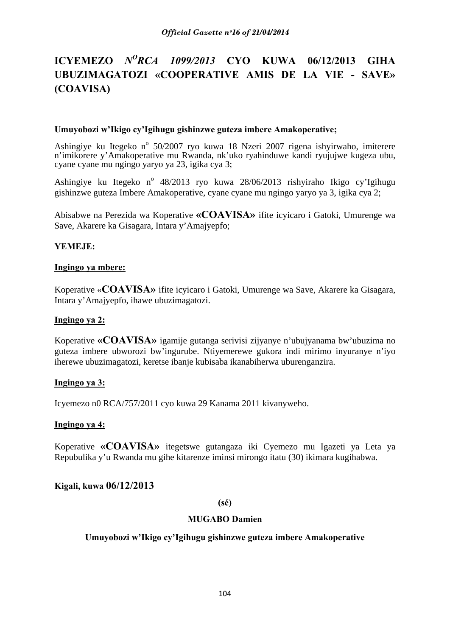# **ICYEMEZO** *NORCA 1099/2013* **CYO KUWA 06/12/2013 GIHA UBUZIMAGATOZI «COOPERATIVE AMIS DE LA VIE - SAVE» (COAVISA)**

# **Umuyobozi w'Ikigo cy'Igihugu gishinzwe guteza imbere Amakoperative;**

Ashingiye ku Itegeko nº 50/2007 ryo kuwa 18 Nzeri 2007 rigena ishyirwaho, imiterere n'imikorere y'Amakoperative mu Rwanda, nk'uko ryahinduwe kandi ryujujwe kugeza ubu, cyane cyane mu ngingo yaryo ya 23, igika cya 3;

Ashingiye ku Itegeko nº 48/2013 ryo kuwa 28/06/2013 rishyiraho Ikigo cy'Igihugu gishinzwe guteza Imbere Amakoperative, cyane cyane mu ngingo yaryo ya 3, igika cya 2;

Abisabwe na Perezida wa Koperative **«COAVISA»** ifite icyicaro i Gatoki, Umurenge wa Save, Akarere ka Gisagara, Intara y'Amajyepfo;

# **YEMEJE:**

#### **Ingingo ya mbere:**

Koperative «**COAVISA»** ifite icyicaro i Gatoki, Umurenge wa Save, Akarere ka Gisagara, Intara y'Amajyepfo, ihawe ubuzimagatozi.

### **Ingingo ya 2:**

Koperative **«COAVISA»** igamije gutanga serivisi zijyanye n'ubujyanama bw'ubuzima no guteza imbere ubworozi bw'ingurube. Ntiyemerewe gukora indi mirimo inyuranye n'iyo iherewe ubuzimagatozi, keretse ibanje kubisaba ikanabiherwa uburenganzira.

# **Ingingo ya 3:**

Icyemezo n0 RCA/757/2011 cyo kuwa 29 Kanama 2011 kivanyweho.

#### **Ingingo ya 4:**

Koperative **«COAVISA»** itegetswe gutangaza iki Cyemezo mu Igazeti ya Leta ya Repubulika y'u Rwanda mu gihe kitarenze iminsi mirongo itatu (30) ikimara kugihabwa.

# **Kigali, kuwa 06/12/2013**

# **(sé)**

# **MUGABO Damien**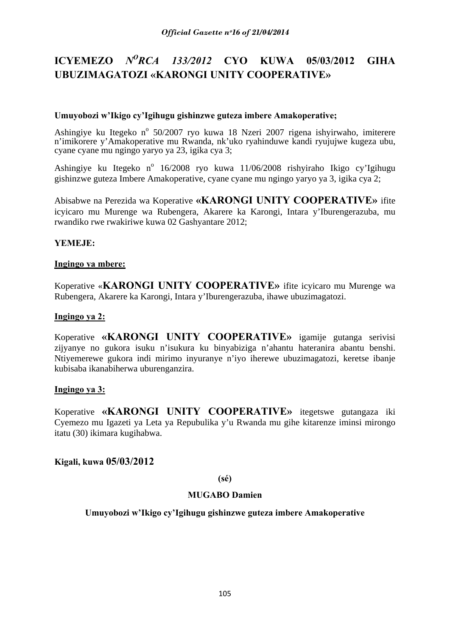# **ICYEMEZO** *NORCA 133/2012* **CYO KUWA 05/03/2012 GIHA UBUZIMAGATOZI «KARONGI UNITY COOPERATIVE»**

# **Umuyobozi w'Ikigo cy'Igihugu gishinzwe guteza imbere Amakoperative;**

Ashingiye ku Itegeko nº 50/2007 ryo kuwa 18 Nzeri 2007 rigena ishyirwaho, imiterere n'imikorere y'Amakoperative mu Rwanda, nk'uko ryahinduwe kandi ryujujwe kugeza ubu, cyane cyane mu ngingo yaryo ya 23, igika cya 3;

Ashingiye ku Itegeko nº 16/2008 ryo kuwa 11/06/2008 rishyiraho Ikigo cy'Igihugu gishinzwe guteza Imbere Amakoperative, cyane cyane mu ngingo yaryo ya 3, igika cya 2;

Abisabwe na Perezida wa Koperative **«KARONGI UNITY COOPERATIVE»** ifite icyicaro mu Murenge wa Rubengera, Akarere ka Karongi, Intara y'Iburengerazuba, mu rwandiko rwe rwakiriwe kuwa 02 Gashyantare 2012;

# **YEMEJE:**

# **Ingingo ya mbere:**

Koperative «**KARONGI UNITY COOPERATIVE»** ifite icyicaro mu Murenge wa Rubengera, Akarere ka Karongi, Intara y'Iburengerazuba, ihawe ubuzimagatozi.

# **Ingingo ya 2:**

Koperative **«KARONGI UNITY COOPERATIVE»** igamije gutanga serivisi zijyanye no gukora isuku n'isukura ku binyabiziga n'ahantu hateranira abantu benshi. Ntiyemerewe gukora indi mirimo inyuranye n'iyo iherewe ubuzimagatozi, keretse ibanje kubisaba ikanabiherwa uburenganzira.

# **Ingingo ya 3:**

Koperative **«KARONGI UNITY COOPERATIVE»** itegetswe gutangaza iki Cyemezo mu Igazeti ya Leta ya Repubulika y'u Rwanda mu gihe kitarenze iminsi mirongo itatu (30) ikimara kugihabwa.

# **Kigali, kuwa 05/03/2012**

# **(sé)**

# **MUGABO Damien**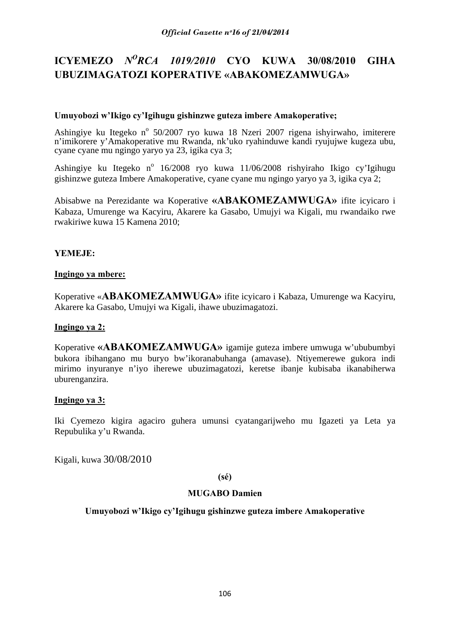# **ICYEMEZO** *NORCA 1019/2010* **CYO KUWA 30/08/2010 GIHA UBUZIMAGATOZI KOPERATIVE «ABAKOMEZAMWUGA»**

# **Umuyobozi w'Ikigo cy'Igihugu gishinzwe guteza imbere Amakoperative;**

Ashingiye ku Itegeko nº 50/2007 ryo kuwa 18 Nzeri 2007 rigena ishyirwaho, imiterere n'imikorere y'Amakoperative mu Rwanda, nk'uko ryahinduwe kandi ryujujwe kugeza ubu, cyane cyane mu ngingo yaryo ya 23, igika cya 3;

Ashingiye ku Itegeko nº 16/2008 ryo kuwa 11/06/2008 rishyiraho Ikigo cy'Igihugu gishinzwe guteza Imbere Amakoperative, cyane cyane mu ngingo yaryo ya 3, igika cya 2;

Abisabwe na Perezidante wa Koperative **«ABAKOMEZAMWUGA»** ifite icyicaro i Kabaza, Umurenge wa Kacyiru, Akarere ka Gasabo, Umujyi wa Kigali, mu rwandaiko rwe rwakiriwe kuwa 15 Kamena 2010;

# **YEMEJE:**

# **Ingingo ya mbere:**

Koperative «**ABAKOMEZAMWUGA»** ifite icyicaro i Kabaza, Umurenge wa Kacyiru, Akarere ka Gasabo, Umujyi wa Kigali, ihawe ubuzimagatozi.

# **Ingingo ya 2:**

Koperative **«ABAKOMEZAMWUGA»** igamije guteza imbere umwuga w'ububumbyi bukora ibihangano mu buryo bw'ikoranabuhanga (amavase). Ntiyemerewe gukora indi mirimo inyuranye n'iyo iherewe ubuzimagatozi, keretse ibanje kubisaba ikanabiherwa uburenganzira.

# **Ingingo ya 3:**

Iki Cyemezo kigira agaciro guhera umunsi cyatangarijweho mu Igazeti ya Leta ya Repubulika y'u Rwanda.

Kigali, kuwa 30/08/2010

# **(sé)**

# **MUGABO Damien**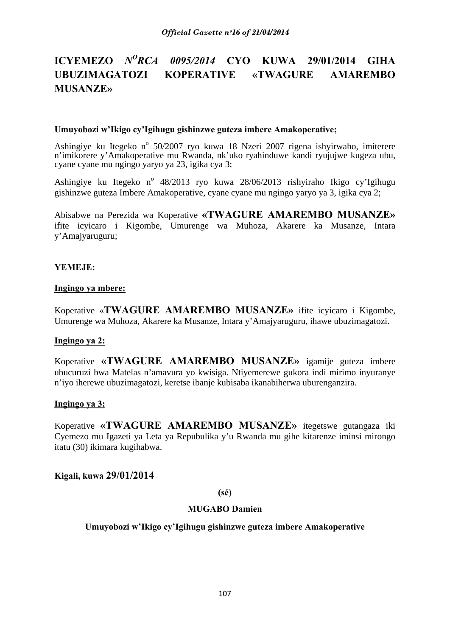# **ICYEMEZO** *NORCA 0095/2014* **CYO KUWA 29/01/2014 GIHA UBUZIMAGATOZI KOPERATIVE «TWAGURE AMAREMBO MUSANZE»**

#### **Umuyobozi w'Ikigo cy'Igihugu gishinzwe guteza imbere Amakoperative;**

Ashingiye ku Itegeko nº 50/2007 ryo kuwa 18 Nzeri 2007 rigena ishyirwaho, imiterere n'imikorere y'Amakoperative mu Rwanda, nk'uko ryahinduwe kandi ryujujwe kugeza ubu, cyane cyane mu ngingo yaryo ya 23, igika cya 3;

Ashingiye ku Itegeko nº 48/2013 ryo kuwa 28/06/2013 rishyiraho Ikigo cy'Igihugu gishinzwe guteza Imbere Amakoperative, cyane cyane mu ngingo yaryo ya 3, igika cya 2;

Abisabwe na Perezida wa Koperative **«TWAGURE AMAREMBO MUSANZE»**  ifite icyicaro i Kigombe, Umurenge wa Muhoza, Akarere ka Musanze, Intara y'Amajyaruguru;

### **YEMEJE:**

#### **Ingingo ya mbere:**

Koperative «**TWAGURE AMAREMBO MUSANZE»** ifite icyicaro i Kigombe, Umurenge wa Muhoza, Akarere ka Musanze, Intara y'Amajyaruguru, ihawe ubuzimagatozi.

#### **Ingingo ya 2:**

Koperative **«TWAGURE AMAREMBO MUSANZE»** igamije guteza imbere ubucuruzi bwa Matelas n'amavura yo kwisiga. Ntiyemerewe gukora indi mirimo inyuranye n'iyo iherewe ubuzimagatozi, keretse ibanje kubisaba ikanabiherwa uburenganzira.

### **Ingingo ya 3:**

Koperative **«TWAGURE AMAREMBO MUSANZE»** itegetswe gutangaza iki Cyemezo mu Igazeti ya Leta ya Repubulika y'u Rwanda mu gihe kitarenze iminsi mirongo itatu (30) ikimara kugihabwa.

**Kigali, kuwa 29/01/2014** 

**(sé)** 

#### **MUGABO Damien**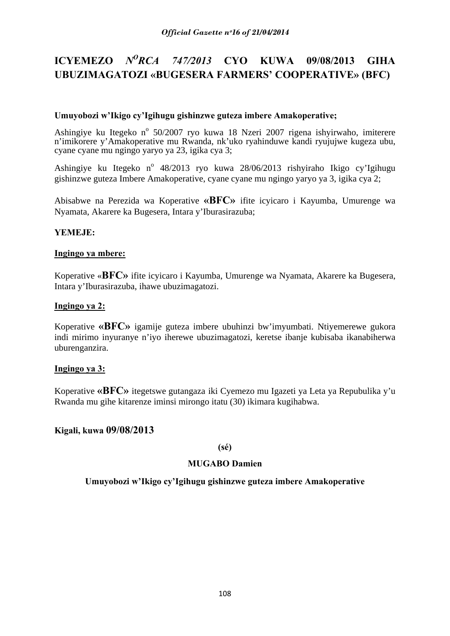# **ICYEMEZO** *NORCA 747/2013* **CYO KUWA 09/08/2013 GIHA UBUZIMAGATOZI «BUGESERA FARMERS' COOPERATIVE» (BFC)**

### **Umuyobozi w'Ikigo cy'Igihugu gishinzwe guteza imbere Amakoperative;**

Ashingiye ku Itegeko nº 50/2007 ryo kuwa 18 Nzeri 2007 rigena ishyirwaho, imiterere n'imikorere y'Amakoperative mu Rwanda, nk'uko ryahinduwe kandi ryujujwe kugeza ubu, cyane cyane mu ngingo yaryo ya 23, igika cya 3;

Ashingiye ku Itegeko nº 48/2013 ryo kuwa 28/06/2013 rishyiraho Ikigo cy'Igihugu gishinzwe guteza Imbere Amakoperative, cyane cyane mu ngingo yaryo ya 3, igika cya 2;

Abisabwe na Perezida wa Koperative **«BFC»** ifite icyicaro i Kayumba, Umurenge wa Nyamata, Akarere ka Bugesera, Intara y'Iburasirazuba;

## **YEMEJE:**

## **Ingingo ya mbere:**

Koperative «**BFC»** ifite icyicaro i Kayumba, Umurenge wa Nyamata, Akarere ka Bugesera, Intara y'Iburasirazuba, ihawe ubuzimagatozi.

### **Ingingo ya 2:**

Koperative **«BFC»** igamije guteza imbere ubuhinzi bw'imyumbati. Ntiyemerewe gukora indi mirimo inyuranye n'iyo iherewe ubuzimagatozi, keretse ibanje kubisaba ikanabiherwa uburenganzira.

### **Ingingo ya 3:**

Koperative **«BFC»** itegetswe gutangaza iki Cyemezo mu Igazeti ya Leta ya Repubulika y'u Rwanda mu gihe kitarenze iminsi mirongo itatu (30) ikimara kugihabwa.

### **Kigali, kuwa 09/08/2013**

### **(sé)**

### **MUGABO Damien**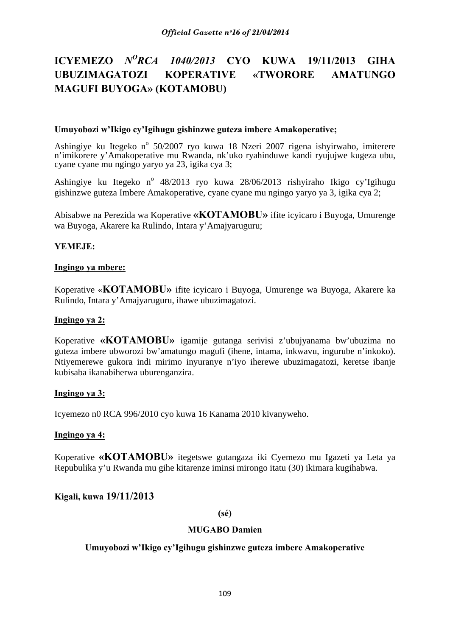# **ICYEMEZO** *NORCA 1040/2013* **CYO KUWA 19/11/2013 GIHA UBUZIMAGATOZI KOPERATIVE «TWORORE AMATUNGO MAGUFI BUYOGA» (KOTAMOBU)**

### **Umuyobozi w'Ikigo cy'Igihugu gishinzwe guteza imbere Amakoperative;**

Ashingiye ku Itegeko nº 50/2007 ryo kuwa 18 Nzeri 2007 rigena ishyirwaho, imiterere n'imikorere y'Amakoperative mu Rwanda, nk'uko ryahinduwe kandi ryujujwe kugeza ubu, cyane cyane mu ngingo yaryo ya 23, igika cya 3;

Ashingiye ku Itegeko nº 48/2013 ryo kuwa 28/06/2013 rishyiraho Ikigo cy'Igihugu gishinzwe guteza Imbere Amakoperative, cyane cyane mu ngingo yaryo ya 3, igika cya 2;

Abisabwe na Perezida wa Koperative **«KOTAMOBU»** ifite icyicaro i Buyoga, Umurenge wa Buyoga, Akarere ka Rulindo, Intara y'Amajyaruguru;

## **YEMEJE:**

### **Ingingo ya mbere:**

Koperative «**KOTAMOBU»** ifite icyicaro i Buyoga, Umurenge wa Buyoga, Akarere ka Rulindo, Intara y'Amajyaruguru, ihawe ubuzimagatozi.

### **Ingingo ya 2:**

Koperative **«KOTAMOBU»** igamije gutanga serivisi z'ubujyanama bw'ubuzima no guteza imbere ubworozi bw'amatungo magufi (ihene, intama, inkwavu, ingurube n'inkoko). Ntiyemerewe gukora indi mirimo inyuranye n'iyo iherewe ubuzimagatozi, keretse ibanje kubisaba ikanabiherwa uburenganzira.

### **Ingingo ya 3:**

Icyemezo n0 RCA 996/2010 cyo kuwa 16 Kanama 2010 kivanyweho.

### **Ingingo ya 4:**

Koperative **«KOTAMOBU»** itegetswe gutangaza iki Cyemezo mu Igazeti ya Leta ya Repubulika y'u Rwanda mu gihe kitarenze iminsi mirongo itatu (30) ikimara kugihabwa.

# **Kigali, kuwa 19/11/2013**

**(sé)** 

### **MUGABO Damien**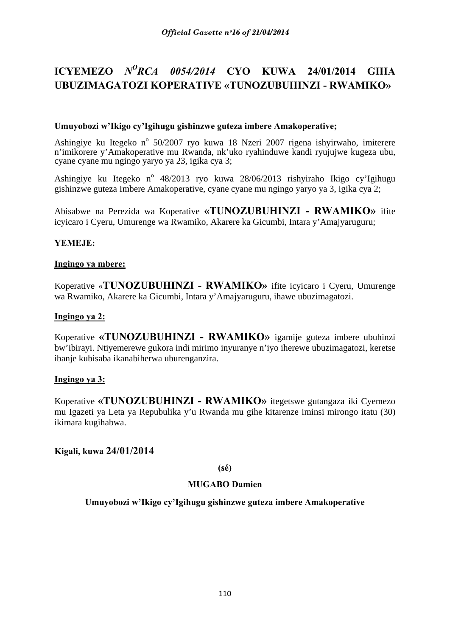# **ICYEMEZO** *NORCA 0054/2014* **CYO KUWA 24/01/2014 GIHA UBUZIMAGATOZI KOPERATIVE «TUNOZUBUHINZI - RWAMIKO»**

## **Umuyobozi w'Ikigo cy'Igihugu gishinzwe guteza imbere Amakoperative;**

Ashingiye ku Itegeko nº 50/2007 ryo kuwa 18 Nzeri 2007 rigena ishyirwaho, imiterere n'imikorere y'Amakoperative mu Rwanda, nk'uko ryahinduwe kandi ryujujwe kugeza ubu, cyane cyane mu ngingo yaryo ya 23, igika cya 3;

Ashingiye ku Itegeko nº 48/2013 ryo kuwa 28/06/2013 rishyiraho Ikigo cy'Igihugu gishinzwe guteza Imbere Amakoperative, cyane cyane mu ngingo yaryo ya 3, igika cya 2;

Abisabwe na Perezida wa Koperative **«TUNOZUBUHINZI - RWAMIKO»** ifite icyicaro i Cyeru, Umurenge wa Rwamiko, Akarere ka Gicumbi, Intara y'Amajyaruguru;

## **YEMEJE:**

### **Ingingo ya mbere:**

Koperative «**TUNOZUBUHINZI - RWAMIKO»** ifite icyicaro i Cyeru, Umurenge wa Rwamiko, Akarere ka Gicumbi, Intara y'Amajyaruguru, ihawe ubuzimagatozi.

### **Ingingo ya 2:**

Koperative **«TUNOZUBUHINZI - RWAMIKO»** igamije guteza imbere ubuhinzi bw'ibirayi. Ntiyemerewe gukora indi mirimo inyuranye n'iyo iherewe ubuzimagatozi, keretse ibanje kubisaba ikanabiherwa uburenganzira.

### **Ingingo ya 3:**

Koperative **«TUNOZUBUHINZI - RWAMIKO»** itegetswe gutangaza iki Cyemezo mu Igazeti ya Leta ya Repubulika y'u Rwanda mu gihe kitarenze iminsi mirongo itatu (30) ikimara kugihabwa.

# **Kigali, kuwa 24/01/2014**

### **(sé)**

## **MUGABO Damien**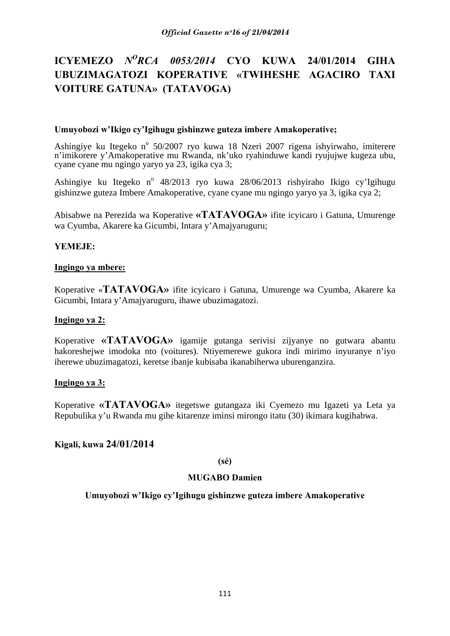# **ICYEMEZO** *NORCA 0053/2014* **CYO KUWA 24/01/2014 GIHA UBUZIMAGATOZI KOPERATIVE «TWIHESHE AGACIRO TAXI VOITURE GATUNA» (TATAVOGA)**

### **Umuyobozi w'Ikigo cy'Igihugu gishinzwe guteza imbere Amakoperative;**

Ashingiye ku Itegeko nº 50/2007 ryo kuwa 18 Nzeri 2007 rigena ishyirwaho, imiterere n'imikorere y'Amakoperative mu Rwanda, nk'uko ryahinduwe kandi ryujujwe kugeza ubu, cyane cyane mu ngingo yaryo ya 23, igika cya 3;

Ashingiye ku Itegeko nº 48/2013 ryo kuwa 28/06/2013 rishyiraho Ikigo cy'Igihugu gishinzwe guteza Imbere Amakoperative, cyane cyane mu ngingo yaryo ya 3, igika cya 2;

Abisabwe na Perezida wa Koperative **«TATAVOGA»** ifite icyicaro i Gatuna, Umurenge wa Cyumba, Akarere ka Gicumbi, Intara y'Amajyaruguru;

## **YEMEJE:**

### **Ingingo ya mbere:**

Koperative «**TATAVOGA»** ifite icyicaro i Gatuna, Umurenge wa Cyumba, Akarere ka Gicumbi, Intara y'Amajyaruguru, ihawe ubuzimagatozi.

### **Ingingo ya 2:**

Koperative **«TATAVOGA»** igamije gutanga serivisi zijyanye no gutwara abantu hakoreshejwe imodoka nto (voitures). Ntiyemerewe gukora indi mirimo inyuranye n'iyo iherewe ubuzimagatozi, keretse ibanje kubisaba ikanabiherwa uburenganzira.

### **Ingingo ya 3:**

Koperative **«TATAVOGA»** itegetswe gutangaza iki Cyemezo mu Igazeti ya Leta ya Repubulika y'u Rwanda mu gihe kitarenze iminsi mirongo itatu (30) ikimara kugihabwa.

# **Kigali, kuwa 24/01/2014**

### **(sé)**

### **MUGABO Damien**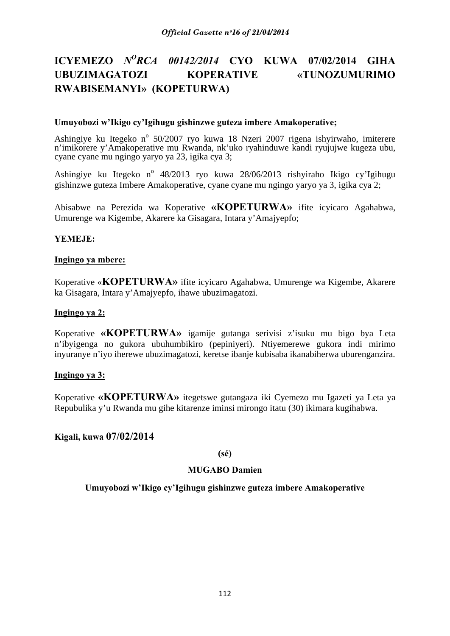# **ICYEMEZO** *NORCA 00142/2014* **CYO KUWA 07/02/2014 GIHA UBUZIMAGATOZI KOPERATIVE «TUNOZUMURIMO RWABISEMANYI» (KOPETURWA)**

### **Umuyobozi w'Ikigo cy'Igihugu gishinzwe guteza imbere Amakoperative;**

Ashingiye ku Itegeko nº 50/2007 ryo kuwa 18 Nzeri 2007 rigena ishyirwaho, imiterere n'imikorere y'Amakoperative mu Rwanda, nk'uko ryahinduwe kandi ryujujwe kugeza ubu, cyane cyane mu ngingo yaryo ya 23, igika cya 3;

Ashingiye ku Itegeko nº 48/2013 ryo kuwa 28/06/2013 rishyiraho Ikigo cy'Igihugu gishinzwe guteza Imbere Amakoperative, cyane cyane mu ngingo yaryo ya 3, igika cya 2;

Abisabwe na Perezida wa Koperative **«KOPETURWA»** ifite icyicaro Agahabwa, Umurenge wa Kigembe, Akarere ka Gisagara, Intara y'Amajyepfo;

## **YEMEJE:**

### **Ingingo ya mbere:**

Koperative «**KOPETURWA»** ifite icyicaro Agahabwa, Umurenge wa Kigembe, Akarere ka Gisagara, Intara y'Amajyepfo, ihawe ubuzimagatozi.

### **Ingingo ya 2:**

Koperative **«KOPETURWA»** igamije gutanga serivisi z'isuku mu bigo bya Leta n'ibyigenga no gukora ubuhumbikiro (pepiniyeri). Ntiyemerewe gukora indi mirimo inyuranye n'iyo iherewe ubuzimagatozi, keretse ibanje kubisaba ikanabiherwa uburenganzira.

### **Ingingo ya 3:**

Koperative **«KOPETURWA»** itegetswe gutangaza iki Cyemezo mu Igazeti ya Leta ya Repubulika y'u Rwanda mu gihe kitarenze iminsi mirongo itatu (30) ikimara kugihabwa.

# **Kigali, kuwa 07/02/2014**

### **(sé)**

## **MUGABO Damien**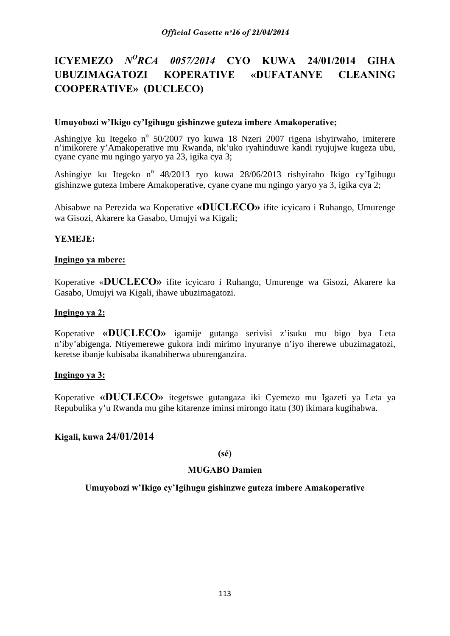# **ICYEMEZO** *NORCA 0057/2014* **CYO KUWA 24/01/2014 GIHA UBUZIMAGATOZI KOPERATIVE «DUFATANYE CLEANING COOPERATIVE» (DUCLECO)**

### **Umuyobozi w'Ikigo cy'Igihugu gishinzwe guteza imbere Amakoperative;**

Ashingiye ku Itegeko nº 50/2007 ryo kuwa 18 Nzeri 2007 rigena ishyirwaho, imiterere n'imikorere y'Amakoperative mu Rwanda, nk'uko ryahinduwe kandi ryujujwe kugeza ubu, cyane cyane mu ngingo yaryo ya 23, igika cya 3;

Ashingiye ku Itegeko nº 48/2013 ryo kuwa 28/06/2013 rishyiraho Ikigo cy'Igihugu gishinzwe guteza Imbere Amakoperative, cyane cyane mu ngingo yaryo ya 3, igika cya 2;

Abisabwe na Perezida wa Koperative **«DUCLECO»** ifite icyicaro i Ruhango, Umurenge wa Gisozi, Akarere ka Gasabo, Umujyi wa Kigali;

## **YEMEJE:**

### **Ingingo ya mbere:**

Koperative «**DUCLECO»** ifite icyicaro i Ruhango, Umurenge wa Gisozi, Akarere ka Gasabo, Umujyi wa Kigali, ihawe ubuzimagatozi.

### **Ingingo ya 2:**

Koperative **«DUCLECO»** igamije gutanga serivisi z'isuku mu bigo bya Leta n'iby'abigenga. Ntiyemerewe gukora indi mirimo inyuranye n'iyo iherewe ubuzimagatozi, keretse ibanje kubisaba ikanabiherwa uburenganzira.

### **Ingingo ya 3:**

Koperative **«DUCLECO»** itegetswe gutangaza iki Cyemezo mu Igazeti ya Leta ya Repubulika y'u Rwanda mu gihe kitarenze iminsi mirongo itatu (30) ikimara kugihabwa.

# **Kigali, kuwa 24/01/2014**

### **(sé)**

### **MUGABO Damien**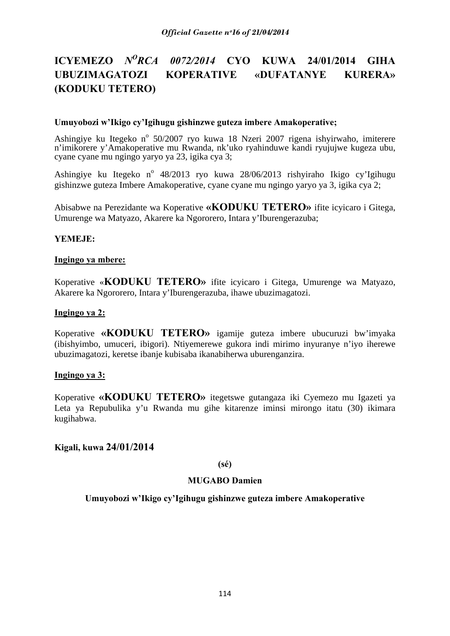# **ICYEMEZO** *NORCA 0072/2014* **CYO KUWA 24/01/2014 GIHA UBUZIMAGATOZI KOPERATIVE «DUFATANYE KURERA» (KODUKU TETERO)**

### **Umuyobozi w'Ikigo cy'Igihugu gishinzwe guteza imbere Amakoperative;**

Ashingiye ku Itegeko nº 50/2007 ryo kuwa 18 Nzeri 2007 rigena ishyirwaho, imiterere n'imikorere y'Amakoperative mu Rwanda, nk'uko ryahinduwe kandi ryujujwe kugeza ubu, cyane cyane mu ngingo yaryo ya 23, igika cya 3;

Ashingiye ku Itegeko nº 48/2013 ryo kuwa 28/06/2013 rishyiraho Ikigo cy'Igihugu gishinzwe guteza Imbere Amakoperative, cyane cyane mu ngingo yaryo ya 3, igika cya 2;

Abisabwe na Perezidante wa Koperative **«KODUKU TETERO»** ifite icyicaro i Gitega, Umurenge wa Matyazo, Akarere ka Ngororero, Intara y'Iburengerazuba;

## **YEMEJE:**

### **Ingingo ya mbere:**

Koperative «**KODUKU TETERO»** ifite icyicaro i Gitega, Umurenge wa Matyazo, Akarere ka Ngororero, Intara y'Iburengerazuba, ihawe ubuzimagatozi.

### **Ingingo ya 2:**

Koperative **«KODUKU TETERO»** igamije guteza imbere ubucuruzi bw'imyaka (ibishyimbo, umuceri, ibigori). Ntiyemerewe gukora indi mirimo inyuranye n'iyo iherewe ubuzimagatozi, keretse ibanje kubisaba ikanabiherwa uburenganzira.

### **Ingingo ya 3:**

Koperative **«KODUKU TETERO»** itegetswe gutangaza iki Cyemezo mu Igazeti ya Leta ya Repubulika y'u Rwanda mu gihe kitarenze iminsi mirongo itatu (30) ikimara kugihabwa.

# **Kigali, kuwa 24/01/2014**

### **(sé)**

### **MUGABO Damien**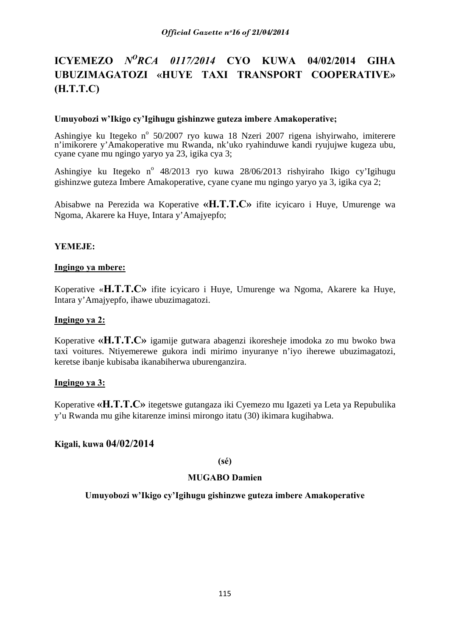# **ICYEMEZO** *NORCA 0117/2014* **CYO KUWA 04/02/2014 GIHA UBUZIMAGATOZI «HUYE TAXI TRANSPORT COOPERATIVE» (H.T.T.C)**

## **Umuyobozi w'Ikigo cy'Igihugu gishinzwe guteza imbere Amakoperative;**

Ashingiye ku Itegeko nº 50/2007 ryo kuwa 18 Nzeri 2007 rigena ishyirwaho, imiterere n'imikorere y'Amakoperative mu Rwanda, nk'uko ryahinduwe kandi ryujujwe kugeza ubu, cyane cyane mu ngingo yaryo ya 23, igika cya 3;

Ashingiye ku Itegeko n<sup>o</sup> 48/2013 ryo kuwa 28/06/2013 rishyiraho Ikigo cy'Igihugu gishinzwe guteza Imbere Amakoperative, cyane cyane mu ngingo yaryo ya 3, igika cya 2;

Abisabwe na Perezida wa Koperative **«H.T.T.C»** ifite icyicaro i Huye, Umurenge wa Ngoma, Akarere ka Huye, Intara y'Amajyepfo;

# **YEMEJE:**

### **Ingingo ya mbere:**

Koperative «**H.T.T.C»** ifite icyicaro i Huye, Umurenge wa Ngoma, Akarere ka Huye, Intara y'Amajyepfo, ihawe ubuzimagatozi.

### **Ingingo ya 2:**

Koperative **«H.T.T.C»** igamije gutwara abagenzi ikoresheje imodoka zo mu bwoko bwa taxi voitures. Ntiyemerewe gukora indi mirimo inyuranye n'iyo iherewe ubuzimagatozi, keretse ibanje kubisaba ikanabiherwa uburenganzira.

### **Ingingo ya 3:**

Koperative **«H.T.T.C»** itegetswe gutangaza iki Cyemezo mu Igazeti ya Leta ya Repubulika y'u Rwanda mu gihe kitarenze iminsi mirongo itatu (30) ikimara kugihabwa.

# **Kigali, kuwa 04/02/2014**

**(sé)** 

### **MUGABO Damien**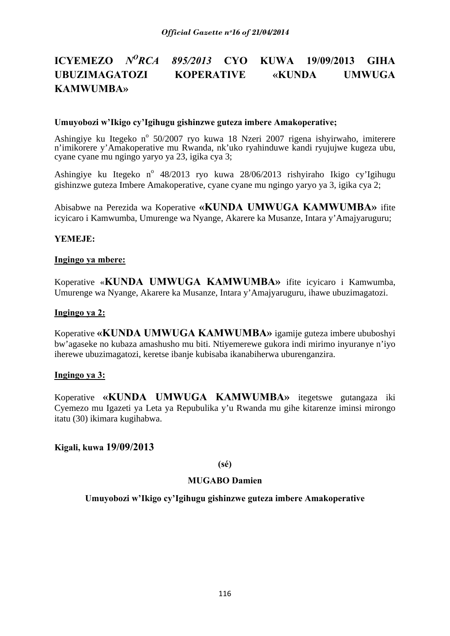# **ICYEMEZO** *NORCA 895/2013* **CYO KUWA 19/09/2013 GIHA UBUZIMAGATOZI KOPERATIVE «KUNDA UMWUGA KAMWUMBA»**

### **Umuyobozi w'Ikigo cy'Igihugu gishinzwe guteza imbere Amakoperative;**

Ashingiye ku Itegeko nº 50/2007 ryo kuwa 18 Nzeri 2007 rigena ishyirwaho, imiterere n'imikorere y'Amakoperative mu Rwanda, nk'uko ryahinduwe kandi ryujujwe kugeza ubu, cyane cyane mu ngingo yaryo ya 23, igika cya 3;

Ashingiye ku Itegeko nº 48/2013 ryo kuwa 28/06/2013 rishyiraho Ikigo cy'Igihugu gishinzwe guteza Imbere Amakoperative, cyane cyane mu ngingo yaryo ya 3, igika cya 2;

Abisabwe na Perezida wa Koperative **«KUNDA UMWUGA KAMWUMBA»** ifite icyicaro i Kamwumba, Umurenge wa Nyange, Akarere ka Musanze, Intara y'Amajyaruguru;

### **YEMEJE:**

#### **Ingingo ya mbere:**

Koperative «**KUNDA UMWUGA KAMWUMBA»** ifite icyicaro i Kamwumba, Umurenge wa Nyange, Akarere ka Musanze, Intara y'Amajyaruguru, ihawe ubuzimagatozi.

#### **Ingingo ya 2:**

Koperative **«KUNDA UMWUGA KAMWUMBA»** igamije guteza imbere ububoshyi bw'agaseke no kubaza amashusho mu biti. Ntiyemerewe gukora indi mirimo inyuranye n'iyo iherewe ubuzimagatozi, keretse ibanje kubisaba ikanabiherwa uburenganzira.

### **Ingingo ya 3:**

Koperative **«KUNDA UMWUGA KAMWUMBA»** itegetswe gutangaza iki Cyemezo mu Igazeti ya Leta ya Repubulika y'u Rwanda mu gihe kitarenze iminsi mirongo itatu (30) ikimara kugihabwa.

### **Kigali, kuwa 19/09/2013**

### **(sé)**

#### **MUGABO Damien**